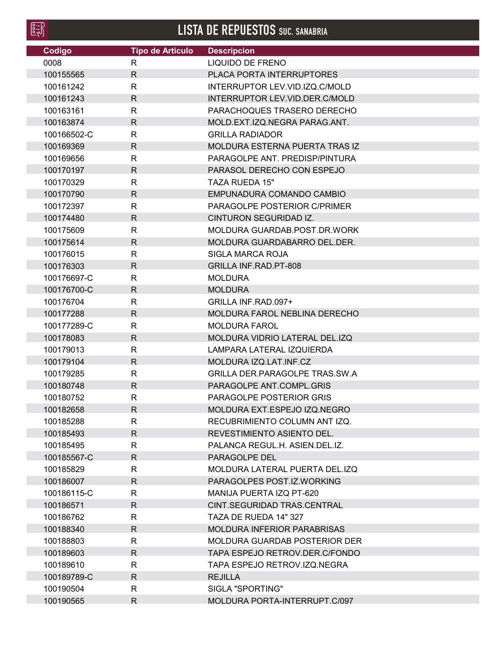**LISTA DE REPUESTOS SUC. SANABRIA**

| Codigo      | <b>Tipo de Articulo</b> | <b>Descripcion</b>                    |
|-------------|-------------------------|---------------------------------------|
| 0008        | $\mathsf{R}$            | <b>LIQUIDO DE FRENO</b>               |
| 100155565   | $\mathsf{R}$            | PLACA PORTA INTERRUPTORES             |
| 100161242   | $\mathsf{R}$            | INTERRUPTOR LEV.VID.IZQ.C/MOLD        |
| 100161243   | $\mathsf{R}$            | INTERRUPTOR LEV.VID.DER.C/MOLD        |
| 100163161   | $\mathsf{R}$            | PARACHOQUES TRASERO DERECHO           |
| 100163874   | $\mathsf{R}$            | MOLD.EXT.IZQ.NEGRA PARAG.ANT.         |
| 100166502-C | R                       | <b>GRILLA RADIADOR</b>                |
| 100169369   | $\mathsf{R}$            | MOLDURA ESTERNA PUERTA TRAS IZ        |
| 100169656   | $\mathsf{R}$            | PARAGOLPE ANT. PREDISP/PINTURA        |
| 100170197   | $\mathsf{R}$            | PARASOL DERECHO CON ESPEJO            |
| 100170329   | $\mathsf{R}$            | <b>TAZA RUEDA 15"</b>                 |
| 100170790   | $\mathsf{R}$            | EMPUNADURA COMANDO CAMBIO             |
| 100172397   | $\mathsf{R}$            | PARAGOLPE POSTERIOR C/PRIMER          |
| 100174480   | $\mathsf{R}$            | CINTURON SEGURIDAD IZ.                |
| 100175609   | $\mathsf{R}$            | MOLDURA GUARDAB.POST.DR.WORK          |
| 100175614   | $\mathsf{R}$            | MOLDURA GUARDABARRO DEL.DER.          |
| 100176015   | $\mathsf{R}$            | <b>SIGLA MARCA ROJA</b>               |
| 100176303   | $\mathsf{R}$            | <b>GRILLA INF.RAD.PT-808</b>          |
| 100176697-C | $\mathsf{R}$            | <b>MOLDURA</b>                        |
| 100176700-C | $\mathsf{R}$            | <b>MOLDURA</b>                        |
| 100176704   | $\mathsf{R}$            | GRILLA INF.RAD.097+                   |
| 100177288   | $\mathsf{R}$            | MOLDURA FAROL NEBLINA DERECHO         |
| 100177289-C | R                       | <b>MOLDURA FAROL</b>                  |
| 100178083   | $\mathsf{R}$            | MOLDURA VIDRIO LATERAL DEL.IZQ        |
| 100179013   | R                       | LAMPARA LATERAL IZQUIERDA             |
| 100179104   | $\mathsf{R}$            | MOLDURA IZQ.LAT.INF.CZ                |
| 100179285   | $\mathsf{R}$            | <b>GRILLA DER.PARAGOLPE TRAS.SW.A</b> |
| 100180748   | $\mathsf{R}$            | PARAGOLPE ANT.COMPL.GRIS              |
| 100180752   | $\mathsf{R}$            | PARAGOLPE POSTERIOR GRIS              |
| 100182658   | R                       | MOLDURA EXT.ESPEJO IZQ.NEGRO          |
| 100185288   | R                       | RECUBRIMIENTO COLUMN ANTIZQ.          |
| 100185493   | $\mathsf{R}$            | REVESTIMIENTO ASIENTO DEL.            |
| 100185495   | R                       | PALANCA REGUL.H. ASIEN.DEL.IZ.        |
| 100185567-C | $\mathsf{R}$            | PARAGOLPE DEL                         |
| 100185829   | R.                      | MOLDURA LATERAL PUERTA DEL.IZQ        |
| 100186007   | $\mathsf{R}$            | PARAGOLPES POST.IZ.WORKING            |
| 100186115-C | R                       | MANIJA PUERTA IZQ PT-620              |
| 100186571   | R.                      | CINT.SEGURIDAD TRAS.CENTRAL           |
| 100186762   | R                       | TAZA DE RUEDA 14" 327                 |
| 100188340   | $\mathsf{R}$            | <b>MOLDURA INFERIOR PARABRISAS</b>    |
| 100188803   | $\mathsf{R}$            | <b>MOLDURA GUARDAB POSTERIOR DER</b>  |
| 100189603   | $\mathsf{R}$            | TAPA ESPEJO RETROV.DER.C/FONDO        |
| 100189610   | $\mathsf{R}$            | TAPA ESPEJO RETROV.IZQ.NEGRA          |
| 100189789-C | $\mathsf{R}$            | <b>REJILLA</b>                        |
| 100190504   | R                       | SIGLA "SPORTING"                      |
|             |                         |                                       |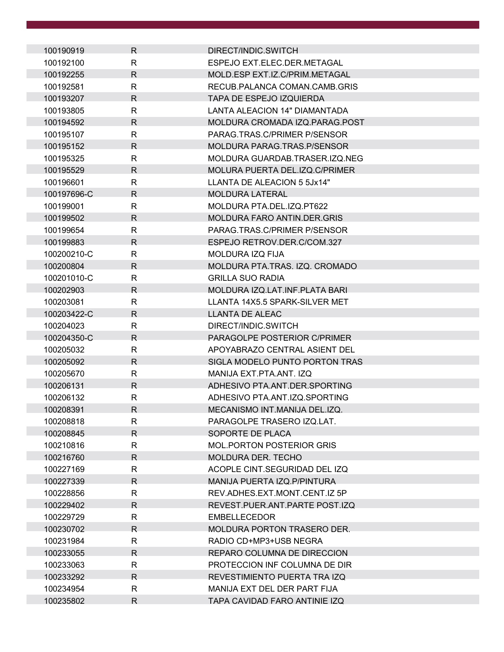| 100190919   | $\mathsf{R}$ | DIRECT/INDIC.SWITCH                  |
|-------------|--------------|--------------------------------------|
| 100192100   | R            | ESPEJO EXT.ELEC.DER.METAGAL          |
| 100192255   | $\mathsf{R}$ | MOLD.ESP EXT.IZ.C/PRIM.METAGAL       |
| 100192581   | R            | RECUB.PALANCA COMAN.CAMB.GRIS        |
| 100193207   | $\mathsf{R}$ | TAPA DE ESPEJO IZQUIERDA             |
| 100193805   | $\mathsf{R}$ | <b>LANTA ALEACION 14" DIAMANTADA</b> |
| 100194592   | $\mathsf{R}$ | MOLDURA CROMADA IZQ.PARAG.POST       |
| 100195107   | $\mathsf{R}$ | PARAG.TRAS.C/PRIMER P/SENSOR         |
| 100195152   | $\mathsf{R}$ | MOLDURA PARAG.TRAS.P/SENSOR          |
| 100195325   | R            | MOLDURA GUARDAB.TRASER.IZQ.NEG       |
| 100195529   | $\mathsf{R}$ | MOLURA PUERTA DEL.IZQ.C/PRIMER       |
| 100196601   | $\mathsf{R}$ | LLANTA DE ALEACION 5 5Jx14"          |
| 100197696-C | R            | <b>MOLDURA LATERAL</b>               |
| 100199001   | R            | MOLDURA PTA DEL IZO PT622            |
| 100199502   | $\mathsf{R}$ | <b>MOLDURA FARO ANTIN.DER.GRIS</b>   |
| 100199654   | R            | PARAG.TRAS.C/PRIMER P/SENSOR         |
| 100199883   | $\mathsf{R}$ | ESPEJO RETROV.DER.C/COM.327          |
| 100200210-C | $\mathsf{R}$ | MOLDURA IZQ FIJA                     |
| 100200804   | $\mathsf{R}$ | MOLDURA PTA.TRAS. IZQ. CROMADO       |
| 100201010-C | R            | <b>GRILLA SUO RADIA</b>              |
| 100202903   | $\mathsf{R}$ | MOLDURA IZQ.LAT.INF.PLATA BARI       |
| 100203081   | $\mathsf{R}$ | LLANTA 14X5.5 SPARK-SILVER MET       |
| 100203422-C | $\mathsf{R}$ | LLANTA DE ALEAC                      |
| 100204023   | $\mathsf{R}$ | DIRECT/INDIC.SWITCH                  |
| 100204350-C | $\mathsf{R}$ | PARAGOLPE POSTERIOR C/PRIMER         |
| 100205032   | $\mathsf{R}$ | APOYABRAZO CENTRAL ASIENT DEL        |
| 100205092   | $\mathsf{R}$ | SIGLA MODELO PUNTO PORTON TRAS       |
| 100205670   | R            | MANIJA EXT.PTA.ANT. IZQ              |
| 100206131   | $\mathsf{R}$ | ADHESIVO PTA.ANT.DER.SPORTING        |
| 100206132   | $\mathsf{R}$ | ADHESIVO PTA, ANT. IZQ, SPORTING     |
| 100208391   | $\mathsf R$  | MECANISMO INT.MANIJA DEL.IZQ.        |
| 100208818   | R            | PARAGOLPE TRASERO IZQ.LAT.           |
| 100208845   | $\mathsf{R}$ | SOPORTE DE PLACA                     |
| 100210816   | $\mathsf{R}$ | <b>MOL.PORTON POSTERIOR GRIS</b>     |
| 100216760   | R            | <b>MOLDURA DER. TECHO</b>            |
| 100227169   | R            | ACOPLE CINT.SEGURIDAD DEL IZQ        |
| 100227339   | $\mathsf{R}$ | MANIJA PUERTA IZQ.P/PINTURA          |
| 100228856   | $\mathsf{R}$ | REV.ADHES.EXT.MONT.CENT.IZ 5P        |
| 100229402   | R            | REVEST.PUER.ANT.PARTE POST.IZQ       |
| 100229729   | R            | <b>EMBELLECEDOR</b>                  |
| 100230702   | $\mathsf{R}$ | <b>MOLDURA PORTON TRASERO DER.</b>   |
| 100231984   | R            | RADIO CD+MP3+USB NEGRA               |
| 100233055   | $\mathsf{R}$ | REPARO COLUMNA DE DIRECCION          |
| 100233063   | R            | PROTECCION INF COLUMNA DE DIR        |
| 100233292   | R            | REVESTIMIENTO PUERTA TRA IZQ         |
| 100234954   | R            | MANIJA EXT DEL DER PART FIJA         |
| 100235802   | $\mathsf{R}$ | TAPA CAVIDAD FARO ANTINIE IZQ        |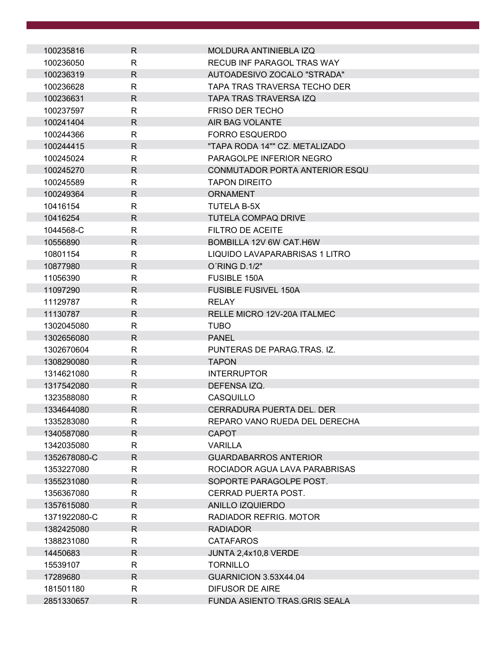| 100235816    | R.           | MOLDURA ANTINIEBLA IZQ            |
|--------------|--------------|-----------------------------------|
| 100236050    | R            | <b>RECUB INF PARAGOL TRAS WAY</b> |
| 100236319    | $\mathsf{R}$ | AUTOADESIVO ZOCALO "STRADA"       |
| 100236628    | $\mathsf{R}$ | TAPA TRAS TRAVERSA TECHO DER      |
| 100236631    | $\mathsf{R}$ | <b>TAPA TRAS TRAVERSA IZO</b>     |
| 100237597    | R            | <b>FRISO DER TECHO</b>            |
| 100241404    | $\mathsf{R}$ | AIR BAG VOLANTE                   |
| 100244366    | $\mathsf{R}$ | <b>FORRO ESQUERDO</b>             |
| 100244415    | $\mathsf{R}$ | "TAPA RODA 14"" CZ. METALIZADO    |
| 100245024    | R            | PARAGOLPE INFERIOR NEGRO          |
| 100245270    | $\mathsf{R}$ | CONMUTADOR PORTA ANTERIOR ESQU    |
| 100245589    | R            | <b>TAPON DIREITO</b>              |
| 100249364    | $\mathsf{R}$ | <b>ORNAMENT</b>                   |
| 10416154     | $\mathsf{R}$ | <b>TUTELA B-5X</b>                |
| 10416254     | $\mathsf{R}$ | <b>TUTELA COMPAQ DRIVE</b>        |
| 1044568-C    | $\mathsf{R}$ | <b>FILTRO DE ACEITE</b>           |
| 10556890     | $\mathsf{R}$ | BOMBILLA 12V 6W CAT.H6W           |
| 10801154     | R            | LIQUIDO LAVAPARABRISAS 1 LITRO    |
| 10877980     | $\mathsf{R}$ | O'RING D.1/2"                     |
| 11056390     | $\mathsf{R}$ | <b>FUSIBLE 150A</b>               |
| 11097290     | $\mathsf{R}$ | <b>FUSIBLE FUSIVEL 150A</b>       |
| 11129787     | R            | <b>RELAY</b>                      |
| 11130787     | $\mathsf{R}$ | RELLE MICRO 12V-20A ITALMEC       |
| 1302045080   | R            | <b>TUBO</b>                       |
| 1302656080   | R            | <b>PANEL</b>                      |
| 1302670604   | $\mathsf{R}$ | PUNTERAS DE PARAG.TRAS. IZ.       |
| 1308290080   | $\mathsf{R}$ | <b>TAPON</b>                      |
| 1314621080   | R            | <b>INTERRUPTOR</b>                |
| 1317542080   | $\mathsf{R}$ | DEFENSA IZQ.                      |
| 1323588080   | $\mathsf{R}$ | CASQUILLO                         |
| 1334644080   | $\mathsf{R}$ | CERRADURA PUERTA DEL. DER         |
| 1335283080   | R            | REPARO VANO RUEDA DEL DERECHA     |
| 1340587080   | $\mathsf{R}$ | <b>CAPOT</b>                      |
| 1342035080   | R            | <b>VARILLA</b>                    |
| 1352678080-C | $\mathsf{R}$ | <b>GUARDABARROS ANTERIOR</b>      |
| 1353227080   | $\mathsf{R}$ | ROCIADOR AGUA LAVA PARABRISAS     |
| 1355231080   | $\mathsf{R}$ | SOPORTE PARAGOLPE POST.           |
| 1356367080   | $\mathsf{R}$ | CERRAD PUERTA POST.               |
| 1357615080   | $\mathsf{R}$ | <b>ANILLO IZQUIERDO</b>           |
| 1371922080-C | R            | RADIADOR REFRIG. MOTOR            |
| 1382425080   | $\mathsf{R}$ | <b>RADIADOR</b>                   |
| 1388231080   | $\mathsf{R}$ | <b>CATAFAROS</b>                  |
| 14450683     | $\mathsf{R}$ | JUNTA 2,4x10,8 VERDE              |
| 15539107     | R            | <b>TORNILLO</b>                   |
| 17289680     | R            | GUARNICION 3.53X44.04             |
| 181501180    | R            | <b>DIFUSOR DE AIRE</b>            |
| 2851330657   | $\mathsf{R}$ | FUNDA ASIENTO TRAS.GRIS SEALA     |
|              |              |                                   |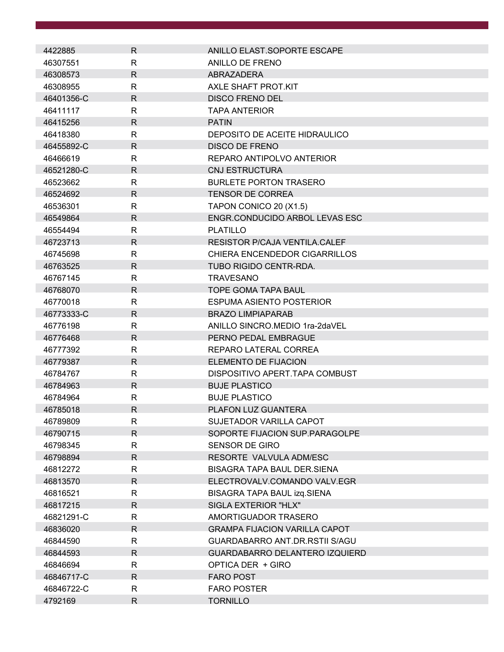| 4422885    | R.           | ANILLO ELAST.SOPORTE ESCAPE          |
|------------|--------------|--------------------------------------|
| 46307551   | R            | ANILLO DE FRENO                      |
| 46308573   | $\mathsf{R}$ | ABRAZADERA                           |
| 46308955   | R            | AXLE SHAFT PROT KIT                  |
| 46401356-C | R            | <b>DISCO FRENO DEL</b>               |
| 46411117   | R            | <b>TAPA ANTERIOR</b>                 |
| 46415256   | $\mathsf{R}$ | <b>PATIN</b>                         |
| 46418380   | $\mathsf{R}$ | DEPOSITO DE ACEITE HIDRAULICO        |
| 46455892-C | R            | <b>DISCO DE FRENO</b>                |
| 46466619   | R            | REPARO ANTIPOLVO ANTERIOR            |
| 46521280-C | $\mathsf{R}$ | <b>CNJ ESTRUCTURA</b>                |
| 46523662   | R            | <b>BURLETE PORTON TRASERO</b>        |
| 46524692   | $\mathsf{R}$ | <b>TENSOR DE CORREA</b>              |
| 46536301   | $\mathsf{R}$ | TAPON CONICO 20 (X1.5)               |
| 46549864   | $\mathsf{R}$ | ENGR.CONDUCIDO ARBOL LEVAS ESC       |
| 46554494   | R            | <b>PLATILLO</b>                      |
| 46723713   | R            | <b>RESISTOR P/CAJA VENTILA.CALEF</b> |
| 46745698   | R            | CHIERA ENCENDEDOR CIGARRILLOS        |
| 46763525   | R            | <b>TUBO RIGIDO CENTR-RDA.</b>        |
| 46767145   | $\mathsf{R}$ | <b>TRAVESANO</b>                     |
| 46768070   | R            | <b>TOPE GOMA TAPA BAUL</b>           |
| 46770018   | R            | <b>ESPUMA ASIENTO POSTERIOR</b>      |
| 46773333-C | R            | <b>BRAZO LIMPIAPARAB</b>             |
| 46776198   | R            | ANILLO SINCRO.MEDIO 1ra-2daVEL       |
| 46776468   | R            | PERNO PEDAL EMBRAGUE                 |
| 46777392   | R            | REPARO LATERAL CORREA                |
| 46779387   | R            | <b>ELEMENTO DE FIJACION</b>          |
| 46784767   | R            | DISPOSITIVO APERT.TAPA COMBUST       |
| 46784963   | R            | <b>BUJE PLASTICO</b>                 |
| 46784964   | $\mathsf{R}$ | <b>BUJE PLASTICO</b>                 |
| 46785018   | R            | <b>PLAFON LUZ GUANTERA</b>           |
| 46789809   | R            | SUJETADOR VARILLA CAPOT              |
| 46790715   | R.           | SOPORTE FIJACION SUP.PARAGOLPE       |
| 46798345   | R            | <b>SENSOR DE GIRO</b>                |
| 46798894   | R            | RESORTE VALVULA ADM/ESC              |
| 46812272   | $\mathsf{R}$ | <b>BISAGRA TAPA BAUL DER.SIENA</b>   |
| 46813570   | R            | ELECTROVALV.COMANDO VALV.EGR         |
| 46816521   | R            | BISAGRA TAPA BAUL izq.SIENA          |
| 46817215   | $\mathsf{R}$ | SIGLA EXTERIOR "HLX"                 |
| 46821291-C | R            | AMORTIGUADOR TRASERO                 |
| 46836020   | R            | <b>GRAMPA FIJACION VARILLA CAPOT</b> |
| 46844590   | R            | GUARDABARRO ANT.DR.RSTII S/AGU       |
| 46844593   | R            | GUARDABARRO DELANTERO IZQUIERD       |
| 46846694   | R            | OPTICA DER + GIRO                    |
| 46846717-C | R            | <b>FARO POST</b>                     |
| 46846722-C | R            | <b>FARO POSTER</b>                   |
| 4792169    | R            | <b>TORNILLO</b>                      |
|            |              |                                      |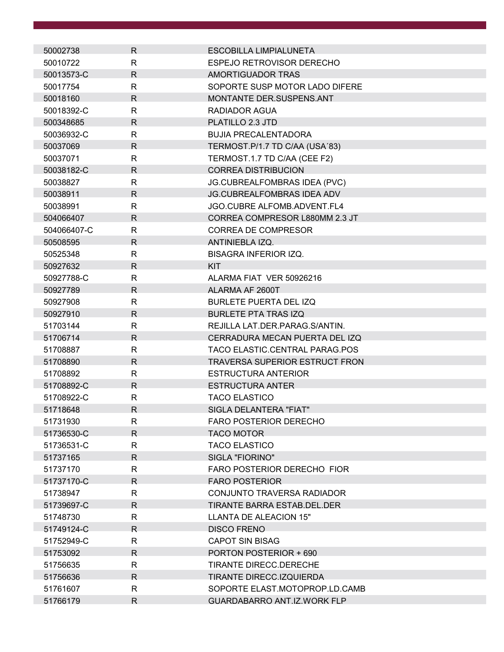| 50002738    | R.           | ESCOBILLA LIMPIALUNETA                |
|-------------|--------------|---------------------------------------|
| 50010722    | R            | ESPEJO RETROVISOR DERECHO             |
| 50013573-C  | $\mathsf{R}$ | AMORTIGUADOR TRAS                     |
| 50017754    | $\mathsf{R}$ | SOPORTE SUSP MOTOR LADO DIFERE        |
| 50018160    | R            | MONTANTE DER.SUSPENS.ANT              |
| 50018392-C  | R            | RADIADOR AGUA                         |
| 500348685   | R.           | PLATILLO 2.3 JTD                      |
| 50036932-C  | $\mathsf{R}$ | <b>BUJIA PRECALENTADORA</b>           |
| 50037069    | R            | TERMOST.P/1.7 TD C/AA (USA'83)        |
| 50037071    | R            | TERMOST.1.7 TD C/AA (CEE F2)          |
| 50038182-C  | $\mathsf{R}$ | <b>CORREA DISTRIBUCION</b>            |
| 50038827    | R            | JG.CUBREALFOMBRAS IDEA (PVC)          |
| 50038911    | $\mathsf{R}$ | JG.CUBREALFOMBRAS IDEA ADV            |
| 50038991    | R            | <b>JGO.CUBRE ALFOMB.ADVENT.FL4</b>    |
| 504066407   | R            | CORREA COMPRESOR L880MM 2.3 JT        |
| 504066407-C | $\mathsf{R}$ | <b>CORREA DE COMPRESOR</b>            |
| 50508595    | R            | ANTINIEBLA IZQ.                       |
| 50525348    | $\mathsf{R}$ | <b>BISAGRA INFERIOR IZQ.</b>          |
| 50927632    | R            | <b>KIT</b>                            |
| 50927788-C  | R            | ALARMA FIAT VER 50926216              |
| 50927789    | R            | ALARMA AF 2600T                       |
| 50927908    | R            | <b>BURLETE PUERTA DEL IZQ</b>         |
| 50927910    | $\mathsf{R}$ | <b>BURLETE PTA TRAS IZQ</b>           |
| 51703144    | R            | REJILLA LAT.DER.PARAG.S/ANTIN.        |
| 51706714    | $\mathsf{R}$ | CERRADURA MECAN PUERTA DEL IZQ        |
| 51708887    | R            | TACO ELASTIC.CENTRAL PARAG.POS        |
| 51708890    | R            | <b>TRAVERSA SUPERIOR ESTRUCT FRON</b> |
| 51708892    | R            | <b>ESTRUCTURA ANTERIOR</b>            |
| 51708892-C  | R            | <b>ESTRUCTURA ANTER</b>               |
| 51708922-C  | $\mathsf{R}$ | <b>TACO ELASTICO</b>                  |
| 51718648    | $\mathsf{R}$ | SIGLA DELANTERA "FIAT"                |
| 51731930    | $\mathsf{R}$ | FARO POSTERIOR DERECHO                |
| 51736530-C  | $\mathsf{R}$ | <b>TACO MOTOR</b>                     |
| 51736531-C  | R            | <b>TACO ELASTICO</b>                  |
| 51737165    | $\mathsf{R}$ | <b>SIGLA "FIORINO"</b>                |
| 51737170    | R            | FARO POSTERIOR DERECHO FIOR           |
| 51737170-C  | R            | <b>FARO POSTERIOR</b>                 |
| 51738947    | R            | CONJUNTO TRAVERSA RADIADOR            |
| 51739697-C  | $\mathsf{R}$ | TIRANTE BARRA ESTAB.DEL.DER           |
| 51748730    | $\mathsf{R}$ | LLANTA DE ALEACION 15"                |
| 51749124-C  | R.           | <b>DISCO FRENO</b>                    |
| 51752949-C  | R            | <b>CAPOT SIN BISAG</b>                |
| 51753092    | R            | PORTON POSTERIOR + 690                |
| 51756635    | R            | <b>TIRANTE DIRECC.DERECHE</b>         |
| 51756636    | R            | TIRANTE DIRECC.IZQUIERDA              |
| 51761607    | R            | SOPORTE ELAST.MOTOPROP.LD.CAMB        |
| 51766179    | R            | <b>GUARDABARRO ANT.IZ.WORK FLP</b>    |
|             |              |                                       |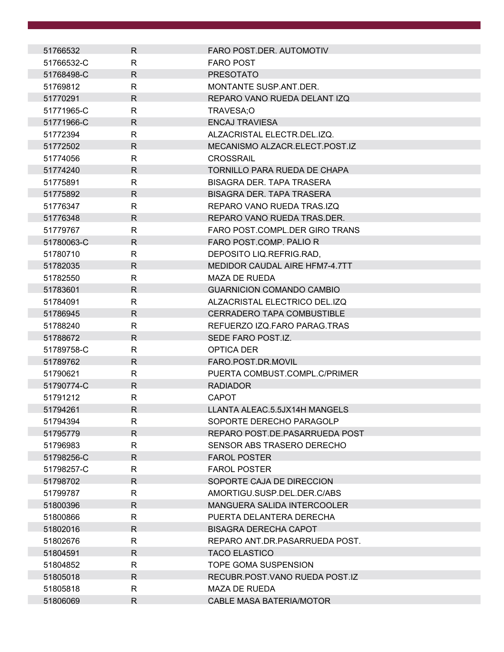| 51766532   | R            | FARO POST.DER. AUTOMOTIV                                       |
|------------|--------------|----------------------------------------------------------------|
| 51766532-C | R            | <b>FARO POST</b>                                               |
| 51768498-C | $\mathsf{R}$ | <b>PRESOTATO</b>                                               |
| 51769812   | R            | MONTANTE SUSP.ANT.DER.                                         |
| 51770291   | R            | REPARO VANO RUEDA DELANT IZQ                                   |
| 51771965-C | R            | TRAVESA;O                                                      |
| 51771966-C | R            | <b>ENCAJ TRAVIESA</b>                                          |
| 51772394   | R            | ALZACRISTAL ELECTR.DEL.IZQ.                                    |
| 51772502   | R.           | MECANISMO ALZACR.ELECT.POST.IZ                                 |
| 51774056   | R            | <b>CROSSRAIL</b>                                               |
| 51774240   | R            | <b>TORNILLO PARA RUEDA DE CHAPA</b>                            |
| 51775891   | R            | BISAGRA DER. TAPA TRASERA                                      |
| 51775892   | R.           | <b>BISAGRA DER. TAPA TRASERA</b>                               |
| 51776347   | R            | REPARO VANO RUEDA TRASJZO                                      |
| 51776348   | R            | REPARO VANO RUEDA TRAS.DER.                                    |
| 51779767   | R            | FARO POST.COMPL.DER GIRO TRANS                                 |
| 51780063-C | R            | FARO POST.COMP. PALIO R                                        |
| 51780710   | R            | DEPOSITO LIQ.REFRIG.RAD,                                       |
| 51782035   | R.           | MEDIDOR CAUDAL AIRE HFM7-4.7TT                                 |
| 51782550   | R            | <b>MAZA DE RUEDA</b>                                           |
| 51783601   | R            | <b>GUARNICION COMANDO CAMBIO</b>                               |
| 51784091   | R            | ALZACRISTAL ELECTRICO DEL.IZQ                                  |
| 51786945   | R            | <b>CERRADERO TAPA COMBUSTIBLE</b>                              |
| 51788240   | R            | REFUERZO IZQ.FARO PARAG.TRAS                                   |
| 51788672   | R.           | SEDE FARO POST.IZ.                                             |
| 51789758-C | R            | <b>OPTICA DER</b>                                              |
| 51789762   | R            | FARO.POST.DR.MOVIL                                             |
| 51790621   | R            | PUERTA COMBUST.COMPL.C/PRIMER                                  |
| 51790774-C | R.           | <b>RADIADOR</b>                                                |
| 51791212   | R            | <b>CAPOT</b>                                                   |
| 51794261   | R            | LLANTA ALEAC.5.5JX14H MANGELS                                  |
| 51794394   | R            | SOPORTE DERECHO PARAGOLP                                       |
| 51795779   | R            | REPARO POST.DE.PASARRUEDA POST                                 |
| 51796983   | R.           | SENSOR ABS TRASERO DERECHO                                     |
| 51798256-C | $\mathsf{R}$ | <b>FAROL POSTER</b>                                            |
| 51798257-C | R            | <b>FAROL POSTER</b>                                            |
| 51798702   | R.           | SOPORTE CAJA DE DIRECCION                                      |
| 51799787   | R            | AMORTIGU.SUSP.DEL.DER.C/ABS                                    |
| 51800396   | R            | <b>MANGUERA SALIDA INTERCOOLER</b><br>PUERTA DELANTERA DERECHA |
| 51800866   | R            |                                                                |
| 51802016   | R.           | <b>BISAGRA DERECHA CAPOT</b>                                   |
| 51802676   | R            | REPARO ANT.DR.PASARRUEDA POST.                                 |
| 51804591   | R            | <b>TACO ELASTICO</b>                                           |
| 51804852   | R            | <b>TOPE GOMA SUSPENSION</b>                                    |
| 51805018   | R            | RECUBR.POST.VANO RUEDA POST.IZ                                 |
| 51805818   | R            | <b>MAZA DE RUEDA</b>                                           |
| 51806069   | $\mathsf{R}$ | <b>CABLE MASA BATERIA/MOTOR</b>                                |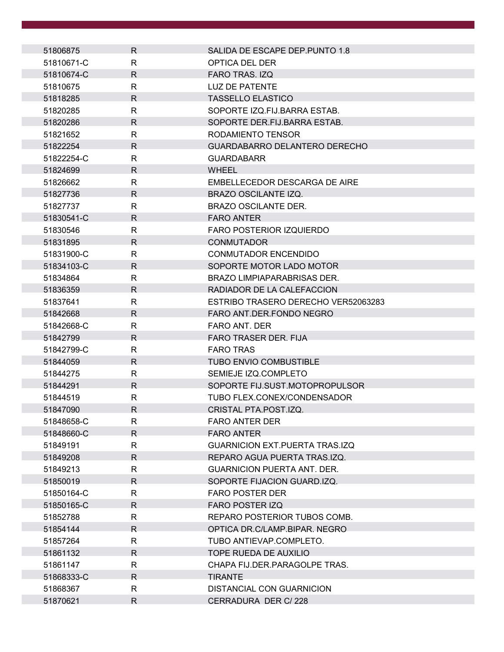| 51806875   | R            | SALIDA DE ESCAPE DEP. PUNTO 1.8       |
|------------|--------------|---------------------------------------|
| 51810671-C | R            | OPTICA DEL DER                        |
| 51810674-C | $\mathsf{R}$ | <b>FARO TRAS. IZQ</b>                 |
| 51810675   | R            | LUZ DE PATENTE                        |
| 51818285   | R            | <b>TASSELLO ELASTICO</b>              |
| 51820285   | R            | SOPORTE IZQ.FIJ.BARRA ESTAB.          |
| 51820286   | R            | SOPORTE DER.FIJ.BARRA ESTAB.          |
| 51821652   | R            | RODAMIENTO TENSOR                     |
| 51822254   | $\mathsf{R}$ | GUARDABARRO DELANTERO DERECHO         |
| 51822254-C | R            | <b>GUARDABARR</b>                     |
| 51824699   | R            | <b>WHEEL</b>                          |
| 51826662   | R            | EMBELLECEDOR DESCARGA DE AIRE         |
| 51827736   | R            | BRAZO OSCILANTE IZQ.                  |
| 51827737   | R            | <b>BRAZO OSCILANTE DER.</b>           |
| 51830541-C | $\mathsf{R}$ | <b>FARO ANTER</b>                     |
| 51830546   | R            | <b>FARO POSTERIOR IZQUIERDO</b>       |
| 51831895   | R            | <b>CONMUTADOR</b>                     |
| 51831900-C | R            | CONMUTADOR ENCENDIDO                  |
| 51834103-C | R            | SOPORTE MOTOR LADO MOTOR              |
| 51834864   | R            | <b>BRAZO LIMPIAPARABRISAS DER.</b>    |
| 51836359   | R            | RADIADOR DE LA CALEFACCION            |
| 51837641   | $\mathsf{R}$ | ESTRIBO TRASERO DERECHO VER52063283   |
| 51842668   | R            | FARO ANT.DER.FONDO NEGRO              |
| 51842668-C | R            | <b>FARO ANT. DER</b>                  |
| 51842799   | R            | FARO TRASER DER. FIJA                 |
| 51842799-C | R            | <b>FARO TRAS</b>                      |
| 51844059   | R            | <b>TUBO ENVIO COMBUSTIBLE</b>         |
| 51844275   | $\mathsf{R}$ | SEMIEJE IZQ.COMPLETO                  |
| 51844291   | $\mathsf{R}$ | SOPORTE FIJ.SUST.MOTOPROPULSOR        |
| 51844519   | R            | TUBO FLEX.CONEX/CONDENSADOR           |
| 51847090   | R            | CRISTAL PTA.POST.IZQ.                 |
| 51848658-C | R            | <b>FARO ANTER DER</b>                 |
| 51848660-C | $\mathsf{R}$ | <b>FARO ANTER</b>                     |
| 51849191   | $\mathsf{R}$ | <b>GUARNICION EXT.PUERTA TRAS.IZQ</b> |
| 51849208   | R            | REPARO AGUA PUERTA TRAS.IZQ.          |
| 51849213   | R            | <b>GUARNICION PUERTA ANT. DER.</b>    |
| 51850019   | R            | SOPORTE FIJACION GUARD.IZQ.           |
| 51850164-C | R            | <b>FARO POSTER DER</b>                |
| 51850165-C | R            | <b>FARO POSTER IZQ</b>                |
| 51852788   | R            | REPARO POSTERIOR TUBOS COMB.          |
| 51854144   | R            | OPTICA DR.C/LAMP.BIPAR. NEGRO         |
| 51857264   | R            | TUBO ANTIEVAP.COMPLETO.               |
| 51861132   | R.           | TOPE RUEDA DE AUXILIO                 |
| 51861147   | R            | CHAPA FIJ.DER.PARAGOLPE TRAS.         |
| 51868333-C | R            | <b>TIRANTE</b>                        |
| 51868367   | R            | DISTANCIAL CON GUARNICION             |
| 51870621   | R.           | CERRADURA DER C/228                   |
|            |              |                                       |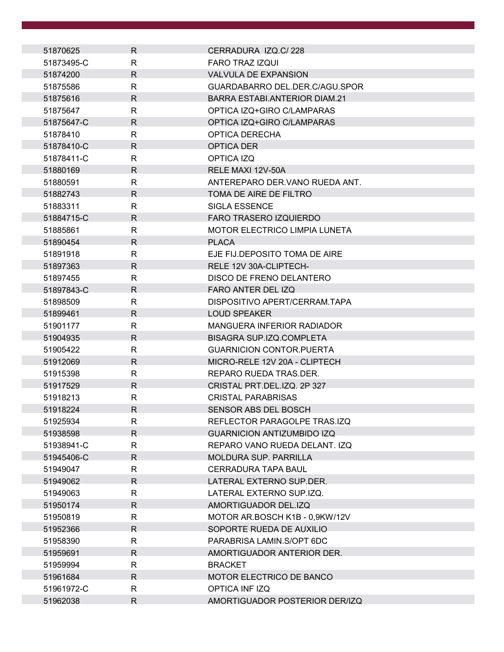| 51870625   | R            | CERRADURA IZQ.C/228                  |
|------------|--------------|--------------------------------------|
| 51873495-C | R            | <b>FARO TRAZ IZQUI</b>               |
| 51874200   | $\mathsf{R}$ | <b>VALVULA DE EXPANSION</b>          |
| 51875586   | R            | GUARDABARRO DEL.DER.C/AGU.SPOR       |
| 51875616   | $\mathsf{R}$ | BARRA ESTABI.ANTERIOR DIAM.21        |
| 51875647   | R            | OPTICA IZQ+GIRO C/LAMPARAS           |
| 51875647-C | $\mathsf{R}$ | OPTICA IZQ+GIRO C/LAMPARAS           |
| 51878410   | R            | <b>OPTICA DERECHA</b>                |
| 51878410-C | $\mathsf{R}$ | OPTICA DER                           |
| 51878411-C | R            | OPTICA IZQ                           |
| 51880169   | $\mathsf{R}$ | RELE MAXI 12V-50A                    |
| 51880591   | $\mathsf{R}$ | ANTEREPARO DER. VANO RUEDA ANT.      |
| 51882743   | R.           | TOMA DE AIRE DE FILTRO               |
| 51883311   | R            | <b>SIGLA ESSENCE</b>                 |
| 51884715-C | R            | <b>FARO TRASERO IZQUIERDO</b>        |
| 51885861   | R            | <b>MOTOR ELECTRICO LIMPIA LUNETA</b> |
| 51890454   | R            | <b>PLACA</b>                         |
| 51891918   | R            | EJE FIJ.DEPOSITO TOMA DE AIRE        |
| 51897363   | $\mathsf{R}$ | RELE 12V 30A-CLIPTECH-               |
| 51897455   | R            | DISCO DE FRENO DELANTERO             |
| 51897843-C | $\mathsf{R}$ | FARO ANTER DEL IZQ                   |
| 51898509   | R            | DISPOSITIVO APERT/CERRAM.TAPA        |
| 51899461   | R            | <b>LOUD SPEAKER</b>                  |
| 51901177   | R            | MANGUERA INFERIOR RADIADOR           |
| 51904935   | $\mathsf{R}$ | BISAGRA SUP.IZQ.COMPLETA             |
| 51905422   | R            | <b>GUARNICION CONTOR.PUERTA</b>      |
| 51912069   | R            | MICRO-RELE 12V 20A - CLIPTECH        |
| 51915398   | R            | REPARO RUEDA TRAS.DER.               |
| 51917529   | $\mathsf{R}$ | CRISTAL PRT.DEL.IZQ. 2P 327          |
| 51918213   | $\mathsf{R}$ | <b>CRISTAL PARABRISAS</b>            |
| 51918224   | $\mathsf{R}$ | SENSOR ABS DEL BOSCH                 |
| 51925934   | R            | REFLECTOR PARAGOLPE TRAS.IZQ         |
| 51938598   | R.           | <b>GUARNICION ANTIZUMBIDO IZQ</b>    |
| 51938941-C | R            | REPARO VANO RUEDA DELANT. IZQ        |
| 51945406-C | R            | <b>MOLDURA SUP. PARRILLA</b>         |
| 51949047   | R            | <b>CERRADURA TAPA BAUL</b>           |
| 51949062   | R            | LATERAL EXTERNO SUP.DER.             |
| 51949063   | R            | LATERAL EXTERNO SUP.IZQ.             |
| 51950174   | R.           | AMORTIGUADOR DEL.IZQ                 |
| 51950819   | R            | MOTOR AR.BOSCH K1B - 0,9KW/12V       |
| 51952366   | R            | SOPORTE RUEDA DE AUXILIO             |
| 51958390   | R            | PARABRISA LAMIN.S/OPT 6DC            |
| 51959691   | R            | AMORTIGUADOR ANTERIOR DER.           |
| 51959994   | R            | <b>BRACKET</b>                       |
| 51961684   | R            | MOTOR ELECTRICO DE BANCO             |
| 51961972-C | R            | OPTICA INFIZQ                        |
| 51962038   | $\mathsf{R}$ | AMORTIGUADOR POSTERIOR DER/IZQ       |
|            |              |                                      |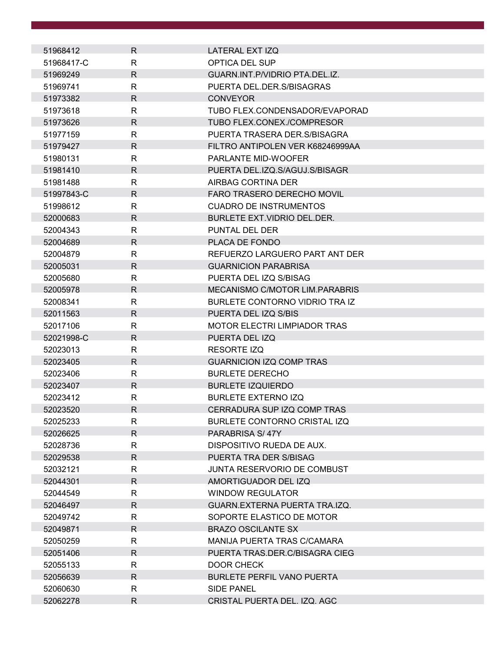| 51968412   | R.           | LATERAL EXT IZQ                     |
|------------|--------------|-------------------------------------|
| 51968417-C | R            | OPTICA DEL SUP                      |
| 51969249   | $\mathsf{R}$ | GUARN.INT.P/VIDRIO PTA.DEL.IZ.      |
| 51969741   | R            | PUERTA DEL DER S/BISAGRAS           |
| 51973382   | $\mathsf{R}$ | <b>CONVEYOR</b>                     |
| 51973618   | R            | TUBO FLEX.CONDENSADOR/EVAPORAD      |
| 51973626   | R            | TUBO FLEX.CONEX./COMPRESOR          |
| 51977159   | R            | PUERTA TRASERA DER S/BISAGRA        |
| 51979427   | R.           | FILTRO ANTIPOLEN VER K68246999AA    |
| 51980131   | R            | PARLANTE MID-WOOFER                 |
| 51981410   | $\mathsf{R}$ | PUERTA DEL.IZQ.S/AGUJ.S/BISAGR      |
| 51981488   | R            | AIRBAG CORTINA DER                  |
| 51997843-C | R            | FARO TRASERO DERECHO MOVIL          |
| 51998612   | R            | <b>CUADRO DE INSTRUMENTOS</b>       |
| 52000683   | $\mathsf{R}$ | BURLETE EXT.VIDRIO DEL.DER.         |
| 52004343   | R            | PUNTAL DEL DER                      |
| 52004689   | R.           | PLACA DE FONDO                      |
| 52004879   | R            | REFUERZO LARGUERO PART ANT DER      |
| 52005031   | $\mathsf{R}$ | <b>GUARNICION PARABRISA</b>         |
| 52005680   | R            | PUERTA DEL IZQ S/BISAG              |
| 52005978   | R            | MECANISMO C/MOTOR LIM.PARABRIS      |
| 52008341   | R            | BURLETE CONTORNO VIDRIO TRA IZ      |
| 52011563   | $\mathsf{R}$ | PUERTA DEL IZQ S/BIS                |
| 52017106   | $\mathsf{R}$ | <b>MOTOR ELECTRI LIMPIADOR TRAS</b> |
| 52021998-C | R            | PUERTA DEL IZQ                      |
| 52023013   | R            | <b>RESORTE IZQ</b>                  |
| 52023405   | R            | <b>GUARNICION IZQ COMP TRAS</b>     |
| 52023406   | R            | <b>BURLETE DERECHO</b>              |
| 52023407   | $\mathsf{R}$ | <b>BURLETE IZQUIERDO</b>            |
| 52023412   | $\mathsf{R}$ | <b>BURLETE EXTERNO IZQ</b>          |
| 52023520   | $\mathsf{R}$ | CERRADURA SUP IZQ COMP TRAS         |
| 52025233   | R            | BURLETE CONTORNO CRISTAL IZQ        |
| 52026625   | $\mathsf{R}$ | PARABRISA S/47Y                     |
| 52028736   | R            | DISPOSITIVO RUEDA DE AUX.           |
| 52029538   | R            | PUERTA TRA DER S/BISAG              |
| 52032121   | $\mathsf{R}$ | JUNTA RESERVORIO DE COMBUST         |
| 52044301   | R            | AMORTIGUADOR DEL IZQ                |
| 52044549   | R            | <b>WINDOW REGULATOR</b>             |
| 52046497   | R            | GUARN.EXTERNA PUERTA TRA.IZQ.       |
| 52049742   | R            | SOPORTE ELASTICO DE MOTOR           |
| 52049871   | R            | <b>BRAZO OSCILANTE SX</b>           |
| 52050259   | R            | MANIJA PUERTA TRAS C/CAMARA         |
| 52051406   | R.           | PUERTA TRAS.DER.C/BISAGRA CIEG      |
| 52055133   | R            | DOOR CHECK                          |
| 52056639   | R            | <b>BURLETE PERFIL VANO PUERTA</b>   |
| 52060630   | R            | SIDE PANEL                          |
| 52062278   | R            | CRISTAL PUERTA DEL. IZQ. AGC        |
|            |              |                                     |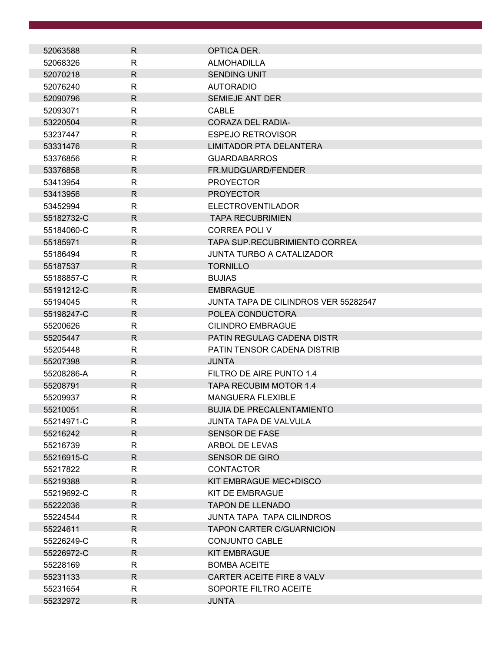| 52063588   | R            | OPTICA DER.                                 |
|------------|--------------|---------------------------------------------|
| 52068326   | R            | <b>ALMOHADILLA</b>                          |
| 52070218   | R            | <b>SENDING UNIT</b>                         |
| 52076240   | R            | <b>AUTORADIO</b>                            |
| 52090796   | $\mathsf{R}$ | SEMIEJE ANT DER                             |
| 52093071   | R            | <b>CABLE</b>                                |
| 53220504   | $\mathsf{R}$ | <b>CORAZA DEL RADIA-</b>                    |
| 53237447   | R            | <b>ESPEJO RETROVISOR</b>                    |
| 53331476   | R            | LIMITADOR PTA DELANTERA                     |
| 53376856   | R            | <b>GUARDABARROS</b>                         |
| 53376858   | R            | FR.MUDGUARD/FENDER                          |
| 53413954   | $\mathsf{R}$ | <b>PROYECTOR</b>                            |
| 53413956   | R            | <b>PROYECTOR</b>                            |
| 53452994   | R            | <b>ELECTROVENTILADOR</b>                    |
| 55182732-C | R            | <b>TAPA RECUBRIMIEN</b>                     |
| 55184060-C | R            | <b>CORREA POLI V</b>                        |
| 55185971   | R.           | TAPA SUP.RECUBRIMIENTO CORREA               |
| 55186494   | R            | <b>JUNTA TURBO A CATALIZADOR</b>            |
| 55187537   | R.           | <b>TORNILLO</b>                             |
| 55188857-C | R            | <b>BUJIAS</b>                               |
| 55191212-C | R            | <b>EMBRAGUE</b>                             |
| 55194045   | R            | <b>JUNTA TAPA DE CILINDROS VER 55282547</b> |
| 55198247-C | R            | POLEA CONDUCTORA                            |
| 55200626   | R            | <b>CILINDRO EMBRAGUE</b>                    |
| 55205447   | R            | PATIN REGULAG CADENA DISTR                  |
| 55205448   | $\mathsf{R}$ | PATIN TENSOR CADENA DISTRIB                 |
| 55207398   | R            | <b>JUNTA</b>                                |
| 55208286-A | R            | FILTRO DE AIRE PUNTO 1.4                    |
| 55208791   | R            | <b>TAPA RECUBIM MOTOR 1.4</b>               |
| 55209937   | R            | <b>MANGUERA FLEXIBLE</b>                    |
| 55210051   | R            | <b>BUJIA DE PRECALENTAMIENTO</b>            |
| 55214971-C | R            | <b>JUNTA TAPA DE VALVULA</b>                |
| 55216242   | R            | <b>SENSOR DE FASE</b>                       |
| 55216739   | R            | ARBOL DE LEVAS                              |
| 55216915-C | R.           | <b>SENSOR DE GIRO</b>                       |
| 55217822   | R.           | <b>CONTACTOR</b>                            |
| 55219388   | R            | KIT EMBRAGUE MEC+DISCO                      |
| 55219692-C | R.           | <b>KIT DE EMBRAGUE</b>                      |
| 55222036   | R            | <b>TAPON DE LLENADO</b>                     |
| 55224544   | R            | <b>JUNTA TAPA TAPA CILINDROS</b>            |
| 55224611   | R            | <b>TAPON CARTER C/GUARNICION</b>            |
| 55226249-C | R            | <b>CONJUNTO CABLE</b>                       |
| 55226972-C | R.           | <b>KIT EMBRAGUE</b>                         |
| 55228169   | R            | <b>BOMBA ACEITE</b>                         |
| 55231133   | R.           | CARTER ACEITE FIRE 8 VALV                   |
| 55231654   | R            | SOPORTE FILTRO ACEITE                       |
| 55232972   | R            | <b>JUNTA</b>                                |
|            |              |                                             |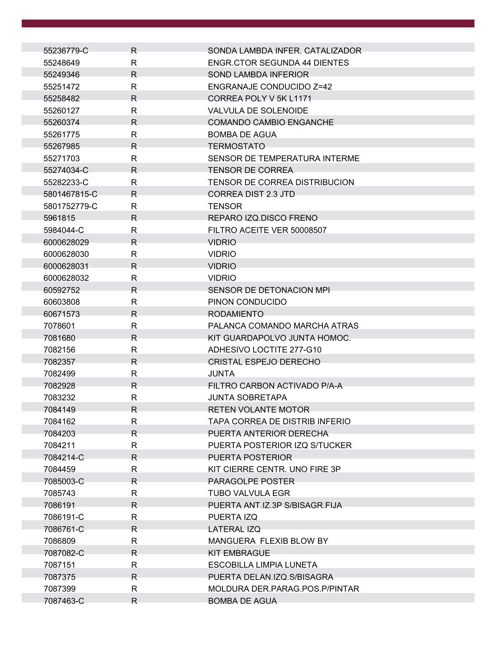| 55236779-C   | R            | SONDA LAMBDA INFER. CATALIZADOR     |
|--------------|--------------|-------------------------------------|
| 55248649     | R            | <b>ENGR.CTOR SEGUNDA 44 DIENTES</b> |
| 55249346     | R            | <b>SOND LAMBDA INFERIOR</b>         |
| 55251472     | R            | <b>ENGRANAJE CONDUCIDO Z=42</b>     |
| 55258482     | $\mathsf{R}$ | CORREA POLY V 5K L1171              |
| 55260127     | $\mathsf{R}$ | VALVULA DE SOLENOIDE                |
| 55260374     | R            | <b>COMANDO CAMBIO ENGANCHE</b>      |
| 55261775     | R            | <b>BOMBA DE AGUA</b>                |
| 55267985     | R            | <b>TERMOSTATO</b>                   |
| 55271703     | R            | SENSOR DE TEMPERATURA INTERME       |
| 55274034-C   | R            | <b>TENSOR DE CORREA</b>             |
| 55282233-C   | R            | TENSOR DE CORREA DISTRIBUCION       |
| 5801467815-C | R            | <b>CORREA DIST 2.3 JTD</b>          |
| 5801752779-C | R            | <b>TENSOR</b>                       |
| 5961815      | R            | REPARO IZQ.DISCO FRENO              |
| 5984044-C    | R            | FILTRO ACEITE VER 50008507          |
| 6000628029   | R            | <b>VIDRIO</b>                       |
| 6000628030   | R            | <b>VIDRIO</b>                       |
| 6000628031   | R.           | <b>VIDRIO</b>                       |
| 6000628032   | R            | <b>VIDRIO</b>                       |
| 60592752     | R.           | SENSOR DE DETONACION MPI            |
| 60603808     | R            | PINON CONDUCIDO                     |
| 60671573     | R            | <b>RODAMIENTO</b>                   |
| 7078601      | $\mathsf{R}$ | PALANCA COMANDO MARCHA ATRAS        |
| 7081680      | R            | KIT GUARDAPOLVO JUNTA HOMOC.        |
| 7082156      | R            | ADHESIVO LOCTITE 277-G10            |
| 7082357      | R            | <b>CRISTAL ESPEJO DERECHO</b>       |
| 7082499      | R            | JUNTA                               |
| 7082928      | R            | FILTRO CARBON ACTIVADO P/A-A        |
| 7083232      | R            | <b>JUNTA SOBRETAPA</b>              |
| 7084149      | $\mathsf{R}$ | <b>RETEN VOLANTE MOTOR</b>          |
| 7084162      | R            | TAPA CORREA DE DISTRIB INFERIO      |
| 7084203      | R.           | PUERTA ANTERIOR DERECHA             |
| 7084211      | R            | PUERTA POSTERIOR IZQ S/TUCKER       |
| 7084214-C    | R.           | PUERTA POSTERIOR                    |
| 7084459      | R            | KIT CIERRE CENTR. UNO FIRE 3P       |
| 7085003-C    | $\mathsf{R}$ | PARAGOLPE POSTER                    |
| 7085743      | R            | <b>TUBO VALVULA EGR</b>             |
| 7086191      | R            | PUERTA ANT.IZ.3P S/BISAGR.FIJA      |
| 7086191-C    | R.           | PUERTA IZQ                          |
| 7086761-C    | R            | LATERAL IZQ                         |
| 7086809      | R            | MANGUERA FLEXIB BLOW BY             |
| 7087082-C    | R.           | <b>KIT EMBRAGUE</b>                 |
| 7087151      | $\mathsf{R}$ | <b>ESCOBILLA LIMPIA LUNETA</b>      |
| 7087375      | R            | PUERTA DELAN.IZQ.S/BISAGRA          |
| 7087399      | R            | MOLDURA DER.PARAG.POS.P/PINTAR      |
| 7087463-C    | $\mathsf{R}$ | <b>BOMBA DE AGUA</b>                |
|              |              |                                     |

 $\mathcal{L}^{\text{max}}$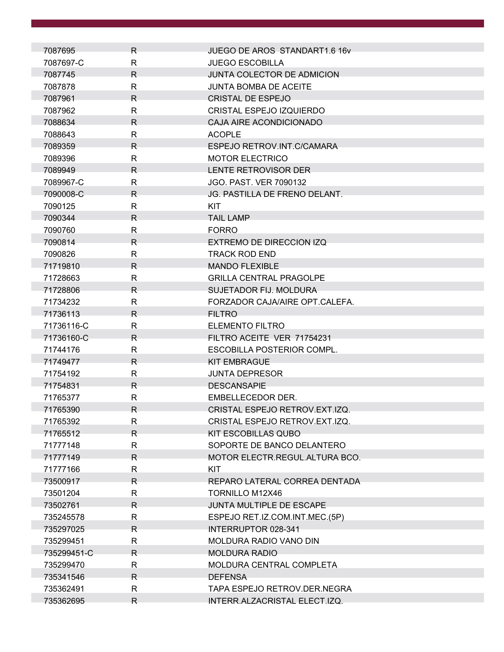| 7087695     | R.           | JUEGO DE AROS STANDART1.6 16v        |
|-------------|--------------|--------------------------------------|
| 7087697-C   | R            | <b>JUEGO ESCOBILLA</b>               |
| 7087745     | R.           | JUNTA COLECTOR DE ADMICION           |
| 7087878     | R            | <b>JUNTA BOMBA DE ACEITE</b>         |
| 7087961     | R            | <b>CRISTAL DE ESPEJO</b>             |
| 7087962     | R            | CRISTAL ESPEJO IZQUIERDO             |
| 7088634     | R            | CAJA AIRE ACONDICIONADO              |
| 7088643     | R            | <b>ACOPLE</b>                        |
| 7089359     | R.           | ESPEJO RETROV.INT.C/CAMARA           |
| 7089396     | R            | <b>MOTOR ELECTRICO</b>               |
| 7089949     | R            | LENTE RETROVISOR DER                 |
| 7089967-C   | R            | <b>JGO. PAST. VER 7090132</b>        |
| 7090008-C   | R.           | <b>JG. PASTILLA DE FRENO DELANT.</b> |
| 7090125     | R            | <b>KIT</b>                           |
| 7090344     | R.           | <b>TAIL LAMP</b>                     |
| 7090760     | R            | <b>FORRO</b>                         |
| 7090814     | R            | EXTREMO DE DIRECCION IZQ             |
| 7090826     | R            | <b>TRACK ROD END</b>                 |
| 71719810    | R            | <b>MANDO FLEXIBLE</b>                |
| 71728663    | R.           | <b>GRILLA CENTRAL PRAGOLPE</b>       |
| 71728806    | R.           | SUJETADOR FIJ. MOLDURA               |
| 71734232    | $\mathsf{R}$ | FORZADOR CAJA/AIRE OPT.CALEFA.       |
| 71736113    | R            | <b>FILTRO</b>                        |
| 71736116-C  | R            | <b>ELEMENTO FILTRO</b>               |
| 71736160-C  | R.           | FILTRO ACEITE VER 71754231           |
| 71744176    | R            | ESCOBILLA POSTERIOR COMPL.           |
| 71749477    | R.           | <b>KIT EMBRAGUE</b>                  |
| 71754192    | R            | <b>JUNTA DEPRESOR</b>                |
| 71754831    | R            | <b>DESCANSAPIE</b>                   |
| 71765377    | R            | EMBELLECEDOR DER.                    |
| 71765390    | R            | CRISTAL ESPEJO RETROV.EXT.IZQ.       |
| 71765392    | R.           | CRISTAL ESPEJO RETROV.EXT.IZQ.       |
| 71765512    | R.           | <b>KIT ESCOBILLAS QUBO</b>           |
| 71777148    | R            | SOPORTE DE BANCO DELANTERO           |
| 71777149    | R.           | MOTOR ELECTR.REGUL.ALTURA BCO.       |
| 71777166    | R            | <b>KIT</b>                           |
| 73500917    | R.           | REPARO LATERAL CORREA DENTADA        |
| 73501204    | R            | TORNILLO M12X46                      |
| 73502761    | R.           | JUNTA MULTIPLE DE ESCAPE             |
| 735245578   | R            | ESPEJO RET.IZ.COM.INT.MEC.(5P)       |
| 735297025   | R.           | INTERRUPTOR 028-341                  |
| 735299451   | R            | MOLDURA RADIO VANO DIN               |
| 735299451-C | R            | <b>MOLDURA RADIO</b>                 |
| 735299470   | R            | MOLDURA CENTRAL COMPLETA             |
| 735341546   | R            | <b>DEFENSA</b>                       |
| 735362491   | R            | TAPA ESPEJO RETROV.DER.NEGRA         |
| 735362695   | R.           | INTERR.ALZACRISTAL ELECT.IZQ.        |
|             |              |                                      |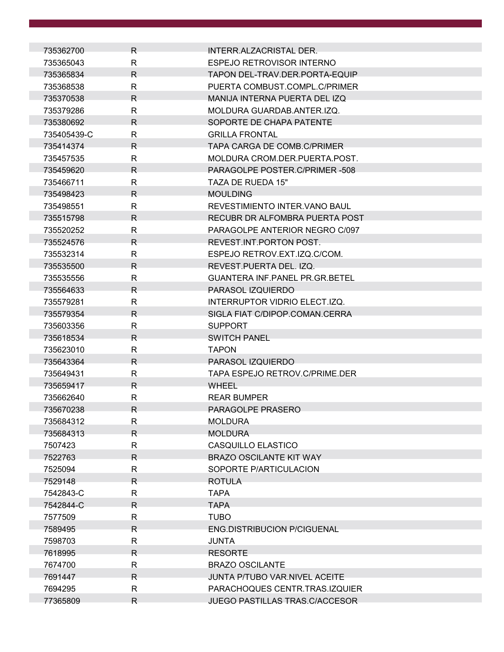|                        | R.           | INTERR.ALZACRISTAL DER.               |
|------------------------|--------------|---------------------------------------|
| 735362700<br>735365043 | R            | ESPEJO RETROVISOR INTERNO             |
| 735365834              | $\mathsf{R}$ | TAPON DEL-TRAV.DER.PORTA-EQUIP        |
| 735368538              | R            | PUERTA COMBUST.COMPL.C/PRIMER         |
| 735370538              | R            | MANIJA INTERNA PUERTA DEL IZQ         |
| 735379286              | R            | MOLDURA GUARDAB.ANTER.IZQ.            |
| 735380692              | R            | SOPORTE DE CHAPA PATENTE              |
| 735405439-C            | R            | <b>GRILLA FRONTAL</b>                 |
| 735414374              | R.           | TAPA CARGA DE COMB.C/PRIMER           |
| 735457535              | R            | MOLDURA CROM.DER.PUERTA.POST.         |
| 735459620              | R            | PARAGOLPE POSTER.C/PRIMER-508         |
| 735466711              | $\mathsf{R}$ | TAZA DE RUEDA 15"                     |
| 735498423              | R.           | <b>MOULDING</b>                       |
| 735498551              | R            | REVESTIMIENTO INTER. VANO BAUL        |
| 735515798              | $\mathsf{R}$ | RECUBR DR ALFOMBRA PUERTA POST        |
| 735520252              | R            | PARAGOLPE ANTERIOR NEGRO C/097        |
| 735524576              | R            | REVEST. INT. PORTON POST.             |
| 735532314              | R            | ESPEJO RETROV.EXT.IZQ.C/COM.          |
| 735535500              | R            | REVEST.PUERTA DEL. IZQ.               |
| 735535556              | R            | <b>GUANTERA INF.PANEL PR.GR.BETEL</b> |
| 735564633              | R.           | PARASOL IZQUIERDO                     |
| 735579281              | $\mathsf{R}$ | INTERRUPTOR VIDRIO ELECT.IZQ.         |
| 735579354              | R            | SIGLA FIAT C/DIPOP.COMAN.CERRA        |
| 735603356              | R            | <b>SUPPORT</b>                        |
| 735618534              | $\mathsf{R}$ | <b>SWITCH PANEL</b>                   |
| 735623010              | $\mathsf{R}$ | <b>TAPON</b>                          |
| 735643364              | R.           | PARASOL IZQUIERDO                     |
| 735649431              | $\mathsf{R}$ | TAPA ESPEJO RETROV.C/PRIME.DER        |
| 735659417              | R            | <b>WHEEL</b>                          |
| 735662640              | R            | <b>REAR BUMPER</b>                    |
| 735670238              | R            | PARAGOLPE PRASERO.                    |
| 735684312              | R            | <b>MOLDURA</b>                        |
| 735684313              | R.           | <b>MOLDURA</b>                        |
| 7507423                | R.           | CASQUILLO ELASTICO                    |
| 7522763                | R.           | <b>BRAZO OSCILANTE KIT WAY</b>        |
| 7525094                | R            | SOPORTE P/ARTICULACION                |
| 7529148                | R            | <b>ROTULA</b>                         |
| 7542843-C              | R            | <b>TAPA</b>                           |
| 7542844-C              | R.           | <b>TAPA</b>                           |
| 7577509                | R            | <b>TUBO</b>                           |
| 7589495                | R.           | <b>ENG.DISTRIBUCION P/CIGUENAL</b>    |
| 7598703                | R            | <b>JUNTA</b>                          |
| 7618995                | R            | <b>RESORTE</b>                        |
| 7674700                | R            | <b>BRAZO OSCILANTE</b>                |
| 7691447                | R            | JUNTA P/TUBO VAR.NIVEL ACEITE         |
| 7694295                | R            | PARACHOQUES CENTR.TRAS.IZQUIER        |
| 77365809               | $\mathsf{R}$ | JUEGO PASTILLAS TRAS.C/ACCESOR        |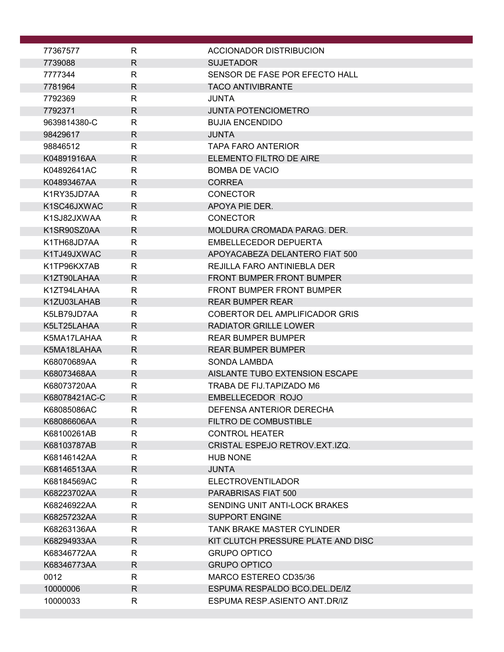| 77367577                   | R                 | ACCIONADOR DISTRIBUCION                                 |
|----------------------------|-------------------|---------------------------------------------------------|
| 7739088                    | $\mathsf{R}$      | <b>SUJETADOR</b>                                        |
| 7777344                    | $\mathsf{R}$      | SENSOR DE FASE POR EFECTO HALL                          |
| 7781964                    | R                 | <b>TACO ANTIVIBRANTE</b>                                |
| 7792369                    | R                 | JUNTA                                                   |
| 7792371                    | R                 | <b>JUNTA POTENCIOMETRO</b>                              |
| 9639814380-C               | $\mathsf{R}$      | <b>BUJIA ENCENDIDO</b>                                  |
| 98429617                   | R.                | <b>JUNTA</b>                                            |
| 98846512                   | $\mathsf{R}$      | <b>TAPA FARO ANTERIOR</b>                               |
| K04891916AA                | R.                | ELEMENTO FILTRO DE AIRE                                 |
| K04892641AC                | R                 | <b>BOMBA DE VACIO</b>                                   |
| K04893467AA                | R.                | <b>CORREA</b>                                           |
| K1RY35JD7AA                | R.                | <b>CONECTOR</b>                                         |
| K1SC46JXWAC                | $\mathsf{R}$      | APOYA PIE DER.                                          |
| K1SJ82JXWAA                | R                 | <b>CONECTOR</b>                                         |
| K1SR90SZ0AA                | R                 | MOLDURA CROMADA PARAG. DER.                             |
| K1TH68JD7AA<br>K1TJ49JXWAC | R<br>R            | EMBELLECEDOR DEPUERTA<br>APOYACABEZA DELANTERO FIAT 500 |
| K1TP96KX7AB                | R                 | REJILLA FARO ANTINIEBLA DER                             |
| K1ZT90LAHAA                | R                 | <b>FRONT BUMPER FRONT BUMPER</b>                        |
| K1ZT94LAHAA                | $\mathsf{R}$      | <b>FRONT BUMPER FRONT BUMPER</b>                        |
| K1ZU03LAHAB                | R                 | <b>REAR BUMPER REAR</b>                                 |
| K5LB79JD7AA                | R                 | COBERTOR DEL AMPLIFICADOR GRIS                          |
| K5LT25LAHAA                | R                 | <b>RADIATOR GRILLE LOWER</b>                            |
| K5MA17LAHAA                | R                 | <b>REAR BUMPER BUMPER</b>                               |
| K5MA18LAHAA                | R                 | <b>REAR BUMPER BUMPER</b>                               |
| K68070689AA                | R                 | <b>SONDA LAMBDA</b>                                     |
| K68073468AA                | R                 | AISLANTE TUBO EXTENSION ESCAPE                          |
| K68073720AA                | R                 | TRABA DE FIJ.TAPIZADO M6                                |
| K68078421AC-C              | R.                | EMBELLECEDOR ROJO                                       |
| K68085086AC                | $\mathsf{R}$      | DEFENSA ANTERIOR DERECHA                                |
| K68086606AA                | R                 | FILTRO DE COMBUSTIBLE                                   |
| K68100261AB                | $\mathsf{R}$      | <b>CONTROL HEATER</b>                                   |
| K68103787AB                | R                 | CRISTAL ESPEJO RETROV.EXT.IZQ.                          |
| K68146142AA                | $\mathsf{R}$      | <b>HUB NONE</b>                                         |
| K68146513AA                | R.                | <b>JUNTA</b>                                            |
| K68184569AC<br>K68223702AA | R<br>$\mathsf{R}$ | <b>ELECTROVENTILADOR</b><br>PARABRISAS FIAT 500         |
| K68246922AA                | R                 | SENDING UNIT ANTI-LOCK BRAKES                           |
| K68257232AA                | R                 | <b>SUPPORT ENGINE</b>                                   |
| K68263136AA                | R                 | <b>TANK BRAKE MASTER CYLINDER</b>                       |
| K68294933AA                | $\mathsf{R}$      | KIT CLUTCH PRESSURE PLATE AND DISC                      |
| K68346772AA                | R                 | <b>GRUPO OPTICO</b>                                     |
| K68346773AA                | R                 | <b>GRUPO OPTICO</b>                                     |
| 0012                       | R                 | MARCO ESTEREO CD35/36                                   |
| 10000006                   | $\mathsf{R}$      | ESPUMA RESPALDO BCO.DEL.DE/IZ                           |
| 10000033                   | R                 | ESPUMA RESP.ASIENTO ANT.DR/IZ                           |
|                            |                   |                                                         |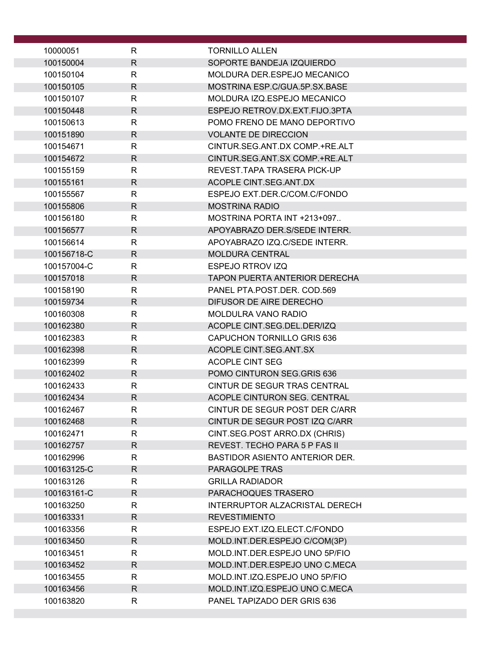| 10000051               | R            | <b>TORNILLO ALLEN</b>                              |
|------------------------|--------------|----------------------------------------------------|
| 100150004              | $\mathsf{R}$ | SOPORTE BANDEJA IZQUIERDO                          |
| 100150104              | R            | MOLDURA DER ESPEJO MECANICO                        |
| 100150105              | R            | MOSTRINA ESP.C/GUA.5P.SX.BASE                      |
| 100150107              | R            | MOLDURA IZQ.ESPEJO MECANICO                        |
| 100150448              | $\mathsf{R}$ | ESPEJO RETROV.DX.EXT.FIJO.3PTA                     |
| 100150613              | R            | POMO FRENO DE MANO DEPORTIVO                       |
| 100151890              | $\mathsf{R}$ | <b>VOLANTE DE DIRECCION</b>                        |
| 100154671              | R            | CINTUR.SEG.ANT.DX COMP.+RE.ALT                     |
| 100154672              | R            | CINTUR.SEG.ANT.SX COMP.+RE.ALT                     |
| 100155159              | R            | REVEST. TAPA TRASERA PICK-UP                       |
| 100155161              | R.           | ACOPLE CINT.SEG.ANT.DX                             |
| 100155567              | $\mathsf{R}$ | ESPEJO EXT.DER.C/COM.C/FONDO                       |
| 100155806              | $\mathsf{R}$ | <b>MOSTRINA RADIO</b>                              |
| 100156180              | R            | MOSTRINA PORTA INT +213+097                        |
| 100156577              | R            | APOYABRAZO DER. S/SEDE INTERR.                     |
| 100156614              | R            | APOYABRAZO IZQ.C/SEDE INTERR.                      |
| 100156718-C            | $\mathsf{R}$ | <b>MOLDURA CENTRAL</b>                             |
| 100157004-C            | R            | <b>ESPEJO RTROV IZQ</b>                            |
| 100157018              | $\mathsf{R}$ | <b>TAPON PUERTA ANTERIOR DERECHA</b>               |
| 100158190              | R            | PANEL PTA.POST.DER. COD.569                        |
| 100159734              | $\mathsf{R}$ | DIFUSOR DE AIRE DERECHO                            |
| 100160308              | R            | MOLDULRA VANO RADIO<br>ACOPLE CINT.SEG.DEL.DER/IZQ |
| 100162380<br>100162383 | R<br>R       | <b>CAPUCHON TORNILLO GRIS 636</b>                  |
| 100162398              | R            | ACOPLE CINT.SEG.ANT.SX                             |
| 100162399              | R            | ACOPLE CINT SEG                                    |
| 100162402              | $\mathsf{R}$ | POMO CINTURON SEG.GRIS 636                         |
| 100162433              | R            | CINTUR DE SEGUR TRAS CENTRAL                       |
| 100162434              | R            | ACOPLE CINTURON SEG. CENTRAL                       |
| 100162467              | к            | CINTUR DE SEGUR POST DER C/ARR                     |
| 100162468              | $\mathsf{R}$ | CINTUR DE SEGUR POST IZQ C/ARR                     |
| 100162471              | R            | CINT.SEG.POST ARRO.DX (CHRIS)                      |
| 100162757              | R            | REVEST. TECHO PARA 5 P FAS II                      |
| 100162996              | R            | <b>BASTIDOR ASIENTO ANTERIOR DER.</b>              |
| 100163125-C            | R.           | PARAGOLPE TRAS                                     |
| 100163126              | R            | <b>GRILLA RADIADOR</b>                             |
| 100163161-C            | R            | PARACHOQUES TRASERO                                |
| 100163250              | R            | INTERRUPTOR ALZACRISTAL DERECH                     |
| 100163331              | R            | <b>REVESTIMIENTO</b>                               |
| 100163356              | $\mathsf{R}$ | ESPEJO EXT.IZQ.ELECT.C/FONDO                       |
| 100163450              | R            | MOLD.INT.DER.ESPEJO C/COM(3P)                      |
| 100163451              | R            | MOLD.INT.DER.ESPEJO UNO 5P/FIO                     |
| 100163452              | $\mathsf{R}$ | MOLD.INT.DER.ESPEJO UNO C.MECA                     |
| 100163455              | R            | MOLD.INT.IZQ.ESPEJO UNO 5P/FIO                     |
| 100163456              | $\mathsf{R}$ | MOLD.INT.IZQ.ESPEJO UNO C.MECA                     |
| 100163820              | R            | PANEL TAPIZADO DER GRIS 636                        |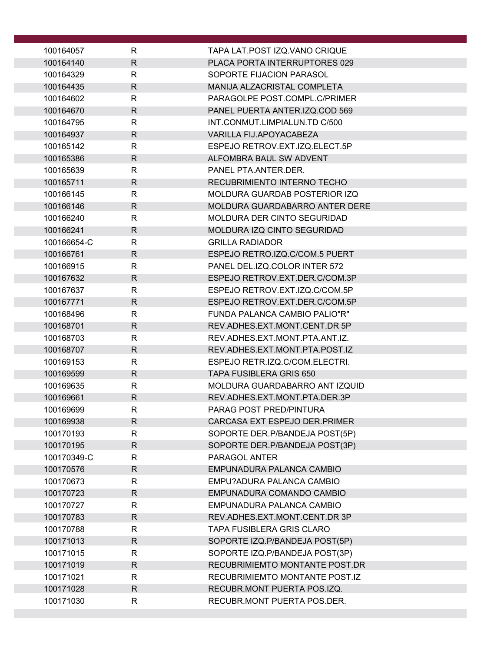| 100164057              | R                 | TAPA LAT.POST IZQ.VANO CRIQUE                            |
|------------------------|-------------------|----------------------------------------------------------|
| 100164140              | $\mathsf{R}$      | PLACA PORTA INTERRUPTORES 029                            |
| 100164329              | R                 | SOPORTE FIJACION PARASOL                                 |
| 100164435              | $\mathsf{R}$      | MANIJA ALZACRISTAL COMPLETA                              |
| 100164602              | R                 | PARAGOLPE POST.COMPL.C/PRIMER                            |
| 100164670              | $\mathsf{R}$      | PANEL PUERTA ANTER.IZQ.COD 569                           |
| 100164795              | R                 | INT.CONMUT.LIMPIALUN.TD C/500                            |
| 100164937              | R                 | VARILLA FIJ.APOYACABEZA                                  |
| 100165142              | R                 | ESPEJO RETROV.EXT.IZQ.ELECT.5P                           |
| 100165386              | $\mathsf{R}$      | ALFOMBRA BAUL SW ADVENT                                  |
| 100165639              | $\mathsf{R}$      | PANEL PTA.ANTER.DER.                                     |
| 100165711              | $\mathsf{R}$      | RECUBRIMIENTO INTERNO TECHO                              |
| 100166145              | $\mathsf{R}$      | MOLDURA GUARDAB POSTERIOR IZQ                            |
| 100166146              | $\mathsf{R}$      | MOLDURA GUARDABARRO ANTER DERE                           |
| 100166240              | R                 | MOLDURA DER CINTO SEGURIDAD                              |
| 100166241              | $\mathsf{R}$      | MOLDURA IZQ CINTO SEGURIDAD                              |
| 100166654-C            | R                 | <b>GRILLA RADIADOR</b>                                   |
| 100166761              | $\mathsf{R}$      | ESPEJO RETRO.IZQ.C/COM.5 PUERT                           |
| 100166915              | R                 | PANEL DEL. IZQ. COLOR INTER 572                          |
| 100167632              | $\mathsf{R}$      | ESPEJO RETROV.EXT.DER.C/COM.3P                           |
| 100167637              | R                 | ESPEJO RETROV.EXT.IZQ.C/COM.5P                           |
| 100167771              | $\mathsf{R}$      | ESPEJO RETROV.EXT.DER.C/COM.5P                           |
| 100168496              | $\mathsf{R}$      | FUNDA PALANCA CAMBIO PALIO"R"                            |
| 100168701              | $\mathsf{R}$      | REV.ADHES.EXT.MONT.CENT.DR 5P                            |
| 100168703              | $\mathsf{R}$      | REV.ADHES.EXT.MONT.PTA.ANT.IZ.                           |
| 100168707              | $\mathsf{R}$      | REV.ADHES.EXT.MONT.PTA.POST.IZ                           |
| 100169153              | R                 | ESPEJO RETR.IZQ.C/COM.ELECTRI.                           |
| 100169599              | $\mathsf{R}$      | <b>TAPA FUSIBLERA GRIS 650</b>                           |
| 100169635              | R                 | MOLDURA GUARDABARRO ANT IZQUID                           |
| 100169661              | $\mathsf{R}$      | REV.ADHES.EXT.MONT.PTA.DER.3P<br>PARAG POST PRED/PINTURA |
| 100169699<br>100169938 | R<br>$\mathsf{R}$ | CARCASA EXT ESPEJO DER.PRIMER                            |
| 100170193              | $\mathsf{R}$      | SOPORTE DER.P/BANDEJA POST(5P)                           |
| 100170195              | $\mathsf{R}$      | SOPORTE DER.P/BANDEJA POST(3P)                           |
| 100170349-C            | $\mathsf{R}$      | PARAGOL ANTER                                            |
| 100170576              | $\mathsf{R}$      | EMPUNADURA PALANCA CAMBIO                                |
| 100170673              | $\mathsf R$       | EMPU?ADURA PALANCA CAMBIO                                |
| 100170723              | $\mathsf{R}$      | EMPUNADURA COMANDO CAMBIO                                |
| 100170727              | R                 | EMPUNADURA PALANCA CAMBIO                                |
| 100170783              | $\mathsf{R}$      | REV.ADHES.EXT.MONT.CENT.DR 3P                            |
| 100170788              | $\mathsf{R}$      | <b>TAPA FUSIBLERA GRIS CLARO</b>                         |
| 100171013              | $\mathsf{R}$      | SOPORTE IZQ.P/BANDEJA POST(5P)                           |
| 100171015              | R                 | SOPORTE IZQ.P/BANDEJA POST(3P)                           |
| 100171019              | $\mathsf{R}$      | RECUBRIMIEMTO MONTANTE POST.DR                           |
| 100171021              | R                 | RECUBRIMIEMTO MONTANTE POST.IZ                           |
| 100171028              | $\mathsf{R}$      | RECUBR.MONT PUERTA POS.IZQ.                              |
| 100171030              | R                 | RECUBR.MONT PUERTA POS.DER.                              |
|                        |                   |                                                          |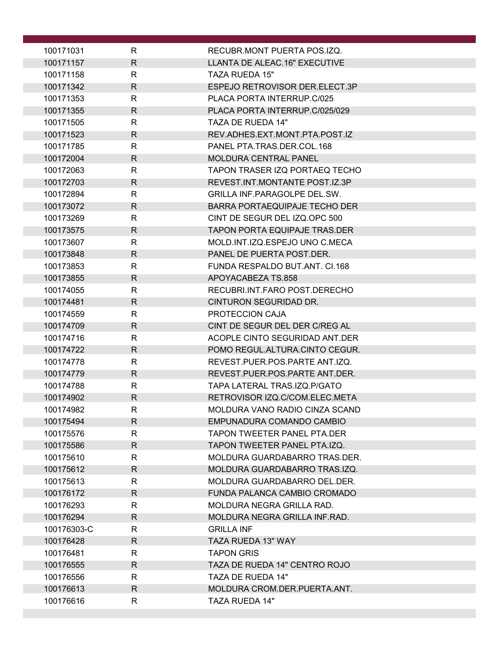| $\mathsf{R}$<br>LLANTA DE ALEAC.16" EXECUTIVE<br>100171157<br>100171158<br>R<br><b>TAZA RUEDA 15"</b><br>$\mathsf{R}$<br>100171342<br>ESPEJO RETROVISOR DER.ELECT.3P<br>100171353<br>R<br>PLACA PORTA INTERRUP.C/025<br>$\mathsf{R}$<br>100171355<br>PLACA PORTA INTERRUP.C/025/029<br>R<br>TAZA DE RUEDA 14"<br>100171505<br>100171523<br>R<br>REV.ADHES.EXT.MONT.PTA.POST.IZ<br>100171785<br>R<br>PANEL PTA.TRAS.DER.COL.168<br>$\mathsf{R}$<br><b>MOLDURA CENTRAL PANEL</b><br>100172004<br>$\mathsf{R}$<br>TAPON TRASER IZQ PORTAEQ TECHO<br>100172063<br>100172703<br>$\mathsf{R}$<br>REVEST.INT.MONTANTE POST.IZ.3P<br>$\mathsf{R}$<br><b>GRILLA INF.PARAGOLPE DEL.SW.</b><br>100172894<br><b>BARRA PORTAEQUIPAJE TECHO DER</b><br>100173072<br>R<br>CINT DE SEGUR DEL IZQ.OPC 500<br>100173269<br>R<br>R<br>100173575<br><b>TAPON PORTA EQUIPAJE TRAS.DER</b><br>$\mathsf{R}$<br>100173607<br>MOLD.INT.IZQ.ESPEJO UNO C.MECA<br>$\mathsf{R}$<br>100173848<br>PANEL DE PUERTA POST.DER.<br>R<br>FUNDA RESPALDO BUT.ANT. CI.168<br>100173853<br>100173855<br>R<br>APOYACABEZA TS.858<br>R<br>RECUBRI.INT.FARO POST.DERECHO<br>100174055<br>$\mathsf{R}$<br>100174481<br>CINTURON SEGURIDAD DR.<br>$\mathsf{R}$<br>100174559<br>PROTECCION CAJA<br>$\mathsf{R}$<br>100174709<br>CINT DE SEGUR DEL DER C/REG AL<br>R<br>100174716<br>ACOPLE CINTO SEGURIDAD ANT.DER<br>$\mathsf{R}$<br>POMO REGUL.ALTURA.CINTO CEGUR.<br>100174722<br>R<br>REVEST.PUER.POS.PARTE ANT.IZQ.<br>100174778<br>$\mathsf{R}$<br>100174779<br>REVEST.PUER.POS.PARTE ANT.DER.<br>$\mathsf{R}$<br>TAPA LATERAL TRAS.IZQ.P/GATO<br>100174788<br>$\mathsf{R}$<br>RETROVISOR IZQ.C/COM.ELEC.META<br>100174902<br>100174982<br>$\mathsf{R}$<br>MOLDURA VANO RADIO CINZA SCAND<br>100175494<br>R<br>EMPUNADURA COMANDO CAMBIO<br>$\mathsf{R}$<br>100175576<br>TAPON TWEETER PANEL PTA.DER<br>$\mathsf{R}$<br>100175586<br>TAPON TWEETER PANEL PTA.IZQ.<br>$\mathsf{R}$<br>100175610<br>MOLDURA GUARDABARRO TRAS.DER.<br>$\mathsf{R}$<br>100175612<br>MOLDURA GUARDABARRO TRAS.IZQ.<br>$\mathsf{R}$<br>MOLDURA GUARDABARRO DEL.DER.<br>100175613<br>R<br>FUNDA PALANCA CAMBIO CROMADO<br>100176172<br>100176293<br>R<br>MOLDURA NEGRA GRILLA RAD.<br>100176294<br>R<br>MOLDURA NEGRA GRILLA INF.RAD.<br>100176303-C<br>R<br><b>GRILLA INF</b><br>$\mathsf{R}$<br>100176428<br>TAZA RUEDA 13" WAY<br>R<br>100176481<br><b>TAPON GRIS</b><br>$\mathsf{R}$<br>100176555<br>TAZA DE RUEDA 14" CENTRO ROJO<br>R<br>TAZA DE RUEDA 14"<br>100176556<br>$\mathsf{R}$<br>100176613<br>MOLDURA CROM.DER.PUERTA.ANT.<br>R<br>100176616<br><b>TAZA RUEDA 14"</b> | 100171031 | R | RECUBR.MONT PUERTA POS.IZQ. |
|--------------------------------------------------------------------------------------------------------------------------------------------------------------------------------------------------------------------------------------------------------------------------------------------------------------------------------------------------------------------------------------------------------------------------------------------------------------------------------------------------------------------------------------------------------------------------------------------------------------------------------------------------------------------------------------------------------------------------------------------------------------------------------------------------------------------------------------------------------------------------------------------------------------------------------------------------------------------------------------------------------------------------------------------------------------------------------------------------------------------------------------------------------------------------------------------------------------------------------------------------------------------------------------------------------------------------------------------------------------------------------------------------------------------------------------------------------------------------------------------------------------------------------------------------------------------------------------------------------------------------------------------------------------------------------------------------------------------------------------------------------------------------------------------------------------------------------------------------------------------------------------------------------------------------------------------------------------------------------------------------------------------------------------------------------------------------------------------------------------------------------------------------------------------------------------------------------------------------------------------------------------------------------------------------------------------------------------------------------------------------------------------------------------------------------------------------------------------------------------------------------------------------------------------------------------------------------------------------------------------------|-----------|---|-----------------------------|
|                                                                                                                                                                                                                                                                                                                                                                                                                                                                                                                                                                                                                                                                                                                                                                                                                                                                                                                                                                                                                                                                                                                                                                                                                                                                                                                                                                                                                                                                                                                                                                                                                                                                                                                                                                                                                                                                                                                                                                                                                                                                                                                                                                                                                                                                                                                                                                                                                                                                                                                                                                                                                          |           |   |                             |
|                                                                                                                                                                                                                                                                                                                                                                                                                                                                                                                                                                                                                                                                                                                                                                                                                                                                                                                                                                                                                                                                                                                                                                                                                                                                                                                                                                                                                                                                                                                                                                                                                                                                                                                                                                                                                                                                                                                                                                                                                                                                                                                                                                                                                                                                                                                                                                                                                                                                                                                                                                                                                          |           |   |                             |
|                                                                                                                                                                                                                                                                                                                                                                                                                                                                                                                                                                                                                                                                                                                                                                                                                                                                                                                                                                                                                                                                                                                                                                                                                                                                                                                                                                                                                                                                                                                                                                                                                                                                                                                                                                                                                                                                                                                                                                                                                                                                                                                                                                                                                                                                                                                                                                                                                                                                                                                                                                                                                          |           |   |                             |
|                                                                                                                                                                                                                                                                                                                                                                                                                                                                                                                                                                                                                                                                                                                                                                                                                                                                                                                                                                                                                                                                                                                                                                                                                                                                                                                                                                                                                                                                                                                                                                                                                                                                                                                                                                                                                                                                                                                                                                                                                                                                                                                                                                                                                                                                                                                                                                                                                                                                                                                                                                                                                          |           |   |                             |
|                                                                                                                                                                                                                                                                                                                                                                                                                                                                                                                                                                                                                                                                                                                                                                                                                                                                                                                                                                                                                                                                                                                                                                                                                                                                                                                                                                                                                                                                                                                                                                                                                                                                                                                                                                                                                                                                                                                                                                                                                                                                                                                                                                                                                                                                                                                                                                                                                                                                                                                                                                                                                          |           |   |                             |
|                                                                                                                                                                                                                                                                                                                                                                                                                                                                                                                                                                                                                                                                                                                                                                                                                                                                                                                                                                                                                                                                                                                                                                                                                                                                                                                                                                                                                                                                                                                                                                                                                                                                                                                                                                                                                                                                                                                                                                                                                                                                                                                                                                                                                                                                                                                                                                                                                                                                                                                                                                                                                          |           |   |                             |
|                                                                                                                                                                                                                                                                                                                                                                                                                                                                                                                                                                                                                                                                                                                                                                                                                                                                                                                                                                                                                                                                                                                                                                                                                                                                                                                                                                                                                                                                                                                                                                                                                                                                                                                                                                                                                                                                                                                                                                                                                                                                                                                                                                                                                                                                                                                                                                                                                                                                                                                                                                                                                          |           |   |                             |
|                                                                                                                                                                                                                                                                                                                                                                                                                                                                                                                                                                                                                                                                                                                                                                                                                                                                                                                                                                                                                                                                                                                                                                                                                                                                                                                                                                                                                                                                                                                                                                                                                                                                                                                                                                                                                                                                                                                                                                                                                                                                                                                                                                                                                                                                                                                                                                                                                                                                                                                                                                                                                          |           |   |                             |
|                                                                                                                                                                                                                                                                                                                                                                                                                                                                                                                                                                                                                                                                                                                                                                                                                                                                                                                                                                                                                                                                                                                                                                                                                                                                                                                                                                                                                                                                                                                                                                                                                                                                                                                                                                                                                                                                                                                                                                                                                                                                                                                                                                                                                                                                                                                                                                                                                                                                                                                                                                                                                          |           |   |                             |
|                                                                                                                                                                                                                                                                                                                                                                                                                                                                                                                                                                                                                                                                                                                                                                                                                                                                                                                                                                                                                                                                                                                                                                                                                                                                                                                                                                                                                                                                                                                                                                                                                                                                                                                                                                                                                                                                                                                                                                                                                                                                                                                                                                                                                                                                                                                                                                                                                                                                                                                                                                                                                          |           |   |                             |
|                                                                                                                                                                                                                                                                                                                                                                                                                                                                                                                                                                                                                                                                                                                                                                                                                                                                                                                                                                                                                                                                                                                                                                                                                                                                                                                                                                                                                                                                                                                                                                                                                                                                                                                                                                                                                                                                                                                                                                                                                                                                                                                                                                                                                                                                                                                                                                                                                                                                                                                                                                                                                          |           |   |                             |
|                                                                                                                                                                                                                                                                                                                                                                                                                                                                                                                                                                                                                                                                                                                                                                                                                                                                                                                                                                                                                                                                                                                                                                                                                                                                                                                                                                                                                                                                                                                                                                                                                                                                                                                                                                                                                                                                                                                                                                                                                                                                                                                                                                                                                                                                                                                                                                                                                                                                                                                                                                                                                          |           |   |                             |
|                                                                                                                                                                                                                                                                                                                                                                                                                                                                                                                                                                                                                                                                                                                                                                                                                                                                                                                                                                                                                                                                                                                                                                                                                                                                                                                                                                                                                                                                                                                                                                                                                                                                                                                                                                                                                                                                                                                                                                                                                                                                                                                                                                                                                                                                                                                                                                                                                                                                                                                                                                                                                          |           |   |                             |
|                                                                                                                                                                                                                                                                                                                                                                                                                                                                                                                                                                                                                                                                                                                                                                                                                                                                                                                                                                                                                                                                                                                                                                                                                                                                                                                                                                                                                                                                                                                                                                                                                                                                                                                                                                                                                                                                                                                                                                                                                                                                                                                                                                                                                                                                                                                                                                                                                                                                                                                                                                                                                          |           |   |                             |
|                                                                                                                                                                                                                                                                                                                                                                                                                                                                                                                                                                                                                                                                                                                                                                                                                                                                                                                                                                                                                                                                                                                                                                                                                                                                                                                                                                                                                                                                                                                                                                                                                                                                                                                                                                                                                                                                                                                                                                                                                                                                                                                                                                                                                                                                                                                                                                                                                                                                                                                                                                                                                          |           |   |                             |
|                                                                                                                                                                                                                                                                                                                                                                                                                                                                                                                                                                                                                                                                                                                                                                                                                                                                                                                                                                                                                                                                                                                                                                                                                                                                                                                                                                                                                                                                                                                                                                                                                                                                                                                                                                                                                                                                                                                                                                                                                                                                                                                                                                                                                                                                                                                                                                                                                                                                                                                                                                                                                          |           |   |                             |
|                                                                                                                                                                                                                                                                                                                                                                                                                                                                                                                                                                                                                                                                                                                                                                                                                                                                                                                                                                                                                                                                                                                                                                                                                                                                                                                                                                                                                                                                                                                                                                                                                                                                                                                                                                                                                                                                                                                                                                                                                                                                                                                                                                                                                                                                                                                                                                                                                                                                                                                                                                                                                          |           |   |                             |
|                                                                                                                                                                                                                                                                                                                                                                                                                                                                                                                                                                                                                                                                                                                                                                                                                                                                                                                                                                                                                                                                                                                                                                                                                                                                                                                                                                                                                                                                                                                                                                                                                                                                                                                                                                                                                                                                                                                                                                                                                                                                                                                                                                                                                                                                                                                                                                                                                                                                                                                                                                                                                          |           |   |                             |
|                                                                                                                                                                                                                                                                                                                                                                                                                                                                                                                                                                                                                                                                                                                                                                                                                                                                                                                                                                                                                                                                                                                                                                                                                                                                                                                                                                                                                                                                                                                                                                                                                                                                                                                                                                                                                                                                                                                                                                                                                                                                                                                                                                                                                                                                                                                                                                                                                                                                                                                                                                                                                          |           |   |                             |
|                                                                                                                                                                                                                                                                                                                                                                                                                                                                                                                                                                                                                                                                                                                                                                                                                                                                                                                                                                                                                                                                                                                                                                                                                                                                                                                                                                                                                                                                                                                                                                                                                                                                                                                                                                                                                                                                                                                                                                                                                                                                                                                                                                                                                                                                                                                                                                                                                                                                                                                                                                                                                          |           |   |                             |
|                                                                                                                                                                                                                                                                                                                                                                                                                                                                                                                                                                                                                                                                                                                                                                                                                                                                                                                                                                                                                                                                                                                                                                                                                                                                                                                                                                                                                                                                                                                                                                                                                                                                                                                                                                                                                                                                                                                                                                                                                                                                                                                                                                                                                                                                                                                                                                                                                                                                                                                                                                                                                          |           |   |                             |
|                                                                                                                                                                                                                                                                                                                                                                                                                                                                                                                                                                                                                                                                                                                                                                                                                                                                                                                                                                                                                                                                                                                                                                                                                                                                                                                                                                                                                                                                                                                                                                                                                                                                                                                                                                                                                                                                                                                                                                                                                                                                                                                                                                                                                                                                                                                                                                                                                                                                                                                                                                                                                          |           |   |                             |
|                                                                                                                                                                                                                                                                                                                                                                                                                                                                                                                                                                                                                                                                                                                                                                                                                                                                                                                                                                                                                                                                                                                                                                                                                                                                                                                                                                                                                                                                                                                                                                                                                                                                                                                                                                                                                                                                                                                                                                                                                                                                                                                                                                                                                                                                                                                                                                                                                                                                                                                                                                                                                          |           |   |                             |
|                                                                                                                                                                                                                                                                                                                                                                                                                                                                                                                                                                                                                                                                                                                                                                                                                                                                                                                                                                                                                                                                                                                                                                                                                                                                                                                                                                                                                                                                                                                                                                                                                                                                                                                                                                                                                                                                                                                                                                                                                                                                                                                                                                                                                                                                                                                                                                                                                                                                                                                                                                                                                          |           |   |                             |
|                                                                                                                                                                                                                                                                                                                                                                                                                                                                                                                                                                                                                                                                                                                                                                                                                                                                                                                                                                                                                                                                                                                                                                                                                                                                                                                                                                                                                                                                                                                                                                                                                                                                                                                                                                                                                                                                                                                                                                                                                                                                                                                                                                                                                                                                                                                                                                                                                                                                                                                                                                                                                          |           |   |                             |
|                                                                                                                                                                                                                                                                                                                                                                                                                                                                                                                                                                                                                                                                                                                                                                                                                                                                                                                                                                                                                                                                                                                                                                                                                                                                                                                                                                                                                                                                                                                                                                                                                                                                                                                                                                                                                                                                                                                                                                                                                                                                                                                                                                                                                                                                                                                                                                                                                                                                                                                                                                                                                          |           |   |                             |
|                                                                                                                                                                                                                                                                                                                                                                                                                                                                                                                                                                                                                                                                                                                                                                                                                                                                                                                                                                                                                                                                                                                                                                                                                                                                                                                                                                                                                                                                                                                                                                                                                                                                                                                                                                                                                                                                                                                                                                                                                                                                                                                                                                                                                                                                                                                                                                                                                                                                                                                                                                                                                          |           |   |                             |
|                                                                                                                                                                                                                                                                                                                                                                                                                                                                                                                                                                                                                                                                                                                                                                                                                                                                                                                                                                                                                                                                                                                                                                                                                                                                                                                                                                                                                                                                                                                                                                                                                                                                                                                                                                                                                                                                                                                                                                                                                                                                                                                                                                                                                                                                                                                                                                                                                                                                                                                                                                                                                          |           |   |                             |
|                                                                                                                                                                                                                                                                                                                                                                                                                                                                                                                                                                                                                                                                                                                                                                                                                                                                                                                                                                                                                                                                                                                                                                                                                                                                                                                                                                                                                                                                                                                                                                                                                                                                                                                                                                                                                                                                                                                                                                                                                                                                                                                                                                                                                                                                                                                                                                                                                                                                                                                                                                                                                          |           |   |                             |
|                                                                                                                                                                                                                                                                                                                                                                                                                                                                                                                                                                                                                                                                                                                                                                                                                                                                                                                                                                                                                                                                                                                                                                                                                                                                                                                                                                                                                                                                                                                                                                                                                                                                                                                                                                                                                                                                                                                                                                                                                                                                                                                                                                                                                                                                                                                                                                                                                                                                                                                                                                                                                          |           |   |                             |
|                                                                                                                                                                                                                                                                                                                                                                                                                                                                                                                                                                                                                                                                                                                                                                                                                                                                                                                                                                                                                                                                                                                                                                                                                                                                                                                                                                                                                                                                                                                                                                                                                                                                                                                                                                                                                                                                                                                                                                                                                                                                                                                                                                                                                                                                                                                                                                                                                                                                                                                                                                                                                          |           |   |                             |
|                                                                                                                                                                                                                                                                                                                                                                                                                                                                                                                                                                                                                                                                                                                                                                                                                                                                                                                                                                                                                                                                                                                                                                                                                                                                                                                                                                                                                                                                                                                                                                                                                                                                                                                                                                                                                                                                                                                                                                                                                                                                                                                                                                                                                                                                                                                                                                                                                                                                                                                                                                                                                          |           |   |                             |
|                                                                                                                                                                                                                                                                                                                                                                                                                                                                                                                                                                                                                                                                                                                                                                                                                                                                                                                                                                                                                                                                                                                                                                                                                                                                                                                                                                                                                                                                                                                                                                                                                                                                                                                                                                                                                                                                                                                                                                                                                                                                                                                                                                                                                                                                                                                                                                                                                                                                                                                                                                                                                          |           |   |                             |
|                                                                                                                                                                                                                                                                                                                                                                                                                                                                                                                                                                                                                                                                                                                                                                                                                                                                                                                                                                                                                                                                                                                                                                                                                                                                                                                                                                                                                                                                                                                                                                                                                                                                                                                                                                                                                                                                                                                                                                                                                                                                                                                                                                                                                                                                                                                                                                                                                                                                                                                                                                                                                          |           |   |                             |
|                                                                                                                                                                                                                                                                                                                                                                                                                                                                                                                                                                                                                                                                                                                                                                                                                                                                                                                                                                                                                                                                                                                                                                                                                                                                                                                                                                                                                                                                                                                                                                                                                                                                                                                                                                                                                                                                                                                                                                                                                                                                                                                                                                                                                                                                                                                                                                                                                                                                                                                                                                                                                          |           |   |                             |
|                                                                                                                                                                                                                                                                                                                                                                                                                                                                                                                                                                                                                                                                                                                                                                                                                                                                                                                                                                                                                                                                                                                                                                                                                                                                                                                                                                                                                                                                                                                                                                                                                                                                                                                                                                                                                                                                                                                                                                                                                                                                                                                                                                                                                                                                                                                                                                                                                                                                                                                                                                                                                          |           |   |                             |
|                                                                                                                                                                                                                                                                                                                                                                                                                                                                                                                                                                                                                                                                                                                                                                                                                                                                                                                                                                                                                                                                                                                                                                                                                                                                                                                                                                                                                                                                                                                                                                                                                                                                                                                                                                                                                                                                                                                                                                                                                                                                                                                                                                                                                                                                                                                                                                                                                                                                                                                                                                                                                          |           |   |                             |
|                                                                                                                                                                                                                                                                                                                                                                                                                                                                                                                                                                                                                                                                                                                                                                                                                                                                                                                                                                                                                                                                                                                                                                                                                                                                                                                                                                                                                                                                                                                                                                                                                                                                                                                                                                                                                                                                                                                                                                                                                                                                                                                                                                                                                                                                                                                                                                                                                                                                                                                                                                                                                          |           |   |                             |
|                                                                                                                                                                                                                                                                                                                                                                                                                                                                                                                                                                                                                                                                                                                                                                                                                                                                                                                                                                                                                                                                                                                                                                                                                                                                                                                                                                                                                                                                                                                                                                                                                                                                                                                                                                                                                                                                                                                                                                                                                                                                                                                                                                                                                                                                                                                                                                                                                                                                                                                                                                                                                          |           |   |                             |
|                                                                                                                                                                                                                                                                                                                                                                                                                                                                                                                                                                                                                                                                                                                                                                                                                                                                                                                                                                                                                                                                                                                                                                                                                                                                                                                                                                                                                                                                                                                                                                                                                                                                                                                                                                                                                                                                                                                                                                                                                                                                                                                                                                                                                                                                                                                                                                                                                                                                                                                                                                                                                          |           |   |                             |
|                                                                                                                                                                                                                                                                                                                                                                                                                                                                                                                                                                                                                                                                                                                                                                                                                                                                                                                                                                                                                                                                                                                                                                                                                                                                                                                                                                                                                                                                                                                                                                                                                                                                                                                                                                                                                                                                                                                                                                                                                                                                                                                                                                                                                                                                                                                                                                                                                                                                                                                                                                                                                          |           |   |                             |
|                                                                                                                                                                                                                                                                                                                                                                                                                                                                                                                                                                                                                                                                                                                                                                                                                                                                                                                                                                                                                                                                                                                                                                                                                                                                                                                                                                                                                                                                                                                                                                                                                                                                                                                                                                                                                                                                                                                                                                                                                                                                                                                                                                                                                                                                                                                                                                                                                                                                                                                                                                                                                          |           |   |                             |
|                                                                                                                                                                                                                                                                                                                                                                                                                                                                                                                                                                                                                                                                                                                                                                                                                                                                                                                                                                                                                                                                                                                                                                                                                                                                                                                                                                                                                                                                                                                                                                                                                                                                                                                                                                                                                                                                                                                                                                                                                                                                                                                                                                                                                                                                                                                                                                                                                                                                                                                                                                                                                          |           |   |                             |
|                                                                                                                                                                                                                                                                                                                                                                                                                                                                                                                                                                                                                                                                                                                                                                                                                                                                                                                                                                                                                                                                                                                                                                                                                                                                                                                                                                                                                                                                                                                                                                                                                                                                                                                                                                                                                                                                                                                                                                                                                                                                                                                                                                                                                                                                                                                                                                                                                                                                                                                                                                                                                          |           |   |                             |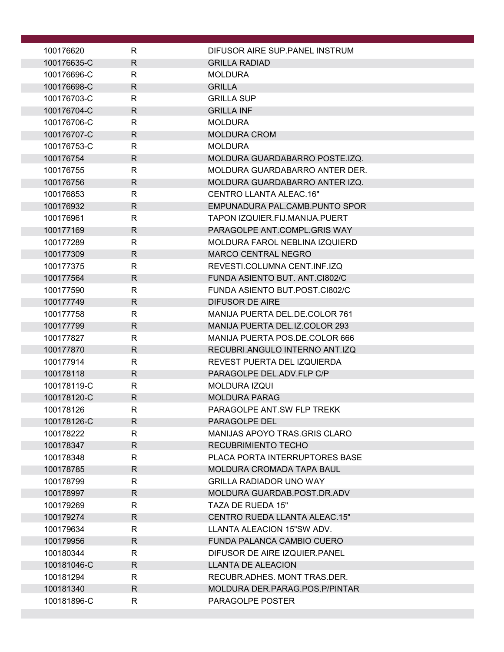| 100176620                | R                            | DIFUSOR AIRE SUP PANEL INSTRUM                        |
|--------------------------|------------------------------|-------------------------------------------------------|
| 100176635-C              | $\mathsf{R}$                 | <b>GRILLA RADIAD</b>                                  |
| 100176696-C              | $\mathsf{R}$                 | <b>MOLDURA</b>                                        |
| 100176698-C              | $\mathsf{R}$                 | <b>GRILLA</b>                                         |
| 100176703-C              | $\mathsf{R}$                 | <b>GRILLA SUP</b>                                     |
| 100176704-C              | $\mathsf{R}$                 | <b>GRILLA INF</b>                                     |
| 100176706-C              | R                            | <b>MOLDURA</b>                                        |
| 100176707-C              | R                            | <b>MOLDURA CROM</b>                                   |
| 100176753-C              | R                            | <b>MOLDURA</b>                                        |
| 100176754                | R                            | MOLDURA GUARDABARRO POSTE.IZQ.                        |
| 100176755                | R                            | MOLDURA GUARDABARRO ANTER DER.                        |
| 100176756                | R                            | MOLDURA GUARDABARRO ANTER IZQ.                        |
| 100176853                | R                            | CENTRO LLANTA ALEAC.16"                               |
| 100176932                | $\mathsf{R}$                 | EMPUNADURA PAL.CAMB.PUNTO SPOR                        |
| 100176961                | R                            | TAPON IZQUIER.FIJ.MANIJA.PUERT                        |
| 100177169                | R                            | PARAGOLPE ANT.COMPL.GRIS WAY                          |
| 100177289                | R                            | MOLDURA FAROL NEBLINA IZQUIERD                        |
| 100177309                | R                            | <b>MARCO CENTRAL NEGRO</b>                            |
| 100177375                | R                            | REVESTI.COLUMNA CENT.INF.IZQ                          |
| 100177564                | R                            | FUNDA ASIENTO BUT. ANT.CI802/C                        |
| 100177590                | R                            | FUNDA ASIENTO BUT.POST.CI802/C                        |
| 100177749                | $\mathsf{R}$                 | <b>DIFUSOR DE AIRE</b>                                |
| 100177758                | R                            | MANIJA PUERTA DEL.DE.COLOR 761                        |
| 100177799                | R                            | MANIJA PUERTA DEL.IZ.COLOR 293                        |
| 100177827                | R                            | <b>MANIJA PUERTA POS.DE.COLOR 666</b>                 |
| 100177870                | $\mathsf{R}$                 | RECUBRI.ANGULO INTERNO ANT.IZQ                        |
| 100177914                | R                            | REVEST PUERTA DEL IZQUIERDA                           |
| 100178118                | $\mathsf{R}$                 | PARAGOLPE DEL.ADV.FLP C/P                             |
| 100178119-C              | R                            | <b>MOLDURA IZQUI</b>                                  |
| 100178120-C<br>100178126 | $\mathsf{R}$<br>$\mathsf{R}$ | <b>MOLDURA PARAG</b>                                  |
|                          |                              | PARAGOLPE ANT.SW FLP TREKK                            |
| 100178126-C<br>100178222 | R.<br>R                      | PARAGOLPE DEL<br><b>MANIJAS APOYO TRAS.GRIS CLARO</b> |
| 100178347                | $\mathsf{R}$                 | <b>RECUBRIMIENTO TECHO</b>                            |
| 100178348                | R                            | PLACA PORTA INTERRUPTORES BASE                        |
| 100178785                | R                            | <b>MOLDURA CROMADA TAPA BAUL</b>                      |
| 100178799                | R                            | <b>GRILLA RADIADOR UNO WAY</b>                        |
| 100178997                | R                            | MOLDURA GUARDAB.POST.DR.ADV                           |
| 100179269                | R                            | TAZA DE RUEDA 15"                                     |
| 100179274                | R.                           | CENTRO RUEDA LLANTA ALEAC.15"                         |
| 100179634                | R                            | LLANTA ALEACION 15"SW ADV.                            |
| 100179956                | R                            | FUNDA PALANCA CAMBIO CUERO                            |
| 100180344                | R                            | DIFUSOR DE AIRE IZQUIER.PANEL                         |
| 100181046-C              | R                            | <b>LLANTA DE ALEACION</b>                             |
| 100181294                | R                            | RECUBR.ADHES. MONT TRAS.DER.                          |
| 100181340                | $\mathsf{R}$                 | MOLDURA DER.PARAG.POS.P/PINTAR                        |
| 100181896-C              | R                            | PARAGOLPE POSTER                                      |
|                          |                              |                                                       |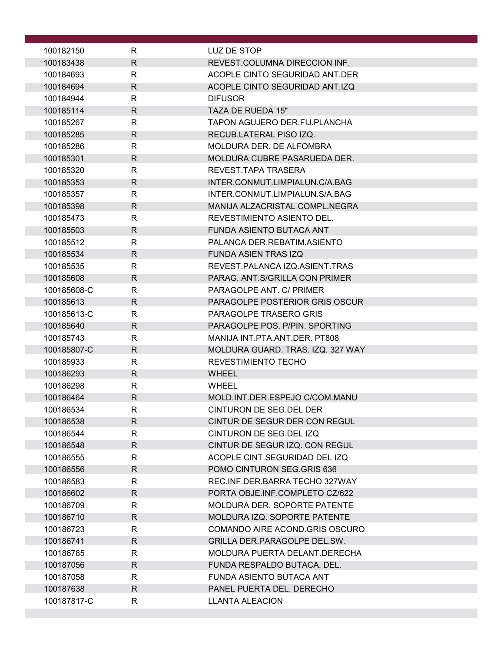| 100182150              | R                 | LUZ DE STOP                                    |
|------------------------|-------------------|------------------------------------------------|
| 100183438              | R.                | REVEST.COLUMNA DIRECCION INF.                  |
| 100184693              | R                 | ACOPLE CINTO SEGURIDAD ANT.DER                 |
| 100184694              | $\mathsf{R}$      | ACOPLE CINTO SEGURIDAD ANT.IZQ                 |
| 100184944              | R                 | <b>DIFUSOR</b>                                 |
| 100185114              | $\mathsf{R}$      | TAZA DE RUEDA 15"                              |
| 100185267              | R                 | <b>TAPON AGUJERO DER.FIJ.PLANCHA</b>           |
| 100185285              | R                 | RECUB.LATERAL PISO IZQ.                        |
| 100185286              | R                 | MOLDURA DER. DE ALFOMBRA                       |
| 100185301              | $\mathsf{R}$      | MOLDURA CUBRE PASARUEDA DER.                   |
| 100185320              | R                 | REVEST. TAPA TRASERA                           |
| 100185353              | R                 | INTER.CONMUT.LIMPIALUN.C/A.BAG                 |
| 100185357              | R.                | INTER.CONMUT.LIMPIALUN.S/A.BAG                 |
| 100185398              | $\mathsf{R}$      | MANIJA ALZACRISTAL COMPL.NEGRA                 |
| 100185473              | R                 | REVESTIMIENTO ASIENTO DEL.                     |
| 100185503              | $\mathsf{R}$      | FUNDA ASIENTO BUTACA ANT                       |
| 100185512              | R                 | PALANCA DER REBATIM ASIENTO                    |
| 100185534              | R.                | <b>FUNDA ASIEN TRAS IZQ</b>                    |
| 100185535              | R                 | REVEST.PALANCA IZQ.ASIENT.TRAS                 |
| 100185608              | $\mathsf{R}$      | PARAG. ANT. S/GRILLA CON PRIMER                |
| 100185608-C            | R.                | PARAGOLPE ANT. C/ PRIMER                       |
| 100185613              | R.                | PARAGOLPE POSTERIOR GRIS OSCUR                 |
| 100185613-C            | R.                | PARAGOLPE TRASERO GRIS                         |
| 100185640              | R.                | PARAGOLPE POS. P/PIN. SPORTING                 |
| 100185743              | $\mathsf{R}$      | MANIJA INT.PTA.ANT.DER. PT808                  |
| 100185807-C            | R.                | MOLDURA GUARD. TRAS. IZQ. 327 WAY              |
| 100185933              | R                 | <b>REVESTIMIENTO TECHO</b>                     |
| 100186293              | $\mathsf{R}$      | <b>WHEEL</b>                                   |
| 100186298<br>100186464 | R<br>$\mathsf{R}$ | <b>WHEEL</b><br>MOLD.INT.DER.ESPEJO C/COM.MANU |
| 100186534              | R                 | CINTURON DE SEG.DEL DER                        |
| 100186538              | R.                | CINTUR DE SEGUR DER CON REGUL                  |
| 100186544              | R.                | CINTURON DE SEG.DEL IZQ                        |
| 100186548              | R.                | CINTUR DE SEGUR IZQ, CON REGUL                 |
| 100186555              | R.                | ACOPLE CINT.SEGURIDAD DEL IZQ                  |
| 100186556              | $\mathsf{R}$      | POMO CINTURON SEG.GRIS 636                     |
| 100186583              | R                 | REC.INF.DER.BARRA TECHO 327WAY                 |
| 100186602              | R.                | PORTA OBJE.INF.COMPLETO CZ/622                 |
| 100186709              | R                 | <b>MOLDURA DER. SOPORTE PATENTE</b>            |
| 100186710              | $\mathsf{R}$      | MOLDURA IZQ. SOPORTE PATENTE                   |
| 100186723              | R                 | COMANDO AIRE ACOND.GRIS OSCURO                 |
| 100186741              | $\mathsf{R}$      | <b>GRILLA DER.PARAGOLPE DEL.SW.</b>            |
| 100186785              | R                 | MOLDURA PUERTA DELANT.DERECHA                  |
| 100187056              | R.                | FUNDA RESPALDO BUTACA. DEL.                    |
| 100187058              | R                 | FUNDA ASIENTO BUTACA ANT                       |
| 100187638              | $\mathsf{R}$      | PANEL PUERTA DEL. DERECHO                      |
| 100187817-C            | R                 | <b>LLANTA ALEACION</b>                         |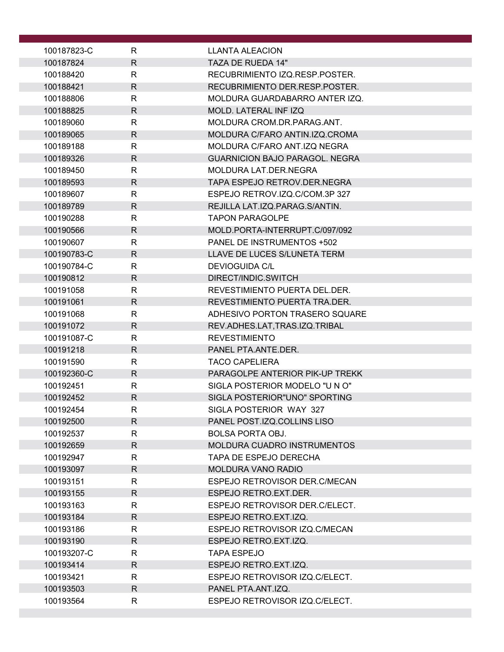| 100187823-C | R                 | LLANTA ALEACION                       |
|-------------|-------------------|---------------------------------------|
| 100187824   | $\mathsf{R}$      | TAZA DE RUEDA 14"                     |
| 100188420   | R                 | RECUBRIMIENTO IZQ.RESP.POSTER.        |
| 100188421   | $\mathsf{R}$      | RECUBRIMIENTO DER.RESP.POSTER.        |
| 100188806   | $\mathsf{R}$      | MOLDURA GUARDABARRO ANTER IZQ.        |
| 100188825   | $\mathsf{R}$      | MOLD. LATERAL INF IZQ                 |
| 100189060   | R                 | MOLDURA CROM.DR.PARAG.ANT.            |
| 100189065   | $\mathsf{R}$      | MOLDURA C/FARO ANTIN.IZQ.CROMA        |
| 100189188   | $\mathsf{R}$      | MOLDURA C/FARO ANT.IZQ NEGRA          |
| 100189326   | $\mathsf{R}$      | <b>GUARNICION BAJO PARAGOL. NEGRA</b> |
| 100189450   | $\mathsf{R}$      | MOLDURA LAT.DER.NEGRA                 |
| 100189593   | R.                | TAPA ESPEJO RETROV.DER.NEGRA          |
| 100189607   | R                 | ESPEJO RETROV.IZQ.C/COM.3P 327        |
| 100189789   | $\mathsf{R}$      | REJILLA LAT.IZQ.PARAG.S/ANTIN.        |
| 100190288   |                   | <b>TAPON PARAGOLPE</b>                |
| 100190566   | R<br>$\mathsf{R}$ |                                       |
|             |                   | MOLD.PORTA-INTERRUPT.C/097/092        |
| 100190607   | $\mathsf{R}$      | PANEL DE INSTRUMENTOS +502            |
| 100190783-C | $\mathsf{R}$      | LLAVE DE LUCES S/LUNETA TERM          |
| 100190784-C | R                 | <b>DEVIOGUIDA C/L</b>                 |
| 100190812   | $\mathsf{R}$      | DIRECT/INDIC.SWITCH                   |
| 100191058   | $\mathsf{R}$      | REVESTIMIENTO PUERTA DEL. DER.        |
| 100191061   | $\mathsf{R}$      | REVESTIMIENTO PUERTA TRA.DER.         |
| 100191068   | $\mathsf{R}$      | ADHESIVO PORTON TRASERO SQUARE        |
| 100191072   | $\mathsf{R}$      | REV.ADHES.LAT, TRAS.IZQ.TRIBAL        |
| 100191087-C | R                 | <b>REVESTIMIENTO</b>                  |
| 100191218   | R                 | PANEL PTA.ANTE.DER.                   |
| 100191590   | R                 | <b>TACO CAPELIERA</b>                 |
| 100192360-C | $\mathsf{R}$      | PARAGOLPE ANTERIOR PIK-UP TREKK       |
| 100192451   | R                 | SIGLA POSTERIOR MODELO "UN O"         |
| 100192452   | $\mathsf{R}$      | SIGLA POSTERIOR"UNO" SPORTING         |
| 100192454   | R                 | SIGLA POSTERIOR WAY 327               |
| 100192500   | R                 | PANEL POST.IZQ.COLLINS LISO           |
| 100192537   | R                 | <b>BOLSA PORTA OBJ.</b>               |
| 100192659   | R.                | MOLDURA CUADRO INSTRUMENTOS           |
| 100192947   | R                 | TAPA DE ESPEJO DERECHA                |
| 100193097   | R.                | <b>MOLDURA VANO RADIO</b>             |
| 100193151   | R                 | ESPEJO RETROVISOR DER.C/MECAN         |
| 100193155   | R.                | ESPEJO RETRO.EXT.DER.                 |
| 100193163   | R                 | ESPEJO RETROVISOR DER.C/ELECT.        |
| 100193184   | R                 | ESPEJO RETRO.EXT.IZQ.                 |
| 100193186   | R                 | ESPEJO RETROVISOR IZQ.C/MECAN         |
| 100193190   | $\mathsf{R}$      | ESPEJO RETRO.EXT.IZQ.                 |
| 100193207-C | R                 | <b>TAPA ESPEJO</b>                    |
| 100193414   | R                 | ESPEJO RETRO. EXT. IZQ.               |
| 100193421   | R                 | ESPEJO RETROVISOR IZQ.C/ELECT.        |
| 100193503   | R                 | PANEL PTA.ANT.IZQ.                    |
| 100193564   | R                 | ESPEJO RETROVISOR IZQ.C/ELECT.        |
|             |                   |                                       |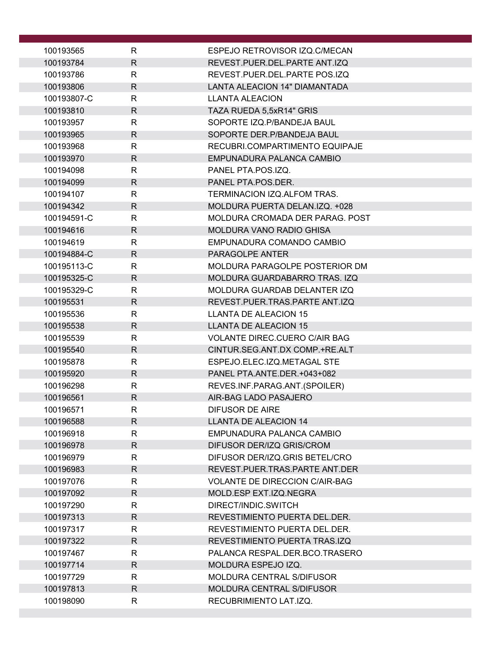| 100193565              | R                 | ESPEJO RETROVISOR IZQ.C/MECAN                                   |
|------------------------|-------------------|-----------------------------------------------------------------|
| 100193784              | $\mathsf{R}$      | REVEST.PUER.DEL.PARTE ANT.IZQ                                   |
| 100193786              | R                 | REVEST.PUER.DEL.PARTE POS.IZQ                                   |
| 100193806              | $\mathsf{R}$      | <b>LANTA ALEACION 14" DIAMANTADA</b>                            |
| 100193807-C            | R                 | <b>LLANTA ALEACION</b>                                          |
| 100193810              | $\mathsf{R}$      | TAZA RUEDA 5,5xR14" GRIS                                        |
| 100193957              | R                 | SOPORTE IZQ.P/BANDEJA BAUL                                      |
| 100193965              | $\mathsf{R}$      | SOPORTE DER.P/BANDEJA BAUL                                      |
| 100193968              | R                 | RECUBRI.COMPARTIMENTO EQUIPAJE                                  |
| 100193970              | $\mathsf{R}$      | EMPUNADURA PALANCA CAMBIO                                       |
| 100194098              | $\mathsf{R}$      | PANEL PTA.POS.IZQ.                                              |
| 100194099              | R                 | PANEL PTA.POS.DER.                                              |
| 100194107              | $\mathsf{R}$      | TERMINACION IZQ.ALFOM TRAS.                                     |
| 100194342              | R.                | MOLDURA PUERTA DELAN.IZQ. +028                                  |
| 100194591-C            | R                 | MOLDURA CROMADA DER PARAG. POST                                 |
| 100194616              | $\mathsf{R}$      | <b>MOLDURA VANO RADIO GHISA</b>                                 |
| 100194619              | $\mathsf{R}$      | EMPUNADURA COMANDO CAMBIO                                       |
| 100194884-C            | R.                | PARAGOLPE ANTER                                                 |
| 100195113-C            | $\mathsf{R}$      | MOLDURA PARAGOLPE POSTERIOR DM                                  |
| 100195325-C            | $\mathsf{R}$      | MOLDURA GUARDABARRO TRAS. IZQ                                   |
| 100195329-C            | $\mathsf{R}$      | MOLDURA GUARDAB DELANTER IZQ                                    |
| 100195531              | R.                | REVEST.PUER.TRAS.PARTE ANT.IZQ                                  |
| 100195536              | $\mathsf{R}$      | <b>LLANTA DE ALEACION 15</b>                                    |
| 100195538              | $\mathsf{R}$      | <b>LLANTA DE ALEACION 15</b>                                    |
| 100195539              | $\mathsf{R}$      | <b>VOLANTE DIREC.CUERO C/AIR BAG</b>                            |
| 100195540              | $\mathsf{R}$      | CINTUR.SEG.ANT.DX COMP.+RE.ALT                                  |
| 100195878              | R                 | ESPEJO.ELEC.IZQ.METAGAL STE                                     |
| 100195920              | $\mathsf{R}$      | PANEL PTA.ANTE.DER.+043+082                                     |
| 100196298              | R                 | REVES.INF.PARAG.ANT.(SPOILER)                                   |
| 100196561              | $\mathsf{R}$      | AIR-BAG LADO PASAJERO                                           |
| 100196571              | $\mathsf{R}$      | <b>DIFUSOR DE AIRE</b>                                          |
| 100196588              | R                 | <b>LLANTA DE ALEACION 14</b>                                    |
| 100196918              | $\mathsf{R}$      | EMPUNADURA PALANCA CAMBIO                                       |
| 100196978              | R                 | DIFUSOR DER/IZQ GRIS/CROM                                       |
| 100196979              | R                 | DIFUSOR DER/IZQ.GRIS BETEL/CRO                                  |
| 100196983              | R                 | REVEST.PUER.TRAS.PARTE ANT.DER                                  |
| 100197076              | $\mathsf{R}$      | <b>VOLANTE DE DIRECCION C/AIR-BAG</b>                           |
| 100197092              | R                 | MOLD.ESP EXT.IZQ.NEGRA                                          |
| 100197290              | R                 | DIRECT/INDIC.SWITCH                                             |
| 100197313              | R                 | REVESTIMIENTO PUERTA DEL.DER.                                   |
| 100197317<br>100197322 | R<br>$\mathsf{R}$ | REVESTIMIENTO PUERTA DEL. DER.<br>REVESTIMIENTO PUERTA TRAS.IZQ |
| 100197467              | R                 | PALANCA RESPAL.DER.BCO.TRASERO                                  |
| 100197714              | R                 | MOLDURA ESPEJO IZQ.                                             |
| 100197729              | R                 | MOLDURA CENTRAL S/DIFUSOR                                       |
| 100197813              | R                 | <b>MOLDURA CENTRAL S/DIFUSOR</b>                                |
| 100198090              | R                 | RECUBRIMIENTO LAT.IZQ.                                          |
|                        |                   |                                                                 |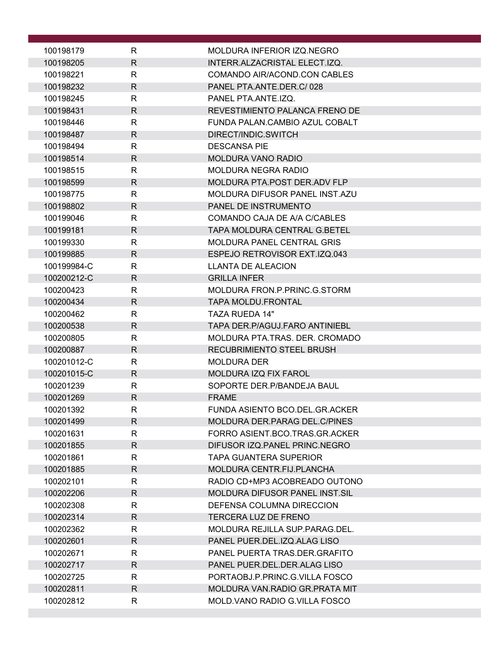| 100198179                  | R                 | MOLDURA INFERIOR IZQ.NEGRO                         |
|----------------------------|-------------------|----------------------------------------------------|
| 100198205                  | $\mathsf{R}$      | INTERR.ALZACRISTAL ELECT.IZQ.                      |
| 100198221                  | R                 | COMANDO AIR/ACOND.CON CABLES                       |
| 100198232                  | $\mathsf{R}$      | PANEL PTA.ANTE.DER.C/028                           |
| 100198245                  | R                 | PANEL PTA.ANTE.IZQ.                                |
| 100198431                  | $\mathsf{R}$      | REVESTIMIENTO PALANCA FRENO DE                     |
| 100198446                  | R                 | FUNDA PALAN.CAMBIO AZUL COBALT                     |
| 100198487                  | $\mathsf{R}$      | DIRECT/INDIC.SWITCH                                |
| 100198494                  | R                 | <b>DESCANSA PIE</b>                                |
| 100198514                  | R.                | <b>MOLDURA VANO RADIO</b>                          |
| 100198515                  | $\mathsf{R}$      | <b>MOLDURA NEGRA RADIO</b>                         |
| 100198599                  | $\mathsf{R}$      | MOLDURA PTA.POST DER.ADV FLP                       |
| 100198775                  | $\mathsf{R}$      | MOLDURA DIFUSOR PANEL INST.AZU                     |
| 100198802                  | $\mathsf{R}$      | PANEL DE INSTRUMENTO                               |
| 100199046                  | R                 | COMANDO CAJA DE A/A C/CABLES                       |
| 100199181                  | R.                | <b>TAPA MOLDURA CENTRAL G.BETEL</b>                |
| 100199330                  | R.                | <b>MOLDURA PANEL CENTRAL GRIS</b>                  |
| 100199885                  | $\mathsf{R}$      | ESPEJO RETROVISOR EXT.IZQ.043                      |
| 100199984-C                | $\mathsf{R}$      | <b>LLANTA DE ALEACION</b>                          |
| 100200212-C                | $\mathsf{R}$      | <b>GRILLA INFER</b>                                |
| 100200423                  | $\mathsf{R}$      | MOLDURA FRON.P.PRINC.G.STORM                       |
| 100200434                  | $\mathsf{R}$      | <b>TAPA MOLDU.FRONTAL</b>                          |
| 100200462                  | $\mathsf{R}$      | <b>TAZA RUEDA 14"</b>                              |
| 100200538                  | $\mathsf{R}$      | TAPA DER.P/AGUJ.FARO ANTINIEBL                     |
| 100200805                  | R                 | MOLDURA PTA.TRAS. DER. CROMADO                     |
| 100200887                  | $\mathsf{R}$      | <b>RECUBRIMIENTO STEEL BRUSH</b>                   |
| 100201012-C<br>100201015-C | R<br>$\mathsf{R}$ | <b>MOLDURA DER</b><br><b>MOLDURA IZQ FIX FAROL</b> |
| 100201239                  | R                 | SOPORTE DER.P/BANDEJA BAUL                         |
| 100201269                  | $\mathsf{R}$      | <b>FRAME</b>                                       |
| 100201392                  | ĸ.                | FUNDA ASIENTO BCO.DEL.GR.ACKER                     |
| 100201499                  | $\mathsf{R}$      | MOLDURA DER. PARAG DEL. C/PINES                    |
| 100201631                  | R                 | FORRO ASIENT.BCO.TRAS.GR.ACKER                     |
| 100201855                  | $\mathsf{R}$      | DIFUSOR IZQ.PANEL PRINC.NEGRO                      |
| 100201861                  | R                 | <b>TAPA GUANTERA SUPERIOR</b>                      |
| 100201885                  | $\mathsf{R}$      | MOLDURA CENTR.FIJ.PLANCHA                          |
| 100202101                  | $\mathsf{R}$      | RADIO CD+MP3 ACOBREADO OUTONO                      |
| 100202206                  | R.                | <b>MOLDURA DIFUSOR PANEL INST.SIL</b>              |
| 100202308                  | R                 | DEFENSA COLUMNA DIRECCION                          |
| 100202314                  | $\mathsf{R}$      | <b>TERCERA LUZ DE FRENO</b>                        |
| 100202362                  | R                 | MOLDURA REJILLA SUP.PARAG.DEL.                     |
| 100202601                  | $\mathsf{R}$      | PANEL PUER.DEL.IZQ.ALAG LISO                       |
| 100202671                  | R.                | PANEL PUERTA TRAS.DER.GRAFITO                      |
| 100202717                  | $\mathsf{R}$      | PANEL PUER.DEL.DER.ALAG LISO                       |
| 100202725                  | R                 | PORTAOBJ.P.PRINC.G.VILLA FOSCO                     |
| 100202811                  | $\mathsf{R}$      | MOLDURA VAN.RADIO GR.PRATA MIT                     |
| 100202812                  | R                 | MOLD VANO RADIO G. VILLA FOSCO                     |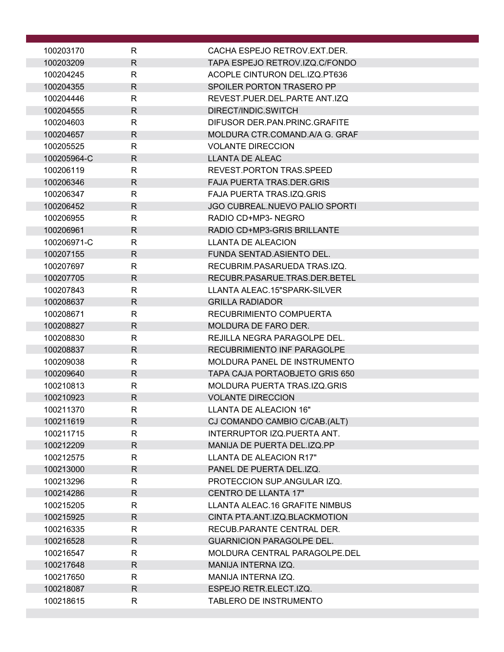| 100203170   | R            | CACHA ESPEJO RETROV.EXT.DER.          |
|-------------|--------------|---------------------------------------|
| 100203209   | $\mathsf{R}$ | TAPA ESPEJO RETROV.IZQ.C/FONDO        |
| 100204245   | R            | ACOPLE CINTURON DEL.IZQ.PT636         |
| 100204355   | $\mathsf{R}$ | SPOILER PORTON TRASERO PP             |
| 100204446   | $\mathsf{R}$ | REVEST.PUER.DEL.PARTE ANT.IZQ         |
| 100204555   | $\mathsf{R}$ | DIRECT/INDIC.SWITCH                   |
| 100204603   | $\mathsf{R}$ | DIFUSOR DER PAN PRINC GRAFITE         |
| 100204657   | $\mathsf{R}$ | MOLDURA CTR.COMAND.A/A G. GRAF        |
| 100205525   | R            | <b>VOLANTE DIRECCION</b>              |
| 100205964-C | $\mathsf{R}$ | <b>LLANTA DE ALEAC</b>                |
| 100206119   | $\mathsf{R}$ | <b>REVEST.PORTON TRAS.SPEED</b>       |
| 100206346   | $\mathsf{R}$ | <b>FAJA PUERTA TRAS.DER.GRIS</b>      |
| 100206347   | R            | FAJA PUERTA TRAS.IZQ.GRIS             |
| 100206452   | $\mathsf{R}$ | <b>JGO CUBREAL.NUEVO PALIO SPORTI</b> |
| 100206955   | R            | RADIO CD+MP3-NEGRO                    |
| 100206961   | $\mathsf{R}$ | RADIO CD+MP3-GRIS BRILLANTE           |
| 100206971-C | $\mathsf{R}$ | LLANTA DE ALEACION                    |
| 100207155   | $\mathsf{R}$ | FUNDA SENTAD. ASIENTO DEL.            |
| 100207697   | R            | RECUBRIM.PASARUEDA TRAS.IZQ.          |
| 100207705   | $\mathsf{R}$ | RECUBR.PASARUE.TRAS.DER.BETEL         |
| 100207843   | $\mathsf{R}$ | LLANTA ALEAC.15"SPARK-SILVER          |
| 100208637   | $\mathsf{R}$ | <b>GRILLA RADIADOR</b>                |
| 100208671   | $\mathsf{R}$ | RECUBRIMIENTO COMPUERTA               |
| 100208827   | $\mathsf{R}$ | <b>MOLDURA DE FARO DER.</b>           |
| 100208830   | R            | REJILLA NEGRA PARAGOLPE DEL.          |
| 100208837   | $\mathsf{R}$ | RECUBRIMIENTO INF PARAGOLPE           |
| 100209038   | R            | MOLDURA PANEL DE INSTRUMENTO          |
| 100209640   | $\mathsf{R}$ | TAPA CAJA PORTAOBJETO GRIS 650        |
| 100210813   | R            | MOLDURA PUERTA TRAS.IZQ.GRIS          |
| 100210923   | $\mathsf{R}$ | <b>VOLANTE DIRECCION</b>              |
| 100211370   | R            | LLANTA DE ALEACION 16"                |
| 100211619   | $\mathsf{R}$ | CJ COMANDO CAMBIO C/CAB.(ALT)         |
| 100211715   | R            | INTERRUPTOR IZQ.PUERTA ANT.           |
| 100212209   | R.           | MANIJA DE PUERTA DEL.IZQ.PP           |
| 100212575   | R            | LLANTA DE ALEACION R17"               |
| 100213000   | R.           | PANEL DE PUERTA DEL.IZQ.              |
| 100213296   | $\mathsf{R}$ | PROTECCION SUP.ANGULAR IZQ.           |
| 100214286   | $\mathsf{R}$ | CENTRO DE LLANTA 17"                  |
| 100215205   | $\mathsf{R}$ | LLANTA ALEAC.16 GRAFITE NIMBUS        |
| 100215925   | $\mathsf{R}$ | CINTA PTA.ANT.IZQ.BLACKMOTION         |
| 100216335   | R            | RECUB.PARANTE CENTRAL DER.            |
| 100216528   | R.           | <b>GUARNICION PARAGOLPE DEL.</b>      |
| 100216547   | R            | MOLDURA CENTRAL PARAGOLPE.DEL         |
| 100217648   | R.           | MANIJA INTERNA IZQ.                   |
| 100217650   | R            | MANIJA INTERNA IZQ.                   |
| 100218087   | R.           | ESPEJO RETR.ELECT.IZQ.                |
| 100218615   | R            | TABLERO DE INSTRUMENTO                |
|             |              |                                       |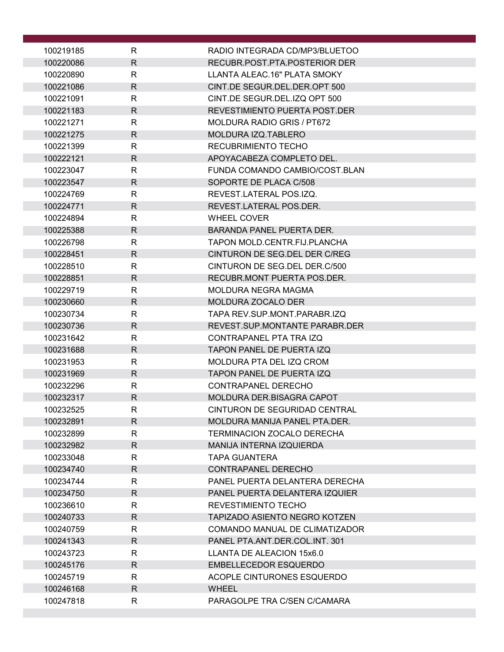| 100219185              | R                 | RADIO INTEGRADA CD/MP3/BLUETOO                          |
|------------------------|-------------------|---------------------------------------------------------|
| 100220086              | $\mathsf{R}$      | RECUBR POST PTA POSTERIOR DER                           |
| 100220890              | R                 | LLANTA ALEAC.16" PLATA SMOKY                            |
| 100221086              | R.                | CINT.DE SEGUR.DEL.DER.OPT 500                           |
| 100221091              | R                 | CINT.DE SEGUR.DEL.IZQ OPT 500                           |
| 100221183              | $\mathsf{R}$      | REVESTIMIENTO PUERTA POST.DER                           |
| 100221271              | R                 | <b>MOLDURA RADIO GRIS / PT672</b>                       |
| 100221275              | $\mathsf{R}$      | <b>MOLDURA IZQ.TABLERO</b>                              |
| 100221399              | R                 | <b>RECUBRIMIENTO TECHO</b>                              |
| 100222121              | R                 | APOYACABEZA COMPLETO DEL.                               |
| 100223047              | R                 | FUNDA COMANDO CAMBIO/COST.BLAN                          |
| 100223547              | $\mathsf{R}$      | SOPORTE DE PLACA C/508                                  |
| 100224769              | R                 | REVEST.LATERAL POS.IZQ.                                 |
| 100224771              | $\mathsf{R}$      | REVEST.LATERAL POS.DER.                                 |
| 100224894              | $\mathsf{R}$      | <b>WHEEL COVER</b>                                      |
| 100225388              | R.                | <b>BARANDA PANEL PUERTA DER.</b>                        |
| 100226798              | R                 | TAPON MOLD.CENTR.FIJ.PLANCHA                            |
| 100228451              | $\mathsf{R}$      | CINTURON DE SEG.DEL DER C/REG                           |
| 100228510              | R.                | CINTURON DE SEG.DEL DER.C/500                           |
| 100228851              | $\mathsf{R}$      | RECUBR.MONT PUERTA POS.DER.                             |
| 100229719              | $\mathsf{R}$      | MOLDURA NEGRA MAGMA                                     |
| 100230660              | R                 | MOLDURA ZOCALO DER                                      |
| 100230734              | R                 | TAPA REV.SUP.MONT.PARABR.IZQ                            |
| 100230736              | $\mathsf{R}$      | REVEST.SUP.MONTANTE PARABR.DER                          |
| 100231642              | R                 | CONTRAPANEL PTA TRA IZQ                                 |
| 100231688              | $\mathsf{R}$      | <b>TAPON PANEL DE PUERTA IZQ</b>                        |
| 100231953              | R                 | MOLDURA PTA DEL IZQ CROM                                |
| 100231969              | $\mathsf{R}$      | <b>TAPON PANEL DE PUERTA IZQ</b>                        |
| 100232296              | R                 | CONTRAPANEL DERECHO<br><b>MOLDURA DER.BISAGRA CAPOT</b> |
| 100232317<br>100232525 | $\mathsf{R}$<br>R | CINTURON DE SEGURIDAD CENTRAL                           |
| 100232891              | $\mathsf{R}$      | MOLDURA MANIJA PANEL PTA.DER.                           |
| 100232899              | R                 | TERMINACION ZOCALO DERECHA                              |
| 100232982              | R.                | <b>MANIJA INTERNA IZQUIERDA</b>                         |
| 100233048              | R                 | <b>TAPA GUANTERA</b>                                    |
| 100234740              | $\mathsf{R}$      | CONTRAPANEL DERECHO                                     |
| 100234744              | $\mathsf{R}$      | PANEL PUERTA DELANTERA DERECHA                          |
| 100234750              | R.                | PANEL PUERTA DELANTERA IZQUIER                          |
| 100236610              | R                 | REVESTIMIENTO TECHO                                     |
| 100240733              | R.                | <b>TAPIZADO ASIENTO NEGRO KOTZEN</b>                    |
| 100240759              | R                 | COMANDO MANUAL DE CLIMATIZADOR                          |
| 100241343              | $\mathsf{R}$      | PANEL PTA.ANT.DER.COL.INT. 301                          |
| 100243723              | R                 | LLANTA DE ALEACION 15x6.0                               |
| 100245176              | $\mathsf{R}$      | <b>EMBELLECEDOR ESQUERDO</b>                            |
| 100245719              | R.                | ACOPLE CINTURONES ESQUERDO                              |
| 100246168              | $\mathsf{R}$      | <b>WHEEL</b>                                            |
| 100247818              | R                 | PARAGOLPE TRA C/SEN C/CAMARA                            |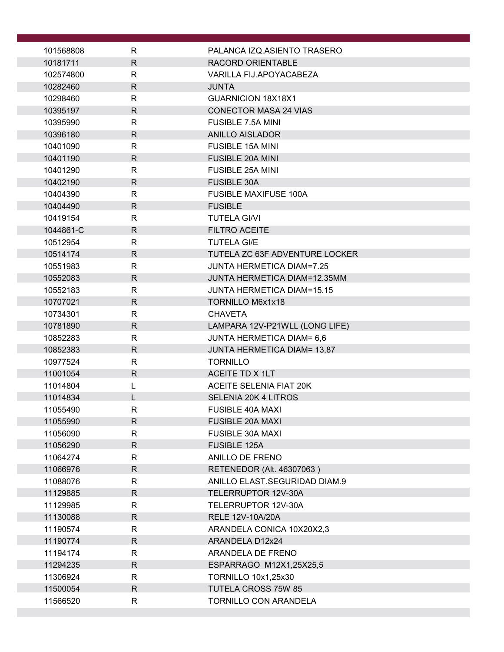| 101568808            | $\mathsf{R}$                 | PALANCA IZQ.ASIENTO TRASERO                          |
|----------------------|------------------------------|------------------------------------------------------|
| 10181711             | $\mathsf{R}$                 | RACORD ORIENTABLE                                    |
| 102574800            | $\mathsf{R}$                 | VARILLA FIJ.APOYACABEZA                              |
| 10282460             | $\mathsf{R}$                 | <b>JUNTA</b>                                         |
| 10298460             | $\mathsf{R}$                 | <b>GUARNICION 18X18X1</b>                            |
| 10395197             | $\mathsf{R}$                 | <b>CONECTOR MASA 24 VIAS</b>                         |
| 10395990             | $\mathsf{R}$                 | FUSIBLE 7.5A MINI                                    |
| 10396180             | $\mathsf{R}$                 | <b>ANILLO AISLADOR</b>                               |
| 10401090             | $\mathsf{R}$                 | <b>FUSIBLE 15A MINI</b>                              |
| 10401190             | $\mathsf{R}$                 | <b>FUSIBLE 20A MINI</b>                              |
| 10401290             | $\mathsf{R}$                 | FUSIBLE 25A MINI                                     |
| 10402190             | $\mathsf{R}$                 | <b>FUSIBLE 30A</b>                                   |
| 10404390             | R                            | <b>FUSIBLE MAXIFUSE 100A</b>                         |
| 10404490             | $\mathsf{R}$                 | <b>FUSIBLE</b>                                       |
| 10419154             | $\mathsf{R}$                 | <b>TUTELA GI/VI</b>                                  |
| 1044861-C            | $\mathsf{R}$                 | FILTRO ACEITE                                        |
| 10512954             | $\mathsf{R}$<br>$\mathsf{R}$ | <b>TUTELA GI/E</b><br>TUTELA ZC 63F ADVENTURE LOCKER |
| 10514174<br>10551983 | $\mathsf{R}$                 | <b>JUNTA HERMETICA DIAM=7.25</b>                     |
| 10552083             | $\mathsf{R}$                 | <b>JUNTA HERMETICA DIAM=12.35MM</b>                  |
| 10552183             | $\mathsf{R}$                 | <b>JUNTA HERMETICA DIAM=15.15</b>                    |
| 10707021             | $\mathsf{R}$                 | TORNILLO M6x1x18                                     |
| 10734301             | R                            | <b>CHAVETA</b>                                       |
| 10781890             | $\mathsf{R}$                 | LAMPARA 12V-P21WLL (LONG LIFE)                       |
| 10852283             | R                            | <b>JUNTA HERMETICA DIAM= 6,6</b>                     |
| 10852383             | $\mathsf{R}$                 | <b>JUNTA HERMETICA DIAM= 13,87</b>                   |
| 10977524             | $\mathsf{R}$                 | <b>TORNILLO</b>                                      |
| 11001054             | $\mathsf{R}$                 | ACEITE TD X 1LT                                      |
| 11014804             | L                            | <b>ACEITE SELENIA FIAT 20K</b>                       |
| 11014834             |                              | SELENIA 20K 4 LITROS                                 |
| 11055490             | R                            | FUSIBLE 40A MAXI                                     |
| 11055990             | R                            | <b>FUSIBLE 20A MAXI</b>                              |
| 11056090             | $\mathsf{R}$                 | <b>FUSIBLE 30A MAXI</b>                              |
| 11056290             | $\mathsf{R}$                 | FUSIBLE 125A                                         |
| 11064274             | $\mathsf{R}$                 | <b>ANILLO DE FRENO</b>                               |
| 11066976             | $\mathsf{R}$                 | RETENEDOR (Alt. 46307063)                            |
| 11088076             | R                            | ANILLO ELAST.SEGURIDAD DIAM.9                        |
| 11129885             | $\mathsf{R}$                 | TELERRUPTOR 12V-30A                                  |
| 11129985             | R<br>$\mathsf{R}$            | TELERRUPTOR 12V-30A                                  |
| 11130088<br>11190574 | R                            | RELE 12V-10A/20A<br>ARANDELA CONICA 10X20X2,3        |
| 11190774             | $\mathsf{R}$                 | ARANDELA D12x24                                      |
| 11194174             | R                            | ARANDELA DE FRENO                                    |
| 11294235             | R.                           | ESPARRAGO M12X1,25X25,5                              |
| 11306924             | R                            | <b>TORNILLO 10x1,25x30</b>                           |
| 11500054             | $\mathsf{R}$                 | TUTELA CROSS 75W 85                                  |
| 11566520             | R                            | TORNILLO CON ARANDELA                                |
|                      |                              |                                                      |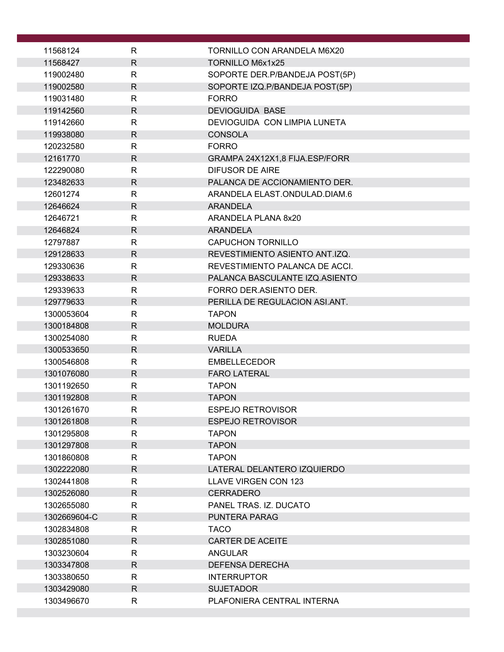| 11568124                | R                            | <b>TORNILLO CON ARANDELA M6X20</b>             |
|-------------------------|------------------------------|------------------------------------------------|
| 11568427                | $\mathsf{R}$                 | TORNILLO M6x1x25                               |
| 119002480               | $\mathsf{R}$                 | SOPORTE DER.P/BANDEJA POST(5P)                 |
| 119002580               | $\mathsf{R}$                 | SOPORTE IZQ.P/BANDEJA POST(5P)                 |
| 119031480               | $\mathsf{R}$                 | <b>FORRO</b>                                   |
| 119142560               | $\mathsf{R}$                 | <b>DEVIOGUIDA BASE</b>                         |
| 119142660               | $\mathsf{R}$                 | DEVIOGUIDA CON LIMPIA LUNETA                   |
| 119938080               | R                            | <b>CONSOLA</b>                                 |
| 120232580               | $\mathsf{R}$                 | <b>FORRO</b>                                   |
| 12161770                | $\mathsf{R}$                 | GRAMPA 24X12X1,8 FIJA.ESP/FORR                 |
| 122290080               | $\mathsf{R}$                 | <b>DIFUSOR DE AIRE</b>                         |
| 123482633               | R                            | PALANCA DE ACCIONAMIENTO DER.                  |
| 12601274                | R                            | ARANDELA ELAST.ONDULAD.DIAM.6                  |
| 12646624                | $\mathsf{R}$                 | <b>ARANDELA</b>                                |
| 12646721                | $\mathsf{R}$                 | ARANDELA PLANA 8x20                            |
| 12646824                | $\mathsf{R}$                 | <b>ARANDELA</b>                                |
| 12797887                | $\mathsf{R}$                 | <b>CAPUCHON TORNILLO</b>                       |
| 129128633               | R                            | REVESTIMIENTO ASIENTO ANT.IZQ.                 |
| 129330636               | $\mathsf{R}$                 | REVESTIMIENTO PALANCA DE ACCI.                 |
| 129338633               | $\mathsf{R}$<br>$\mathsf{R}$ | PALANCA BASCULANTE IZQ.ASIENTO                 |
| 129339633               | R                            | FORRO DER.ASIENTO DER.                         |
| 129779633<br>1300053604 | $\mathsf{R}$                 | PERILLA DE REGULACION ASI.ANT.<br><b>TAPON</b> |
| 1300184808              | R                            | <b>MOLDURA</b>                                 |
| 1300254080              | R                            | <b>RUEDA</b>                                   |
| 1300533650              | $\mathsf{R}$                 | <b>VARILLA</b>                                 |
| 1300546808              | R                            | <b>EMBELLECEDOR</b>                            |
| 1301076080              | R                            | <b>FARO LATERAL</b>                            |
| 1301192650              | R                            | <b>TAPON</b>                                   |
| 1301192808              | $\mathsf{R}$                 | <b>TAPON</b>                                   |
| 1301261670              | R                            | <b>ESPEJO RETROVISOR</b>                       |
| 1301261808              | R                            | <b>ESPEJO RETROVISOR</b>                       |
| 1301295808              | R                            | <b>TAPON</b>                                   |
| 1301297808              | R.                           | <b>TAPON</b>                                   |
| 1301860808              | R                            | <b>TAPON</b>                                   |
| 1302222080              | R                            | LATERAL DELANTERO IZQUIERDO                    |
| 1302441808              | R                            | LLAVE VIRGEN CON 123                           |
| 1302526080              | $\mathsf{R}$                 | <b>CERRADERO</b>                               |
| 1302655080              | R                            | PANEL TRAS. IZ. DUCATO                         |
| 1302669604-C            | $\mathsf{R}$                 | <b>PUNTERA PARAG</b>                           |
| 1302834808              | R                            | <b>TACO</b>                                    |
| 1302851080              | $\mathsf{R}$                 | CARTER DE ACEITE                               |
| 1303230604              | R                            | <b>ANGULAR</b>                                 |
| 1303347808              | $\mathsf{R}$                 | <b>DEFENSA DERECHA</b>                         |
| 1303380650              | R                            | <b>INTERRUPTOR</b>                             |
| 1303429080              | $\mathsf{R}$                 | <b>SUJETADOR</b>                               |
| 1303496670              | R.                           | PLAFONIERA CENTRAL INTERNA                     |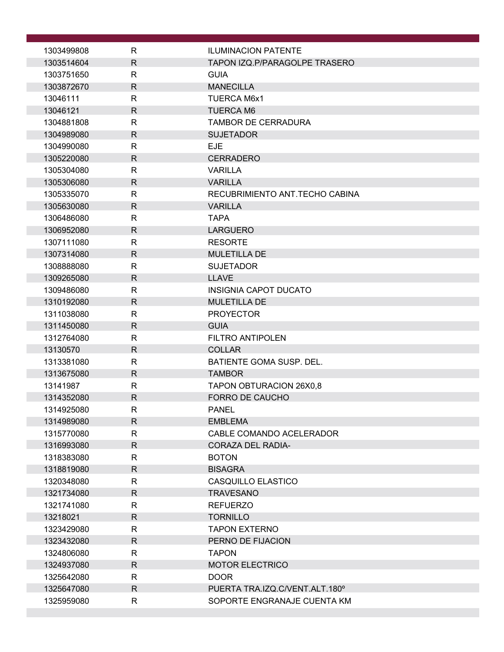| 1303499808               | R                 | <b>ILUMINACION PATENTE</b>              |
|--------------------------|-------------------|-----------------------------------------|
| 1303514604               | $\mathsf{R}$      | TAPON IZQ.P/PARAGOLPE TRASERO           |
| 1303751650               | $\mathsf{R}$      | <b>GUIA</b>                             |
| 1303872670               | $\mathsf{R}$      | <b>MANECILLA</b>                        |
| 13046111                 | $\mathsf{R}$      | <b>TUERCA M6x1</b>                      |
| 13046121                 | $\mathsf{R}$      | <b>TUERCA M6</b>                        |
| 1304881808               | $\mathsf{R}$      | <b>TAMBOR DE CERRADURA</b>              |
| 1304989080               | R                 | <b>SUJETADOR</b>                        |
| 1304990080               | $\mathsf{R}$      | <b>EJE</b>                              |
| 1305220080               | $\mathsf{R}$      | <b>CERRADERO</b>                        |
| 1305304080               | $\mathsf{R}$      | <b>VARILLA</b>                          |
| 1305306080               | $\mathsf{R}$      | <b>VARILLA</b>                          |
| 1305335070               | R                 | RECUBRIMIENTO ANT. TECHO CABINA         |
| 1305630080               | $\mathsf{R}$      | <b>VARILLA</b>                          |
| 1306486080               | R                 | <b>TAPA</b>                             |
| 1306952080               | $\mathsf{R}$      | <b>LARGUERO</b>                         |
| 1307111080               | R                 | <b>RESORTE</b>                          |
| 1307314080               | $\mathsf{R}$      | <b>MULETILLA DE</b>                     |
| 1308888080               | $\mathsf{R}$      | <b>SUJETADOR</b>                        |
| 1309265080               | $\mathsf{R}$      | <b>LLAVE</b>                            |
| 1309486080               | R                 | <b>INSIGNIA CAPOT DUCATO</b>            |
| 1310192080               | $\mathsf{R}$      | <b>MULETILLA DE</b><br><b>PROYECTOR</b> |
| 1311038080<br>1311450080 | R<br>$\mathsf{R}$ | <b>GUIA</b>                             |
| 1312764080               | $\mathsf{R}$      | FILTRO ANTIPOLEN                        |
| 13130570                 | $\mathsf{R}$      | <b>COLLAR</b>                           |
| 1313381080               | R                 | BATIENTE GOMA SUSP. DEL.                |
| 1313675080               | $\mathsf{R}$      | <b>TAMBOR</b>                           |
| 13141987                 | $\mathsf{R}$      | <b>TAPON OBTURACION 26X0,8</b>          |
| 1314352080               | $\mathsf{R}$      | <b>FORRO DE CAUCHO</b>                  |
| 1314925080               | R                 | <b>PANEL</b>                            |
| 1314989080               | $\mathsf{R}$      | <b>EMBLEMA</b>                          |
| 1315770080               | $\mathsf{R}$      | CABLE COMANDO ACELERADOR                |
| 1316993080               | $\mathsf{R}$      | <b>CORAZA DEL RADIA-</b>                |
| 1318383080               | R                 | <b>BOTON</b>                            |
| 1318819080               | $\mathsf{R}$      | <b>BISAGRA</b>                          |
| 1320348080               | $\mathsf{R}$      | CASQUILLO ELASTICO                      |
| 1321734080               | $\mathsf{R}$      | <b>TRAVESANO</b>                        |
| 1321741080               | R                 | <b>REFUERZO</b>                         |
| 13218021                 | $\mathsf{R}$      | <b>TORNILLO</b>                         |
| 1323429080               | $\mathsf{R}$      | <b>TAPON EXTERNO</b>                    |
| 1323432080               | $\mathsf{R}$      | PERNO DE FIJACION                       |
| 1324806080               | R                 | <b>TAPON</b>                            |
| 1324937080               | $\mathsf{R}$      | <b>MOTOR ELECTRICO</b>                  |
| 1325642080               | $\mathsf{R}$      | <b>DOOR</b>                             |
| 1325647080               | $\mathsf{R}$      | PUERTA TRA.IZQ.C/VENT.ALT.180°          |
| 1325959080               | R                 | SOPORTE ENGRANAJE CUENTA KM             |
|                          |                   |                                         |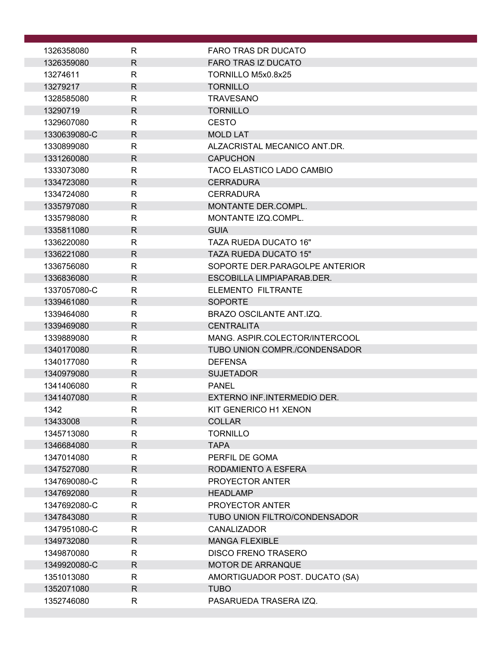| 1326358080   | R            | <b>FARO TRAS DR DUCATO</b>       |
|--------------|--------------|----------------------------------|
| 1326359080   | $\mathsf{R}$ | <b>FARO TRAS IZ DUCATO</b>       |
| 13274611     | R            | TORNILLO M5x0.8x25               |
| 13279217     | $\mathsf{R}$ | <b>TORNILLO</b>                  |
| 1328585080   | $\mathsf{R}$ | <b>TRAVESANO</b>                 |
| 13290719     | $\mathsf{R}$ | <b>TORNILLO</b>                  |
| 1329607080   | R            | <b>CESTO</b>                     |
| 1330639080-C | R            | <b>MOLD LAT</b>                  |
| 1330899080   | $\mathsf{R}$ | ALZACRISTAL MECANICO ANT.DR.     |
| 1331260080   | $\mathsf{R}$ | <b>CAPUCHON</b>                  |
| 1333073080   | $\mathsf{R}$ | <b>TACO ELASTICO LADO CAMBIO</b> |
| 1334723080   | R            | <b>CERRADURA</b>                 |
| 1334724080   | R            | <b>CERRADURA</b>                 |
| 1335797080   | $\mathsf{R}$ | MONTANTE DER.COMPL.              |
| 1335798080   | R            | MONTANTE IZQ.COMPL.              |
| 1335811080   | $\mathsf{R}$ | <b>GUIA</b>                      |
| 1336220080   | $\mathsf{R}$ | <b>TAZA RUEDA DUCATO 16"</b>     |
| 1336221080   | $\mathsf{R}$ | <b>TAZA RUEDA DUCATO 15"</b>     |
| 1336756080   | R            | SOPORTE DER PARAGOLPE ANTERIOR   |
| 1336836080   | $\mathsf{R}$ | ESCOBILLA LIMPIAPARAB.DER.       |
| 1337057080-C | $\mathsf{R}$ | ELEMENTO FILTRANTE               |
| 1339461080   | $\mathsf{R}$ | <b>SOPORTE</b>                   |
| 1339464080   | $\mathsf{R}$ | BRAZO OSCILANTE ANT.IZQ.         |
| 1339469080   | $\mathsf{R}$ | <b>CENTRALITA</b>                |
| 1339889080   | $\mathsf{R}$ | MANG. ASPIR.COLECTOR/INTERCOOL   |
| 1340170080   | $\mathsf{R}$ | TUBO UNION COMPR./CONDENSADOR    |
| 1340177080   | R            | <b>DEFENSA</b>                   |
| 1340979080   | $\mathsf{R}$ | <b>SUJETADOR</b>                 |
| 1341406080   | $\mathsf{R}$ | <b>PANEL</b>                     |
| 1341407080   | $\mathsf{R}$ | EXTERNO INF.INTERMEDIO DER.      |
| 1342         | ${\sf R}$    | KIT GENERICO H1 XENON            |
| 13433008     | $\mathsf{R}$ | <b>COLLAR</b>                    |
| 1345713080   | $\mathsf{R}$ | <b>TORNILLO</b>                  |
| 1346684080   | $\mathsf{R}$ | <b>TAPA</b>                      |
| 1347014080   | $\mathsf{R}$ | PERFIL DE GOMA                   |
| 1347527080   | $\mathsf{R}$ | RODAMIENTO A ESFERA              |
| 1347690080-C | R            | PROYECTOR ANTER                  |
| 1347692080   | $\mathsf{R}$ | <b>HEADLAMP</b>                  |
| 1347692080-C | R            | PROYECTOR ANTER                  |
| 1347843080   | R            | TUBO UNION FILTRO/CONDENSADOR    |
| 1347951080-C | R            | <b>CANALIZADOR</b>               |
| 1349732080   | $\mathsf{R}$ | <b>MANGA FLEXIBLE</b>            |
| 1349870080   | R            | <b>DISCO FRENO TRASERO</b>       |
| 1349920080-C | R            | <b>MOTOR DE ARRANQUE</b>         |
| 1351013080   | $\mathsf{R}$ | AMORTIGUADOR POST. DUCATO (SA)   |
| 1352071080   | $\mathsf{R}$ | <b>TUBO</b>                      |
| 1352746080   | R            | PASARUEDA TRASERA IZQ.           |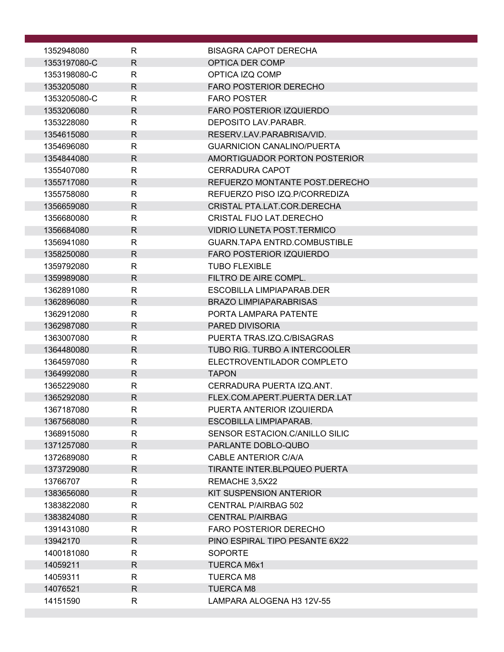| 1352948080   | R            | <b>BISAGRA CAPOT DERECHA</b>        |
|--------------|--------------|-------------------------------------|
| 1353197080-C | $\mathsf{R}$ | OPTICA DER COMP                     |
| 1353198080-C | R            | OPTICA IZQ COMP                     |
| 1353205080   | $\mathsf{R}$ | <b>FARO POSTERIOR DERECHO</b>       |
| 1353205080-C | R            | <b>FARO POSTER</b>                  |
| 1353206080   | $\mathsf{R}$ | <b>FARO POSTERIOR IZQUIERDO</b>     |
| 1353228080   | R.           | DEPOSITO LAV.PARABR.                |
| 1354615080   | $\mathsf{R}$ | RESERV LAV PARABRISA/VID.           |
| 1354696080   | R.           | <b>GUARNICION CANALINO/PUERTA</b>   |
| 1354844080   | R            | AMORTIGUADOR PORTON POSTERIOR       |
| 1355407080   | R            | CERRADURA CAPOT                     |
| 1355717080   | R.           | REFUERZO MONTANTE POST.DERECHO      |
| 1355758080   | R            | REFUERZO PISO IZQ.P/CORREDIZA       |
| 1356659080   | $\mathsf{R}$ | CRISTAL PTA.LAT.COR.DERECHA         |
| 1356680080   | $\mathsf{R}$ | CRISTAL FIJO LAT.DERECHO            |
| 1356684080   | $\mathsf{R}$ | <b>VIDRIO LUNETA POST.TERMICO</b>   |
| 1356941080   | R            | <b>GUARN.TAPA ENTRD.COMBUSTIBLE</b> |
| 1358250080   | $\mathsf{R}$ | <b>FARO POSTERIOR IZQUIERDO</b>     |
| 1359792080   | $\mathsf{R}$ | <b>TUBO FLEXIBLE</b>                |
| 1359989080   | $\mathsf{R}$ | FILTRO DE AIRE COMPL.               |
| 1362891080   | $\mathsf{R}$ | ESCOBILLA LIMPIAPARAB.DER           |
| 1362896080   | $\mathsf{R}$ | <b>BRAZO LIMPIAPARABRISAS</b>       |
| 1362912080   | R            | PORTA LAMPARA PATENTE               |
| 1362987080   | $\mathsf{R}$ | PARED DIVISORIA                     |
| 1363007080   | R            | PUERTA TRAS.IZQ.C/BISAGRAS          |
| 1364480080   | $\mathsf{R}$ | TUBO RIG. TURBO A INTERCOOLER       |
| 1364597080   | R            | ELECTROVENTILADOR COMPLETO          |
| 1364992080   | $\mathsf{R}$ | <b>TAPON</b>                        |
| 1365229080   | R            | CERRADURA PUERTA IZQ.ANT.           |
| 1365292080   | $\mathsf{R}$ | FLEX.COM.APERT.PUERTA DER.LAT       |
| 1367187080   | R            | PUERTA ANTERIOR IZQUIERDA           |
| 1367568080   | R.           | ESCOBILLA LIMPIAPARAB.              |
| 1368915080   | $\mathsf{R}$ | SENSOR ESTACION.C/ANILLO SILIC      |
| 1371257080   | $\mathsf{R}$ | PARLANTE DOBLO-QUBO                 |
| 1372689080   | R            | CABLE ANTERIOR C/A/A                |
| 1373729080   | R            | TIRANTE INTER.BLPQUEO PUERTA        |
| 13766707     | $\mathsf{R}$ | REMACHE 3,5X22                      |
| 1383656080   | $\mathsf{R}$ | KIT SUSPENSION ANTERIOR             |
| 1383822080   | R            | <b>CENTRAL P/AIRBAG 502</b>         |
| 1383824080   | $\mathsf{R}$ | <b>CENTRAL P/AIRBAG</b>             |
| 1391431080   | R            | <b>FARO POSTERIOR DERECHO</b>       |
| 13942170     | $\mathsf{R}$ | PINO ESPIRAL TIPO PESANTE 6X22      |
| 1400181080   | $\mathsf{R}$ | <b>SOPORTE</b>                      |
| 14059211     | R            | <b>TUERCA M6x1</b>                  |
| 14059311     | R            | <b>TUERCA M8</b>                    |
| 14076521     | $\mathsf{R}$ | <b>TUERCA M8</b>                    |
| 14151590     | R            | LAMPARA ALOGENA H3 12V-55           |
|              |              |                                     |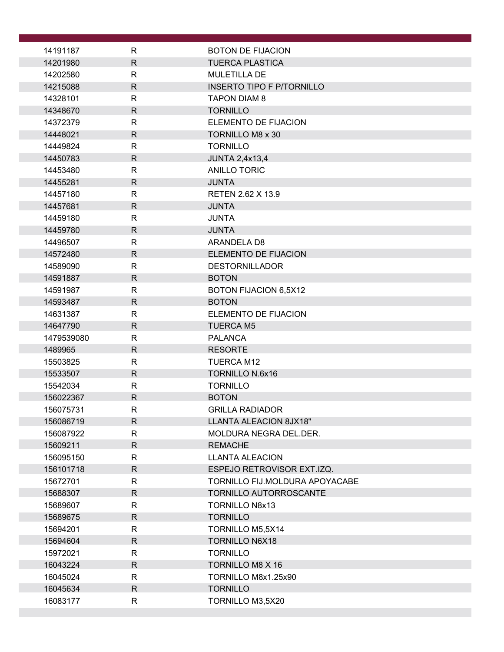| 14191187   | R            | <b>BOTON DE FIJACION</b>         |
|------------|--------------|----------------------------------|
| 14201980   | $\mathsf{R}$ | <b>TUERCA PLASTICA</b>           |
| 14202580   | R            | <b>MULETILLA DE</b>              |
| 14215088   | $\mathsf{R}$ | <b>INSERTO TIPO F P/TORNILLO</b> |
| 14328101   | $\mathsf{R}$ | <b>TAPON DIAM 8</b>              |
| 14348670   | $\mathsf{R}$ | <b>TORNILLO</b>                  |
| 14372379   | $\mathsf{R}$ | ELEMENTO DE FIJACION             |
| 14448021   | $\mathsf{R}$ | <b>TORNILLO M8 x 30</b>          |
| 14449824   | $\mathsf{R}$ | <b>TORNILLO</b>                  |
| 14450783   | $\mathsf{R}$ | <b>JUNTA 2,4x13,4</b>            |
| 14453480   | $\mathsf{R}$ | <b>ANILLO TORIC</b>              |
| 14455281   | $\mathsf{R}$ | <b>JUNTA</b>                     |
| 14457180   | R            | RETEN 2.62 X 13.9                |
| 14457681   | $\mathsf{R}$ | <b>JUNTA</b>                     |
| 14459180   | R            | <b>JUNTA</b>                     |
| 14459780   | $\mathsf{R}$ | <b>JUNTA</b>                     |
| 14496507   | R            | ARANDELA D8                      |
| 14572480   | $\mathsf{R}$ | <b>ELEMENTO DE FIJACION</b>      |
| 14589090   | $\mathsf{R}$ | <b>DESTORNILLADOR</b>            |
| 14591887   | $\mathsf{R}$ | <b>BOTON</b>                     |
| 14591987   | $\mathsf{R}$ | BOTON FIJACION 6,5X12            |
| 14593487   | $\mathsf{R}$ | <b>BOTON</b>                     |
| 14631387   | $\mathsf{R}$ | ELEMENTO DE FIJACION             |
| 14647790   | $\mathsf{R}$ | <b>TUERCA M5</b>                 |
| 1479539080 | $\mathsf{R}$ | <b>PALANCA</b>                   |
| 1489965    | $\mathsf{R}$ | <b>RESORTE</b>                   |
| 15503825   | R            | <b>TUERCA M12</b>                |
| 15533507   | $\mathsf{R}$ | <b>TORNILLO N.6x16</b>           |
| 15542034   | $\mathsf{R}$ | <b>TORNILLO</b>                  |
| 156022367  | $\mathsf{R}$ | <b>BOTON</b>                     |
| 156075731  | R            | <b>GRILLA RADIADOR</b>           |
| 156086719  | $\mathsf{R}$ | LLANTA ALEACION 8JX18"           |
| 156087922  | R            | MOLDURA NEGRA DEL.DER.           |
| 15609211   | $\mathsf{R}$ | <b>REMACHE</b>                   |
| 156095150  | R            | <b>LLANTA ALEACION</b>           |
| 156101718  | $\mathsf{R}$ | ESPEJO RETROVISOR EXT.IZQ.       |
| 15672701   | $\mathsf{R}$ | TORNILLO FIJ.MOLDURA APOYACABE   |
| 15688307   | $\mathsf{R}$ | TORNILLO AUTORROSCANTE           |
| 15689607   | R            | <b>TORNILLO N8x13</b>            |
| 15689675   | $\mathsf{R}$ | <b>TORNILLO</b>                  |
| 15694201   | R            | TORNILLO M5,5X14                 |
| 15694604   | $\mathsf{R}$ | <b>TORNILLO N6X18</b>            |
| 15972021   | R            | <b>TORNILLO</b>                  |
| 16043224   | $\mathsf{R}$ | TORNILLO M8 X 16                 |
| 16045024   | $\mathsf{R}$ | TORNILLO M8x1.25x90              |
| 16045634   | $\mathsf{R}$ | <b>TORNILLO</b>                  |
| 16083177   | R            | TORNILLO M3,5X20                 |
|            |              |                                  |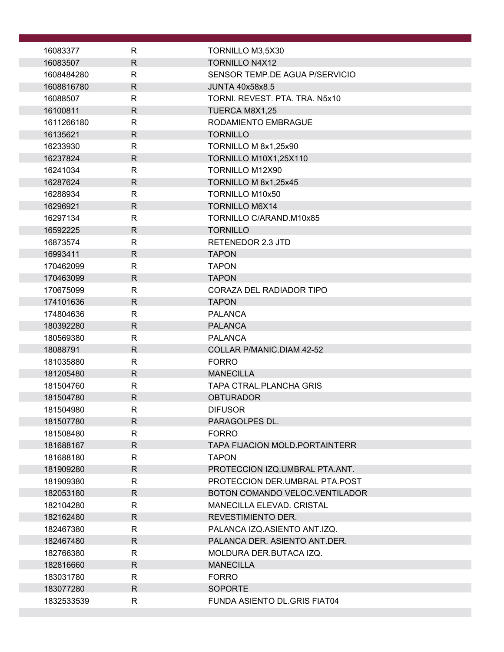| 16083377               | R                 | TORNILLO M3,5X30                |
|------------------------|-------------------|---------------------------------|
| 16083507               | $\mathsf{R}$      | <b>TORNILLO N4X12</b>           |
| 1608484280             | R                 | SENSOR TEMP.DE AGUA P/SERVICIO  |
| 1608816780             | $\mathsf{R}$      | <b>JUNTA 40x58x8.5</b>          |
| 16088507               | $\mathsf{R}$      | TORNI. REVEST. PTA. TRA. N5x10  |
| 16100811               | $\mathsf{R}$      | TUERCA M8X1,25                  |
| 1611266180             | $\mathsf{R}$      | RODAMIENTO EMBRAGUE             |
| 16135621               | $\mathsf{R}$      | <b>TORNILLO</b>                 |
| 16233930               | $\mathsf{R}$      | TORNILLO M 8x1,25x90            |
| 16237824               | $\mathsf{R}$      | <b>TORNILLO M10X1,25X110</b>    |
| 16241034               | $\mathsf{R}$      | TORNILLO M12X90                 |
| 16287624               | R                 | TORNILLO M 8x1,25x45            |
| 16288934               | $\mathsf{R}$      | <b>TORNILLO M10x50</b>          |
| 16296921               | $\mathsf{R}$      | <b>TORNILLO M6X14</b>           |
| 16297134               | R                 | TORNILLO C/ARAND.M10x85         |
| 16592225               | R                 | <b>TORNILLO</b>                 |
| 16873574               | $\mathsf{R}$      | <b>RETENEDOR 2.3 JTD</b>        |
| 16993411               | $\mathsf{R}$      | <b>TAPON</b>                    |
| 170462099              | $\mathsf{R}$      | <b>TAPON</b>                    |
| 170463099              | $\mathsf{R}$      | <b>TAPON</b>                    |
| 170675099              | $\mathsf{R}$      | CORAZA DEL RADIADOR TIPO        |
| 174101636              | R                 | <b>TAPON</b>                    |
| 174804636              | $\mathsf{R}$      | <b>PALANCA</b>                  |
| 180392280              | $\mathsf{R}$      | <b>PALANCA</b>                  |
| 180569380              | $\mathsf{R}$      | <b>PALANCA</b>                  |
| 18088791               | R                 | COLLAR P/MANIC.DIAM.42-52       |
| 181035880              | R                 | <b>FORRO</b>                    |
| 181205480              | $\mathsf{R}$      | <b>MANECILLA</b>                |
| 181504760              | $\mathsf{R}$      | TAPA CTRAL.PLANCHA GRIS         |
| 181504780              | R                 | <b>OBTURADOR</b>                |
| 181504980              |                   | <b>DIFUSOR</b>                  |
| 181507780              | R,<br>R.          | PARAGOLPES DL.                  |
|                        | R                 | <b>FORRO</b>                    |
| 181508480<br>181688167 | R.                | TAPA FIJACION MOLD.PORTAINTERR  |
| 181688180              | R                 | <b>TAPON</b>                    |
| 181909280              | R.                |                                 |
|                        |                   | PROTECCION IZQ.UMBRAL PTA.ANT.  |
| 181909380              | R<br>$\mathsf{R}$ | PROTECCION DER.UMBRAL PTA.POST  |
| 182053180              |                   | BOTON COMANDO VELOC. VENTILADOR |
| 182104280              | R                 | MANECILLA ELEVAD. CRISTAL       |
| 182162480              | R.                | REVESTIMIENTO DER.              |
| 182467380              | R                 | PALANCA IZQ.ASIENTO ANT.IZQ.    |
| 182467480              | R.                | PALANCA DER. ASIENTO ANT.DER.   |
| 182766380              | R                 | MOLDURA DER. BUTACA IZQ.        |
| 182816660              | R.                | <b>MANECILLA</b>                |
| 183031780              | R                 | <b>FORRO</b>                    |
| 183077280              | R.                | <b>SOPORTE</b>                  |
| 1832533539             | R                 | FUNDA ASIENTO DL.GRIS FIAT04    |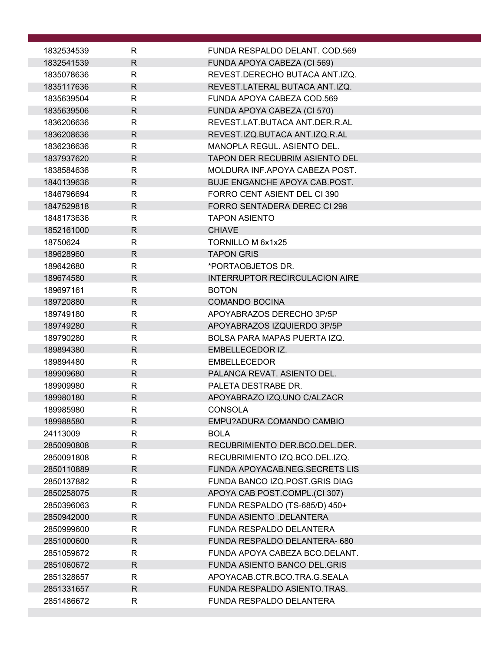| 1832534539             | R                            | FUNDA RESPALDO DELANT. COD.569                   |
|------------------------|------------------------------|--------------------------------------------------|
| 1832541539             | $\mathsf{R}$                 | FUNDA APOYA CABEZA (CI 569)                      |
| 1835078636             | R                            | REVEST. DERECHO BUTACA ANT. IZQ.                 |
| 1835117636             | $\mathsf{R}$                 | REVEST.LATERAL BUTACA ANT.IZQ.                   |
| 1835639504             | $\mathsf{R}$                 | FUNDA APOYA CABEZA COD.569                       |
| 1835639506             | $\mathsf{R}$                 | FUNDA APOYA CABEZA (CI 570)                      |
| 1836206636             | $\mathsf{R}$                 | REVEST.LAT.BUTACA ANT.DER.R.AL                   |
| 1836208636             | R.                           | REVEST.IZQ.BUTACA ANT.IZQ.R.AL                   |
| 1836236636             | $\mathsf{R}$                 | MANOPLA REGUL. ASIENTO DEL.                      |
| 1837937620             | $\mathsf{R}$                 | TAPON DER RECUBRIM ASIENTO DEL                   |
| 1838584636             | $\mathsf{R}$                 | MOLDURA INF.APOYA CABEZA POST.                   |
| 1840139636             | $\mathsf{R}$                 | BUJE ENGANCHE APOYA CAB.POST.                    |
| 1846796694             | $\mathsf{R}$                 | FORRO CENT ASIENT DEL CI 390                     |
| 1847529818             | $\mathsf{R}$                 | FORRO SENTADERA DEREC CI 298                     |
| 1848173636             | R                            | <b>TAPON ASIENTO</b>                             |
| 1852161000             | $\mathsf{R}$                 | <b>CHIAVE</b>                                    |
| 18750624               | $\mathsf{R}$                 | TORNILLO M 6x1x25                                |
| 189628960              | $\mathsf{R}$                 | <b>TAPON GRIS</b>                                |
| 189642680              | $\mathsf{R}$                 | *PORTAOBJETOS DR.                                |
| 189674580              | $\mathsf{R}$                 | <b>INTERRUPTOR RECIRCULACION AIRE</b>            |
| 189697161              | $\mathsf{R}$                 | <b>BOTON</b>                                     |
| 189720880              | $\mathsf{R}$                 | <b>COMANDO BOCINA</b>                            |
| 189749180              | $\mathsf{R}$                 | APOYABRAZOS DERECHO 3P/5P                        |
| 189749280              | $\mathsf{R}$                 | APOYABRAZOS IZQUIERDO 3P/5P                      |
| 189790280<br>189894380 | $\mathsf{R}$<br>$\mathsf{R}$ | BOLSA PARA MAPAS PUERTA IZQ.<br>EMBELLECEDOR IZ. |
| 189894480              | R                            | <b>EMBELLECEDOR</b>                              |
| 189909680              | $\mathsf{R}$                 | PALANCA REVAT. ASIENTO DEL.                      |
| 189909980              | $\mathsf{R}$                 | PALETA DESTRABE DR.                              |
| 189980180              | $\mathsf{R}$                 | APOYABRAZO IZQ.UNO C/ALZACR                      |
| 189985980              | ${\sf R}$                    | <b>CONSOLA</b>                                   |
| 189988580              | $\mathsf{R}$                 | EMPU?ADURA COMANDO CAMBIO                        |
| 24113009               | $\mathsf{R}$                 | <b>BOLA</b>                                      |
| 2850090808             | $\mathsf{R}$                 | RECUBRIMIENTO DER.BCO.DEL.DER.                   |
| 2850091808             | R                            | RECUBRIMIENTO IZQ.BCO.DEL.IZQ.                   |
| 2850110889             | $\mathsf{R}$                 | <b>FUNDA APOYACAB.NEG.SECRETS LIS</b>            |
| 2850137882             | $\mathsf{R}$                 | FUNDA BANCO IZQ.POST.GRIS DIAG                   |
| 2850258075             | $\mathsf{R}$                 | APOYA CAB POST.COMPL.(CI 307)                    |
| 2850396063             | R                            | FUNDA RESPALDO (TS-685/D) 450+                   |
| 2850942000             | $\mathsf{R}$                 | FUNDA ASIENTO .DELANTERA                         |
| 2850999600             | R                            | FUNDA RESPALDO DELANTERA                         |
| 2851000600             | $\mathsf{R}$                 | FUNDA RESPALDO DELANTERA-680                     |
| 2851059672             | $\mathsf{R}$                 | FUNDA APOYA CABEZA BCO.DELANT.                   |
| 2851060672             | $\mathsf{R}$                 | <b>FUNDA ASIENTO BANCO DEL.GRIS</b>              |
| 2851328657             | R                            | APOYACAB.CTR.BCO.TRA.G.SEALA                     |
| 2851331657             | $\mathsf{R}$                 | FUNDA RESPALDO ASIENTO.TRAS.                     |
| 2851486672             | $\mathsf{R}$                 | FUNDA RESPALDO DELANTERA                         |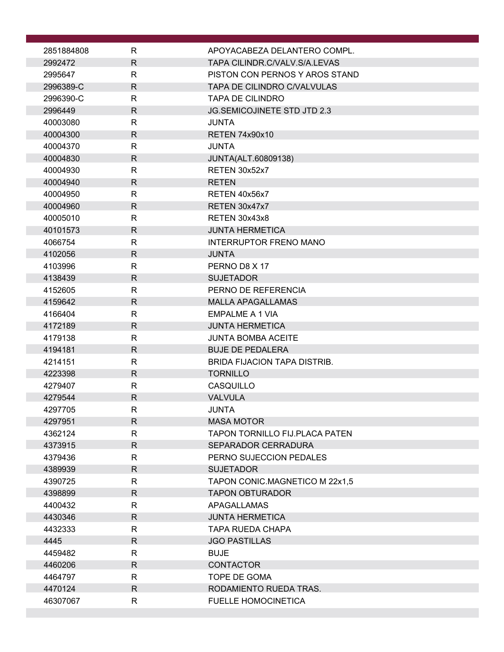| 2851884808         | R                            | APOYACABEZA DELANTERO COMPL.                |
|--------------------|------------------------------|---------------------------------------------|
| 2992472            | $\mathsf{R}$                 | TAPA CILINDR.C/VALV.S/A.LEVAS               |
| 2995647            | R                            | PISTON CON PERNOS Y AROS STAND              |
| 2996389-C          | $\mathsf{R}$                 | <b>TAPA DE CILINDRO C/VALVULAS</b>          |
| 2996390-C          | R                            | <b>TAPA DE CILINDRO</b>                     |
| 2996449            | $\mathsf{R}$                 | <b>JG.SEMICOJINETE STD JTD 2.3</b>          |
| 40003080           | $\mathsf{R}$                 | <b>JUNTA</b>                                |
| 40004300           | $\mathsf{R}$                 | <b>RETEN 74x90x10</b>                       |
| 40004370           | R                            | <b>JUNTA</b>                                |
| 40004830           | $\mathsf{R}$                 | JUNTA(ALT.60809138)                         |
| 40004930           | R                            | RETEN 30x52x7                               |
| 40004940           | $\mathsf{R}$                 | <b>RETEN</b>                                |
| 40004950           | $\mathsf{R}$                 | RETEN 40x56x7                               |
| 40004960           | $\mathsf{R}$                 | RETEN 30x47x7                               |
| 40005010           | R                            | RETEN 30x43x8                               |
| 40101573           | $\mathsf{R}$                 | <b>JUNTA HERMETICA</b>                      |
| 4066754            | R                            | <b>INTERRUPTOR FRENO MANO</b>               |
| 4102056            | $\mathsf{R}$                 | <b>JUNTA</b>                                |
| 4103996            | R                            | PERNO D8 X 17                               |
| 4138439            | $\mathsf{R}$                 | <b>SUJETADOR</b>                            |
| 4152605            | $\mathsf{R}$<br>$\mathsf{R}$ | PERNO DE REFERENCIA                         |
| 4159642<br>4166404 | R                            | <b>MALLA APAGALLAMAS</b><br>EMPALME A 1 VIA |
| 4172189            | $\mathsf{R}$                 | <b>JUNTA HERMETICA</b>                      |
| 4179138            | R                            | <b>JUNTA BOMBA ACEITE</b>                   |
| 4194181            | $\mathsf{R}$                 | <b>BUJE DE PEDALERA</b>                     |
| 4214151            | R                            | <b>BRIDA FIJACION TAPA DISTRIB.</b>         |
| 4223398            | $\mathsf{R}$                 | <b>TORNILLO</b>                             |
| 4279407            | R                            | CASQUILLO                                   |
| 4279544            | $\mathsf{R}$                 | <b>VALVULA</b>                              |
| 4297705            | ${\sf R}$                    | <b>JUNTA</b>                                |
| 4297951            | $\mathsf{R}$                 | <b>MASA MOTOR</b>                           |
| 4362124            | $\mathsf{R}$                 | TAPON TORNILLO FIJ.PLACA PATEN              |
| 4373915            | R                            | SEPARADOR CERRADURA                         |
| 4379436            | R                            | PERNO SUJECCION PEDALES                     |
| 4389939            | $\mathsf{R}$                 | <b>SUJETADOR</b>                            |
| 4390725            | $\mathsf{R}$                 | TAPON CONIC.MAGNETICO M 22x1,5              |
| 4398899            | $\mathsf{R}$                 | <b>TAPON OBTURADOR</b>                      |
| 4400432            | R                            | <b>APAGALLAMAS</b>                          |
| 4430346            | $\mathsf{R}$                 | <b>JUNTA HERMETICA</b>                      |
| 4432333            | R                            | <b>TAPA RUEDA CHAPA</b>                     |
| 4445               | $\mathsf{R}$                 | <b>JGO PASTILLAS</b>                        |
| 4459482            | $\mathsf{R}$                 | <b>BUJE</b>                                 |
| 4460206            | R.                           | <b>CONTACTOR</b>                            |
| 4464797            | R                            | TOPE DE GOMA                                |
| 4470124            | $\mathsf{R}$                 | RODAMIENTO RUEDA TRAS.                      |
| 46307067           | R                            | <b>FUELLE HOMOCINETICA</b>                  |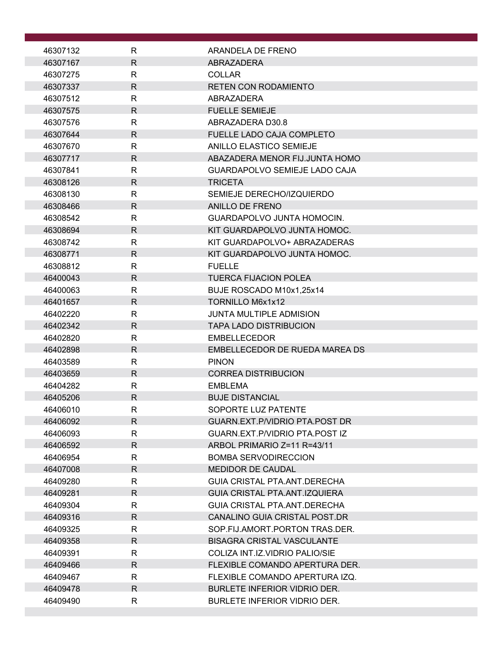| 46307132             | R            | ARANDELA DE FRENO                                             |  |
|----------------------|--------------|---------------------------------------------------------------|--|
| 46307167             | $\mathsf{R}$ | <b>ABRAZADERA</b>                                             |  |
| 46307275             | R            | <b>COLLAR</b>                                                 |  |
| 46307337             | $\mathsf{R}$ | <b>RETEN CON RODAMIENTO</b>                                   |  |
| 46307512             | $\mathsf{R}$ | ABRAZADERA                                                    |  |
| 46307575             | $\mathsf{R}$ | <b>FUELLE SEMIEJE</b>                                         |  |
| 46307576             | R            | ABRAZADERA D30.8                                              |  |
| 46307644             | R            | <b>FUELLE LADO CAJA COMPLETO</b>                              |  |
| 46307670             | R            | ANILLO ELASTICO SEMIEJE                                       |  |
| 46307717             | R            | ABAZADERA MENOR FIJJUNTA HOMO                                 |  |
| 46307841             | $\mathsf{R}$ | GUARDAPOLVO SEMIEJE LADO CAJA                                 |  |
| 46308126             | R            | <b>TRICETA</b>                                                |  |
| 46308130             | R            | SEMIEJE DERECHO/IZQUIERDO                                     |  |
| 46308466             | R            | ANILLO DE FRENO                                               |  |
| 46308542             | R            | GUARDAPOLVO JUNTA HOMOCIN.                                    |  |
| 46308694             | R            | KIT GUARDAPOLVO JUNTA HOMOC.                                  |  |
| 46308742             | $\mathsf{R}$ | KIT GUARDAPOLVO+ ABRAZADERAS                                  |  |
| 46308771             | R            | KIT GUARDAPOLVO JUNTA HOMOC.                                  |  |
| 46308812             | $\mathsf{R}$ | <b>FUELLE</b>                                                 |  |
| 46400043             | R            | <b>TUERCA FIJACION POLEA</b>                                  |  |
| 46400063             | $\mathsf{R}$ | BUJE ROSCADO M10x1,25x14                                      |  |
| 46401657             | R            | TORNILLO M6x1x12                                              |  |
| 46402220             | $\mathsf{R}$ | <b>JUNTA MULTIPLE ADMISION</b>                                |  |
| 46402342             | R            | <b>TAPA LADO DISTRIBUCION</b>                                 |  |
| 46402820             | R            | <b>EMBELLECEDOR</b>                                           |  |
| 46402898             | R            | EMBELLECEDOR DE RUEDA MAREA DS                                |  |
| 46403589             | R            | <b>PINON</b>                                                  |  |
| 46403659             | $\mathsf{R}$ | <b>CORREA DISTRIBUCION</b>                                    |  |
| 46404282             | R            | <b>EMBLEMA</b>                                                |  |
| 46405206             | R            | <b>BUJE DISTANCIAL</b>                                        |  |
| 46406010             | R            | <b>SOPORTE LUZ PATENTE</b>                                    |  |
| 46406092             | R            | GUARN.EXT.P/VIDRIO PTA.POST DR                                |  |
| 46406093             | R            | GUARN.EXT.P/VIDRIO PTA.POST IZ<br>ARBOL PRIMARIO Z=11 R=43/11 |  |
| 46406592             | R<br>R.      | <b>BOMBA SERVODIRECCION</b>                                   |  |
| 46406954<br>46407008 | R            | <b>MEDIDOR DE CAUDAL</b>                                      |  |
| 46409280             | R            | <b>GUIA CRISTAL PTA.ANT.DERECHA</b>                           |  |
| 46409281             | R            | <b>GUIA CRISTAL PTA, ANT, IZQUIERA</b>                        |  |
| 46409304             | R            | GUIA CRISTAL PTA ANT DERECHA                                  |  |
| 46409316             | R            | CANALINO GUIA CRISTAL POST.DR                                 |  |
| 46409325             | R            | SOP.FIJ.AMORT.PORTON TRAS.DER.                                |  |
| 46409358             | $\mathsf{R}$ | <b>BISAGRA CRISTAL VASCULANTE</b>                             |  |
| 46409391             | R            | COLIZA INT.IZ.VIDRIO PALIO/SIE                                |  |
| 46409466             | $\mathsf{R}$ | FLEXIBLE COMANDO APERTURA DER.                                |  |
| 46409467             | R            | FLEXIBLE COMANDO APERTURA IZQ.                                |  |
| 46409478             | $\mathsf{R}$ | <b>BURLETE INFERIOR VIDRIO DER.</b>                           |  |
| 46409490             | R            | BURLETE INFERIOR VIDRIO DER.                                  |  |
|                      |              |                                                               |  |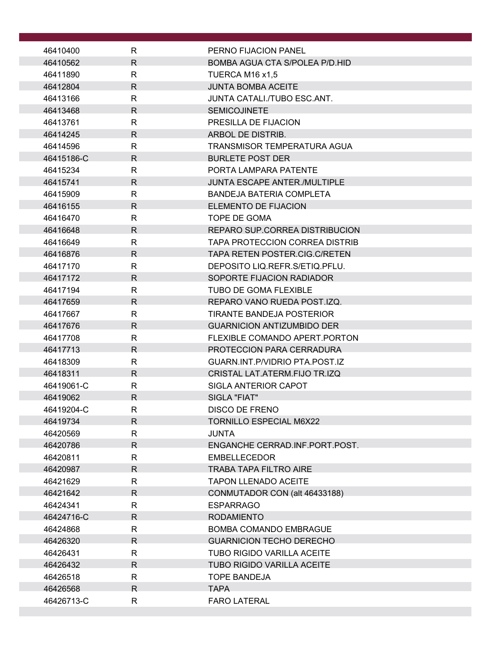| 46410400             | R            | PERNO FIJACION PANEL                                        |
|----------------------|--------------|-------------------------------------------------------------|
| 46410562             | R            | BOMBA AGUA CTA S/POLEA P/D.HID                              |
| 46411890             | R            | TUERCA M16 x1,5                                             |
| 46412804             | $\mathsf{R}$ | <b>JUNTA BOMBA ACEITE</b>                                   |
| 46413166             | R            | JUNTA CATALI./TUBO ESC.ANT.                                 |
| 46413468             | $\mathsf{R}$ | <b>SEMICOJINETE</b>                                         |
| 46413761             | R            | PRESILLA DE FIJACION                                        |
| 46414245             | $\mathsf{R}$ | ARBOL DE DISTRIB.                                           |
| 46414596             | R            | TRANSMISOR TEMPERATURA AGUA                                 |
| 46415186-C           | R            | <b>BURLETE POST DER</b>                                     |
| 46415234             | $\mathsf{R}$ | PORTA LAMPARA PATENTE                                       |
| 46415741             | R            | <b>JUNTA ESCAPE ANTER./MULTIPLE</b>                         |
| 46415909             | R            | BANDEJA BATERIA COMPLETA                                    |
| 46416155             | R            | ELEMENTO DE FIJACION                                        |
| 46416470             | R            | TOPE DE GOMA                                                |
| 46416648             | $\mathsf{R}$ | REPARO SUP.CORREA DISTRIBUCION                              |
| 46416649             | R            | TAPA PROTECCION CORREA DISTRIB                              |
| 46416876             | R            | TAPA RETEN POSTER.CIG.C/RETEN                               |
| 46417170             | R            | DEPOSITO LIQ.REFR.S/ETIQ.PFLU.                              |
| 46417172             | $\mathsf{R}$ | SOPORTE FIJACION RADIADOR                                   |
| 46417194             | R            | TUBO DE GOMA FLEXIBLE                                       |
| 46417659             | R            | REPARO VANO RUEDA POST.IZQ.                                 |
| 46417667             | $\mathsf{R}$ | <b>TIRANTE BANDEJA POSTERIOR</b>                            |
| 46417676             | R            | <b>GUARNICION ANTIZUMBIDO DER</b>                           |
| 46417708             | R            | FLEXIBLE COMANDO APERT. PORTON                              |
| 46417713<br>46418309 | R<br>R       | PROTECCION PARA CERRADURA<br>GUARN.INT.P/VIDRIO PTA.POST.IZ |
| 46418311             | $\mathsf{R}$ | CRISTAL LAT.ATERM.FIJO TR.IZQ                               |
| 46419061-C           | R            | SIGLA ANTERIOR CAPOT                                        |
| 46419062             | R            | SIGLA "FIAT"                                                |
| 46419204-C           | R            | <b>DISCO DE FRENO</b>                                       |
| 46419734             | R            | <b>TORNILLO ESPECIAL M6X22</b>                              |
| 46420569             | R            | <b>JUNTA</b>                                                |
| 46420786             | R            | ENGANCHE CERRAD.INF.PORT.POST.                              |
| 46420811             | R            | <b>EMBELLECEDOR</b>                                         |
| 46420987             | R            | <b>TRABA TAPA FILTRO AIRE</b>                               |
| 46421629             | R            | <b>TAPON LLENADO ACEITE</b>                                 |
| 46421642             | R            | CONMUTADOR CON (alt 46433188)                               |
| 46424341             | R            | <b>ESPARRAGO</b>                                            |
| 46424716-C           | $\mathsf{R}$ | <b>RODAMIENTO</b>                                           |
| 46424868             | R            | <b>BOMBA COMANDO EMBRAGUE</b>                               |
| 46426320             | R.           | <b>GUARNICION TECHO DERECHO</b>                             |
| 46426431             | R            | TUBO RIGIDO VARILLA ACEITE                                  |
| 46426432             | R            | <b>TUBO RIGIDO VARILLA ACEITE</b>                           |
| 46426518             | R            | <b>TOPE BANDEJA</b>                                         |
| 46426568             | R            | <b>TAPA</b>                                                 |
| 46426713-C           | R            | <b>FARO LATERAL</b>                                         |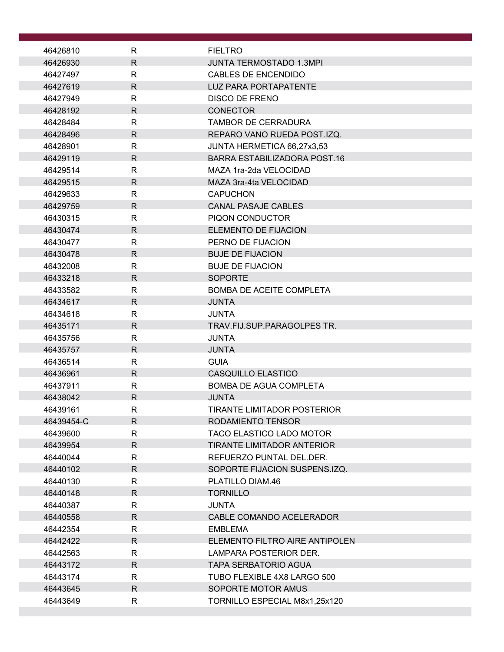|                      | R            |                                                  |
|----------------------|--------------|--------------------------------------------------|
| 46426810<br>46426930 | R            | <b>FIELTRO</b><br><b>JUNTA TERMOSTADO 1.3MPI</b> |
| 46427497             | $\mathsf{R}$ | <b>CABLES DE ENCENDIDO</b>                       |
| 46427619             | $\mathsf{R}$ | <b>LUZ PARA PORTAPATENTE</b>                     |
| 46427949             | R            | <b>DISCO DE FRENO</b>                            |
| 46428192             | R.           | <b>CONECTOR</b>                                  |
| 46428484             | $\mathsf{R}$ | <b>TAMBOR DE CERRADURA</b>                       |
| 46428496             | $\mathsf{R}$ | REPARO VANO RUEDA POST.IZQ.                      |
| 46428901             | $\mathsf{R}$ | JUNTA HERMETICA 66,27x3,53                       |
| 46429119             | R            | BARRA ESTABILIZADORA POST.16                     |
| 46429514             | $\mathsf{R}$ | MAZA 1ra-2da VELOCIDAD                           |
| 46429515             | $\mathsf{R}$ | MAZA 3ra-4ta VELOCIDAD                           |
| 46429633             | R            | <b>CAPUCHON</b>                                  |
| 46429759             | R            | <b>CANAL PASAJE CABLES</b>                       |
| 46430315             | $\mathsf{R}$ | PIQON CONDUCTOR                                  |
| 46430474             | R            | ELEMENTO DE FIJACION                             |
| 46430477             | R            | PERNO DE FIJACION                                |
| 46430478             | R.           | <b>BUJE DE FIJACION</b>                          |
| 46432008             | $\mathsf{R}$ | <b>BUJE DE FIJACION</b>                          |
| 46433218             | $\mathsf{R}$ | <b>SOPORTE</b>                                   |
| 46433582             | R            | <b>BOMBA DE ACEITE COMPLETA</b>                  |
| 46434617             | R            | <b>JUNTA</b>                                     |
| 46434618             | $\mathsf{R}$ | <b>JUNTA</b>                                     |
| 46435171             | $\mathsf{R}$ | TRAV.FIJ.SUP.PARAGOLPES TR.                      |
| 46435756             | R            | <b>JUNTA</b>                                     |
| 46435757             | R            | <b>JUNTA</b>                                     |
| 46436514             | R            | <b>GUIA</b>                                      |
| 46436961             | $\mathsf{R}$ | CASQUILLO ELASTICO                               |
| 46437911             | R            | <b>BOMBA DE AGUA COMPLETA</b>                    |
| 46438042             | R            | <b>JUNTA</b>                                     |
| 46439161             | R            | TIRANTE LIMITADOR POSTERIOR                      |
| 46439454-C           | $\mathsf{R}$ | RODAMIENTO TENSOR                                |
| 46439600             | $\mathsf{R}$ | TACO ELASTICO LADO MOTOR                         |
| 46439954             | R.           | TIRANTE LIMITADOR ANTERIOR                       |
| 46440044             | R            | REFUERZO PUNTAL DEL DER.                         |
| 46440102             | $\mathsf{R}$ | SOPORTE FIJACION SUSPENS.IZQ.                    |
| 46440130             | $\mathsf{R}$ | PLATILLO DIAM.46                                 |
| 46440148             | R            | <b>TORNILLO</b>                                  |
| 46440387             | R            | JUNTA                                            |
| 46440558             | $\mathsf{R}$ | CABLE COMANDO ACELERADOR                         |
| 46442354<br>46442422 | R<br>R.      | <b>EMBLEMA</b><br>ELEMENTO FILTRO AIRE ANTIPOLEN |
| 46442563             | R            | LAMPARA POSTERIOR DER.                           |
| 46443172             | $\mathsf{R}$ | <b>TAPA SERBATORIO AGUA</b>                      |
| 46443174             | R            | TUBO FLEXIBLE 4X8 LARGO 500                      |
| 46443645             | R.           | SOPORTE MOTOR AMUS                               |
| 46443649             | R            | TORNILLO ESPECIAL M8x1,25x120                    |
|                      |              |                                                  |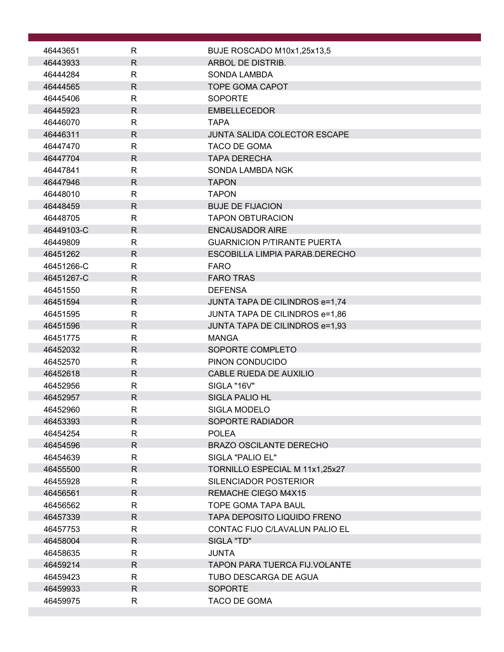| 46443651             | R                            | BUJE ROSCADO M10x1,25x13,5                       |
|----------------------|------------------------------|--------------------------------------------------|
| 46443933             | $\mathsf{R}$                 | ARBOL DE DISTRIB.                                |
| 46444284             | $\mathsf{R}$                 | <b>SONDA LAMBDA</b>                              |
| 46444565             | $\mathsf{R}$                 | <b>TOPE GOMA CAPOT</b>                           |
| 46445406             | R                            | <b>SOPORTE</b>                                   |
| 46445923             | $\mathsf{R}$                 | <b>EMBELLECEDOR</b>                              |
| 46446070             | $\mathsf{R}$                 | <b>TAPA</b>                                      |
| 46446311             | $\mathsf{R}$                 | JUNTA SALIDA COLECTOR ESCAPE                     |
| 46447470             | $\mathsf{R}$                 | TACO DE GOMA                                     |
| 46447704             | $\mathsf{R}$                 | <b>TAPA DERECHA</b>                              |
| 46447841             | $\mathsf{R}$                 | SONDA LAMBDA NGK                                 |
| 46447946             | $\mathsf{R}$                 | <b>TAPON</b>                                     |
| 46448010             | $\mathsf{R}$                 | <b>TAPON</b>                                     |
| 46448459             | $\mathsf{R}$                 | <b>BUJE DE FIJACION</b>                          |
| 46448705             | $\mathsf{R}$                 | <b>TAPON OBTURACION</b>                          |
| 46449103-C           | $\mathsf{R}$                 | <b>ENCAUSADOR AIRE</b>                           |
| 46449809             | R                            | <b>GUARNICION P/TIRANTE PUERTA</b>               |
| 46451262             | $\mathsf{R}$                 | ESCOBILLA LIMPIA PARAB.DERECHO                   |
| 46451266-C           | $\mathsf{R}$                 | <b>FARO</b>                                      |
| 46451267-C           | $\mathsf{R}$                 | <b>FARO TRAS</b>                                 |
| 46451550<br>46451594 | R<br>R                       | <b>DEFENSA</b><br>JUNTA TAPA DE CILINDROS e=1,74 |
| 46451595             | $\mathsf{R}$                 | JUNTA TAPA DE CILINDROS e=1,86                   |
| 46451596             | $\mathsf{R}$                 | JUNTA TAPA DE CILINDROS e=1,93                   |
| 46451775             | $\mathsf{R}$                 | <b>MANGA</b>                                     |
| 46452032             | $\mathsf{R}$                 | SOPORTE COMPLETO                                 |
| 46452570             | $\mathsf{R}$                 | PINON CONDUCIDO                                  |
| 46452618             | $\mathsf{R}$                 | CABLE RUEDA DE AUXILIO                           |
| 46452956             | R                            | SIGLA "16V"                                      |
| 46452957             | $\mathsf{R}$                 | <b>SIGLA PALIO HL</b>                            |
| 46452960             | R.                           | <b>SIGLA MODELO</b>                              |
| 46453393             | $\mathsf{R}$                 | SOPORTE RADIADOR                                 |
| 46454254             | R                            | <b>POLEA</b>                                     |
| 46454596             | $\mathsf{R}$                 | <b>BRAZO OSCILANTE DERECHO</b>                   |
| 46454639             | R                            | SIGLA "PALIO EL"                                 |
| 46455500             | $\mathsf{R}$                 | TORNILLO ESPECIAL M 11x1,25x27                   |
| 46455928             | $\mathsf{R}$                 | SILENCIADOR POSTERIOR                            |
| 46456561             | $\mathsf{R}$                 | <b>REMACHE CIEGO M4X15</b>                       |
| 46456562             | $\mathsf{R}$                 | <b>TOPE GOMA TAPA BAUL</b>                       |
| 46457339             | $\mathsf{R}$                 | <b>TAPA DEPOSITO LIQUIDO FRENO</b>               |
| 46457753<br>46458004 | $\mathsf{R}$<br>$\mathsf{R}$ | CONTAC FIJO C/LAVALUN PALIO EL<br>SIGLA "TD"     |
| 46458635             | $\mathsf{R}$                 | <b>JUNTA</b>                                     |
| 46459214             | $\mathsf{R}$                 | <b>TAPON PARA TUERCA FIJ.VOLANTE</b>             |
| 46459423             | $\mathsf{R}$                 | TUBO DESCARGA DE AGUA                            |
| 46459933             | R                            | <b>SOPORTE</b>                                   |
| 46459975             | R                            | TACO DE GOMA                                     |
|                      |                              |                                                  |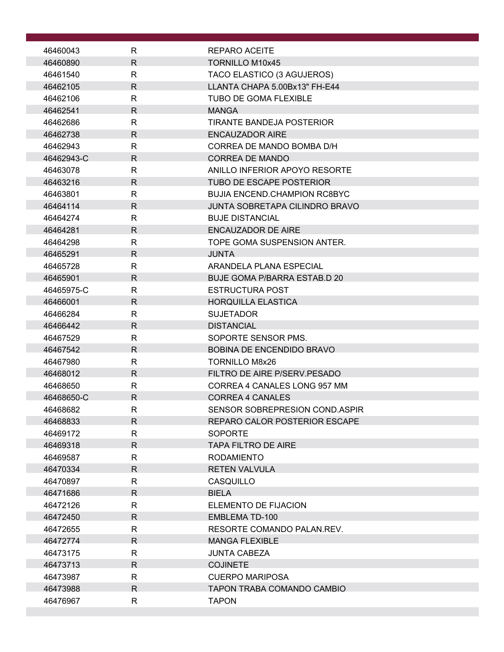| 46460043             | R                            | <b>REPARO ACEITE</b>                     |
|----------------------|------------------------------|------------------------------------------|
| 46460890             | $\mathsf{R}$                 | <b>TORNILLO M10x45</b>                   |
| 46461540             | $\mathsf{R}$                 | TACO ELASTICO (3 AGUJEROS)               |
| 46462105             | $\mathsf R$                  | LLANTA CHAPA 5.00Bx13" FH-E44            |
| 46462106             | $\mathsf{R}$                 | <b>TUBO DE GOMA FLEXIBLE</b>             |
| 46462541             | $\mathsf{R}$                 | <b>MANGA</b>                             |
| 46462686             | R                            | <b>TIRANTE BANDEJA POSTERIOR</b>         |
| 46462738             | $\mathsf{R}$                 | <b>ENCAUZADOR AIRE</b>                   |
| 46462943             | R                            | CORREA DE MANDO BOMBA D/H                |
| 46462943-C           | $\mathsf{R}$                 | <b>CORREA DE MANDO</b>                   |
| 46463078             | $\mathsf{R}$                 | ANILLO INFERIOR APOYO RESORTE            |
| 46463216             | $\mathsf{R}$                 | <b>TUBO DE ESCAPE POSTERIOR</b>          |
| 46463801             | $\mathsf{R}$                 | <b>BUJIA ENCEND.CHAMPION RC8BYC</b>      |
| 46464114             | $\mathsf{R}$                 | <b>JUNTA SOBRETAPA CILINDRO BRAVO</b>    |
| 46464274             | $\mathsf{R}$                 | <b>BUJE DISTANCIAL</b>                   |
| 46464281             | $\mathsf{R}$                 | <b>ENCAUZADOR DE AIRE</b>                |
| 46464298             | R                            | TOPE GOMA SUSPENSION ANTER.              |
| 46465291             | $\mathsf{R}$                 | <b>JUNTA</b>                             |
| 46465728             | R                            | ARANDELA PLANA ESPECIAL                  |
| 46465901             | $\mathsf{R}$                 | <b>BUJE GOMA P/BARRA ESTAB.D 20</b>      |
| 46465975-C           | $\mathsf{R}$                 | <b>ESTRUCTURA POST</b>                   |
| 46466001             | $\mathsf{R}$                 | <b>HORQUILLA ELASTICA</b>                |
| 46466284             | $\mathsf{R}$                 | <b>SUJETADOR</b>                         |
| 46466442             | $\mathsf{R}$<br>$\mathsf{R}$ | <b>DISTANCIAL</b><br>SOPORTE SENSOR PMS. |
| 46467529<br>46467542 | R                            | <b>BOBINA DE ENCENDIDO BRAVO</b>         |
| 46467980             | R                            | <b>TORNILLO M8x26</b>                    |
| 46468012             | $\mathsf{R}$                 | FILTRO DE AIRE P/SERV.PESADO             |
| 46468650             | R                            | CORREA 4 CANALES LONG 957 MM             |
| 46468650-C           | $\mathsf{R}$                 | <b>CORREA 4 CANALES</b>                  |
| 46468682             | R                            | SENSOR SOBREPRESION COND.ASPIR           |
| 46468833             | $\mathsf{R}$                 | REPARO CALOR POSTERIOR ESCAPE            |
| 46469172             | $\mathsf{R}$                 | <b>SOPORTE</b>                           |
| 46469318             | R                            | TAPA FILTRO DE AIRE                      |
| 46469587             | $\mathsf{R}$                 | <b>RODAMIENTO</b>                        |
| 46470334             | $\mathsf{R}$                 | <b>RETEN VALVULA</b>                     |
| 46470897             | $\mathsf{R}$                 | <b>CASQUILLO</b>                         |
| 46471686             | R                            | <b>BIELA</b>                             |
| 46472126             | R                            | ELEMENTO DE FIJACION                     |
| 46472450             | $\mathsf{R}$                 | EMBLEMA TD-100                           |
| 46472655             | R                            | RESORTE COMANDO PALAN.REV.               |
| 46472774             | R.                           | <b>MANGA FLEXIBLE</b>                    |
| 46473175             | $\mathsf{R}$                 | <b>JUNTA CABEZA</b>                      |
| 46473713             | $\mathsf{R}$                 | <b>COJINETE</b>                          |
| 46473987             | R                            | <b>CUERPO MARIPOSA</b>                   |
| 46473988             | $\mathsf{R}$                 | TAPON TRABA COMANDO CAMBIO               |
| 46476967             | $\mathsf{R}$                 | <b>TAPON</b>                             |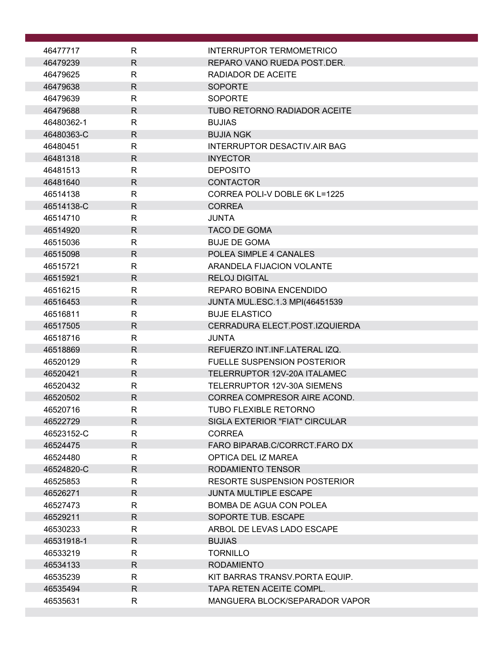| 46477717             | R                            | <b>INTERRUPTOR TERMOMETRICO</b>                             |
|----------------------|------------------------------|-------------------------------------------------------------|
| 46479239             | $\mathsf{R}$                 | REPARO VANO RUEDA POST.DER.                                 |
| 46479625             | R                            | RADIADOR DE ACEITE                                          |
| 46479638             | $\mathsf{R}$                 | <b>SOPORTE</b>                                              |
| 46479639             | R                            | <b>SOPORTE</b>                                              |
| 46479688             | $\mathsf{R}$                 | <b>TUBO RETORNO RADIADOR ACEITE</b>                         |
| 46480362-1           | $\mathsf{R}$                 | <b>BUJIAS</b>                                               |
| 46480363-C           | R                            | <b>BUJIA NGK</b>                                            |
| 46480451             | $\mathsf{R}$                 | <b>INTERRUPTOR DESACTIV.AIR BAG</b>                         |
| 46481318             | $\mathsf{R}$                 | <b>INYECTOR</b>                                             |
| 46481513             | $\mathsf{R}$                 | <b>DEPOSITO</b>                                             |
| 46481640             | R                            | <b>CONTACTOR</b>                                            |
| 46514138             | R                            | CORREA POLI-V DOBLE 6K L=1225                               |
| 46514138-C           | $\mathsf{R}$                 | <b>CORREA</b>                                               |
| 46514710             | R                            | <b>JUNTA</b>                                                |
| 46514920             | $\mathsf{R}$                 | <b>TACO DE GOMA</b>                                         |
| 46515036             | $\mathsf{R}$                 | <b>BUJE DE GOMA</b>                                         |
| 46515098             | $\mathsf{R}$                 | POLEA SIMPLE 4 CANALES                                      |
| 46515721             | R                            | ARANDELA FIJACION VOLANTE                                   |
| 46515921             | $\mathsf{R}$                 | <b>RELOJ DIGITAL</b>                                        |
| 46516215             | $\mathsf{R}$                 | REPARO BOBINA ENCENDIDO                                     |
| 46516453             | R                            | JUNTA MUL.ESC.1.3 MPI(46451539                              |
| 46516811             | $\mathsf{R}$                 | <b>BUJE ELASTICO</b>                                        |
| 46517505             | $\mathsf{R}$                 | CERRADURA ELECT.POST.IZQUIERDA                              |
| 46518716             | R                            | <b>JUNTA</b>                                                |
| 46518869             | $\mathsf{R}$                 | REFUERZO INT.INF.LATERAL IZQ.                               |
| 46520129             | R                            | <b>FUELLE SUSPENSION POSTERIOR</b>                          |
| 46520421             | $\mathsf{R}$                 | TELERRUPTOR 12V-20A ITALAMEC<br>TELERRUPTOR 12V-30A SIEMENS |
| 46520432             | $\mathsf{R}$<br>$\mathsf{R}$ |                                                             |
| 46520502<br>46520716 | $\mathsf R$                  | CORREA COMPRESOR AIRE ACOND.<br>TUBO FLEXIBLE RETORNO       |
| 46522729             | $\mathsf{R}$                 | SIGLA EXTERIOR "FIAT" CIRCULAR                              |
| 46523152-C           | R                            | <b>CORREA</b>                                               |
| 46524475             | R.                           | FARO BIPARAB.C/CORRCT.FARO DX                               |
| 46524480             | R                            | OPTICA DEL IZ MAREA                                         |
| 46524820-C           | $\mathsf{R}$                 | RODAMIENTO TENSOR                                           |
| 46525853             | $\mathsf{R}$                 | <b>RESORTE SUSPENSION POSTERIOR</b>                         |
| 46526271             | R.                           | <b>JUNTA MULTIPLE ESCAPE</b>                                |
| 46527473             | R                            | BOMBA DE AGUA CON POLEA                                     |
| 46529211             | $\mathsf{R}$                 | SOPORTE TUB. ESCAPE                                         |
| 46530233             | R                            | ARBOL DE LEVAS LADO ESCAPE                                  |
| 46531918-1           | $\mathsf{R}$                 | <b>BUJIAS</b>                                               |
| 46533219             | R                            | <b>TORNILLO</b>                                             |
| 46534133             | $\mathsf{R}$                 | <b>RODAMIENTO</b>                                           |
| 46535239             | R                            | KIT BARRAS TRANSV. PORTA EQUIP.                             |
| 46535494             | $\mathsf{R}$                 | TAPA RETEN ACEITE COMPL.                                    |
| 46535631             | R                            | MANGUERA BLOCK/SEPARADOR VAPOR                              |
|                      |                              |                                                             |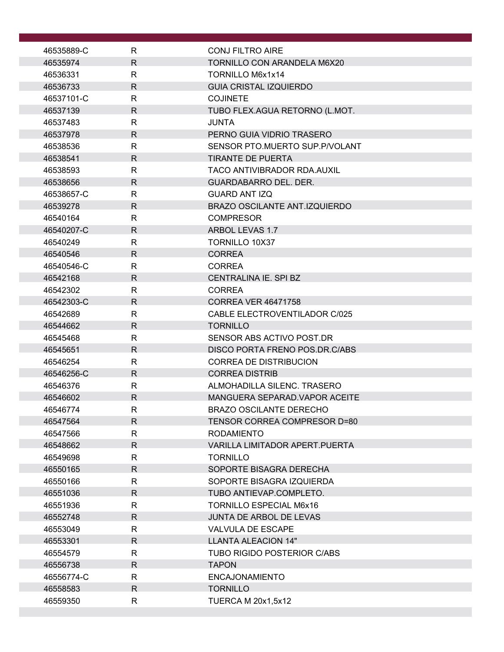| 46535889-C | R            | <b>CONJ FILTRO AIRE</b>               |
|------------|--------------|---------------------------------------|
| 46535974   | R.           | <b>TORNILLO CON ARANDELA M6X20</b>    |
| 46536331   | R            | TORNILLO M6x1x14                      |
| 46536733   | R.           | <b>GUIA CRISTAL IZQUIERDO</b>         |
| 46537101-C | R            | <b>COJINETE</b>                       |
| 46537139   | $\mathsf{R}$ | TUBO FLEX.AGUA RETORNO (L.MOT.        |
| 46537483   | R            | <b>JUNTA</b>                          |
| 46537978   | R.           | PERNO GUIA VIDRIO TRASERO             |
| 46538536   | R            | SENSOR PTO.MUERTO SUP.P/VOLANT        |
| 46538541   | $\mathsf{R}$ | <b>TIRANTE DE PUERTA</b>              |
| 46538593   | R            | TACO ANTIVIBRADOR RDA.AUXIL           |
| 46538656   | R            | <b>GUARDABARRO DEL. DER.</b>          |
| 46538657-C | R.           | <b>GUARD ANT IZQ</b>                  |
| 46539278   | $\mathsf{R}$ | <b>BRAZO OSCILANTE ANT.IZQUIERDO</b>  |
| 46540164   | R            | <b>COMPRESOR</b>                      |
| 46540207-C | $\mathsf{R}$ | ARBOL LEVAS 1.7                       |
| 46540249   | R            | <b>TORNILLO 10X37</b>                 |
| 46540546   | $\mathsf{R}$ | <b>CORREA</b>                         |
| 46540546-C | R            | <b>CORREA</b>                         |
| 46542168   | $\mathsf{R}$ | CENTRALINA IE. SPI BZ                 |
| 46542302   | R            | <b>CORREA</b>                         |
| 46542303-C | R.           | <b>CORREA VER 46471758</b>            |
| 46542689   | $\mathsf{R}$ | CABLE ELECTROVENTILADOR C/025         |
| 46544662   | R            | <b>TORNILLO</b>                       |
| 46545468   | R            | SENSOR ABS ACTIVO POST.DR             |
| 46545651   | R.           | DISCO PORTA FRENO POS.DR.C/ABS        |
| 46546254   | R.           | <b>CORREA DE DISTRIBUCION</b>         |
| 46546256-C | $\mathsf{R}$ | <b>CORREA DISTRIB</b>                 |
| 46546376   | R            | ALMOHADILLA SILENC. TRASERO           |
| 46546602   | R.           | MANGUERA SEPARAD. VAPOR ACEITE        |
| 46546774   | $\mathsf R$  | <b>BRAZO OSCILANTE DERECHO</b>        |
| 46547564   | R.           | TENSOR CORREA COMPRESOR D=80          |
| 46547566   | $\mathsf{R}$ | <b>RODAMIENTO</b>                     |
| 46548662   | $\mathsf{R}$ | <b>VARILLA LIMITADOR APERT.PUERTA</b> |
| 46549698   | $\mathsf{R}$ | <b>TORNILLO</b>                       |
| 46550165   | R.           | SOPORTE BISAGRA DERECHA               |
| 46550166   | R            | SOPORTE BISAGRA IZQUIERDA             |
| 46551036   | R.           | TUBO ANTIEVAP.COMPLETO.               |
| 46551936   | R            | <b>TORNILLO ESPECIAL M6x16</b>        |
| 46552748   | $\mathsf{R}$ | <b>JUNTA DE ARBOL DE LEVAS</b>        |
| 46553049   | R            | VALVULA DE ESCAPE                     |
| 46553301   | R.           | LLANTA ALEACION 14"                   |
| 46554579   | R            | <b>TUBO RIGIDO POSTERIOR C/ABS</b>    |
| 46556738   | R            | <b>TAPON</b>                          |
| 46556774-C | R            | <b>ENCAJONAMIENTO</b>                 |
| 46558583   | $\mathsf{R}$ | <b>TORNILLO</b>                       |
| 46559350   | $\mathsf{R}$ | <b>TUERCA M 20x1,5x12</b>             |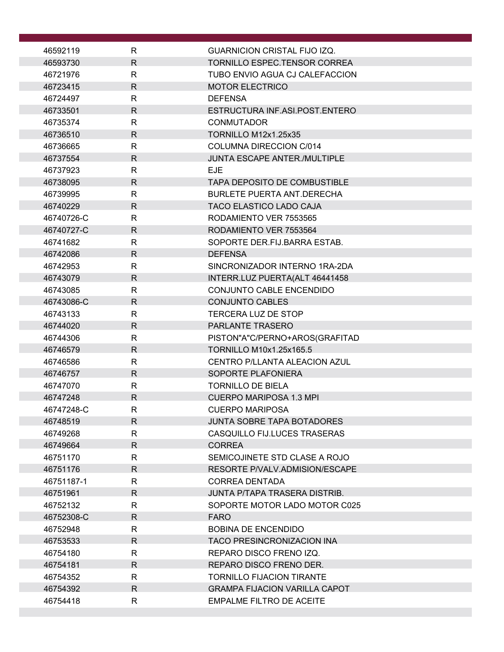| 46592119             | R            | <b>GUARNICION CRISTAL FIJO IZQ.</b>                          |
|----------------------|--------------|--------------------------------------------------------------|
| 46593730             | $\mathsf{R}$ | <b>TORNILLO ESPEC.TENSOR CORREA</b>                          |
| 46721976             | R            | TUBO ENVIO AGUA CJ CALEFACCION                               |
| 46723415             | $\mathsf{R}$ | <b>MOTOR ELECTRICO</b>                                       |
| 46724497             | $\mathsf{R}$ | <b>DEFENSA</b>                                               |
| 46733501             | $\mathsf{R}$ | ESTRUCTURA INF.ASI.POST.ENTERO                               |
| 46735374             | $\mathsf{R}$ | <b>CONMUTADOR</b>                                            |
| 46736510             | R            | <b>TORNILLO M12x1.25x35</b>                                  |
| 46736665             | $\mathsf{R}$ | <b>COLUMNA DIRECCION C/014</b>                               |
| 46737554             | $\mathsf{R}$ | <b>JUNTA ESCAPE ANTER./MULTIPLE</b>                          |
| 46737923             | R            | <b>EJE</b>                                                   |
| 46738095             | R            | <b>TAPA DEPOSITO DE COMBUSTIBLE</b>                          |
| 46739995             | R            | <b>BURLETE PUERTA ANT DERECHA</b>                            |
| 46740229             | $\mathsf{R}$ | <b>TACO ELASTICO LADO CAJA</b>                               |
| 46740726-C           | R            | RODAMIENTO VER 7553565                                       |
| 46740727-C           | $\mathsf{R}$ | RODAMIENTO VER 7553564                                       |
| 46741682             | R            | SOPORTE DER.FIJ.BARRA ESTAB.                                 |
| 46742086             | R            | <b>DEFENSA</b>                                               |
| 46742953             | $\mathsf{R}$ | SINCRONIZADOR INTERNO 1RA-2DA                                |
| 46743079             | $\mathsf{R}$ | INTERR.LUZ PUERTA(ALT 46441458                               |
| 46743085             | $\mathsf{R}$ | CONJUNTO CABLE ENCENDIDO                                     |
| 46743086-C           | R            | <b>CONJUNTO CABLES</b>                                       |
| 46743133             | R            | <b>TERCERA LUZ DE STOP</b>                                   |
| 46744020             | $\mathsf{R}$ | <b>PARLANTE TRASERO</b>                                      |
| 46744306             | R            | PISTON"A"C/PERNO+AROS(GRAFITAD                               |
| 46746579             | $\mathsf{R}$ | <b>TORNILLO M10x1.25x165.5</b>                               |
| 46746586             | R            | CENTRO P/LLANTA ALEACION AZUL                                |
| 46746757             | $\mathsf{R}$ | SOPORTE PLAFONIERA                                           |
| 46747070             | $\mathsf{R}$ | <b>TORNILLO DE BIELA</b>                                     |
| 46747248             | R            | <b>CUERPO MARIPOSA 1.3 MPI</b>                               |
| 46747248-C           | $\mathsf{R}$ | <b>CUERPO MARIPOSA</b>                                       |
| 46748519             | R            | <b>JUNTA SOBRE TAPA BOTADORES</b>                            |
| 46749268             | R            | <b>CASQUILLO FIJ.LUCES TRASERAS</b>                          |
| 46749664             | R.           | <b>CORREA</b>                                                |
| 46751170             | R            | SEMICOJINETE STD CLASE A ROJO                                |
| 46751176             | R            | RESORTE P/VALV.ADMISION/ESCAPE                               |
| 46751187-1           | R            | <b>CORREA DENTADA</b>                                        |
| 46751961             | R            | JUNTA P/TAPA TRASERA DISTRIB.                                |
| 46752132             | R            | SOPORTE MOTOR LADO MOTOR C025                                |
| 46752308-C           | R            | <b>FARO</b>                                                  |
| 46752948             | R<br>R       | <b>BOBINA DE ENCENDIDO</b>                                   |
| 46753533<br>46754180 | R            | <b>TACO PRESINCRONIZACION INA</b><br>REPARO DISCO FRENO IZQ. |
| 46754181             | R            | REPARO DISCO FRENO DER.                                      |
| 46754352             | R            | <b>TORNILLO FIJACION TIRANTE</b>                             |
| 46754392             | R            | <b>GRAMPA FIJACION VARILLA CAPOT</b>                         |
| 46754418             | $\mathsf{R}$ | <b>EMPALME FILTRO DE ACEITE</b>                              |
|                      |              |                                                              |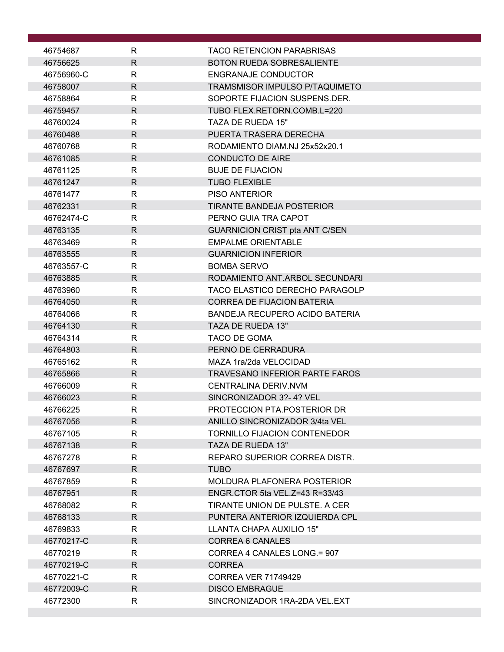| 46754687   | R            | <b>TACO RETENCION PARABRISAS</b>      |
|------------|--------------|---------------------------------------|
| 46756625   | $\mathsf{R}$ | <b>BOTON RUEDA SOBRESALIENTE</b>      |
| 46756960-C | $\mathsf{R}$ | <b>ENGRANAJE CONDUCTOR</b>            |
| 46758007   | $\mathsf{R}$ | TRAMSMISOR IMPULSO P/TAQUIMETO        |
| 46758864   | R            | SOPORTE FIJACION SUSPENS.DER.         |
| 46759457   | $\mathsf{R}$ | TUBO FLEX.RETORN.COMB.L=220           |
| 46760024   | $\mathsf{R}$ | TAZA DE RUEDA 15"                     |
| 46760488   | $\mathsf{R}$ | PUERTA TRASERA DERECHA                |
| 46760768   | $\mathsf{R}$ | RODAMIENTO DIAM.NJ 25x52x20.1         |
| 46761085   | $\mathsf{R}$ | <b>CONDUCTO DE AIRE</b>               |
| 46761125   | $\mathsf{R}$ | <b>BUJE DE FIJACION</b>               |
| 46761247   | $\mathsf{R}$ | <b>TUBO FLEXIBLE</b>                  |
| 46761477   | $\mathsf{R}$ | <b>PISO ANTERIOR</b>                  |
| 46762331   | $\mathsf{R}$ | <b>TIRANTE BANDEJA POSTERIOR</b>      |
| 46762474-C | R            | PERNO GUIA TRA CAPOT                  |
| 46763135   | $\mathsf{R}$ | <b>GUARNICION CRIST pta ANT C/SEN</b> |
| 46763469   | R            | <b>EMPALME ORIENTABLE</b>             |
| 46763555   | $\mathsf{R}$ | <b>GUARNICION INFERIOR</b>            |
| 46763557-C | $\mathsf{R}$ | <b>BOMBA SERVO</b>                    |
| 46763885   | $\mathsf{R}$ | RODAMIENTO ANT.ARBOL SECUNDARI        |
| 46763960   | $\mathsf{R}$ | TACO ELASTICO DERECHO PARAGOLP        |
| 46764050   | $\mathsf{R}$ | <b>CORREA DE FIJACION BATERIA</b>     |
| 46764066   | $\mathsf{R}$ | BANDEJA RECUPERO ACIDO BATERIA        |
| 46764130   | $\mathsf{R}$ | TAZA DE RUEDA 13"                     |
| 46764314   | $\mathsf{R}$ | TACO DE GOMA                          |
| 46764803   | R            | PERNO DE CERRADURA                    |
| 46765162   | R            | MAZA 1ra/2da VELOCIDAD                |
| 46765866   | $\mathsf{R}$ | <b>TRAVESANO INFERIOR PARTE FAROS</b> |
| 46766009   | R            | CENTRALINA DERIV.NVM                  |
| 46766023   | $\mathsf{R}$ | SINCRONIZADOR 3?-4? VEL               |
| 46766225   | R.           | PROTECCION PTA.POSTERIOR DR           |
| 46767056   | $\mathsf{R}$ | ANILLO SINCRONIZADOR 3/4ta VEL        |
| 46767105   | R            | <b>TORNILLO FIJACION CONTENEDOR</b>   |
| 46767138   | R.           | TAZA DE RUEDA 13"                     |
| 46767278   | R            | REPARO SUPERIOR CORREA DISTR.         |
| 46767697   | R            | <b>TUBO</b>                           |
| 46767859   | $\mathsf{R}$ | MOLDURA PLAFONERA POSTERIOR           |
| 46767951   | R.           | ENGR.CTOR 5ta VEL.Z=43 R=33/43        |
| 46768082   | R            | TIRANTE UNION DE PULSTE. A CER        |
| 46768133   | R            | PUNTERA ANTERIOR IZQUIERDA CPL        |
| 46769833   | R            | LLANTA CHAPA AUXILIO 15"              |
| 46770217-C | R.           | <b>CORREA 6 CANALES</b>               |
| 46770219   | R            | CORREA 4 CANALES LONG.= 907           |
| 46770219-C | R.           | <b>CORREA</b>                         |
| 46770221-C | $\mathsf{R}$ | <b>CORREA VER 71749429</b>            |
| 46772009-C | $\mathsf{R}$ | <b>DISCO EMBRAGUE</b>                 |
| 46772300   | R            | SINCRONIZADOR 1RA-2DA VEL.EXT         |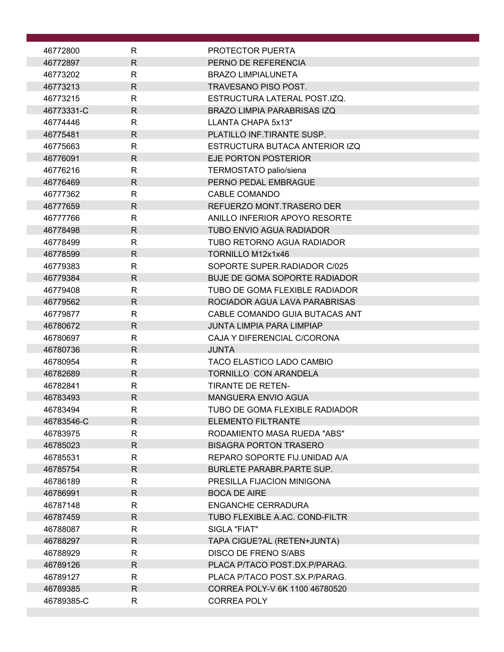| 46772800               | R                           | PROTECTOR PUERTA                                             |
|------------------------|-----------------------------|--------------------------------------------------------------|
| 46772897               | $\mathsf{R}$                | PERNO DE REFERENCIA                                          |
| 46773202               | R                           | <b>BRAZO LIMPIALUNETA</b>                                    |
| 46773213               | $\mathsf{R}$                | TRAVESANO PISO POST.                                         |
| 46773215               | $\mathsf{R}$                | ESTRUCTURA LATERAL POST.IZQ.                                 |
| 46773331-C             | $\mathsf{R}$                | <b>BRAZO LIMPIA PARABRISAS IZQ</b>                           |
| 46774446               | R                           | LLANTA CHAPA 5x13"                                           |
| 46775481               | $\mathsf{R}$                | PLATILLO INF. TIRANTE SUSP.                                  |
| 46775663               | $\mathsf{R}$                | ESTRUCTURA BUTACA ANTERIOR IZQ                               |
| 46776091               | $\mathsf{R}$                | EJE PORTON POSTERIOR                                         |
| 46776216               | $\mathsf{R}$                | TERMOSTATO palio/siena                                       |
| 46776469               | $\mathsf{R}$                | PERNO PEDAL EMBRAGUE                                         |
| 46777362               | $\mathsf{R}$                | <b>CABLE COMANDO</b>                                         |
| 46777659               | $\mathsf{R}$                | REFUERZO MONT.TRASERO DER                                    |
| 46777766               | R                           | ANILLO INFERIOR APOYO RESORTE                                |
| 46778498               | $\mathsf{R}$                | <b>TUBO ENVIO AGUA RADIADOR</b>                              |
| 46778499               | $\mathsf{R}$                | TUBO RETORNO AGUA RADIADOR                                   |
| 46778599               | $\mathsf{R}$                | TORNILLO M12x1x46                                            |
| 46779383               | R                           | SOPORTE SUPER RADIADOR C/025                                 |
| 46779384               | $\mathsf{R}$                | <b>BUJE DE GOMA SOPORTE RADIADOR</b>                         |
| 46779408               | $\mathsf{R}$                | TUBO DE GOMA FLEXIBLE RADIADOR                               |
| 46779562               | $\mathsf{R}$                | ROCIADOR AGUA LAVA PARABRISAS                                |
| 46779877               | $\mathsf{R}$                | CABLE COMANDO GUIA BUTACAS ANT                               |
| 46780672               | $\mathsf{R}$                | <b>JUNTA LIMPIA PARA LIMPIAP</b>                             |
| 46780697               | $\mathsf{R}$                | CAJA Y DIFERENCIAL C/CORONA                                  |
| 46780736               | $\mathsf{R}$                | <b>JUNTA</b>                                                 |
| 46780954               | R                           | TACO ELASTICO LADO CAMBIO                                    |
| 46782689               | $\mathsf{R}$                | <b>TORNILLO CON ARANDELA</b>                                 |
| 46782841               | R                           | <b>TIRANTE DE RETEN-</b>                                     |
| 46783493<br>46783494   | $\mathsf{R}$<br>$\mathsf R$ | <b>MANGUERA ENVIO AGUA</b><br>TUBO DE GOMA FLEXIBLE RADIADOR |
|                        | $\mathsf{R}$                | <b>ELEMENTO FILTRANTE</b>                                    |
| 46783546-C<br>46783975 | $\mathsf{R}$                | RODAMIENTO MASA RUEDA "ABS"                                  |
| 46785023               | $\mathsf{R}$                | <b>BISAGRA PORTON TRASERO</b>                                |
| 46785531               | R                           | REPARO SOPORTE FIJ.UNIDAD A/A                                |
| 46785754               | $\mathsf{R}$                | <b>BURLETE PARABR.PARTE SUP.</b>                             |
| 46786189               | $\mathsf{R}$                | PRESILLA FIJACION MINIGONA                                   |
| 46786991               | R                           | <b>BOCA DE AIRE</b>                                          |
| 46787148               | $\mathsf{R}$                | ENGANCHE CERRADURA                                           |
| 46787459               | $\mathsf{R}$                | TUBO FLEXIBLE A.AC. COND-FILTR                               |
| 46788087               | R                           | SIGLA "FIAT"                                                 |
| 46788297               | $\mathsf{R}$                | TAPA CIGUE?AL (RETEN+JUNTA)                                  |
| 46788929               | $\mathsf{R}$                | <b>DISCO DE FRENO S/ABS</b>                                  |
| 46789126               | $\mathsf{R}$                | PLACA P/TACO POST.DX.P/PARAG.                                |
| 46789127               | R                           | PLACA P/TACO POST.SX.P/PARAG.                                |
| 46789385               | $\mathsf{R}$                | CORREA POLY-V 6K 1100 46780520                               |
| 46789385-C             | R                           | <b>CORREA POLY</b>                                           |
|                        |                             |                                                              |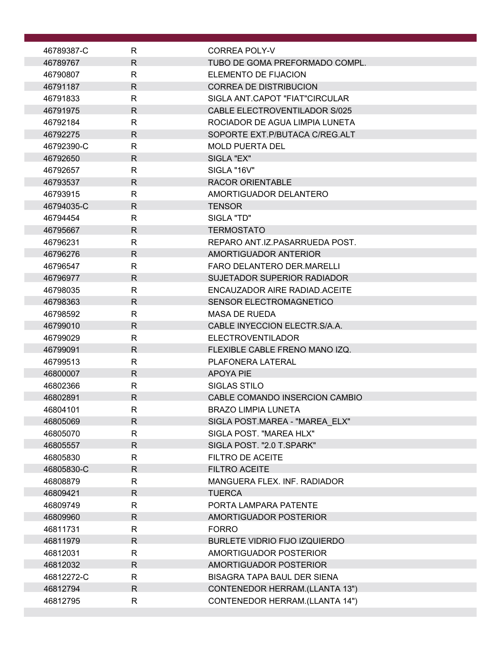| 46789387-C | R            | CORREA POLY-V                        |
|------------|--------------|--------------------------------------|
| 46789767   | $\mathsf{R}$ | TUBO DE GOMA PREFORMADO COMPL.       |
| 46790807   | $\mathsf{R}$ | <b>ELEMENTO DE FIJACION</b>          |
| 46791187   | $\mathsf{R}$ | <b>CORREA DE DISTRIBUCION</b>        |
| 46791833   | R            | SIGLA ANT CAPOT "FIAT"CIRCULAR       |
| 46791975   | $\mathsf{R}$ | <b>CABLE ELECTROVENTILADOR S/025</b> |
| 46792184   | $\mathsf{R}$ | ROCIADOR DE AGUA LIMPIA LUNETA       |
| 46792275   | R            | SOPORTE EXT. P/BUTACA C/REG. ALT     |
| 46792390-C | $\mathsf{R}$ | <b>MOLD PUERTA DEL</b>               |
| 46792650   | R            | SIGLA "EX"                           |
| 46792657   | R            | SIGLA "16V"                          |
| 46793537   | R            | <b>RACOR ORIENTABLE</b>              |
| 46793915   | R            | AMORTIGUADOR DELANTERO               |
| 46794035-C | $\mathsf{R}$ | <b>TENSOR</b>                        |
| 46794454   | $\mathsf{R}$ | SIGLA "TD"                           |
| 46795667   | $\mathsf{R}$ | <b>TERMOSTATO</b>                    |
| 46796231   | R            | REPARO ANT IZ PASARRUEDA POST.       |
| 46796276   | $\mathsf{R}$ | AMORTIGUADOR ANTERIOR                |
| 46796547   | $\mathsf{R}$ | <b>FARO DELANTERO DER MARELLI</b>    |
| 46796977   | $\mathsf{R}$ | <b>SUJETADOR SUPERIOR RADIADOR</b>   |
| 46798035   | $\mathsf{R}$ | ENCAUZADOR AIRE RADIAD. ACEITE       |
| 46798363   | $\mathsf{R}$ | <b>SENSOR ELECTROMAGNETICO</b>       |
| 46798592   | R            | <b>MASA DE RUEDA</b>                 |
| 46799010   | $\mathsf{R}$ | CABLE INYECCION ELECTR.S/A.A.        |
| 46799029   | R            | <b>ELECTROVENTILADOR</b>             |
| 46799091   | $\mathsf{R}$ | FLEXIBLE CABLE FRENO MANO IZQ.       |
| 46799513   | R            | PLAFONERA LATERAL                    |
| 46800007   | $\mathsf{R}$ | <b>APOYA PIE</b>                     |
| 46802366   | R            | SIGLAS STILO                         |
| 46802891   | $\mathsf{R}$ | CABLE COMANDO INSERCION CAMBIO       |
| 46804101   | R            | <b>BRAZO LIMPIA LUNETA</b>           |
| 46805069   | R.           | SIGLA POST.MAREA - "MAREA ELX"       |
| 46805070   | $\mathsf{R}$ | SIGLA POST. "MAREA HLX"              |
| 46805557   | R.           | SIGLA POST. "2.0 T.SPARK"            |
| 46805830   | R            | <b>FILTRO DE ACEITE</b>              |
| 46805830-C | R            | FILTRO ACEITE                        |
| 46808879   | R            | MANGUERA FLEX. INF. RADIADOR         |
| 46809421   | $\mathsf{R}$ | <b>TUERCA</b>                        |
| 46809749   | R            | PORTA LAMPARA PATENTE                |
| 46809960   | $\mathsf{R}$ | AMORTIGUADOR POSTERIOR               |
| 46811731   | R            | <b>FORRO</b>                         |
| 46811979   | R            | <b>BURLETE VIDRIO FIJO IZQUIERDO</b> |
| 46812031   | R            | AMORTIGUADOR POSTERIOR               |
| 46812032   | R            | AMORTIGUADOR POSTERIOR               |
| 46812272-C | R.           | <b>BISAGRA TAPA BAUL DER SIENA</b>   |
| 46812794   | R.           | CONTENEDOR HERRAM.(LLANTA 13")       |
| 46812795   | R            | CONTENEDOR HERRAM.(LLANTA 14")       |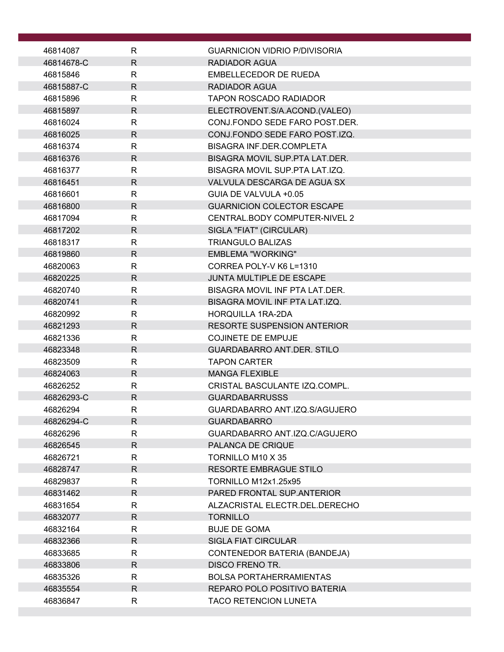| 46814087   | R            | <b>GUARNICION VIDRIO P/DIVISORIA</b> |
|------------|--------------|--------------------------------------|
| 46814678-C | R.           | <b>RADIADOR AGUA</b>                 |
| 46815846   | R            | <b>EMBELLECEDOR DE RUEDA</b>         |
| 46815887-C | $\mathsf{R}$ | <b>RADIADOR AGUA</b>                 |
| 46815896   | R            | <b>TAPON ROSCADO RADIADOR</b>        |
| 46815897   | $\mathsf{R}$ | ELECTROVENT.S/A.ACOND.(VALEO)        |
| 46816024   | R            | CONJ.FONDO SEDE FARO POST.DER.       |
| 46816025   | $\mathsf{R}$ | CONJ.FONDO SEDE FARO POST.IZQ.       |
| 46816374   | R            | <b>BISAGRA INF.DER.COMPLETA</b>      |
| 46816376   | $\mathsf{R}$ | BISAGRA MOVIL SUP PTA LAT DER.       |
| 46816377   | R            | BISAGRA MOVIL SUP.PTA LAT.IZQ.       |
| 46816451   | R            | VALVULA DESCARGA DE AGUA SX          |
| 46816601   | R            | GUIA DE VALVULA +0.05                |
| 46816800   | $\mathsf{R}$ | <b>GUARNICION COLECTOR ESCAPE</b>    |
| 46817094   | R            | CENTRAL.BODY COMPUTER-NIVEL 2        |
| 46817202   | $\mathsf{R}$ | SIGLA "FIAT" (CIRCULAR)              |
| 46818317   | R            | <b>TRIANGULO BALIZAS</b>             |
| 46819860   | R            | EMBLEMA "WORKING"                    |
| 46820063   | $\mathsf{R}$ | CORREA POLY-V K6 L=1310              |
| 46820225   | $\mathsf{R}$ | <b>JUNTA MULTIPLE DE ESCAPE</b>      |
| 46820740   | $\mathsf{R}$ | BISAGRA MOVIL INF PTA LAT.DER.       |
| 46820741   | R            | BISAGRA MOVIL INF PTA LAT.IZQ.       |
| 46820992   | R            | <b>HORQUILLA 1RA-2DA</b>             |
| 46821293   | $\mathsf{R}$ | <b>RESORTE SUSPENSION ANTERIOR</b>   |
| 46821336   | $\mathsf{R}$ | <b>COJINETE DE EMPUJE</b>            |
| 46823348   | R            | <b>GUARDABARRO ANT.DER. STILO</b>    |
| 46823509   | R            | <b>TAPON CARTER</b>                  |
| 46824063   | $\mathsf{R}$ | <b>MANGA FLEXIBLE</b>                |
| 46826252   | R            | CRISTAL BASCULANTE IZQ.COMPL.        |
| 46826293-C | R.           | <b>GUARDABARRUSSS</b>                |
| 46826294   | $\mathsf{R}$ | GUARDABARRO ANT.IZQ.S/AGUJERO        |
| 46826294-C | $\mathsf{R}$ | <b>GUARDABARRO</b>                   |
| 46826296   | R            | GUARDABARRO ANT.IZQ.C/AGUJERO        |
| 46826545   | R.           | PALANCA DE CRIQUE                    |
| 46826721   | R            | TORNILLO M10 X 35                    |
| 46828747   | $\mathsf{R}$ | <b>RESORTE EMBRAGUE STILO</b>        |
| 46829837   | R            | <b>TORNILLO M12x1.25x95</b>          |
| 46831462   | R            | PARED FRONTAL SUP.ANTERIOR           |
| 46831654   | R            | ALZACRISTAL ELECTR.DEL.DERECHO       |
| 46832077   | $\mathsf{R}$ | <b>TORNILLO</b>                      |
| 46832164   | R            | <b>BUJE DE GOMA</b>                  |
| 46832366   | $\mathsf{R}$ | <b>SIGLA FIAT CIRCULAR</b>           |
| 46833685   | R.           | CONTENEDOR BATERIA (BANDEJA)         |
| 46833806   | R.           | <b>DISCO FRENO TR.</b>               |
| 46835326   | R            | <b>BOLSA PORTAHERRAMIENTAS</b>       |
| 46835554   | $\mathsf{R}$ | REPARO POLO POSITIVO BATERIA         |
| 46836847   | R            | <b>TACO RETENCION LUNETA</b>         |
|            |              |                                      |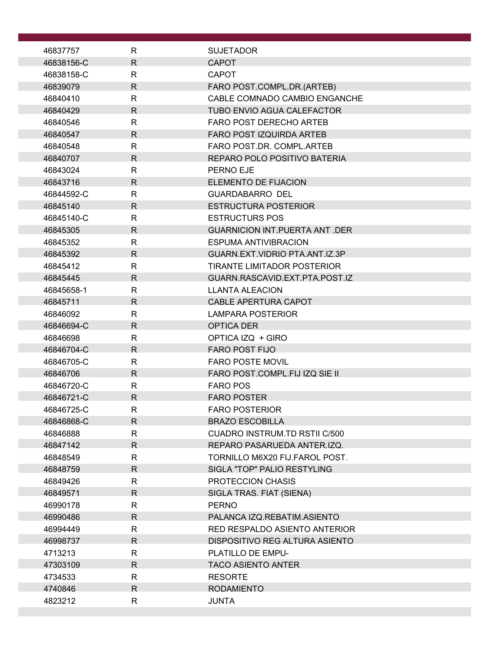| 46837757               | R                  | <b>SUJETADOR</b>                       |
|------------------------|--------------------|----------------------------------------|
| 46838156-C             | R.                 | <b>CAPOT</b>                           |
| 46838158-C             | R                  | <b>CAPOT</b>                           |
| 46839079               | $\mathsf{R}$       | FARO POST.COMPL.DR.(ARTEB)             |
| 46840410               | R                  | CABLE COMNADO CAMBIO ENGANCHE          |
| 46840429               | $\mathsf{R}$       | <b>TUBO ENVIO AGUA CALEFACTOR</b>      |
| 46840546               | R                  | FARO POST DERECHO ARTEB                |
| 46840547               | $\mathsf{R}$       | <b>FARO POST IZQUIRDA ARTEB</b>        |
| 46840548               | R                  | FARO POST.DR. COMPL.ARTEB              |
| 46840707               | R                  | REPARO POLO POSITIVO BATERIA           |
| 46843024               | R                  | PERNO EJE                              |
| 46843716               | R                  | <b>ELEMENTO DE FIJACION</b>            |
| 46844592-C             | R                  | <b>GUARDABARRO DEL</b>                 |
| 46845140               | R                  | <b>ESTRUCTURA POSTERIOR</b>            |
| 46845140-C             | R                  | <b>ESTRUCTURS POS</b>                  |
| 46845305               | $\mathsf{R}$       | <b>GUARNICION INT.PUERTA ANT .DER</b>  |
| 46845352               | R                  | <b>ESPUMA ANTIVIBRACION</b>            |
| 46845392               | R                  | GUARN.EXT.VIDRIO PTA.ANT.IZ.3P         |
| 46845412               | R                  | <b>TIRANTE LIMITADOR POSTERIOR</b>     |
| 46845445               | $\mathsf{R}$       | GUARN.RASCAVID.EXT.PTA.POST.IZ         |
| 46845658-1             | $\mathsf{R}$       | <b>LLANTA ALEACION</b>                 |
| 46845711               | R                  | <b>CABLE APERTURA CAPOT</b>            |
| 46846092<br>46846694-C | R.<br>$\mathsf{R}$ | <b>LAMPARA POSTERIOR</b><br>OPTICA DER |
| 46846698               | $\mathsf{R}$       | OPTICA IZQ + GIRO                      |
| 46846704-C             | R                  | <b>FARO POST FIJO</b>                  |
| 46846705-C             | R                  | <b>FARO POSTE MOVIL</b>                |
| 46846706               | $\mathsf{R}$       | FARO POST.COMPL.FIJ IZQ SIE II         |
| 46846720-C             | R                  | <b>FARO POS</b>                        |
| 46846721-C             | R.                 | <b>FARO POSTER</b>                     |
| 46846725-C             | $\mathsf{R}$       | <b>FARO POSTERIOR</b>                  |
| 46846868-C             | $\mathsf{R}$       | <b>BRAZO ESCOBILLA</b>                 |
| 46846888               | R.                 | CUADRO INSTRUM.TD RSTILC/500           |
| 46847142               | R.                 | REPARO PASARUEDA ANTER.IZQ.            |
| 46848549               | R                  | TORNILLO M6X20 FIJ.FAROL POST.         |
| 46848759               | $\mathsf{R}$       | SIGLA "TOP" PALIO RESTYLING            |
| 46849426               | $\mathsf{R}$       | PROTECCION CHASIS                      |
| 46849571               | R                  | SIGLA TRAS. FIAT (SIENA)               |
| 46990178               | R                  | <b>PERNO</b>                           |
| 46990486               | $\mathsf{R}$       | PALANCA IZQ.REBATIM.ASIENTO            |
| 46994449               | R                  | RED RESPALDO ASIENTO ANTERIOR          |
| 46998737               | $\mathsf{R}$       | DISPOSITIVO REG ALTURA ASIENTO         |
| 4713213                | R.                 | PLATILLO DE EMPU-                      |
| 47303109               | $\mathsf{R}$       | <b>TACO ASIENTO ANTER</b>              |
| 4734533                | R                  | <b>RESORTE</b>                         |
| 4740846                | R.                 | <b>RODAMIENTO</b>                      |
| 4823212                | R                  | <b>JUNTA</b>                           |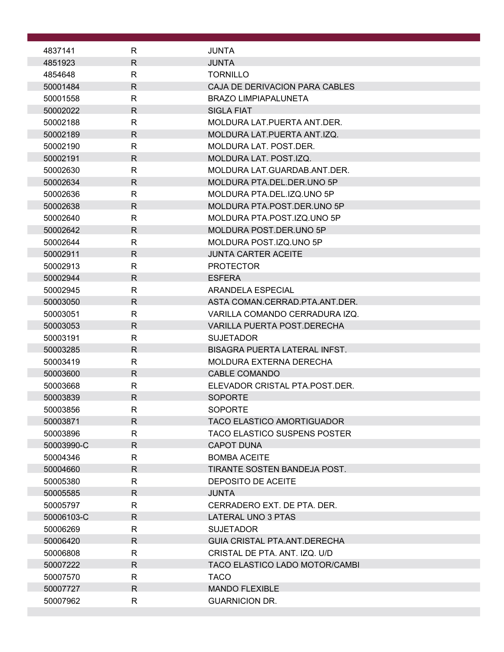| 4837141 |            | R            | <b>JUNTA</b>                         |
|---------|------------|--------------|--------------------------------------|
| 4851923 |            | $\mathsf{R}$ | <b>JUNTA</b>                         |
| 4854648 |            | R            | <b>TORNILLO</b>                      |
|         | 50001484   | $\mathsf{R}$ | CAJA DE DERIVACION PARA CABLES       |
|         | 50001558   | $\mathsf{R}$ | <b>BRAZO LIMPIAPALUNETA</b>          |
|         | 50002022   | $\mathsf{R}$ | <b>SIGLA FIAT</b>                    |
|         | 50002188   | R            | MOLDURA LAT. PUERTA ANT. DER.        |
|         | 50002189   | $\mathsf{R}$ | MOLDURA LAT. PUERTA ANT. IZQ.        |
|         | 50002190   | R            | MOLDURA LAT. POST.DER.               |
|         | 50002191   | R            | MOLDURA LAT. POST.IZQ.               |
|         | 50002630   | $\mathsf{R}$ | MOLDURA LAT.GUARDAB.ANT.DER.         |
|         | 50002634   | $\mathsf{R}$ | MOLDURA PTA.DEL.DER.UNO 5P           |
|         | 50002636   | R            | MOLDURA PTA.DEL.IZQ.UNO 5P           |
|         | 50002638   | $\mathsf{R}$ | MOLDURA PTA.POST.DER.UNO 5P          |
|         | 50002640   | R            | MOLDURA PTA.POST.IZQ.UNO 5P          |
|         | 50002642   | $\mathsf{R}$ | MOLDURA POST.DER.UNO 5P              |
|         | 50002644   | R            | MOLDURA POST.IZQ.UNO 5P              |
|         | 50002911   | $\mathsf{R}$ | <b>JUNTA CARTER ACEITE</b>           |
|         | 50002913   | $\mathsf{R}$ | <b>PROTECTOR</b>                     |
|         | 50002944   | $\mathsf{R}$ | <b>ESFERA</b>                        |
|         | 50002945   | $\mathsf{R}$ | ARANDELA ESPECIAL                    |
|         | 50003050   | R            | ASTA COMAN.CERRAD.PTA.ANT.DER.       |
|         | 50003051   | $\mathsf{R}$ | VARILLA COMANDO CERRADURA IZQ.       |
|         | 50003053   | $\mathsf{R}$ | <b>VARILLA PUERTA POST.DERECHA</b>   |
|         | 50003191   | R            | <b>SUJETADOR</b>                     |
|         | 50003285   | R            | <b>BISAGRA PUERTA LATERAL INFST.</b> |
|         | 50003419   | R            | <b>MOLDURA EXTERNA DERECHA</b>       |
|         | 50003600   | $\mathsf{R}$ | <b>CABLE COMANDO</b>                 |
|         | 50003668   | R            | ELEVADOR CRISTAL PTA.POST.DER.       |
|         | 50003839   | $\mathsf{R}$ | <b>SOPORTE</b>                       |
|         | 50003856   | R            | <b>SOPORTE</b>                       |
|         | 50003871   | $\mathsf{R}$ | <b>TACO ELASTICO AMORTIGUADOR</b>    |
|         | 50003896   | $\mathsf{R}$ | <b>TACO ELASTICO SUSPENS POSTER</b>  |
|         | 50003990-C | R.           | <b>CAPOT DUNA</b>                    |
|         | 50004346   | R            | <b>BOMBA ACEITE</b>                  |
|         | 50004660   | $\mathsf{R}$ | TIRANTE SOSTEN BANDEJA POST.         |
|         | 50005380   | $\mathsf{R}$ | DEPOSITO DE ACEITE                   |
|         | 50005585   | R            | <b>JUNTA</b>                         |
|         | 50005797   | R            | CERRADERO EXT. DE PTA. DER.          |
|         | 50006103-C | $\mathsf{R}$ | LATERAL UNO 3 PTAS                   |
|         | 50006269   | R            | <b>SUJETADOR</b>                     |
|         | 50006420   | $\mathsf{R}$ | GUIA CRISTAL PTA.ANT.DERECHA         |
|         | 50006808   | $\mathsf{R}$ | CRISTAL DE PTA. ANT. IZQ. U/D        |
|         | 50007222   | $\mathsf{R}$ | TACO ELASTICO LADO MOTOR/CAMBI       |
|         | 50007570   | R            | <b>TACO</b>                          |
|         | 50007727   | R.           | <b>MANDO FLEXIBLE</b>                |
|         | 50007962   | R            | <b>GUARNICION DR.</b>                |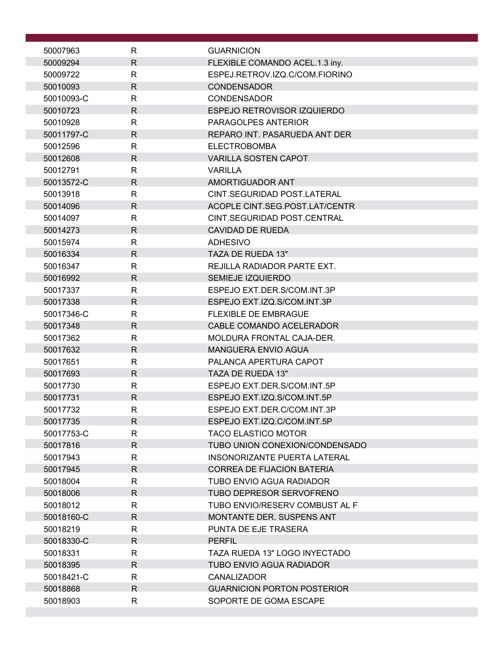| 50007963               | R                            | <b>GUARNICION</b>                                        |
|------------------------|------------------------------|----------------------------------------------------------|
| 50009294               | $\mathsf{R}$                 | FLEXIBLE COMANDO ACEL.1.3 iny.                           |
| 50009722               | R                            | ESPEJ.RETROV.IZQ.C/COM.FIORINO                           |
| 50010093               | $\mathsf{R}$                 | <b>CONDENSADOR</b>                                       |
| 50010093-C             | R                            | <b>CONDENSADOR</b>                                       |
| 50010723               | $\mathsf{R}$                 | ESPEJO RETROVISOR IZQUIERDO                              |
| 50010928               | $\mathsf{R}$                 | PARAGOLPES ANTERIOR                                      |
| 50011797-C             | $\mathsf{R}$                 | REPARO INT. PASARUEDA ANT DER                            |
| 50012596               | $\mathsf{R}$                 | <b>ELECTROBOMBA</b>                                      |
| 50012608               | $\mathsf{R}$                 | <b>VARILLA SOSTEN CAPOT</b>                              |
| 50012791               | $\mathsf{R}$                 | <b>VARILLA</b>                                           |
| 50013572-C             | $\mathsf{R}$                 | AMORTIGUADOR ANT                                         |
| 50013918               | R                            | CINT.SEGURIDAD POST.LATERAL                              |
| 50014096               | $\mathsf{R}$                 | ACOPLE CINT.SEG.POST.LAT/CENTR                           |
| 50014097               | $\mathsf{R}$<br>$\mathsf{R}$ | CINT.SEGURIDAD POST.CENTRAL<br><b>CAVIDAD DE RUEDA</b>   |
| 50014273<br>50015974   | $\mathsf{R}$                 | <b>ADHESIVO</b>                                          |
| 50016334               | $\mathsf{R}$                 | TAZA DE RUEDA 13"                                        |
| 50016347               | $\mathsf{R}$                 | REJILLA RADIADOR PARTE EXT.                              |
| 50016992               | $\mathsf{R}$                 | SEMIEJE IZQUIERDO                                        |
| 50017337               | $\mathsf{R}$                 | ESPEJO EXT.DER.S/COM.INT.3P                              |
| 50017338               | $\mathsf{R}$                 | ESPEJO EXT.IZQ.S/COM.INT.3P                              |
| 50017346-C             | $\mathsf{R}$                 | <b>FLEXIBLE DE EMBRAGUE</b>                              |
| 50017348               | $\mathsf{R}$                 | CABLE COMANDO ACELERADOR                                 |
| 50017362               | $\mathsf{R}$                 | MOLDURA FRONTAL CAJA-DER.                                |
| 50017632               | $\mathsf{R}$                 | <b>MANGUERA ENVIO AGUA</b>                               |
| 50017651               | R                            | PALANCA APERTURA CAPOT                                   |
| 50017693               | $\mathsf R$                  | TAZA DE RUEDA 13"                                        |
| 50017730               | R                            | ESPEJO EXT.DER.S/COM.INT.5P                              |
| 50017731               | $\mathsf{R}$                 | ESPEJO EXT.IZQ.S/COM.INT.5P                              |
| 50017732               | R                            | ESPEJO EXT.DER.C/COM.INT.3P                              |
| 50017735               | $\mathsf{R}$                 | ESPEJO EXT.IZQ.C/COM.INT.5P                              |
| 50017753-C             | $\mathsf{R}$                 | <b>TACO ELASTICO MOTOR</b>                               |
| 50017816               | $\mathsf{R}$                 | TUBO UNION CONEXION/CONDENSADO                           |
| 50017943               | R                            | INSONORIZANTE PUERTA LATERAL                             |
| 50017945               | $\mathsf{R}$                 | <b>CORREA DE FIJACION BATERIA</b>                        |
| 50018004               | $\mathsf{R}$                 | TUBO ENVIO AGUA RADIADOR                                 |
| 50018006               | R                            | TUBO DEPRESOR SERVOFRENO                                 |
| 50018012               | R                            | TUBO ENVIO/RESERV COMBUST AL F                           |
| 50018160-C<br>50018219 | $\mathsf{R}$<br>R            | <b>MONTANTE DER. SUSPENS ANT</b><br>PUNTA DE EJE TRASERA |
| 50018330-C             | $\mathsf{R}$                 | <b>PERFIL</b>                                            |
| 50018331               | $\mathsf{R}$                 | TAZA RUEDA 13" LOGO INYECTADO                            |
| 50018395               | $\mathsf{R}$                 | <b>TUBO ENVIO AGUA RADIADOR</b>                          |
| 50018421-C             | R                            | <b>CANALIZADOR</b>                                       |
| 50018868               | $\mathsf{R}$                 | <b>GUARNICION PORTON POSTERIOR</b>                       |
| 50018903               | R                            | SOPORTE DE GOMA ESCAPE                                   |
|                        |                              |                                                          |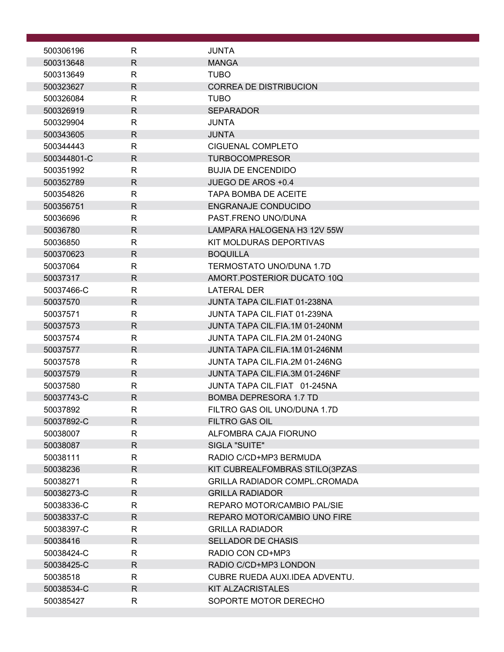| $\mathsf{R}$<br>500306196<br><b>JUNTA</b><br>$\mathsf{R}$<br>500313648<br><b>MANGA</b><br><b>TUBO</b><br>500313649<br>R<br>$\mathsf{R}$<br><b>CORREA DE DISTRIBUCION</b><br>500323627<br>$\mathsf{R}$<br><b>TUBO</b><br>500326084<br>500326919<br>$\mathsf{R}$<br><b>SEPARADOR</b><br>$\mathsf{R}$<br>500329904<br><b>JUNTA</b><br>$\mathsf{R}$<br>500343605<br><b>JUNTA</b><br>$\mathsf{R}$<br>500344443<br>CIGUENAL COMPLETO<br>$\mathsf{R}$<br>500344801-C<br><b>TURBOCOMPRESOR</b><br>$\mathsf{R}$<br><b>BUJIA DE ENCENDIDO</b><br>500351992<br>$\mathsf{R}$<br>JUEGO DE AROS +0.4<br>500352789<br>500354826<br>R<br><b>TAPA BOMBA DE ACEITE</b><br>$\mathsf{R}$<br>500356751<br><b>ENGRANAJE CONDUCIDO</b><br>R<br>PAST.FRENO UNO/DUNA<br>50036696<br>$\mathsf{R}$<br>50036780<br>LAMPARA HALOGENA H3 12V 55W<br>R<br>KIT MOLDURAS DEPORTIVAS<br>50036850<br>$\mathsf{R}$<br>500370623<br><b>BOQUILLA</b><br>$\mathsf{R}$<br>TERMOSTATO UNO/DUNA 1.7D<br>50037064<br>$\mathsf{R}$<br>50037317<br>AMORT.POSTERIOR DUCATO 10Q<br>$\mathsf{R}$<br><b>LATERAL DER</b><br>50037466-C<br>$\mathsf{R}$<br>JUNTA TAPA CIL.FIAT 01-238NA<br>50037570<br>$\mathsf{R}$<br>50037571<br>JUNTA TAPA CIL.FIAT 01-239NA<br>$\mathsf{R}$<br>50037573<br>JUNTA TAPA CIL.FIA.1M 01-240NM<br>JUNTA TAPA CIL.FIA.2M 01-240NG<br>50037574<br>R<br>$\mathsf{R}$<br>JUNTA TAPA CIL.FIA.1M 01-246NM<br>50037577<br>$\mathsf{R}$<br>50037578<br>JUNTA TAPA CIL.FIA.2M 01-246NG<br>$\mathsf{R}$<br>50037579<br>JUNTA TAPA CIL.FIA.3M 01-246NF<br>50037580<br>R<br>JUNTA TAPA CIL.FIAT 01-245NA<br>$\mathsf{R}$<br>50037743-C<br><b>BOMBA DEPRESORA 1.7 TD</b><br>FILTRO GAS OIL UNO/DUNA 1.7D<br>50037892<br>R<br>R.<br><b>FILTRO GAS OIL</b><br>50037892-C<br>R<br>ALFOMBRA CAJA FIORUNO<br>50038007<br>$\mathsf{R}$<br>SIGLA "SUITE"<br>50038087<br>$\mathsf{R}$<br>RADIO C/CD+MP3 BERMUDA<br>50038111<br>50038236<br>R<br>KIT CUBREALFOMBRAS STILO(3PZAS<br><b>GRILLA RADIADOR COMPL.CROMADA</b><br>50038271<br>R<br>R.<br>50038273-C<br><b>GRILLA RADIADOR</b><br>REPARO MOTOR/CAMBIO PAL/SIE<br>50038336-C<br>R<br>$\mathsf{R}$<br>50038337-C<br>REPARO MOTOR/CAMBIO UNO FIRE<br>R<br><b>GRILLA RADIADOR</b><br>50038397-C<br>50038416<br>R<br><b>SELLADOR DE CHASIS</b><br>50038424-C<br>R<br>RADIO CON CD+MP3<br>50038425-C<br>R<br>RADIO C/CD+MP3 LONDON<br>50038518<br>R<br>CUBRE RUEDA AUXI.IDEA ADVENTU.<br>R.<br>50038534-C<br>KIT ALZACRISTALES<br>R<br>SOPORTE MOTOR DERECHO<br>500385427 |  |  |
|-----------------------------------------------------------------------------------------------------------------------------------------------------------------------------------------------------------------------------------------------------------------------------------------------------------------------------------------------------------------------------------------------------------------------------------------------------------------------------------------------------------------------------------------------------------------------------------------------------------------------------------------------------------------------------------------------------------------------------------------------------------------------------------------------------------------------------------------------------------------------------------------------------------------------------------------------------------------------------------------------------------------------------------------------------------------------------------------------------------------------------------------------------------------------------------------------------------------------------------------------------------------------------------------------------------------------------------------------------------------------------------------------------------------------------------------------------------------------------------------------------------------------------------------------------------------------------------------------------------------------------------------------------------------------------------------------------------------------------------------------------------------------------------------------------------------------------------------------------------------------------------------------------------------------------------------------------------------------------------------------------------------------------------------------------------------------------------------------------------------------------------------------------------------------------------------------------------------------------------------------------------------------------------------------------------------------------------------------------------------------------------------------------------------------------------------------------------------------------------|--|--|
|                                                                                                                                                                                                                                                                                                                                                                                                                                                                                                                                                                                                                                                                                                                                                                                                                                                                                                                                                                                                                                                                                                                                                                                                                                                                                                                                                                                                                                                                                                                                                                                                                                                                                                                                                                                                                                                                                                                                                                                                                                                                                                                                                                                                                                                                                                                                                                                                                                                                                   |  |  |
|                                                                                                                                                                                                                                                                                                                                                                                                                                                                                                                                                                                                                                                                                                                                                                                                                                                                                                                                                                                                                                                                                                                                                                                                                                                                                                                                                                                                                                                                                                                                                                                                                                                                                                                                                                                                                                                                                                                                                                                                                                                                                                                                                                                                                                                                                                                                                                                                                                                                                   |  |  |
|                                                                                                                                                                                                                                                                                                                                                                                                                                                                                                                                                                                                                                                                                                                                                                                                                                                                                                                                                                                                                                                                                                                                                                                                                                                                                                                                                                                                                                                                                                                                                                                                                                                                                                                                                                                                                                                                                                                                                                                                                                                                                                                                                                                                                                                                                                                                                                                                                                                                                   |  |  |
|                                                                                                                                                                                                                                                                                                                                                                                                                                                                                                                                                                                                                                                                                                                                                                                                                                                                                                                                                                                                                                                                                                                                                                                                                                                                                                                                                                                                                                                                                                                                                                                                                                                                                                                                                                                                                                                                                                                                                                                                                                                                                                                                                                                                                                                                                                                                                                                                                                                                                   |  |  |
|                                                                                                                                                                                                                                                                                                                                                                                                                                                                                                                                                                                                                                                                                                                                                                                                                                                                                                                                                                                                                                                                                                                                                                                                                                                                                                                                                                                                                                                                                                                                                                                                                                                                                                                                                                                                                                                                                                                                                                                                                                                                                                                                                                                                                                                                                                                                                                                                                                                                                   |  |  |
|                                                                                                                                                                                                                                                                                                                                                                                                                                                                                                                                                                                                                                                                                                                                                                                                                                                                                                                                                                                                                                                                                                                                                                                                                                                                                                                                                                                                                                                                                                                                                                                                                                                                                                                                                                                                                                                                                                                                                                                                                                                                                                                                                                                                                                                                                                                                                                                                                                                                                   |  |  |
|                                                                                                                                                                                                                                                                                                                                                                                                                                                                                                                                                                                                                                                                                                                                                                                                                                                                                                                                                                                                                                                                                                                                                                                                                                                                                                                                                                                                                                                                                                                                                                                                                                                                                                                                                                                                                                                                                                                                                                                                                                                                                                                                                                                                                                                                                                                                                                                                                                                                                   |  |  |
|                                                                                                                                                                                                                                                                                                                                                                                                                                                                                                                                                                                                                                                                                                                                                                                                                                                                                                                                                                                                                                                                                                                                                                                                                                                                                                                                                                                                                                                                                                                                                                                                                                                                                                                                                                                                                                                                                                                                                                                                                                                                                                                                                                                                                                                                                                                                                                                                                                                                                   |  |  |
|                                                                                                                                                                                                                                                                                                                                                                                                                                                                                                                                                                                                                                                                                                                                                                                                                                                                                                                                                                                                                                                                                                                                                                                                                                                                                                                                                                                                                                                                                                                                                                                                                                                                                                                                                                                                                                                                                                                                                                                                                                                                                                                                                                                                                                                                                                                                                                                                                                                                                   |  |  |
|                                                                                                                                                                                                                                                                                                                                                                                                                                                                                                                                                                                                                                                                                                                                                                                                                                                                                                                                                                                                                                                                                                                                                                                                                                                                                                                                                                                                                                                                                                                                                                                                                                                                                                                                                                                                                                                                                                                                                                                                                                                                                                                                                                                                                                                                                                                                                                                                                                                                                   |  |  |
|                                                                                                                                                                                                                                                                                                                                                                                                                                                                                                                                                                                                                                                                                                                                                                                                                                                                                                                                                                                                                                                                                                                                                                                                                                                                                                                                                                                                                                                                                                                                                                                                                                                                                                                                                                                                                                                                                                                                                                                                                                                                                                                                                                                                                                                                                                                                                                                                                                                                                   |  |  |
|                                                                                                                                                                                                                                                                                                                                                                                                                                                                                                                                                                                                                                                                                                                                                                                                                                                                                                                                                                                                                                                                                                                                                                                                                                                                                                                                                                                                                                                                                                                                                                                                                                                                                                                                                                                                                                                                                                                                                                                                                                                                                                                                                                                                                                                                                                                                                                                                                                                                                   |  |  |
|                                                                                                                                                                                                                                                                                                                                                                                                                                                                                                                                                                                                                                                                                                                                                                                                                                                                                                                                                                                                                                                                                                                                                                                                                                                                                                                                                                                                                                                                                                                                                                                                                                                                                                                                                                                                                                                                                                                                                                                                                                                                                                                                                                                                                                                                                                                                                                                                                                                                                   |  |  |
|                                                                                                                                                                                                                                                                                                                                                                                                                                                                                                                                                                                                                                                                                                                                                                                                                                                                                                                                                                                                                                                                                                                                                                                                                                                                                                                                                                                                                                                                                                                                                                                                                                                                                                                                                                                                                                                                                                                                                                                                                                                                                                                                                                                                                                                                                                                                                                                                                                                                                   |  |  |
|                                                                                                                                                                                                                                                                                                                                                                                                                                                                                                                                                                                                                                                                                                                                                                                                                                                                                                                                                                                                                                                                                                                                                                                                                                                                                                                                                                                                                                                                                                                                                                                                                                                                                                                                                                                                                                                                                                                                                                                                                                                                                                                                                                                                                                                                                                                                                                                                                                                                                   |  |  |
|                                                                                                                                                                                                                                                                                                                                                                                                                                                                                                                                                                                                                                                                                                                                                                                                                                                                                                                                                                                                                                                                                                                                                                                                                                                                                                                                                                                                                                                                                                                                                                                                                                                                                                                                                                                                                                                                                                                                                                                                                                                                                                                                                                                                                                                                                                                                                                                                                                                                                   |  |  |
|                                                                                                                                                                                                                                                                                                                                                                                                                                                                                                                                                                                                                                                                                                                                                                                                                                                                                                                                                                                                                                                                                                                                                                                                                                                                                                                                                                                                                                                                                                                                                                                                                                                                                                                                                                                                                                                                                                                                                                                                                                                                                                                                                                                                                                                                                                                                                                                                                                                                                   |  |  |
|                                                                                                                                                                                                                                                                                                                                                                                                                                                                                                                                                                                                                                                                                                                                                                                                                                                                                                                                                                                                                                                                                                                                                                                                                                                                                                                                                                                                                                                                                                                                                                                                                                                                                                                                                                                                                                                                                                                                                                                                                                                                                                                                                                                                                                                                                                                                                                                                                                                                                   |  |  |
|                                                                                                                                                                                                                                                                                                                                                                                                                                                                                                                                                                                                                                                                                                                                                                                                                                                                                                                                                                                                                                                                                                                                                                                                                                                                                                                                                                                                                                                                                                                                                                                                                                                                                                                                                                                                                                                                                                                                                                                                                                                                                                                                                                                                                                                                                                                                                                                                                                                                                   |  |  |
|                                                                                                                                                                                                                                                                                                                                                                                                                                                                                                                                                                                                                                                                                                                                                                                                                                                                                                                                                                                                                                                                                                                                                                                                                                                                                                                                                                                                                                                                                                                                                                                                                                                                                                                                                                                                                                                                                                                                                                                                                                                                                                                                                                                                                                                                                                                                                                                                                                                                                   |  |  |
|                                                                                                                                                                                                                                                                                                                                                                                                                                                                                                                                                                                                                                                                                                                                                                                                                                                                                                                                                                                                                                                                                                                                                                                                                                                                                                                                                                                                                                                                                                                                                                                                                                                                                                                                                                                                                                                                                                                                                                                                                                                                                                                                                                                                                                                                                                                                                                                                                                                                                   |  |  |
|                                                                                                                                                                                                                                                                                                                                                                                                                                                                                                                                                                                                                                                                                                                                                                                                                                                                                                                                                                                                                                                                                                                                                                                                                                                                                                                                                                                                                                                                                                                                                                                                                                                                                                                                                                                                                                                                                                                                                                                                                                                                                                                                                                                                                                                                                                                                                                                                                                                                                   |  |  |
|                                                                                                                                                                                                                                                                                                                                                                                                                                                                                                                                                                                                                                                                                                                                                                                                                                                                                                                                                                                                                                                                                                                                                                                                                                                                                                                                                                                                                                                                                                                                                                                                                                                                                                                                                                                                                                                                                                                                                                                                                                                                                                                                                                                                                                                                                                                                                                                                                                                                                   |  |  |
|                                                                                                                                                                                                                                                                                                                                                                                                                                                                                                                                                                                                                                                                                                                                                                                                                                                                                                                                                                                                                                                                                                                                                                                                                                                                                                                                                                                                                                                                                                                                                                                                                                                                                                                                                                                                                                                                                                                                                                                                                                                                                                                                                                                                                                                                                                                                                                                                                                                                                   |  |  |
|                                                                                                                                                                                                                                                                                                                                                                                                                                                                                                                                                                                                                                                                                                                                                                                                                                                                                                                                                                                                                                                                                                                                                                                                                                                                                                                                                                                                                                                                                                                                                                                                                                                                                                                                                                                                                                                                                                                                                                                                                                                                                                                                                                                                                                                                                                                                                                                                                                                                                   |  |  |
|                                                                                                                                                                                                                                                                                                                                                                                                                                                                                                                                                                                                                                                                                                                                                                                                                                                                                                                                                                                                                                                                                                                                                                                                                                                                                                                                                                                                                                                                                                                                                                                                                                                                                                                                                                                                                                                                                                                                                                                                                                                                                                                                                                                                                                                                                                                                                                                                                                                                                   |  |  |
|                                                                                                                                                                                                                                                                                                                                                                                                                                                                                                                                                                                                                                                                                                                                                                                                                                                                                                                                                                                                                                                                                                                                                                                                                                                                                                                                                                                                                                                                                                                                                                                                                                                                                                                                                                                                                                                                                                                                                                                                                                                                                                                                                                                                                                                                                                                                                                                                                                                                                   |  |  |
|                                                                                                                                                                                                                                                                                                                                                                                                                                                                                                                                                                                                                                                                                                                                                                                                                                                                                                                                                                                                                                                                                                                                                                                                                                                                                                                                                                                                                                                                                                                                                                                                                                                                                                                                                                                                                                                                                                                                                                                                                                                                                                                                                                                                                                                                                                                                                                                                                                                                                   |  |  |
|                                                                                                                                                                                                                                                                                                                                                                                                                                                                                                                                                                                                                                                                                                                                                                                                                                                                                                                                                                                                                                                                                                                                                                                                                                                                                                                                                                                                                                                                                                                                                                                                                                                                                                                                                                                                                                                                                                                                                                                                                                                                                                                                                                                                                                                                                                                                                                                                                                                                                   |  |  |
|                                                                                                                                                                                                                                                                                                                                                                                                                                                                                                                                                                                                                                                                                                                                                                                                                                                                                                                                                                                                                                                                                                                                                                                                                                                                                                                                                                                                                                                                                                                                                                                                                                                                                                                                                                                                                                                                                                                                                                                                                                                                                                                                                                                                                                                                                                                                                                                                                                                                                   |  |  |
|                                                                                                                                                                                                                                                                                                                                                                                                                                                                                                                                                                                                                                                                                                                                                                                                                                                                                                                                                                                                                                                                                                                                                                                                                                                                                                                                                                                                                                                                                                                                                                                                                                                                                                                                                                                                                                                                                                                                                                                                                                                                                                                                                                                                                                                                                                                                                                                                                                                                                   |  |  |
|                                                                                                                                                                                                                                                                                                                                                                                                                                                                                                                                                                                                                                                                                                                                                                                                                                                                                                                                                                                                                                                                                                                                                                                                                                                                                                                                                                                                                                                                                                                                                                                                                                                                                                                                                                                                                                                                                                                                                                                                                                                                                                                                                                                                                                                                                                                                                                                                                                                                                   |  |  |
|                                                                                                                                                                                                                                                                                                                                                                                                                                                                                                                                                                                                                                                                                                                                                                                                                                                                                                                                                                                                                                                                                                                                                                                                                                                                                                                                                                                                                                                                                                                                                                                                                                                                                                                                                                                                                                                                                                                                                                                                                                                                                                                                                                                                                                                                                                                                                                                                                                                                                   |  |  |
|                                                                                                                                                                                                                                                                                                                                                                                                                                                                                                                                                                                                                                                                                                                                                                                                                                                                                                                                                                                                                                                                                                                                                                                                                                                                                                                                                                                                                                                                                                                                                                                                                                                                                                                                                                                                                                                                                                                                                                                                                                                                                                                                                                                                                                                                                                                                                                                                                                                                                   |  |  |
|                                                                                                                                                                                                                                                                                                                                                                                                                                                                                                                                                                                                                                                                                                                                                                                                                                                                                                                                                                                                                                                                                                                                                                                                                                                                                                                                                                                                                                                                                                                                                                                                                                                                                                                                                                                                                                                                                                                                                                                                                                                                                                                                                                                                                                                                                                                                                                                                                                                                                   |  |  |
|                                                                                                                                                                                                                                                                                                                                                                                                                                                                                                                                                                                                                                                                                                                                                                                                                                                                                                                                                                                                                                                                                                                                                                                                                                                                                                                                                                                                                                                                                                                                                                                                                                                                                                                                                                                                                                                                                                                                                                                                                                                                                                                                                                                                                                                                                                                                                                                                                                                                                   |  |  |
|                                                                                                                                                                                                                                                                                                                                                                                                                                                                                                                                                                                                                                                                                                                                                                                                                                                                                                                                                                                                                                                                                                                                                                                                                                                                                                                                                                                                                                                                                                                                                                                                                                                                                                                                                                                                                                                                                                                                                                                                                                                                                                                                                                                                                                                                                                                                                                                                                                                                                   |  |  |
|                                                                                                                                                                                                                                                                                                                                                                                                                                                                                                                                                                                                                                                                                                                                                                                                                                                                                                                                                                                                                                                                                                                                                                                                                                                                                                                                                                                                                                                                                                                                                                                                                                                                                                                                                                                                                                                                                                                                                                                                                                                                                                                                                                                                                                                                                                                                                                                                                                                                                   |  |  |
|                                                                                                                                                                                                                                                                                                                                                                                                                                                                                                                                                                                                                                                                                                                                                                                                                                                                                                                                                                                                                                                                                                                                                                                                                                                                                                                                                                                                                                                                                                                                                                                                                                                                                                                                                                                                                                                                                                                                                                                                                                                                                                                                                                                                                                                                                                                                                                                                                                                                                   |  |  |
|                                                                                                                                                                                                                                                                                                                                                                                                                                                                                                                                                                                                                                                                                                                                                                                                                                                                                                                                                                                                                                                                                                                                                                                                                                                                                                                                                                                                                                                                                                                                                                                                                                                                                                                                                                                                                                                                                                                                                                                                                                                                                                                                                                                                                                                                                                                                                                                                                                                                                   |  |  |
|                                                                                                                                                                                                                                                                                                                                                                                                                                                                                                                                                                                                                                                                                                                                                                                                                                                                                                                                                                                                                                                                                                                                                                                                                                                                                                                                                                                                                                                                                                                                                                                                                                                                                                                                                                                                                                                                                                                                                                                                                                                                                                                                                                                                                                                                                                                                                                                                                                                                                   |  |  |
|                                                                                                                                                                                                                                                                                                                                                                                                                                                                                                                                                                                                                                                                                                                                                                                                                                                                                                                                                                                                                                                                                                                                                                                                                                                                                                                                                                                                                                                                                                                                                                                                                                                                                                                                                                                                                                                                                                                                                                                                                                                                                                                                                                                                                                                                                                                                                                                                                                                                                   |  |  |
|                                                                                                                                                                                                                                                                                                                                                                                                                                                                                                                                                                                                                                                                                                                                                                                                                                                                                                                                                                                                                                                                                                                                                                                                                                                                                                                                                                                                                                                                                                                                                                                                                                                                                                                                                                                                                                                                                                                                                                                                                                                                                                                                                                                                                                                                                                                                                                                                                                                                                   |  |  |
|                                                                                                                                                                                                                                                                                                                                                                                                                                                                                                                                                                                                                                                                                                                                                                                                                                                                                                                                                                                                                                                                                                                                                                                                                                                                                                                                                                                                                                                                                                                                                                                                                                                                                                                                                                                                                                                                                                                                                                                                                                                                                                                                                                                                                                                                                                                                                                                                                                                                                   |  |  |
|                                                                                                                                                                                                                                                                                                                                                                                                                                                                                                                                                                                                                                                                                                                                                                                                                                                                                                                                                                                                                                                                                                                                                                                                                                                                                                                                                                                                                                                                                                                                                                                                                                                                                                                                                                                                                                                                                                                                                                                                                                                                                                                                                                                                                                                                                                                                                                                                                                                                                   |  |  |
|                                                                                                                                                                                                                                                                                                                                                                                                                                                                                                                                                                                                                                                                                                                                                                                                                                                                                                                                                                                                                                                                                                                                                                                                                                                                                                                                                                                                                                                                                                                                                                                                                                                                                                                                                                                                                                                                                                                                                                                                                                                                                                                                                                                                                                                                                                                                                                                                                                                                                   |  |  |
|                                                                                                                                                                                                                                                                                                                                                                                                                                                                                                                                                                                                                                                                                                                                                                                                                                                                                                                                                                                                                                                                                                                                                                                                                                                                                                                                                                                                                                                                                                                                                                                                                                                                                                                                                                                                                                                                                                                                                                                                                                                                                                                                                                                                                                                                                                                                                                                                                                                                                   |  |  |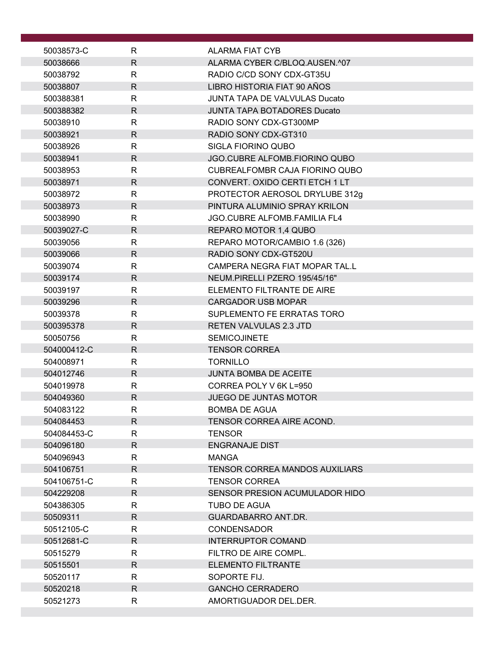| 50038573-C             | R                 | <b>ALARMA FIAT CYB</b>                                  |
|------------------------|-------------------|---------------------------------------------------------|
| 50038666               | $\mathsf{R}$      | ALARMA CYBER C/BLOQ.AUSEN.^07                           |
| 50038792               | $\mathsf{R}$      | RADIO C/CD SONY CDX-GT35U                               |
| 50038807               | $\mathsf{R}$      | LIBRO HISTORIA FIAT 90 AÑOS                             |
| 500388381              | R                 | <b>JUNTA TAPA DE VALVULAS Ducato</b>                    |
| 500388382              | $\mathsf{R}$      | <b>JUNTA TAPA BOTADORES Ducato</b>                      |
| 50038910               | $\mathsf{R}$      | RADIO SONY CDX-GT300MP                                  |
| 50038921               | R                 | RADIO SONY CDX-GT310                                    |
| 50038926               | $\mathsf{R}$      | SIGLA FIORINO QUBO                                      |
| 50038941               | $\mathsf{R}$      | JGO.CUBRE ALFOMB.FIORINO QUBO                           |
| 50038953               | $\mathsf{R}$      | CUBREALFOMBR CAJA FIORINO QUBO                          |
| 50038971               | R                 | CONVERT. OXIDO CERTI ETCH 1 LT                          |
| 50038972               | R                 | PROTECTOR AEROSOL DRYLUBE 312g                          |
| 50038973               | $\mathsf{R}$      | PINTURA ALUMINIO SPRAY KRILON                           |
| 50038990               | R                 | JGO.CUBRE ALFOMB.FAMILIA FL4                            |
| 50039027-C             | $\mathsf{R}$      | REPARO MOTOR 1,4 QUBO                                   |
| 50039056               | R<br>$\mathsf{R}$ | REPARO MOTOR/CAMBIO 1.6 (326)                           |
| 50039066<br>50039074   | R                 | RADIO SONY CDX-GT520U<br>CAMPERA NEGRA FIAT MOPAR TAL.L |
| 50039174               | R                 | NEUM.PIRELLI PZERO 195/45/16"                           |
| 50039197               | $\mathsf{R}$      | ELEMENTO FILTRANTE DE AIRE                              |
| 50039296               | R                 | <b>CARGADOR USB MOPAR</b>                               |
| 50039378               | R                 | SUPLEMENTO FE ERRATAS TORO                              |
| 500395378              | $\mathsf{R}$      | <b>RETEN VALVULAS 2.3 JTD</b>                           |
| 50050756               | R                 | <b>SEMICOJINETE</b>                                     |
| 504000412-C            | R                 | <b>TENSOR CORREA</b>                                    |
| 504008971              | R                 | <b>TORNILLO</b>                                         |
| 504012746              | $\mathsf{R}$      | <b>JUNTA BOMBA DE ACEITE</b>                            |
| 504019978              | $\mathsf{R}$      | CORREA POLY V 6K L=950                                  |
| 504049360              | $\mathsf{R}$      | JUEGO DE JUNTAS MOTOR                                   |
| 504083122              | $\mathsf{R}$      | <b>BOMBA DE AGUA</b>                                    |
| 504084453              | R.                | TENSOR CORREA AIRE ACOND.                               |
| 504084453-C            | R                 | <b>TENSOR</b>                                           |
| 504096180              | $\mathsf{R}$      | <b>ENGRANAJE DIST</b>                                   |
| 504096943              | $\mathsf{R}$      | <b>MANGA</b>                                            |
| 504106751              | R.                | <b>TENSOR CORREA MANDOS AUXILIARS</b>                   |
| 504106751-C            | R                 | <b>TENSOR CORREA</b>                                    |
| 504229208              | R.                | SENSOR PRESION ACUMULADOR HIDO                          |
| 504386305              | R                 | TUBO DE AGUA                                            |
| 50509311               | $\mathsf{R}$      | <b>GUARDABARRO ANT.DR.</b>                              |
| 50512105-C             | R                 | <b>CONDENSADOR</b>                                      |
| 50512681-C<br>50515279 | R<br>R            | <b>INTERRUPTOR COMAND</b><br>FILTRO DE AIRE COMPL.      |
| 50515501               | R.                | <b>ELEMENTO FILTRANTE</b>                               |
| 50520117               | R                 | SOPORTE FIJ.                                            |
| 50520218               | R.                | <b>GANCHO CERRADERO</b>                                 |
| 50521273               | R.                | AMORTIGUADOR DEL.DER.                                   |
|                        |                   |                                                         |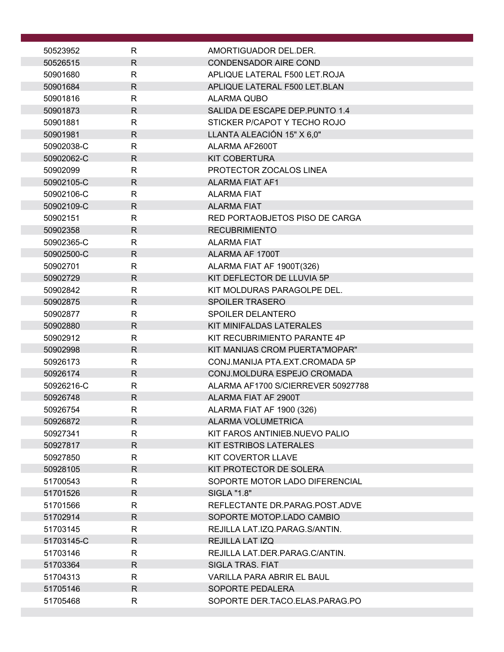| 50523952             | R                 | AMORTIGUADOR DEL.DER.                                 |
|----------------------|-------------------|-------------------------------------------------------|
| 50526515             | $\mathsf{R}$      | <b>CONDENSADOR AIRE COND</b>                          |
| 50901680             | R                 | APLIQUE LATERAL F500 LET.ROJA                         |
| 50901684             | $\mathsf{R}$      | APLIQUE LATERAL F500 LET.BLAN                         |
| 50901816             | R                 | ALARMA QUBO                                           |
| 50901873             | $\mathsf{R}$      | SALIDA DE ESCAPE DEP. PUNTO 1.4                       |
| 50901881             | R                 | STICKER P/CAPOT Y TECHO ROJO                          |
| 50901981             | R                 | LLANTA ALEACIÓN 15" X 6,0"                            |
| 50902038-C           | $\mathsf{R}$      | ALARMA AF2600T                                        |
| 50902062-C           | $\mathsf{R}$      | <b>KIT COBERTURA</b>                                  |
| 50902099             | $\mathsf{R}$      | PROTECTOR ZOCALOS LINEA                               |
| 50902105-C           | R                 | <b>ALARMA FIAT AF1</b>                                |
| 50902106-C           | R                 | <b>ALARMA FIAT</b>                                    |
| 50902109-C           | $\mathsf{R}$      | <b>ALARMA FIAT</b>                                    |
| 50902151             | R                 | RED PORTAOBJETOS PISO DE CARGA                        |
| 50902358             | $\mathsf{R}$      | <b>RECUBRIMIENTO</b>                                  |
| 50902365-C           | R                 | <b>ALARMA FIAT</b>                                    |
| 50902500-C           | $\mathsf{R}$      | ALARMA AF 1700T                                       |
| 50902701             | R                 | ALARMA FIAT AF 1900T(326)                             |
| 50902729             | R                 | KIT DEFLECTOR DE LLUVIA 5P                            |
| 50902842             | R                 | KIT MOLDURAS PARAGOLPE DEL.                           |
| 50902875             | R<br>$\mathsf{R}$ | <b>SPOILER TRASERO</b>                                |
| 50902877<br>50902880 | R                 | SPOILER DELANTERO<br>KIT MINIFALDAS LATERALES         |
| 50902912             | R                 | KIT RECUBRIMIENTO PARANTE 4P                          |
| 50902998             | $\mathsf{R}$      | KIT MANIJAS CROM PUERTA"MOPAR"                        |
| 50926173             | R                 | CONJ.MANIJA PTA.EXT.CROMADA 5P                        |
| 50926174             | $\mathsf{R}$      | CONJ.MOLDURA ESPEJO CROMADA                           |
| 50926216-C           | $\mathsf{R}$      | ALARMA AF1700 S/CIERREVER 50927788                    |
| 50926748             | $\mathsf{R}$      | ALARMA FIAT AF 2900T                                  |
| 50926754             | ${\sf R}$         | ALARMA FIAT AF 1900 (326)                             |
| 50926872             | R                 | <b>ALARMA VOLUMETRICA</b>                             |
| 50927341             | R                 | KIT FAROS ANTINIEB.NUEVO PALIO                        |
| 50927817             | R.                | KIT ESTRIBOS LATERALES                                |
| 50927850             | R                 | KIT COVERTOR LLAVE                                    |
| 50928105             | R                 | KIT PROTECTOR DE SOLERA                               |
| 51700543             | R                 | SOPORTE MOTOR LADO DIFERENCIAL                        |
| 51701526             | R                 | <b>SIGLA "1.8"</b>                                    |
| 51701566             | R                 | REFLECTANTE DR.PARAG.POST.ADVE                        |
| 51702914             | $\mathsf{R}$      | SOPORTE MOTOP.LADO CAMBIO                             |
| 51703145             | R                 | REJILLA LAT.IZQ.PARAG.S/ANTIN.                        |
| 51703145-C           | $\mathsf{R}$      | <b>REJILLA LAT IZQ</b>                                |
| 51703146             | R                 | REJILLA LAT.DER.PARAG.C/ANTIN.                        |
| 51703364<br>51704313 | R<br>R            | <b>SIGLA TRAS. FIAT</b><br>VARILLA PARA ABRIR EL BAUL |
| 51705146             | R.                | SOPORTE PEDALERA                                      |
| 51705468             | R                 | SOPORTE DER.TACO.ELAS.PARAG.PO                        |
|                      |                   |                                                       |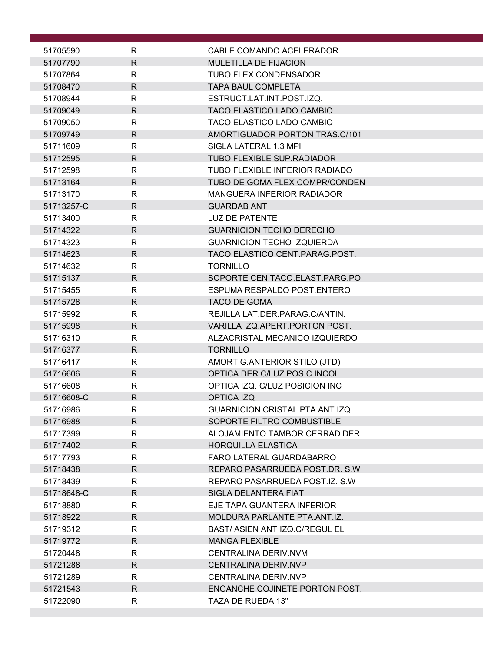| 51705590   | R            | CABLE COMANDO ACELERADOR              |
|------------|--------------|---------------------------------------|
| 51707790   | $\mathsf{R}$ | <b>MULETILLA DE FIJACION</b>          |
| 51707864   | R            | TUBO FLEX CONDENSADOR                 |
| 51708470   | $\mathsf{R}$ | <b>TAPA BAUL COMPLETA</b>             |
| 51708944   | $\mathsf{R}$ | ESTRUCT.LAT.INT.POST.IZQ.             |
| 51709049   | $\mathsf{R}$ | TACO ELASTICO LADO CAMBIO             |
| 51709050   | R            | TACO ELASTICO LADO CAMBIO             |
| 51709749   | $\mathsf{R}$ | AMORTIGUADOR PORTON TRAS.C/101        |
| 51711609   | $\mathsf{R}$ | SIGLA LATERAL 1.3 MPI                 |
| 51712595   | $\mathsf{R}$ | TUBO FLEXIBLE SUP.RADIADOR            |
| 51712598   | $\mathsf{R}$ | TUBO FLEXIBLE INFERIOR RADIADO        |
| 51713164   | $\mathsf{R}$ | TUBO DE GOMA FLEX COMPR/CONDEN        |
| 51713170   | $\mathsf{R}$ | <b>MANGUERA INFERIOR RADIADOR</b>     |
| 51713257-C | $\mathsf{R}$ | <b>GUARDAB ANT</b>                    |
| 51713400   | R            | <b>LUZ DE PATENTE</b>                 |
| 51714322   | $\mathsf{R}$ | <b>GUARNICION TECHO DERECHO</b>       |
| 51714323   | R            | <b>GUARNICION TECHO IZQUIERDA</b>     |
| 51714623   | R.           | TACO ELASTICO CENT.PARAG.POST.        |
| 51714632   | $\mathsf{R}$ | <b>TORNILLO</b>                       |
| 51715137   | $\mathsf{R}$ | SOPORTE CEN.TACO.ELAST.PARG.PO        |
| 51715455   | $\mathsf{R}$ | ESPUMA RESPALDO POST.ENTERO           |
| 51715728   | $\mathsf{R}$ | <b>TACO DE GOMA</b>                   |
| 51715992   | $\mathsf{R}$ | REJILLA LAT.DER.PARAG.C/ANTIN.        |
| 51715998   | $\mathsf{R}$ | VARILLA IZQ.APERT.PORTON POST.        |
| 51716310   | $\mathsf{R}$ | ALZACRISTAL MECANICO IZQUIERDO        |
| 51716377   | R            | <b>TORNILLO</b>                       |
| 51716417   | R            | AMORTIG.ANTERIOR STILO (JTD)          |
| 51716606   | $\mathsf{R}$ | OPTICA DER.C/LUZ POSIC.INCOL.         |
| 51716608   | R            | OPTICA IZQ. C/LUZ POSICION INC        |
| 51716608-C | $\mathsf{R}$ | OPTICA IZQ                            |
| 51716986   | к            | <b>GUARNICION CRISTAL PTA.ANT.IZQ</b> |
| 51716988   | R            | SOPORTE FILTRO COMBUSTIBLE            |
| 51717399   | R            | ALOJAMIENTO TAMBOR CERRAD.DER.        |
| 51717402   | R.           | <b>HORQUILLA ELASTICA</b>             |
| 51717793   | R            | FARO LATERAL GUARDABARRO              |
| 51718438   | R            | REPARO PASARRUEDA POST.DR. S.W.       |
| 51718439   | $\mathsf{R}$ | REPARO PASARRUEDA POST.IZ, S.W.       |
| 51718648-C | R            | SIGLA DELANTERA FIAT                  |
| 51718880   | R            | EJE TAPA GUANTERA INFERIOR            |
| 51718922   | R            | MOLDURA PARLANTE PTA.ANT.IZ.          |
| 51719312   | R            | BAST/ ASIEN ANT IZQ.C/REGUL EL        |
| 51719772   | R.           | <b>MANGA FLEXIBLE</b>                 |
| 51720448   | R            | CENTRALINA DERIV.NVM                  |
| 51721288   | $\mathsf{R}$ | <b>CENTRALINA DERIV.NVP</b>           |
| 51721289   | R            | CENTRALINA DERIV.NVP                  |
| 51721543   | $\mathsf{R}$ | ENGANCHE COJINETE PORTON POST.        |
| 51722090   | R            | TAZA DE RUEDA 13"                     |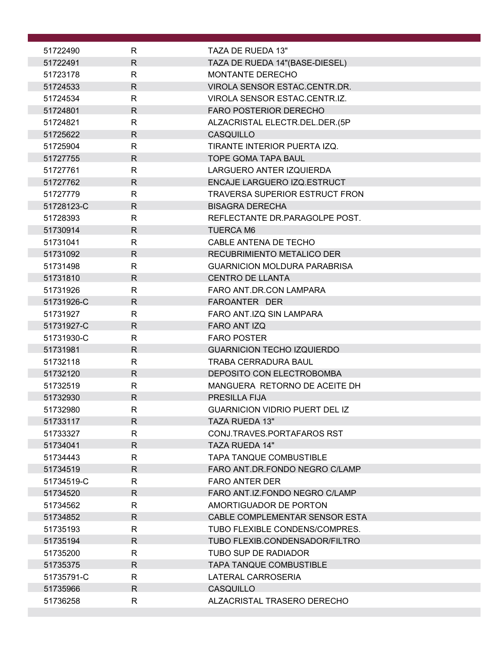| 51722490   | R            | TAZA DE RUEDA 13"                     |
|------------|--------------|---------------------------------------|
| 51722491   | $\mathsf{R}$ | TAZA DE RUEDA 14"(BASE-DIESEL)        |
| 51723178   | R            | MONTANTE DERECHO                      |
| 51724533   | $\mathsf{R}$ | VIROLA SENSOR ESTAC.CENTR.DR.         |
| 51724534   | $\mathsf{R}$ | VIROLA SENSOR ESTAC.CENTR.IZ.         |
| 51724801   | $\mathsf{R}$ | <b>FARO POSTERIOR DERECHO</b>         |
| 51724821   | $\mathsf{R}$ | ALZACRISTAL ELECTR.DEL.DER.(5P        |
| 51725622   | $\mathsf{R}$ | CASQUILLO                             |
| 51725904   | $\mathsf{R}$ | TIRANTE INTERIOR PUERTA IZQ.          |
| 51727755   | $\mathsf{R}$ | <b>TOPE GOMA TAPA BAUL</b>            |
| 51727761   | $\mathsf{R}$ | LARGUERO ANTER IZQUIERDA              |
| 51727762   | R            | ENCAJE LARGUERO IZQ.ESTRUCT           |
| 51727779   | R            | <b>TRAVERSA SUPERIOR ESTRUCT FRON</b> |
| 51728123-C | $\mathsf{R}$ | <b>BISAGRA DERECHA</b>                |
| 51728393   | R            | REFLECTANTE DR.PARAGOLPE POST.        |
| 51730914   | $\mathsf{R}$ | <b>TUERCA M6</b>                      |
| 51731041   | $\mathsf{R}$ | CABLE ANTENA DE TECHO                 |
| 51731092   | $\mathsf{R}$ | RECUBRIMIENTO METALICO DER            |
| 51731498   | $\mathsf{R}$ | <b>GUARNICION MOLDURA PARABRISA</b>   |
| 51731810   | $\mathsf{R}$ | <b>CENTRO DE LLANTA</b>               |
| 51731926   | $\mathsf{R}$ | FARO ANT.DR.CON LAMPARA               |
| 51731926-C | R            | FAROANTER DER                         |
| 51731927   | $\mathsf{R}$ | FARO ANT.IZQ SIN LAMPARA              |
| 51731927-C | $\mathsf{R}$ | FARO ANT IZQ                          |
| 51731930-C | R            | <b>FARO POSTER</b>                    |
| 51731981   | $\mathsf{R}$ | <b>GUARNICION TECHO IZQUIERDO</b>     |
| 51732118   | R            | <b>TRABA CERRADURA BAUL</b>           |
| 51732120   | $\mathsf{R}$ | DEPOSITO CON ELECTROBOMBA             |
| 51732519   | R            | MANGUERA RETORNO DE ACEITE DH         |
| 51732930   | $\mathsf{R}$ | PRESILLA FIJA                         |
| 51732980   | R            | <b>GUARNICION VIDRIO PUERT DEL IZ</b> |
| 51733117   | R.           | <b>TAZA RUEDA 13"</b>                 |
| 51733327   | R            | CONJ.TRAVES.PORTAFAROS RST            |
| 51734041   | R.           | <b>TAZA RUEDA 14"</b>                 |
| 51734443   | $\mathsf{R}$ | <b>TAPA TANQUE COMBUSTIBLE</b>        |
| 51734519   | $\mathsf{R}$ | FARO ANT.DR.FONDO NEGRO C/LAMP        |
| 51734519-C | $\mathsf{R}$ | <b>FARO ANTER DER</b>                 |
| 51734520   | R            | FARO ANT.IZ.FONDO NEGRO C/LAMP        |
| 51734562   | R            | AMORTIGUADOR DE PORTON                |
| 51734852   | $\mathsf{R}$ | CABLE COMPLEMENTAR SENSOR ESTA        |
| 51735193   | R.           | TUBO FLEXIBLE CONDENS/COMPRES.        |
| 51735194   | $\mathsf{R}$ | TUBO FLEXIB.CONDENSADOR/FILTRO        |
| 51735200   | R            | TUBO SUP DE RADIADOR                  |
| 51735375   | R.           | <b>TAPA TANQUE COMBUSTIBLE</b>        |
| 51735791-C | R            | LATERAL CARROSERIA                    |
| 51735966   | R.           | CASQUILLO                             |
| 51736258   | R            | ALZACRISTAL TRASERO DERECHO           |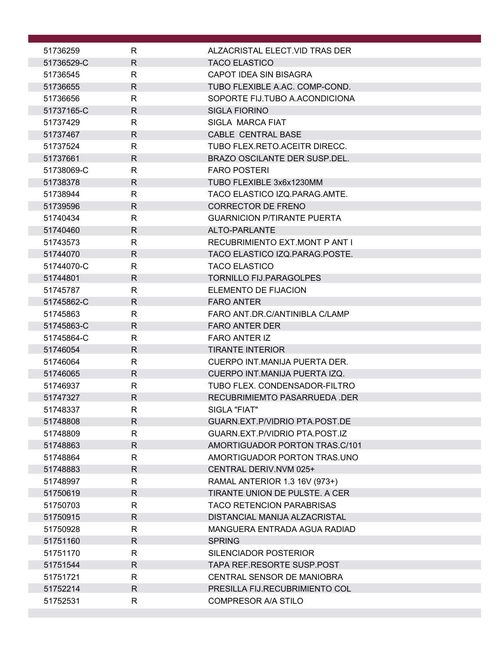| 51736259   | R            | ALZACRISTAL ELECT.VID TRAS DER        |
|------------|--------------|---------------------------------------|
| 51736529-C | $\mathsf{R}$ | <b>TACO ELASTICO</b>                  |
| 51736545   | R            | CAPOT IDEA SIN BISAGRA                |
| 51736655   | $\mathsf{R}$ | TUBO FLEXIBLE A.AC. COMP-COND.        |
| 51736656   | R            | SOPORTE FIJ.TUBO A.ACONDICIONA        |
| 51737165-C | $\mathsf{R}$ | <b>SIGLA FIORINO</b>                  |
| 51737429   | R            | SIGLA MARCA FIAT                      |
| 51737467   | R            | CABLE CENTRAL BASE                    |
| 51737524   | R            | TUBO FLEX.RETO.ACEITR DIRECC.         |
| 51737661   | R            | <b>BRAZO OSCILANTE DER SUSP.DEL.</b>  |
| 51738069-C | $\mathsf{R}$ | <b>FARO POSTERI</b>                   |
| 51738378   | R.           | TUBO FLEXIBLE 3x6x1230MM              |
| 51738944   | $\mathsf{R}$ | TACO ELASTICO IZQ.PARAG.AMTE.         |
| 51739596   | $\mathsf{R}$ | <b>CORRECTOR DE FRENO</b>             |
| 51740434   | R            | <b>GUARNICION P/TIRANTE PUERTA</b>    |
| 51740460   | $\mathsf{R}$ | ALTO-PARLANTE                         |
| 51743573   | R            | RECUBRIMIENTO EXT.MONT P ANT I        |
| 51744070   | $\mathsf{R}$ | TACO ELASTICO IZQ.PARAG.POSTE.        |
| 51744070-C | R            | <b>TACO ELASTICO</b>                  |
| 51744801   | $\mathsf{R}$ | <b>TORNILLO FIJ.PARAGOLPES</b>        |
| 51745787   | $\mathsf{R}$ | <b>ELEMENTO DE FIJACION</b>           |
| 51745862-C | R            | <b>FARO ANTER</b>                     |
| 51745863   | $\mathsf{R}$ | FARO ANT.DR.C/ANTINIBLA C/LAMP        |
| 51745863-C | $\mathsf{R}$ | <b>FARO ANTER DER</b>                 |
| 51745864-C | R            | <b>FARO ANTER IZ</b>                  |
| 51746054   | $\mathsf{R}$ | <b>TIRANTE INTERIOR</b>               |
| 51746064   | R.           | CUERPO INT.MANIJA PUERTA DER.         |
| 51746065   | $\mathsf{R}$ | CUERPO INT.MANIJA PUERTA IZQ.         |
| 51746937   | R            | TUBO FLEX. CONDENSADOR-FILTRO         |
| 51747327   | $\mathsf{R}$ | RECUBRIMIEMTO PASARRUEDA .DER         |
| 51748337   | R            | SIGLA "FIAT"                          |
| 51748808   | $\mathsf{R}$ | <b>GUARN.EXT.P/VIDRIO PTA.POST.DE</b> |
| 51748809   | $\mathsf{R}$ | GUARN.EXT.P/VIDRIO PTA.POST.IZ        |
| 51748863   | R.           | AMORTIGUADOR PORTON TRAS.C/101        |
| 51748864   | R            | AMORTIGUADOR PORTON TRAS.UNO          |
| 51748883   | $\mathsf{R}$ | CENTRAL DERIV.NVM 025+                |
| 51748997   | $\mathsf{R}$ | RAMAL ANTERIOR 1.3 16V (973+)         |
| 51750619   | R            | TIRANTE UNION DE PULSTE. A CER        |
| 51750703   | R            | <b>TACO RETENCION PARABRISAS</b>      |
| 51750915   | $\mathsf{R}$ | DISTANCIAL MANIJA ALZACRISTAL         |
| 51750928   | R            | MANGUERA ENTRADA AGUA RADIAD          |
| 51751160   | $\mathsf{R}$ | <b>SPRING</b>                         |
| 51751170   | $\mathsf{R}$ | SILENCIADOR POSTERIOR                 |
| 51751544   | $\mathsf{R}$ | TAPA REF.RESORTE SUSP.POST            |
| 51751721   | R            | CENTRAL SENSOR DE MANIOBRA            |
| 51752214   | $\mathsf{R}$ | PRESILLA FIJ.RECUBRIMIENTO COL        |
| 51752531   | R            | <b>COMPRESOR A/A STILO</b>            |
|            |              |                                       |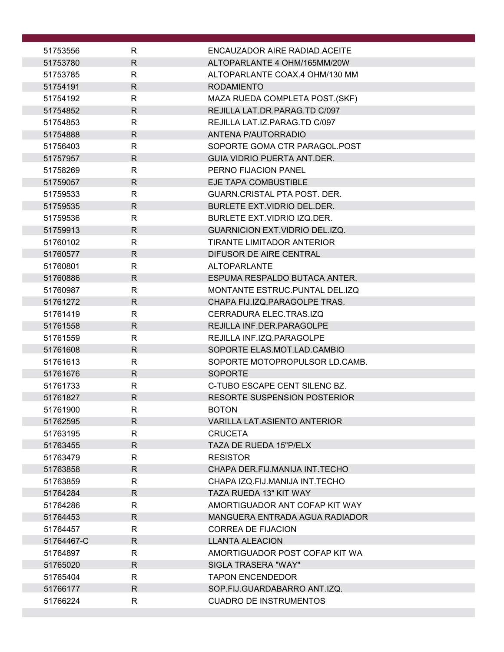| 51753556   | R            | ENCAUZADOR AIRE RADIAD ACEITE          |
|------------|--------------|----------------------------------------|
| 51753780   | $\mathsf{R}$ | ALTOPARLANTE 4 OHM/165MM/20W           |
| 51753785   | R            | ALTOPARLANTE COAX.4 OHM/130 MM         |
| 51754191   | $\mathsf{R}$ | <b>RODAMIENTO</b>                      |
| 51754192   | R            | MAZA RUEDA COMPLETA POST.(SKF)         |
| 51754852   | $\mathsf{R}$ | REJILLA LAT.DR.PARAG.TD C/097          |
| 51754853   | R            | REJILLA LAT.IZ.PARAG.TD C/097          |
| 51754888   | R            | ANTENA P/AUTORRADIO                    |
| 51756403   | R            | SOPORTE GOMA CTR PARAGOL.POST          |
| 51757957   | $\mathsf{R}$ | GUIA VIDRIO PUERTA ANT.DER.            |
| 51758269   | $\mathsf{R}$ | PERNO FIJACION PANEL                   |
| 51759057   | R            | EJE TAPA COMBUSTIBLE                   |
| 51759533   | R            | GUARN.CRISTAL PTA POST. DER.           |
| 51759535   | $\mathsf{R}$ | BURLETE EXT.VIDRIO DEL.DER.            |
| 51759536   | R            | <b>BURLETE EXT.VIDRIO IZQ.DER.</b>     |
| 51759913   | $\mathsf{R}$ | <b>GUARNICION EXT. VIDRIO DEL.IZQ.</b> |
| 51760102   | $\mathsf{R}$ | TIRANTE LIMITADOR ANTERIOR             |
| 51760577   | $\mathsf{R}$ | DIFUSOR DE AIRE CENTRAL                |
| 51760801   | R            | <b>ALTOPARLANTE</b>                    |
| 51760886   | $\mathsf{R}$ | ESPUMA RESPALDO BUTACA ANTER.          |
| 51760987   | $\mathsf{R}$ | MONTANTE ESTRUC.PUNTAL DEL.IZQ         |
| 51761272   | R.           | CHAPA FIJ.IZQ.PARAGOLPE TRAS.          |
| 51761419   | R            | CERRADURA ELEC.TRAS.IZQ                |
| 51761558   | $\mathsf{R}$ | REJILLA INF.DER.PARAGOLPE              |
| 51761559   | $\mathsf{R}$ | REJILLA INF.IZQ.PARAGOLPE              |
| 51761608   | $\mathsf{R}$ | SOPORTE ELAS.MOT.LAD.CAMBIO            |
| 51761613   | R            | SOPORTE MOTOPROPULSOR LD.CAMB.         |
| 51761676   | $\mathsf{R}$ | <b>SOPORTE</b>                         |
| 51761733   | $\mathsf{R}$ | C-TUBO ESCAPE CENT SILENC BZ.          |
| 51761827   | $\mathsf{R}$ | <b>RESORTE SUSPENSION POSTERIOR</b>    |
| 51761900   | $\mathsf{R}$ | <b>BOTON</b>                           |
| 51762595   | R            | <b>VARILLA LAT.ASIENTO ANTERIOR</b>    |
| 51763195   | R            | <b>CRUCETA</b>                         |
| 51763455   | R            | <b>TAZA DE RUEDA 15"P/ELX</b>          |
| 51763479   | R            | <b>RESISTOR</b>                        |
| 51763858   | $\mathsf{R}$ | CHAPA DER FIJ MANIJA INT TECHO         |
| 51763859   | $\mathsf{R}$ | CHAPA IZQ.FIJ.MANIJA INT.TECHO         |
| 51764284   | $\mathsf{R}$ | TAZA RUEDA 13" KIT WAY                 |
| 51764286   | R            | AMORTIGUADOR ANT COFAP KIT WAY         |
| 51764453   | R            | MANGUERA ENTRADA AGUA RADIADOR         |
| 51764457   | R            | <b>CORREA DE FIJACION</b>              |
| 51764467-C | $\mathsf{R}$ | <b>LLANTA ALEACION</b>                 |
| 51764897   | R            | AMORTIGUADOR POST COFAP KIT WA         |
| 51765020   | R            | SIGLA TRASERA "WAY"                    |
| 51765404   | R            | <b>TAPON ENCENDEDOR</b>                |
| 51766177   | $\mathsf{R}$ | SOP.FIJ.GUARDABARRO ANT.IZQ.           |
| 51766224   | R            | <b>CUADRO DE INSTRUMENTOS</b>          |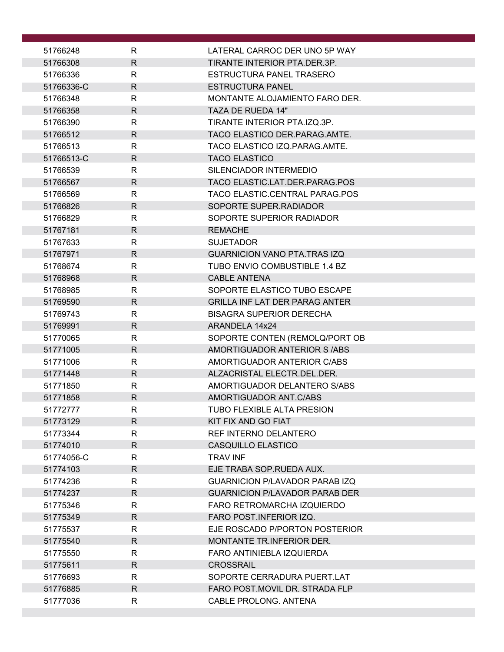| 51766248             | R                 | LATERAL CARROC DER UNO 5P WAY                                 |
|----------------------|-------------------|---------------------------------------------------------------|
| 51766308             | $\mathsf{R}$      | TIRANTE INTERIOR PTA.DER.3P.                                  |
| 51766336             | R                 | ESTRUCTURA PANEL TRASERO                                      |
| 51766336-C           | $\mathsf{R}$      | <b>ESTRUCTURA PANEL</b>                                       |
| 51766348             | R                 | MONTANTE ALOJAMIENTO FARO DER.                                |
| 51766358             | R                 | TAZA DE RUEDA 14"                                             |
| 51766390             | R                 | TIRANTE INTERIOR PTA.IZQ.3P.                                  |
| 51766512             | R                 | TACO ELASTICO DER.PARAG.AMTE.                                 |
| 51766513             | R                 | TACO ELASTICO IZQ.PARAG.AMTE.                                 |
| 51766513-C           | $\mathsf{R}$      | <b>TACO ELASTICO</b>                                          |
| 51766539             | $\mathsf{R}$      | SILENCIADOR INTERMEDIO                                        |
| 51766567             | R                 | TACO ELASTIC.LAT.DER.PARAG.POS                                |
| 51766569             | R                 | TACO ELASTIC.CENTRAL PARAG.POS                                |
| 51766826             | $\mathsf{R}$      | SOPORTE SUPER.RADIADOR                                        |
| 51766829             | R                 | SOPORTE SUPERIOR RADIADOR                                     |
| 51767181             | $\mathsf{R}$      | <b>REMACHE</b>                                                |
| 51767633             | $\mathsf{R}$      | <b>SUJETADOR</b>                                              |
| 51767971             | R                 | <b>GUARNICION VANO PTA.TRAS IZQ</b>                           |
| 51768674             | R                 | TUBO ENVIO COMBUSTIBLE 1.4 BZ                                 |
| 51768968             | R.                | <b>CABLE ANTENA</b>                                           |
| 51768985             | $\mathsf{R}$      | SOPORTE ELASTICO TUBO ESCAPE                                  |
| 51769590             | R                 | <b>GRILLA INF LAT DER PARAG ANTER</b>                         |
| 51769743             | R                 | <b>BISAGRA SUPERIOR DERECHA</b>                               |
| 51769991             | R                 | ARANDELA 14x24                                                |
| 51770065             | R<br>$\mathsf{R}$ | SOPORTE CONTEN (REMOLQ/PORT OB<br>AMORTIGUADOR ANTERIOR S/ABS |
| 51771005<br>51771006 | R                 | AMORTIGUADOR ANTERIOR C/ABS                                   |
| 51771448             | $\mathsf{R}$      | ALZACRISTAL ELECTR.DEL.DER.                                   |
| 51771850             | $\mathsf{R}$      | AMORTIGUADOR DELANTERO S/ABS                                  |
| 51771858             | $\mathsf{R}$      | AMORTIGUADOR ANT.C/ABS                                        |
| 51772777             | $\mathsf R$       | TUBO FLEXIBLE ALTA PRESION                                    |
| 51773129             | R                 | KIT FIX AND GO FIAT                                           |
| 51773344             | R                 | REF INTERNO DELANTERO                                         |
| 51774010             | R                 | CASQUILLO ELASTICO                                            |
| 51774056-C           | R                 | <b>TRAV INF</b>                                               |
| 51774103             | R                 | EJE TRABA SOP.RUEDA AUX.                                      |
| 51774236             | R                 | GUARNICION P/LAVADOR PARAB IZO                                |
| 51774237             | R                 | <b>GUARNICION P/LAVADOR PARAB DER</b>                         |
| 51775346             | R                 | <b>FARO RETROMARCHA IZQUIERDO</b>                             |
| 51775349             | R                 | FARO POST. INFERIOR IZQ.                                      |
| 51775537             | R                 | EJE ROSCADO P/PORTON POSTERIOR                                |
| 51775540             | $\mathsf{R}$      | <b>MONTANTE TR.INFERIOR DER.</b>                              |
| 51775550             | R                 | FARO ANTINIEBLA IZQUIERDA                                     |
| 51775611             | R                 | <b>CROSSRAIL</b>                                              |
| 51776693             | R                 | SOPORTE CERRADURA PUERT.LAT                                   |
| 51776885             | $\mathsf{R}$      | FARO POST. MOVIL DR. STRADA FLP                               |
| 51777036             | R                 | CABLE PROLONG. ANTENA                                         |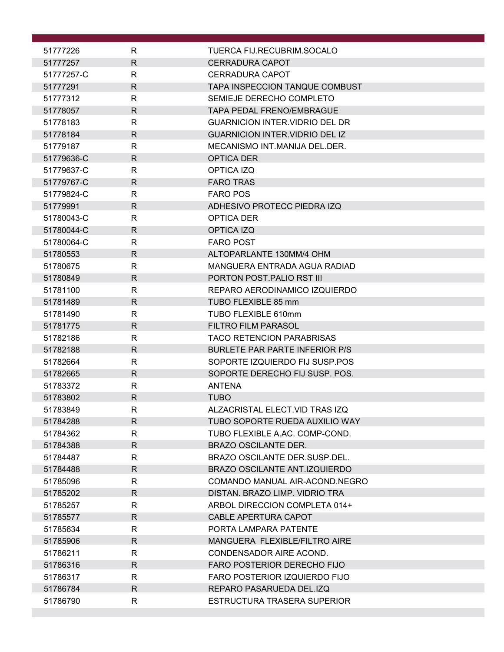| 51777226   | R            | TUERCA FIJ.RECUBRIM.SOCALO            |
|------------|--------------|---------------------------------------|
| 51777257   | $\mathsf{R}$ | <b>CERRADURA CAPOT</b>                |
| 51777257-C | R            | CERRADURA CAPOT                       |
| 51777291   | $\mathsf{R}$ | TAPA INSPECCION TANQUE COMBUST        |
| 51777312   | R            | SEMIEJE DERECHO COMPLETO              |
| 51778057   | R            | <b>TAPA PEDAL FRENO/EMBRAGUE</b>      |
| 51778183   | R            | <b>GUARNICION INTER VIDRIO DEL DR</b> |
| 51778184   | R            | <b>GUARNICION INTER.VIDRIO DEL IZ</b> |
| 51779187   | R            | MECANISMO INT.MANIJA DEL.DER.         |
| 51779636-C | R            | <b>OPTICA DER</b>                     |
| 51779637-C | R            | OPTICA IZQ                            |
| 51779767-C | R            | <b>FARO TRAS</b>                      |
| 51779824-C | R            | <b>FARO POS</b>                       |
| 51779991   | R            | ADHESIVO PROTECC PIEDRA IZQ           |
|            |              |                                       |
| 51780043-C | R            | OPTICA DER                            |
| 51780044-C | R            | OPTICA IZQ                            |
| 51780064-C | R            | <b>FARO POST</b>                      |
| 51780553   | $\mathsf{R}$ | ALTOPARLANTE 130MM/4 OHM              |
| 51780675   | R            | MANGUERA ENTRADA AGUA RADIAD          |
| 51780849   | R.           | PORTON POST. PALIO RST III            |
| 51781100   | R            | REPARO AERODINAMICO IZQUIERDO         |
| 51781489   | R.           | TUBO FLEXIBLE 85 mm                   |
| 51781490   | R            | TUBO FLEXIBLE 610mm                   |
| 51781775   | R.           | <b>FILTRO FILM PARASOL</b>            |
| 51782186   | R            | <b>TACO RETENCION PARABRISAS</b>      |
| 51782188   | R            | <b>BURLETE PAR PARTE INFERIOR P/S</b> |
| 51782664   | R            | SOPORTE IZQUIERDO FIJ SUSP.POS        |
| 51782665   | R            | SOPORTE DERECHO FIJ SUSP. POS.        |
| 51783372   | R            | <b>ANTENA</b>                         |
| 51783802   | $\mathsf{R}$ | <b>TUBO</b>                           |
| 51783849   | R            | ALZACRISTAL ELECT.VID TRAS IZQ        |
| 51784288   | R            | TUBO SOPORTE RUEDA AUXILIO WAY        |
| 51784362   | R            | TUBO FLEXIBLE A.AC. COMP-COND.        |
| 51784388   | R.           | <b>BRAZO OSCILANTE DER.</b>           |
| 51784487   | R            | BRAZO OSCILANTE DER.SUSP.DEL.         |
| 51784488   | $\mathsf{R}$ | <b>BRAZO OSCILANTE ANT.IZQUIERDO</b>  |
| 51785096   | $\mathsf{R}$ | COMANDO MANUAL AIR-ACOND.NEGRO        |
|            | R            | DISTAN. BRAZO LIMP. VIDRIO TRA        |
| 51785202   |              |                                       |
| 51785257   | R            | ARBOL DIRECCION COMPLETA 014+         |
| 51785577   | R            | CABLE APERTURA CAPOT                  |
| 51785634   | R            | PORTA LAMPARA PATENTE                 |
| 51785906   | $\mathsf{R}$ | MANGUERA FLEXIBLE/FILTRO AIRE         |
| 51786211   | R            | CONDENSADOR AIRE ACOND.               |
| 51786316   | R.           | <b>FARO POSTERIOR DERECHO FIJO</b>    |
| 51786317   | R            | FARO POSTERIOR IZQUIERDO FIJO         |
| 51786784   | R            | REPARO PASARUEDA DEL.IZQ              |
| 51786790   | R            | ESTRUCTURA TRASERA SUPERIOR           |
|            |              |                                       |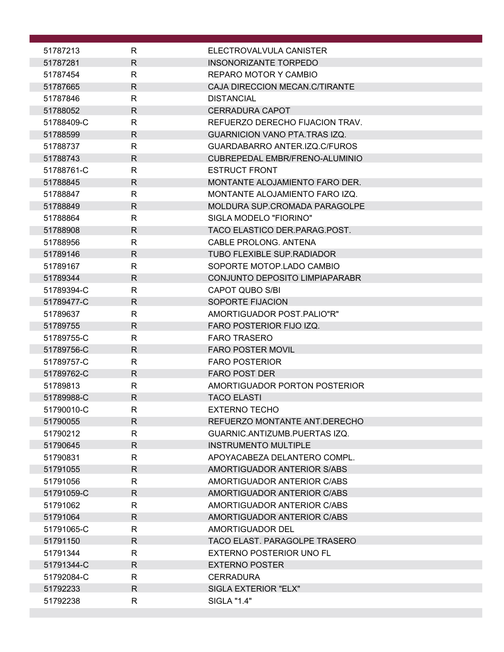| 51787213                 | R            | ELECTROVALVULA CANISTER              |
|--------------------------|--------------|--------------------------------------|
| 51787281                 | $\mathsf{R}$ | INSONORIZANTE TORPEDO                |
| 51787454                 | R            | REPARO MOTOR Y CAMBIO                |
| 51787665                 | R.           | CAJA DIRECCION MECAN.C/TIRANTE       |
| 51787846                 | R            | <b>DISTANCIAL</b>                    |
| 51788052                 | $\mathsf{R}$ | <b>CERRADURA CAPOT</b>               |
| 51788409-C               | R            | REFUERZO DERECHO FIJACION TRAV.      |
| 51788599                 | R            | <b>GUARNICION VANO PTA.TRAS IZQ.</b> |
| 51788737                 | R            | GUARDABARRO ANTER.IZQ.C/FUROS        |
| 51788743                 | R            | CUBREPEDAL EMBR/FRENO-ALUMINIO       |
| 51788761-C               | R            | <b>ESTRUCT FRONT</b>                 |
| 51788845                 | R            | MONTANTE ALOJAMIENTO FARO DER.       |
| 51788847                 | R            | MONTANTE ALOJAMIENTO FARO IZQ.       |
| 51788849                 | $\mathsf{R}$ | MOLDURA SUP.CROMADA PARAGOLPE        |
| 51788864                 | R            | SIGLA MODELO "FIORINO"               |
| 51788908                 | $\mathsf{R}$ | TACO ELASTICO DER.PARAG.POST.        |
| 51788956                 | R            | CABLE PROLONG, ANTENA                |
| 51789146                 | $\mathsf{R}$ | <b>TUBO FLEXIBLE SUP.RADIADOR</b>    |
| 51789167                 | R            | SOPORTE MOTOP.LADO CAMBIO            |
| 51789344                 | $\mathsf{R}$ | CONJUNTO DEPOSITO LIMPIAPARABR       |
| 51789394-C<br>51789477-C | R<br>R       | CAPOT QUBO S/BI<br>SOPORTE FIJACION  |
| 51789637                 | $\mathsf{R}$ | AMORTIGUADOR POST.PALIO"R"           |
| 51789755                 | $\mathsf{R}$ | FARO POSTERIOR FIJO IZQ.             |
| 51789755-C               | $\mathsf{R}$ | <b>FARO TRASERO</b>                  |
| 51789756-C               | R            | <b>FARO POSTER MOVIL</b>             |
| 51789757-C               | R            | <b>FARO POSTERIOR</b>                |
| 51789762-C               | R            | <b>FARO POST DER</b>                 |
| 51789813                 | R            | AMORTIGUADOR PORTON POSTERIOR        |
| 51789988-C               | $\mathsf{R}$ | <b>TACO ELASTI</b>                   |
| 51790010-C               | R            | <b>EXTERNO TECHO</b>                 |
| 51790055                 | R            | REFUERZO MONTANTE ANT.DERECHO        |
| 51790212                 | R            | GUARNIC.ANTIZUMB.PUERTAS IZQ.        |
| 51790645                 | R            | <b>INSTRUMENTO MULTIPLE</b>          |
| 51790831                 | R            | APOYACABEZA DELANTERO COMPL.         |
| 51791055                 | R.           | AMORTIGUADOR ANTERIOR S/ABS          |
| 51791056                 | R            | AMORTIGUADOR ANTERIOR C/ABS          |
| 51791059-C               | R            | AMORTIGUADOR ANTERIOR C/ABS          |
| 51791062                 | R            | AMORTIGUADOR ANTERIOR C/ABS          |
| 51791064                 | R            | AMORTIGUADOR ANTERIOR C/ABS          |
| 51791065-C               | R            | AMORTIGUADOR DEL                     |
| 51791150                 | R.           | TACO ELAST. PARAGOLPE TRASERO        |
| 51791344                 | R            | EXTERNO POSTERIOR UNO FL             |
| 51791344-C               | $\mathsf{R}$ | <b>EXTERNO POSTER</b>                |
| 51792084-C               | R            | <b>CERRADURA</b>                     |
| 51792233                 | R            | SIGLA EXTERIOR "ELX"                 |
| 51792238                 | R            | <b>SIGLA "1.4"</b>                   |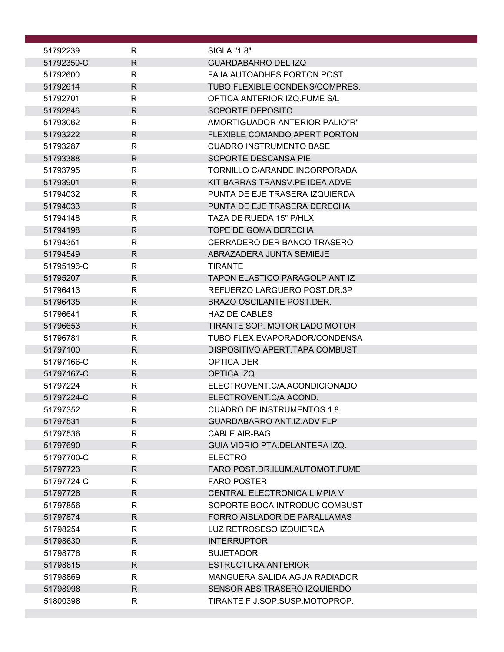| 51792239             | R            | SIGLA "1.8"                                           |
|----------------------|--------------|-------------------------------------------------------|
| 51792350-C           | $\mathsf{R}$ | <b>GUARDABARRO DEL IZQ</b>                            |
| 51792600             | R            | FAJA AUTOADHES.PORTON POST.                           |
| 51792614             | $\mathsf{R}$ | TUBO FLEXIBLE CONDENS/COMPRES.                        |
| 51792701             | R            | OPTICA ANTERIOR IZQ.FUME S/L                          |
| 51792846             | $\mathsf{R}$ | SOPORTE DEPOSITO                                      |
| 51793062             | R            | AMORTIGUADOR ANTERIOR PALIO"R"                        |
| 51793222             | R            | FLEXIBLE COMANDO APERT PORTON                         |
| 51793287             | R            | <b>CUADRO INSTRUMENTO BASE</b>                        |
| 51793388             | R            | SOPORTE DESCANSA PIE                                  |
| 51793795             | R            | TORNILLO C/ARANDE.INCORPORADA                         |
| 51793901             | R.           | KIT BARRAS TRANSV.PE IDEA ADVE                        |
| 51794032             | R            | PUNTA DE EJE TRASERA IZQUIERDA                        |
| 51794033             | $\mathsf{R}$ | PUNTA DE EJE TRASERA DERECHA                          |
| 51794148             | $\mathsf{R}$ | TAZA DE RUEDA 15" P/HLX                               |
| 51794198             | $\mathsf{R}$ | TOPE DE GOMA DERECHA                                  |
| 51794351             | R            | CERRADERO DER BANCO TRASERO                           |
| 51794549             | R.           | ABRAZADERA JUNTA SEMIEJE                              |
| 51795196-C           | R            | <b>TIRANTE</b>                                        |
| 51795207             | R            | <b>TAPON ELASTICO PARAGOLP ANT IZ</b>                 |
| 51796413             | $\mathsf{R}$ | REFUERZO LARGUERO POST.DR.3P                          |
| 51796435             | $\mathsf{R}$ | <b>BRAZO OSCILANTE POST.DER.</b>                      |
| 51796641<br>51796653 | R<br>R.      | <b>HAZ DE CABLES</b><br>TIRANTE SOP. MOTOR LADO MOTOR |
| 51796781             | R            | TUBO FLEX.EVAPORADOR/CONDENSA                         |
| 51797100             | $\mathsf{R}$ | DISPOSITIVO APERT. TAPA COMBUST                       |
| 51797166-C           | R            | OPTICA DER                                            |
| 51797167-C           | $\mathsf{R}$ | OPTICA IZQ                                            |
| 51797224             | R            | ELECTROVENT.C/A.ACONDICIONADO                         |
| 51797224-C           | $\mathsf{R}$ | ELECTROVENT.C/A ACOND.                                |
| 51797352             | $\mathsf{R}$ | <b>CUADRO DE INSTRUMENTOS 1.8</b>                     |
| 51797531             | R            | GUARDABARRO ANT.IZ.ADV FLP                            |
| 51797536             | $\mathsf{R}$ | <b>CABLE AIR-BAG</b>                                  |
| 51797690             | $\mathsf{R}$ | GUIA VIDRIO PTA.DELANTERA IZQ.                        |
| 51797700-C           | R            | <b>ELECTRO</b>                                        |
| 51797723             | R            | FARO POST.DR.ILUM.AUTOMOT.FUME                        |
| 51797724-C           | $\mathsf{R}$ | <b>FARO POSTER</b>                                    |
| 51797726             | $\mathsf{R}$ | CENTRAL ELECTRONICA LIMPIA V.                         |
| 51797856             | R            | SOPORTE BOCA INTRODUC COMBUST                         |
| 51797874             | $\mathsf{R}$ | FORRO AISLADOR DE PARALLAMAS                          |
| 51798254             | $\mathsf{R}$ | LUZ RETROSESO IZQUIERDA                               |
| 51798630             | $\mathsf{R}$ | <b>INTERRUPTOR</b>                                    |
| 51798776             | $\mathsf{R}$ | <b>SUJETADOR</b>                                      |
| 51798815             | R            | <b>ESTRUCTURA ANTERIOR</b>                            |
| 51798869             | $\mathsf{R}$ | MANGUERA SALIDA AGUA RADIADOR                         |
| 51798998             | $\mathsf{R}$ | SENSOR ABS TRASERO IZQUIERDO                          |
| 51800398             | R            | TIRANTE FIJ.SOP.SUSP.MOTOPROP.                        |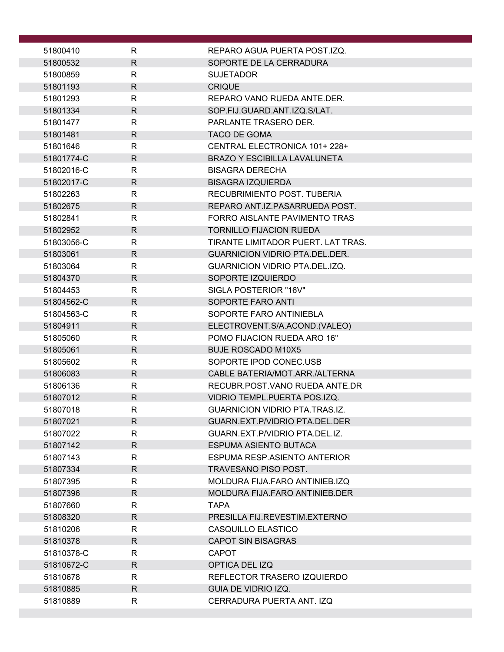| 51800410   | R            | REPARO AGUA PUERTA POST.IZQ.          |
|------------|--------------|---------------------------------------|
| 51800532   | $\mathsf{R}$ | SOPORTE DE LA CERRADURA               |
| 51800859   | R            | <b>SUJETADOR</b>                      |
| 51801193   | $\mathsf{R}$ | <b>CRIQUE</b>                         |
| 51801293   | R            | REPARO VANO RUEDA ANTE.DER.           |
| 51801334   | $\mathsf{R}$ | SOP.FIJ.GUARD.ANT.IZQ.S/LAT.          |
| 51801477   | $\mathsf{R}$ | PARLANTE TRASERO DER.                 |
| 51801481   | R.           | <b>TACO DE GOMA</b>                   |
| 51801646   | R            | CENTRAL ELECTRONICA 101+228+          |
| 51801774-C | $\mathsf{R}$ | <b>BRAZO Y ESCIBILLA LAVALUNETA</b>   |
| 51802016-C | $\mathsf{R}$ | <b>BISAGRA DERECHA</b>                |
| 51802017-C | R            | <b>BISAGRA IZQUIERDA</b>              |
| 51802263   | R            | RECUBRIMIENTO POST. TUBERIA           |
| 51802675   | $\mathsf{R}$ | REPARO ANT.IZ.PASARRUEDA POST.        |
| 51802841   | R            | FORRO AISLANTE PAVIMENTO TRAS         |
| 51802952   | $\mathsf{R}$ | <b>TORNILLO FIJACION RUEDA</b>        |
| 51803056-C | R            | TIRANTE LIMITADOR PUERT. LAT TRAS.    |
| 51803061   | R            | <b>GUARNICION VIDRIO PTA.DEL.DER.</b> |
| 51803064   | R            | <b>GUARNICION VIDRIO PTA.DEL.IZQ.</b> |
| 51804370   | $\mathsf{R}$ | SOPORTE IZQUIERDO                     |
| 51804453   | $\mathsf{R}$ | SIGLA POSTERIOR "16V"                 |
| 51804562-C | R.           | SOPORTE FARO ANTI                     |
| 51804563-C | $\mathsf{R}$ | SOPORTE FARO ANTINIEBLA               |
| 51804911   | R            | ELECTROVENT.S/A.ACOND.(VALEO)         |
| 51805060   | $\mathsf{R}$ | POMO FIJACION RUEDA ARO 16"           |
| 51805061   | R.           | <b>BUJE ROSCADO M10X5</b>             |
| 51805602   | R            | SOPORTE IPOD CONEC.USB                |
| 51806083   | $\mathsf{R}$ | CABLE BATERIA/MOT.ARR./ALTERNA        |
| 51806136   | R            | RECUBR.POST.VANO RUEDA ANTE.DR        |
| 51807012   | R.           | VIDRIO TEMPL.PUERTA POS.IZQ.          |
| 51807018   | R            | <b>GUARNICION VIDRIO PTA.TRAS.IZ.</b> |
| 51807021   | R.           | GUARN.EXT.P/VIDRIO PTA.DEL.DER        |
| 51807022   | R            | GUARN.EXT.P/VIDRIO PTA.DEL.IZ.        |
| 51807142   | R.           | <b>ESPUMA ASIENTO BUTACA</b>          |
| 51807143   | R.           | ESPUMA RESP.ASIENTO ANTERIOR          |
| 51807334   | R.           | TRAVESANO PISO POST.                  |
| 51807395   | R            | MOLDURA FIJA.FARO ANTINIEB.IZQ        |
| 51807396   | R            | MOLDURA FIJA.FARO ANTINIEB.DER        |
| 51807660   | R            | <b>TAPA</b>                           |
| 51808320   | R            | PRESILLA FIJ.REVESTIM.EXTERNO         |
| 51810206   | R            | CASQUILLO ELASTICO                    |
| 51810378   | $\mathsf{R}$ | <b>CAPOT SIN BISAGRAS</b>             |
| 51810378-C | R            | <b>CAPOT</b>                          |
| 51810672-C | R            | OPTICA DEL IZQ                        |
| 51810678   | R            | REFLECTOR TRASERO IZQUIERDO           |
| 51810885   | R            | GUIA DE VIDRIO IZQ.                   |
| 51810889   | R            | CERRADURA PUERTA ANT. IZQ             |
|            |              |                                       |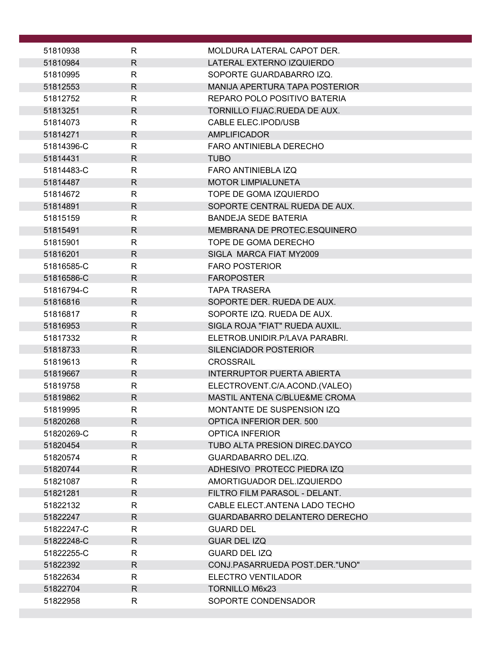| 51810938   | R            | MOLDURA LATERAL CAPOT DER.            |
|------------|--------------|---------------------------------------|
| 51810984   | $\mathsf{R}$ | LATERAL EXTERNO IZQUIERDO             |
| 51810995   | R            | SOPORTE GUARDABARRO IZQ.              |
| 51812553   | R.           | <b>MANIJA APERTURA TAPA POSTERIOR</b> |
| 51812752   | $\mathsf{R}$ | REPARO POLO POSITIVO BATERIA          |
| 51813251   | $\mathsf{R}$ | TORNILLO FIJAC.RUEDA DE AUX.          |
| 51814073   | R            | CABLE ELEC.IPOD/USB                   |
| 51814271   | $\mathsf{R}$ | <b>AMPLIFICADOR</b>                   |
| 51814396-C | $\mathsf{R}$ | FARO ANTINIEBLA DERECHO               |
| 51814431   | R            | <b>TUBO</b>                           |
| 51814483-C | $\mathsf{R}$ | <b>FARO ANTINIEBLA IZQ</b>            |
| 51814487   | R.           | <b>MOTOR LIMPIALUNETA</b>             |
| 51814672   | R            | TOPE DE GOMA IZQUIERDO                |
| 51814891   | $\mathsf{R}$ | SOPORTE CENTRAL RUEDA DE AUX.         |
| 51815159   | R            | <b>BANDEJA SEDE BATERIA</b>           |
| 51815491   | R            | MEMBRANA DE PROTEC.ESQUINERO          |
| 51815901   | R            | TOPE DE GOMA DERECHO                  |
| 51816201   | $\mathsf{R}$ | SIGLA MARCA FIAT MY2009               |
| 51816585-C | $\mathsf{R}$ | <b>FARO POSTERIOR</b>                 |
| 51816586-C | $\mathsf{R}$ | <b>FAROPOSTER</b>                     |
| 51816794-C | $\mathsf{R}$ | <b>TAPA TRASERA</b>                   |
| 51816816   | R            | SOPORTE DER. RUEDA DE AUX.            |
| 51816817   | $\mathsf{R}$ | SOPORTE IZQ. RUEDA DE AUX.            |
| 51816953   | $\mathsf{R}$ | SIGLA ROJA "FIAT" RUEDA AUXIL.        |
| 51817332   | R            | ELETROB.UNIDIR.P/LAVA PARABRI.        |
| 51818733   | R            | SILENCIADOR POSTERIOR                 |
| 51819613   | R            | <b>CROSSRAIL</b>                      |
| 51819667   | $\mathsf{R}$ | <b>INTERRUPTOR PUERTA ABIERTA</b>     |
| 51819758   | R            | ELECTROVENT.C/A.ACOND.(VALEO)         |
| 51819862   | $\mathsf{R}$ | MASTIL ANTENA C/BLUE&ME CROMA         |
| 51819995   | к            | MONTANTE DE SUSPENSION IZQ            |
| 51820268   | R            | <b>OPTICA INFERIOR DER. 500</b>       |
| 51820269-C | R            | <b>OPTICA INFERIOR</b>                |
| 51820454   | R.           | TUBO ALTA PRESION DIREC.DAYCO         |
| 51820574   | R            | GUARDABARRO DEL.IZQ.                  |
| 51820744   | R.           | ADHESIVO PROTECC PIEDRA IZQ           |
| 51821087   | R            | AMORTIGUADOR DEL.IZQUIERDO            |
| 51821281   | R            | FILTRO FILM PARASOL - DELANT.         |
| 51822132   | R            | CABLE ELECT. ANTENA LADO TECHO        |
| 51822247   | R.           | GUARDABARRO DELANTERO DERECHO         |
| 51822247-C | R            | <b>GUARD DEL</b>                      |
| 51822248-C | R            | <b>GUAR DEL IZQ</b>                   |
| 51822255-C | R            | <b>GUARD DEL IZQ</b>                  |
| 51822392   | R            | CONJ.PASARRUEDA POST.DER."UNO"        |
| 51822634   | R            | ELECTRO VENTILADOR                    |
| 51822704   | R.           | <b>TORNILLO M6x23</b>                 |
| 51822958   | R            | SOPORTE CONDENSADOR                   |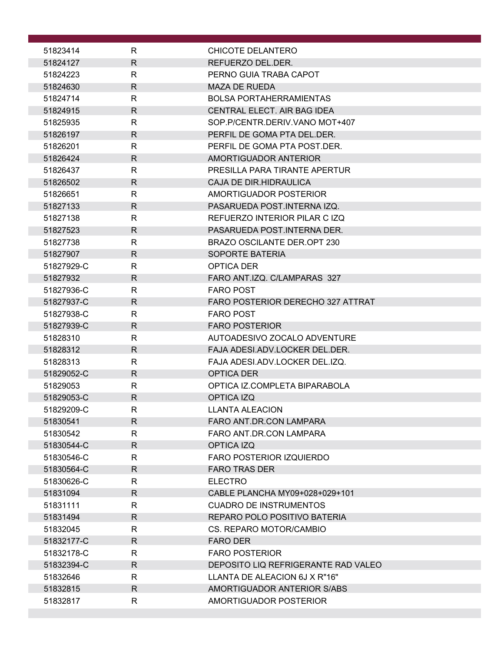| 51823414   | R            | CHICOTE DELANTERO                   |
|------------|--------------|-------------------------------------|
| 51824127   | $\mathsf{R}$ | REFUERZO DEL.DER.                   |
| 51824223   | R            | PERNO GUIA TRABA CAPOT              |
| 51824630   | R.           | <b>MAZA DE RUEDA</b>                |
| 51824714   | R            | <b>BOLSA PORTAHERRAMIENTAS</b>      |
| 51824915   | $\mathsf{R}$ | CENTRAL ELECT. AIR BAG IDEA         |
| 51825935   | R            | SOP.P/CENTR.DERIV.VANO MOT+407      |
| 51826197   | $\mathsf{R}$ | PERFIL DE GOMA PTA DEL DER.         |
| 51826201   | R            | PERFIL DE GOMA PTA POST.DER.        |
| 51826424   | R            | AMORTIGUADOR ANTERIOR               |
| 51826437   | R            | PRESILLA PARA TIRANTE APERTUR       |
| 51826502   | $\mathsf{R}$ | CAJA DE DIR.HIDRAULICA              |
| 51826651   | $\mathsf{R}$ | AMORTIGUADOR POSTERIOR              |
| 51827133   | R            | PASARUEDA POST.INTERNA IZQ.         |
| 51827138   | R            | REFUERZO INTERIOR PILAR C IZQ       |
| 51827523   | R.           | PASARUEDA POST.INTERNA DER.         |
| 51827738   | R            | BRAZO OSCILANTE DER.OPT 230         |
|            | $\mathsf{R}$ |                                     |
| 51827907   | $\mathsf{R}$ | <b>SOPORTE BATERIA</b>              |
| 51827929-C | $\mathsf{R}$ | OPTICA DER                          |
| 51827932   |              | FARO ANT.IZQ. C/LAMPARAS 327        |
| 51827936-C | R            | <b>FARO POST</b>                    |
| 51827937-C | R            | FARO POSTERIOR DERECHO 327 ATTRAT   |
| 51827938-C | $\mathsf{R}$ | <b>FARO POST</b>                    |
| 51827939-C | $\mathsf{R}$ | <b>FARO POSTERIOR</b>               |
| 51828310   | $\mathsf{R}$ | AUTOADESIVO ZOCALO ADVENTURE        |
| 51828312   | R            | FAJA ADESI.ADV.LOCKER DEL.DER.      |
| 51828313   | R            | FAJA ADESI.ADV.LOCKER DEL.IZQ.      |
| 51829052-C | R            | OPTICA DER                          |
| 51829053   | R            | OPTICA IZ.COMPLETA BIPARABOLA       |
| 51829053-C | $\mathsf{R}$ | OPTICA IZQ                          |
| 51829209-C | R.           | <b>LLANTA ALEACION</b>              |
| 51830541   | R            | FARO ANT.DR.CON LAMPARA             |
| 51830542   | $\mathsf{R}$ | FARO ANT.DR.CON LAMPARA             |
| 51830544-C | R.           | OPTICA IZQ                          |
| 51830546-C | R            | <b>FARO POSTERIOR IZQUIERDO</b>     |
| 51830564-C | $\mathsf{R}$ | <b>FARO TRAS DER</b>                |
| 51830626-C | $\mathsf{R}$ | <b>ELECTRO</b>                      |
| 51831094   | R.           | CABLE PLANCHA MY09+028+029+101      |
| 51831111   | R            | <b>CUADRO DE INSTRUMENTOS</b>       |
| 51831494   | R.           | REPARO POLO POSITIVO BATERIA        |
| 51832045   | R            | CS. REPARO MOTOR/CAMBIO             |
| 51832177-C | $\mathsf{R}$ | <b>FARO DER</b>                     |
| 51832178-C | $\mathsf{R}$ | <b>FARO POSTERIOR</b>               |
| 51832394-C | $\mathsf{R}$ | DEPOSITO LIQ REFRIGERANTE RAD VALEO |
| 51832646   | R            | LLANTA DE ALEACION 6J X R"16"       |
| 51832815   | R.           | AMORTIGUADOR ANTERIOR S/ABS         |
| 51832817   | $\mathsf{R}$ | AMORTIGUADOR POSTERIOR              |
|            |              |                                     |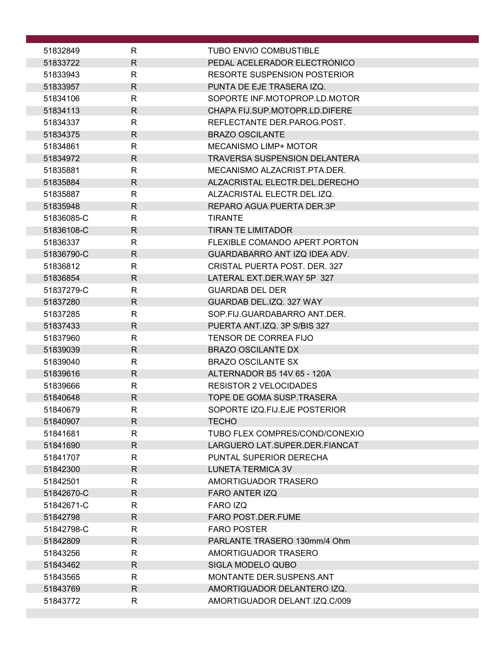| 51832849   | R            | <b>TUBO ENVIO COMBUSTIBLE</b>        |
|------------|--------------|--------------------------------------|
| 51833722   | $\mathsf{R}$ | PEDAL ACELERADOR ELECTRONICO         |
| 51833943   | R            | RESORTE SUSPENSION POSTERIOR         |
| 51833957   | $\mathsf{R}$ | PUNTA DE EJE TRASERA IZQ.            |
| 51834106   | R            | SOPORTE INF.MOTOPROP.LD.MOTOR        |
| 51834113   | $\mathsf{R}$ | CHAPA FIJ.SUP.MOTOPR.LD.DIFERE       |
| 51834337   | R            | REFLECTANTE DER.PAROG.POST.          |
| 51834375   | $\mathsf{R}$ | <b>BRAZO OSCILANTE</b>               |
| 51834861   | R            | MECANISMO LIMP+ MOTOR                |
| 51834972   | $\mathsf{R}$ | <b>TRAVERSA SUSPENSION DELANTERA</b> |
| 51835881   | $\mathsf{R}$ | MECANISMO ALZACRIST.PTA.DER.         |
| 51835884   | R            | ALZACRISTAL ELECTR.DEL.DERECHO       |
| 51835887   | R            | ALZACRISTAL ELECTR.DEL.IZQ.          |
| 51835948   | $\mathsf{R}$ | REPARO AGUA PUERTA DER.3P            |
| 51836085-C | R            | <b>TIRANTE</b>                       |
| 51836108-C | $\mathsf{R}$ | <b>TIRAN TE LIMITADOR</b>            |
| 51836337   | $\mathsf{R}$ | FLEXIBLE COMANDO APERT. PORTON       |
| 51836790-C | $\mathsf{R}$ | GUARDABARRO ANT IZQ IDEA ADV.        |
| 51836812   | R            | CRISTAL PUERTA POST. DER. 327        |
| 51836854   | $\mathsf{R}$ | LATERAL EXT.DER.WAY 5P 327           |
| 51837279-C | R            | <b>GUARDAB DEL DER</b>               |
| 51837280   | R.           | GUARDAB DEL.IZQ. 327 WAY             |
| 51837285   | $\mathsf{R}$ | SOP.FIJ.GUARDABARRO ANT.DER.         |
| 51837433   | $\mathsf{R}$ | PUERTA ANT.IZQ. 3P S/BIS 327         |
| 51837960   | R            | <b>TENSOR DE CORREA FIJO</b>         |
| 51839039   | $\mathsf{R}$ | <b>BRAZO OSCILANTE DX</b>            |
| 51839040   | R            | <b>BRAZO OSCILANTE SX</b>            |
| 51839616   | $\mathsf{R}$ | ALTERNADOR B5 14V 65 - 120A          |
| 51839666   | R            | <b>RESISTOR 2 VELOCIDADES</b>        |
| 51840648   | $\mathsf{R}$ | TOPE DE GOMA SUSP.TRASERA            |
| 51840679   | R            | SOPORTE IZQ.FIJ.EJE POSTERIOR        |
| 51840907   | $\mathsf{R}$ | <b>TECHO</b>                         |
| 51841681   | $\mathsf{R}$ | TUBO FLEX COMPRES/COND/CONEXIO       |
| 51841690   | $\mathsf{R}$ | LARGUERO LAT.SUPER.DER.FIANCAT       |
| 51841707   | R            | PUNTAL SUPERIOR DERECHA              |
| 51842300   | $\mathsf{R}$ | <b>LUNETA TERMICA 3V</b>             |
| 51842501   | $\mathsf{R}$ | AMORTIGUADOR TRASERO                 |
| 51842670-C | $\mathsf{R}$ | <b>FARO ANTER IZQ</b>                |
| 51842671-C | R            | FARO IZQ                             |
| 51842798   | $\mathsf{R}$ | <b>FARO POST.DER.FUME</b>            |
| 51842798-C | $\mathsf{R}$ | <b>FARO POSTER</b>                   |
| 51842809   | $\mathsf{R}$ | PARLANTE TRASERO 130mm/4 Ohm         |
| 51843256   | R            | AMORTIGUADOR TRASERO                 |
| 51843462   | $\mathsf{R}$ | SIGLA MODELO QUBO                    |
| 51843565   | R            | MONTANTE DER SUSPENS ANT             |
| 51843769   | $\mathsf{R}$ | AMORTIGUADOR DELANTERO IZQ.          |
| 51843772   | R            | AMORTIGUADOR DELANT.IZQ.C/009        |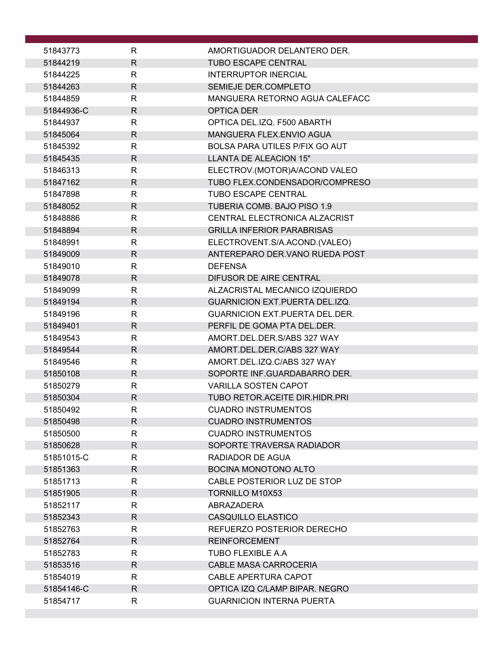| 51843773   | R            | AMORTIGUADOR DELANTERO DER.           |
|------------|--------------|---------------------------------------|
| 51844219   | $\mathsf{R}$ | <b>TUBO ESCAPE CENTRAL</b>            |
| 51844225   | $\mathsf{R}$ | <b>INTERRUPTOR INERCIAL</b>           |
| 51844263   | $\mathsf{R}$ | SEMIEJE DER.COMPLETO                  |
| 51844859   | R            | MANGUERA RETORNO AGUA CALEFACC        |
| 51844936-C | $\mathsf{R}$ | <b>OPTICA DER</b>                     |
| 51844937   | $\mathsf{R}$ | OPTICA DEL.IZQ. F500 ABARTH           |
| 51845064   | R            | MANGUERA FLEX.ENVIO AGUA              |
| 51845392   | $\mathsf{R}$ | <b>BOLSA PARA UTILES P/FIX GO AUT</b> |
| 51845435   | $\mathsf{R}$ | <b>LLANTA DE ALEACION 15"</b>         |
| 51846313   | $\mathsf{R}$ | ELECTROV.(MOTOR)A/ACOND VALEO         |
| 51847162   | R            | TUBO FLEX.CONDENSADOR/COMPRESO        |
| 51847898   | R            | <b>TUBO ESCAPE CENTRAL</b>            |
| 51848052   | $\mathsf{R}$ | TUBERIA COMB. BAJO PISO 1.9           |
| 51848886   | R            | CENTRAL ELECTRONICA ALZACRIST         |
| 51848894   | $\mathsf{R}$ | <b>GRILLA INFERIOR PARABRISAS</b>     |
| 51848991   | R            | ELECTROVENT.S/A.ACOND.(VALEO)         |
| 51849009   | R            | ANTEREPARO DER.VANO RUEDA POST        |
| 51849010   | $\mathsf{R}$ | <b>DEFENSA</b>                        |
| 51849078   | $\mathsf{R}$ | <b>DIFUSOR DE AIRE CENTRAL</b>        |
| 51849099   | $\mathsf{R}$ | ALZACRISTAL MECANICO IZQUIERDO        |
| 51849194   | $\mathsf{R}$ | <b>GUARNICION EXT.PUERTA DEL.IZQ.</b> |
| 51849196   | $\mathsf{R}$ | <b>GUARNICION EXT.PUERTA DEL.DER.</b> |
| 51849401   | $\mathsf{R}$ | PERFIL DE GOMA PTA DEL.DER.           |
| 51849543   | $\mathsf{R}$ | AMORT.DEL.DER.S/ABS 327 WAY           |
| 51849544   | R            | AMORT.DEL.DER.C/ABS 327 WAY           |
| 51849546   | R            | AMORT.DEL.IZQ.C/ABS 327 WAY           |
| 51850108   | $\mathsf{R}$ | SOPORTE INF.GUARDABARRO DER.          |
| 51850279   | R            | <b>VARILLA SOSTEN CAPOT</b>           |
| 51850304   | R            | TUBO RETOR.ACEITE DIR.HIDR.PRI        |
| 51850492   | ${\sf R}$    | <b>CUADRO INSTRUMENTOS</b>            |
| 51850498   | R            | <b>CUADRO INSTRUMENTOS</b>            |
| 51850500   | R            | <b>CUADRO INSTRUMENTOS</b>            |
| 51850628   | R.           | SOPORTE TRAVERSA RADIADOR             |
| 51851015-C | $\mathsf{R}$ | RADIADOR DE AGUA                      |
| 51851363   | R            | <b>BOCINA MONOTONO ALTO</b>           |
| 51851713   | $\mathsf{R}$ | CABLE POSTERIOR LUZ DE STOP           |
| 51851905   | R            | <b>TORNILLO M10X53</b>                |
| 51852117   | R            | ABRAZADERA                            |
| 51852343   | $\mathsf{R}$ | CASQUILLO ELASTICO                    |
| 51852763   | $\mathsf{R}$ | REFUERZO POSTERIOR DERECHO            |
| 51852764   | R            | <b>REINFORCEMENT</b>                  |
| 51852783   | R            | TUBO FLEXIBLE A.A                     |
| 51853516   | R.           | CABLE MASA CARROCERIA                 |
| 51854019   | R            | CABLE APERTURA CAPOT                  |
| 51854146-C | $\mathsf{R}$ | OPTICA IZQ C/LAMP BIPAR. NEGRO        |
| 51854717   | $\mathsf{R}$ | <b>GUARNICION INTERNA PUERTA</b>      |
|            |              |                                       |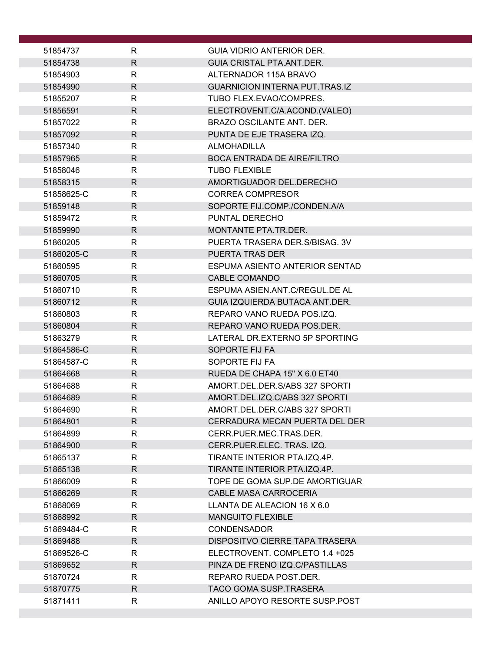| 51854737               | R                 | GUIA VIDRIO ANTERIOR DER.                                   |
|------------------------|-------------------|-------------------------------------------------------------|
| 51854738               | $\mathsf{R}$      | GUIA CRISTAL PTA ANT DER.                                   |
| 51854903               | R                 | ALTERNADOR 115A BRAVO                                       |
| 51854990               | $\mathsf{R}$      | <b>GUARNICION INTERNA PUT.TRAS.IZ</b>                       |
| 51855207               | R                 | TUBO FLEX.EVAO/COMPRES.                                     |
| 51856591               | $\mathsf{R}$      | ELECTROVENT.C/A.ACOND.(VALEO)                               |
| 51857022               | R                 | BRAZO OSCILANTE ANT. DER.                                   |
| 51857092               | $\mathsf{R}$      | PUNTA DE EJE TRASERA IZQ.                                   |
| 51857340               | R                 | <b>ALMOHADILLA</b>                                          |
| 51857965               | R                 | <b>BOCA ENTRADA DE AIRE/FILTRO</b>                          |
| 51858046               | $\mathsf{R}$      | <b>TUBO FLEXIBLE</b>                                        |
| 51858315               | R                 | AMORTIGUADOR DEL.DERECHO                                    |
| 51858625-C             | $\mathsf{R}$      | <b>CORREA COMPRESOR</b>                                     |
| 51859148               | R                 | SOPORTE FIJ.COMP./CONDEN.A/A                                |
| 51859472               | R                 | PUNTAL DERECHO                                              |
| 51859990               | $\mathsf{R}$      | MONTANTE PTA.TR.DER.                                        |
| 51860205               | R                 | PUERTA TRASERA DER. S/BISAG. 3V                             |
| 51860205-C             | $\mathsf{R}$      | <b>PUERTA TRAS DER</b>                                      |
| 51860595               | R                 | ESPUMA ASIENTO ANTERIOR SENTAD                              |
| 51860705               | $\mathsf{R}$      | <b>CABLE COMANDO</b>                                        |
| 51860710               | R                 | ESPUMA ASIEN.ANT.C/REGUL.DE AL                              |
| 51860712               | R                 | GUIA IZQUIERDA BUTACA ANT.DER.                              |
| 51860803               | $\mathsf{R}$      | REPARO VANO RUEDA POS.IZQ.                                  |
| 51860804               | R                 | REPARO VANO RUEDA POS.DER.                                  |
| 51863279               | $\mathsf{R}$      | LATERAL DR.EXTERNO 5P SPORTING                              |
| 51864586-C             | $\mathsf{R}$      | SOPORTE FIJ FA                                              |
| 51864587-C             | R                 | SOPORTE FIJ FA                                              |
| 51864668               | $\mathsf{R}$      | RUEDA DE CHAPA 15" X 6.0 ET40                               |
| 51864688               | R                 | AMORT.DEL.DER.S/ABS 327 SPORTI                              |
| 51864689               | $\mathsf{R}$      | AMORT.DEL.IZQ.C/ABS 327 SPORTI                              |
| 51864690               | R                 | AMORT.DEL.DER.C/ABS 327 SPORTI                              |
| 51864801               | $\mathsf{R}$      | CERRADURA MECAN PUERTA DEL DER                              |
| 51864899               | R                 | CERR PUER MEC TRAS DER                                      |
| 51864900               | R                 | CERR.PUER.ELEC. TRAS. IZQ.                                  |
| 51865137               | R                 | TIRANTE INTERIOR PTA.IZQ.4P.                                |
| 51865138               | R.                | TIRANTE INTERIOR PTA.IZQ.4P.                                |
| 51866009               | $\mathsf{R}$      | TOPE DE GOMA SUP.DE AMORTIGUAR                              |
| 51866269               | R                 | CABLE MASA CARROCERIA                                       |
| 51868069               | R                 | LLANTA DE ALEACION 16 X 6.0                                 |
| 51868992               | R                 | <b>MANGUITO FLEXIBLE</b>                                    |
| 51869484-C<br>51869488 | R<br>$\mathsf{R}$ | <b>CONDENSADOR</b><br><b>DISPOSITVO CIERRE TAPA TRASERA</b> |
| 51869526-C             | R                 | ELECTROVENT. COMPLETO 1.4 +025                              |
| 51869652               | $\mathsf{R}$      | PINZA DE FRENO IZQ.C/PASTILLAS                              |
| 51870724               | R                 | REPARO RUEDA POST.DER.                                      |
| 51870775               | R                 | TACO GOMA SUSP.TRASERA                                      |
| 51871411               | R                 | ANILLO APOYO RESORTE SUSP.POST                              |
|                        |                   |                                                             |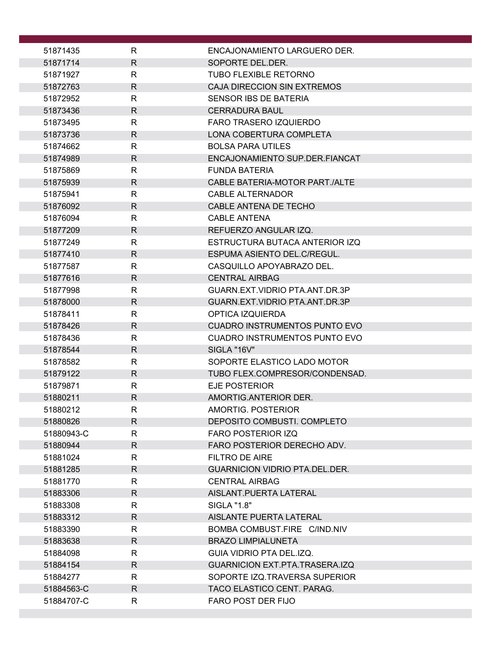| 51871435               | R                            | ENCAJONAMIENTO LARGUERO DER.                                |
|------------------------|------------------------------|-------------------------------------------------------------|
| 51871714               | $\mathsf{R}$                 | SOPORTE DEL.DER.                                            |
| 51871927               | R                            | <b>TUBO FLEXIBLE RETORNO</b>                                |
| 51872763               | $\mathsf{R}$                 | <b>CAJA DIRECCION SIN EXTREMOS</b>                          |
| 51872952               | R                            | SENSOR IBS DE BATERIA                                       |
| 51873436               | $\mathsf{R}$                 | <b>CERRADURA BAUL</b>                                       |
| 51873495               | R                            | <b>FARO TRASERO IZQUIERDO</b>                               |
| 51873736               | $\mathsf{R}$                 | LONA COBERTURA COMPLETA                                     |
| 51874662               | $\mathsf{R}$                 | <b>BOLSA PARA UTILES</b>                                    |
| 51874989               | R                            | ENCAJONAMIENTO SUP.DER.FIANCAT                              |
| 51875869               | R                            | <b>FUNDA BATERIA</b>                                        |
| 51875939               | R                            | CABLE BATERIA-MOTOR PART./ALTE                              |
| 51875941               | R                            | <b>CABLE ALTERNADOR</b>                                     |
| 51876092               | R                            | CABLE ANTENA DE TECHO                                       |
| 51876094               | R                            | <b>CABLE ANTENA</b>                                         |
| 51877209               | $\mathsf{R}$                 | REFUERZO ANGULAR IZQ.                                       |
| 51877249               | R                            | ESTRUCTURA BUTACA ANTERIOR IZQ                              |
| 51877410               | R                            | ESPUMA ASIENTO DEL.C/REGUL.                                 |
| 51877587               | R                            | CASQUILLO APOYABRAZO DEL.                                   |
| 51877616<br>51877998   | $\mathsf{R}$<br>$\mathsf{R}$ | <b>CENTRAL AIRBAG</b><br>GUARN.EXT.VIDRIO PTA.ANT.DR.3P     |
| 51878000               | R                            | GUARN.EXT.VIDRIO PTA.ANT.DR.3P                              |
| 51878411               | R                            | OPTICA IZQUIERDA                                            |
| 51878426               | R                            | <b>CUADRO INSTRUMENTOS PUNTO EVO</b>                        |
| 51878436               | R                            | <b>CUADRO INSTRUMENTOS PUNTO EVO</b>                        |
| 51878544               | R                            | SIGLA "16V"                                                 |
| 51878582               | R                            | SOPORTE ELASTICO LADO MOTOR                                 |
| 51879122               | $\mathsf{R}$                 | TUBO FLEX.COMPRESOR/CONDENSAD.                              |
| 51879871               | R                            | <b>EJE POSTERIOR</b>                                        |
| 51880211               | $\mathsf{R}$                 | AMORTIG.ANTERIOR DER.                                       |
| 51880212               | $\mathsf R$                  | AMORTIG. POSTERIOR                                          |
| 51880826               | R                            | DEPOSITO COMBUSTI. COMPLETO                                 |
| 51880943-C             | R                            | <b>FARO POSTERIOR IZQ</b>                                   |
| 51880944               | R.                           | FARO POSTERIOR DERECHO ADV.                                 |
| 51881024               | R.                           | <b>FILTRO DE AIRE</b>                                       |
| 51881285               | R                            | <b>GUARNICION VIDRIO PTA.DEL.DER.</b>                       |
| 51881770               | R                            | <b>CENTRAL AIRBAG</b>                                       |
| 51883306               | R                            | AISLANT.PUERTA LATERAL                                      |
| 51883308               | R                            | SIGLA "1.8"                                                 |
| 51883312               | R.                           | AISLANTE PUERTA LATERAL                                     |
| 51883390               | R.                           | BOMBA COMBUST.FIRE C/IND.NIV                                |
| 51883638               | R                            | <b>BRAZO LIMPIALUNETA</b>                                   |
| 51884098               | R                            | GUIA VIDRIO PTA DEL.IZQ.                                    |
| 51884154               | R                            | <b>GUARNICION EXT.PTA.TRASERA.IZQ</b>                       |
| 51884277<br>51884563-C | R<br>R.                      | SOPORTE IZQ.TRAVERSA SUPERIOR<br>TACO ELASTICO CENT. PARAG. |
| 51884707-C             | R.                           | FARO POST DER FIJO                                          |
|                        |                              |                                                             |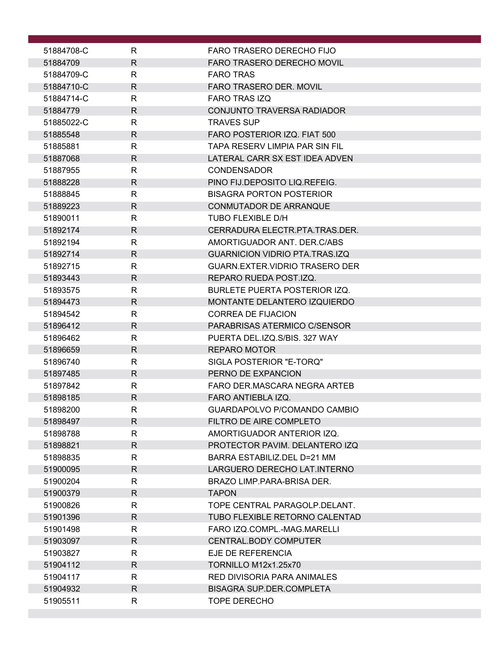| 51884708-C           | R                            | FARO TRASERO DERECHO FIJO                                    |
|----------------------|------------------------------|--------------------------------------------------------------|
| 51884709             | $\mathsf{R}$                 | <b>FARO TRASERO DERECHO MOVIL</b>                            |
| 51884709-C           | R                            | <b>FARO TRAS</b>                                             |
| 51884710-C           | $\mathsf{R}$                 | <b>FARO TRASERO DER. MOVIL</b>                               |
| 51884714-C           | R                            | <b>FARO TRAS IZQ</b>                                         |
| 51884779             | R                            | CONJUNTO TRAVERSA RADIADOR                                   |
| 51885022-C           | R                            | <b>TRAVES SUP</b>                                            |
| 51885548             | $\mathsf{R}$                 | FARO POSTERIOR IZQ. FIAT 500                                 |
| 51885881             | R                            | TAPA RESERV LIMPIA PAR SIN FIL                               |
| 51887068             | R                            | LATERAL CARR SX EST IDEA ADVEN                               |
| 51887955             | R                            | <b>CONDENSADOR</b>                                           |
| 51888228             | R.                           | PINO FIJ.DEPOSITO LIQ.REFEIG.                                |
| 51888845             | R                            | <b>BISAGRA PORTON POSTERIOR</b>                              |
| 51889223             | $\mathsf{R}$                 | CONMUTADOR DE ARRANQUE                                       |
| 51890011             | $\mathsf{R}$                 | TUBO FLEXIBLE D/H                                            |
| 51892174             | R.                           | CERRADURA ELECTR.PTA.TRAS.DER.                               |
| 51892194             | R                            | AMORTIGUADOR ANT. DER.C/ABS                                  |
| 51892714             | R                            | <b>GUARNICION VIDRIO PTA.TRAS.IZQ</b>                        |
| 51892715             | $\mathsf{R}$                 | <b>GUARN.EXTER.VIDRIO TRASERO DER</b>                        |
| 51893443             | $\mathsf{R}$                 | REPARO RUEDA POST.IZQ.                                       |
| 51893575             | $\mathsf{R}$                 | <b>BURLETE PUERTA POSTERIOR IZQ.</b>                         |
| 51894473             | R                            | MONTANTE DELANTERO IZQUIERDO                                 |
| 51894542             | R                            | <b>CORREA DE FIJACION</b>                                    |
| 51896412             | R.                           | PARABRISAS ATERMICO C/SENSOR                                 |
| 51896462             | R                            | PUERTA DEL.IZQ.S/BIS. 327 WAY                                |
| 51896659             | $\mathsf{R}$                 | <b>REPARO MOTOR</b>                                          |
| 51896740             | R                            | SIGLA POSTERIOR "E-TORQ"                                     |
| 51897485             | $\mathsf{R}$                 | PERNO DE EXPANCION                                           |
| 51897842             | R                            | FARO DER MASCARA NEGRA ARTEB                                 |
| 51898185             | $\mathsf{R}$                 | <b>FARO ANTIEBLA IZQ.</b>                                    |
| 51898200             | ${\sf R}$                    | GUARDAPOLVO P/COMANDO CAMBIO                                 |
| 51898497             | R.                           | FILTRO DE AIRE COMPLETO                                      |
| 51898788             | $\mathsf{R}$<br>$\mathsf{R}$ | AMORTIGUADOR ANTERIOR IZQ.<br>PROTECTOR PAVIM. DELANTERO IZQ |
| 51898821             | R                            | BARRA ESTABILIZ.DEL D=21 MM                                  |
| 51898835             | R                            | LARGUERO DERECHO LAT. INTERNO                                |
| 51900095<br>51900204 | R                            | BRAZO LIMP.PARA-BRISA DER.                                   |
| 51900379             | $\mathsf{R}$                 | <b>TAPON</b>                                                 |
| 51900826             | $\mathsf{R}$                 | TOPE CENTRAL PARAGOLP.DELANT.                                |
| 51901396             | $\mathsf{R}$                 | TUBO FLEXIBLE RETORNO CALENTAD                               |
| 51901498             | R                            | FARO IZQ.COMPL.-MAG.MARELLI                                  |
| 51903097             | R.                           | CENTRAL.BODY COMPUTER                                        |
| 51903827             | R                            | EJE DE REFERENCIA                                            |
| 51904112             | R.                           | <b>TORNILLO M12x1.25x70</b>                                  |
| 51904117             | $\mathsf{R}$                 | RED DIVISORIA PARA ANIMALES                                  |
| 51904932             | $\mathsf{R}$                 | <b>BISAGRA SUP.DER.COMPLETA</b>                              |
| 51905511             | R                            | <b>TOPE DERECHO</b>                                          |
|                      |                              |                                                              |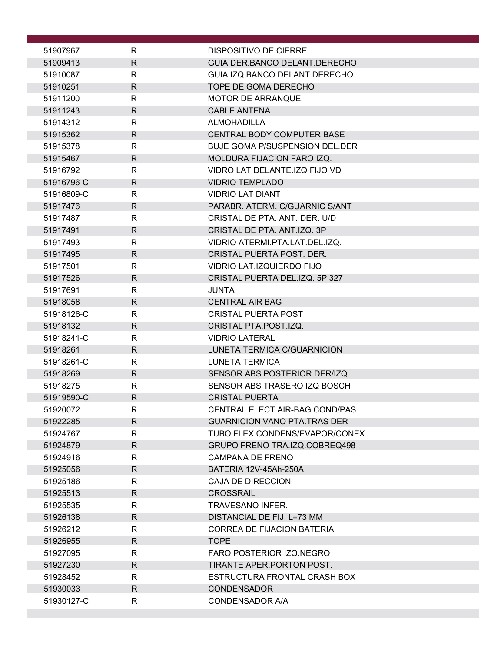| 51907967             | R                            | <b>DISPOSITIVO DE CIERRE</b>                                          |
|----------------------|------------------------------|-----------------------------------------------------------------------|
| 51909413             | $\mathsf{R}$                 | GUIA DER.BANCO DELANT.DERECHO                                         |
| 51910087             | R                            | GUIA IZQ.BANCO DELANT.DERECHO                                         |
| 51910251             | $\mathsf{R}$                 | TOPE DE GOMA DERECHO                                                  |
| 51911200             | R                            | <b>MOTOR DE ARRANQUE</b>                                              |
| 51911243             | $\mathsf{R}$                 | <b>CABLE ANTENA</b>                                                   |
| 51914312             | R                            | <b>ALMOHADILLA</b>                                                    |
| 51915362             | $\mathsf{R}$                 | CENTRAL BODY COMPUTER BASE                                            |
| 51915378             | R                            | <b>BUJE GOMA P/SUSPENSION DEL.DER</b>                                 |
| 51915467             | $\mathsf{R}$                 | MOLDURA FIJACION FARO IZQ.                                            |
| 51916792             | $\mathsf{R}$                 | VIDRO LAT DELANTE.IZQ FIJO VD                                         |
| 51916796-C           | $\mathsf{R}$                 | <b>VIDRIO TEMPLADO</b>                                                |
| 51916809-C           | $\mathsf{R}$<br>$\mathsf{R}$ | <b>VIDRIO LAT DIANT</b>                                               |
| 51917476<br>51917487 | R                            | PARABR. ATERM. C/GUARNIC S/ANT<br>CRISTAL DE PTA. ANT. DER. U/D       |
| 51917491             | R                            | CRISTAL DE PTA. ANT.IZQ. 3P                                           |
| 51917493             | R                            | VIDRIO ATERMI.PTA.LAT.DEL.IZQ.                                        |
| 51917495             | $\mathsf{R}$                 | CRISTAL PUERTA POST. DER.                                             |
| 51917501             | R                            | VIDRIO LAT.IZQUIERDO FIJO                                             |
| 51917526             | $\mathsf{R}$                 | CRISTAL PUERTA DEL.IZQ. 5P 327                                        |
| 51917691             | R                            | <b>JUNTA</b>                                                          |
| 51918058             | $\mathsf{R}$                 | <b>CENTRAL AIR BAG</b>                                                |
| 51918126-C           | $\mathsf{R}$                 | <b>CRISTAL PUERTA POST</b>                                            |
| 51918132             | $\mathsf{R}$                 | CRISTAL PTA.POST.IZQ.                                                 |
| 51918241-C           | $\mathsf{R}$                 | <b>VIDRIO LATERAL</b>                                                 |
| 51918261             | $\mathsf{R}$                 | LUNETA TERMICA C/GUARNICION                                           |
| 51918261-C           | R                            | <b>LUNETA TERMICA</b>                                                 |
| 51918269             | $\mathsf{R}$                 | SENSOR ABS POSTERIOR DER/IZQ                                          |
| 51918275             | $\mathsf{R}$                 | SENSOR ABS TRASERO IZQ BOSCH                                          |
| 51919590-C           | $\mathsf{R}$                 | <b>CRISTAL PUERTA</b>                                                 |
| 51920072             | $\mathsf R$<br>$\mathsf{R}$  | CENTRAL.ELECT.AIR-BAG COND/PAS                                        |
| 51922285<br>51924767 | R                            | <b>GUARNICION VANO PTA.TRAS DER</b><br>TUBO FLEX.CONDENS/EVAPOR/CONEX |
| 51924879             | $\mathsf{R}$                 | GRUPO FRENO TRA.IZQ.COBREQ498                                         |
| 51924916             | $\mathsf{R}$                 | <b>CAMPANA DE FRENO</b>                                               |
| 51925056             | $\mathsf{R}$                 | BATERIA 12V-45Ah-250A                                                 |
| 51925186             | $\mathsf{R}$                 | <b>CAJA DE DIRECCION</b>                                              |
| 51925513             | $\mathsf{R}$                 | <b>CROSSRAIL</b>                                                      |
| 51925535             | R                            | TRAVESANO INFER.                                                      |
| 51926138             | $\mathsf{R}$                 | DISTANCIAL DE FIJ. L=73 MM                                            |
| 51926212             | $\mathsf{R}$                 | <b>CORREA DE FIJACION BATERIA</b>                                     |
| 51926955             | $\mathsf{R}$                 | <b>TOPE</b>                                                           |
| 51927095             | R                            | FARO POSTERIOR IZQ.NEGRO                                              |
| 51927230             | $\mathsf{R}$                 | TIRANTE APER.PORTON POST.                                             |
| 51928452             | R                            | ESTRUCTURA FRONTAL CRASH BOX                                          |
| 51930033             | $\mathsf{R}$                 | <b>CONDENSADOR</b>                                                    |
| 51930127-C           | R                            | <b>CONDENSADOR A/A</b>                                                |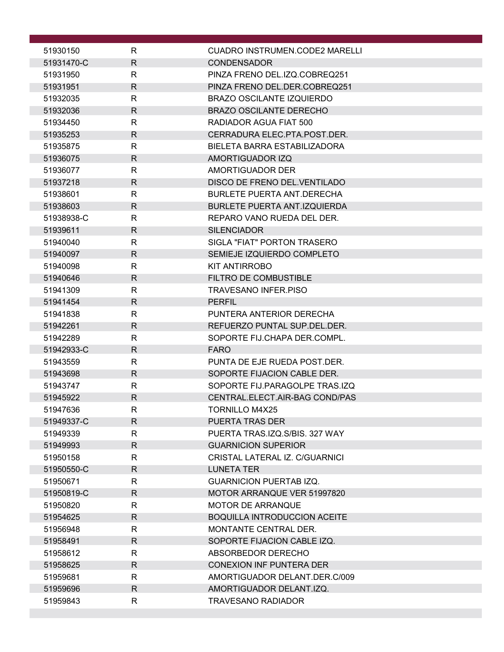| 51930150             | R                 | CUADRO INSTRUMEN.CODE2 MARELLI                    |
|----------------------|-------------------|---------------------------------------------------|
| 51931470-C           | R                 | <b>CONDENSADOR</b>                                |
| 51931950             | R                 | PINZA FRENO DEL.IZQ.COBREQ251                     |
| 51931951             | R                 | PINZA FRENO DEL.DER.COBREQ251                     |
| 51932035             | R                 | <b>BRAZO OSCILANTE IZQUIERDO</b>                  |
| 51932036             | R                 | <b>BRAZO OSCILANTE DERECHO</b>                    |
| 51934450             | R                 | RADIADOR AGUA FIAT 500                            |
| 51935253             | R                 | CERRADURA ELEC.PTA.POST.DER.                      |
| 51935875             | R                 | BIELETA BARRA ESTABILIZADORA                      |
| 51936075             | R                 | AMORTIGUADOR IZQ                                  |
| 51936077             | R                 | AMORTIGUADOR DER                                  |
| 51937218             | R                 | DISCO DE FRENO DEL VENTILADO                      |
| 51938601             | R                 | <b>BURLETE PUERTA ANT.DERECHA</b>                 |
| 51938603             | R                 | BURLETE PUERTA ANT.IZQUIERDA                      |
| 51938938-C           | R                 | REPARO VANO RUEDA DEL DER.                        |
| 51939611             | R                 | <b>SILENCIADOR</b>                                |
| 51940040             | R                 | SIGLA "FIAT" PORTON TRASERO                       |
| 51940097             | $\mathsf{R}$      | SEMIEJE IZQUIERDO COMPLETO                        |
| 51940098<br>51940646 | R<br>$\mathsf{R}$ | KIT ANTIRROBO<br><b>FILTRO DE COMBUSTIBLE</b>     |
| 51941309             | R                 | <b>TRAVESANO INFER.PISO</b>                       |
| 51941454             | R                 | <b>PERFIL</b>                                     |
| 51941838             | R                 | PUNTERA ANTERIOR DERECHA                          |
| 51942261             | $\mathsf{R}$      | REFUERZO PUNTAL SUP.DEL.DER.                      |
| 51942289             | $\mathsf{R}$      | SOPORTE FIJ.CHAPA DER.COMPL.                      |
| 51942933-C           | R                 | <b>FARO</b>                                       |
| 51943559             | R                 | PUNTA DE EJE RUEDA POST.DER.                      |
| 51943698             | R                 | SOPORTE FIJACION CABLE DER.                       |
| 51943747             | R                 | SOPORTE FIJ.PARAGOLPE TRAS.IZQ                    |
| 51945922             | $\mathsf{R}$      | CENTRAL.ELECT.AIR-BAG COND/PAS                    |
| 51947636             | R                 | TORNILLO M4X25                                    |
| 51949337-C           | R                 | PUERTA TRAS DER                                   |
| 51949339             | R                 | PUERTA TRAS.IZQ.S/BIS. 327 WAY                    |
| 51949993             | R.                | <b>GUARNICION SUPERIOR</b>                        |
| 51950158             | $\mathsf{R}$      | CRISTAL LATERAL IZ. C/GUARNICI                    |
| 51950550-C           | $\mathsf{R}$      | <b>LUNETA TER</b>                                 |
| 51950671             | $\mathsf{R}$      | <b>GUARNICION PUERTAB IZQ.</b>                    |
| 51950819-C           | R                 | MOTOR ARRANQUE VER 51997820                       |
| 51950820             | R                 | <b>MOTOR DE ARRANQUE</b>                          |
| 51954625             | R                 | <b>BOQUILLA INTRODUCCION ACEITE</b>               |
| 51956948             | R<br>$\mathsf{R}$ | MONTANTE CENTRAL DER.                             |
| 51958491<br>51958612 | R                 | SOPORTE FIJACION CABLE IZQ.<br>ABSORBEDOR DERECHO |
| 51958625             | $\mathsf{R}$      | <b>CONEXION INF PUNTERA DER</b>                   |
| 51959681             | R                 | AMORTIGUADOR DELANT.DER.C/009                     |
| 51959696             | R                 | AMORTIGUADOR DELANT.IZQ.                          |
| 51959843             | $\mathsf{R}$      | <b>TRAVESANO RADIADOR</b>                         |
|                      |                   |                                                   |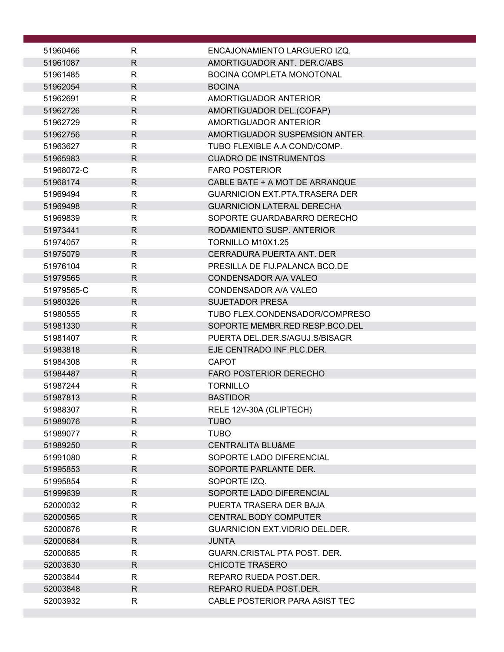| 51960466             | R                            | ENCAJONAMIENTO LARGUERO IZQ.                     |
|----------------------|------------------------------|--------------------------------------------------|
| 51961087             | $\mathsf{R}$                 | AMORTIGUADOR ANT. DER.C/ABS                      |
| 51961485             | $\mathsf{R}$                 | <b>BOCINA COMPLETA MONOTONAL</b>                 |
| 51962054             | $\mathsf{R}$                 | <b>BOCINA</b>                                    |
| 51962691             | $\mathsf{R}$                 | AMORTIGUADOR ANTERIOR                            |
| 51962726             | $\mathsf{R}$                 | AMORTIGUADOR DEL.(COFAP)                         |
| 51962729             | $\mathsf{R}$                 | AMORTIGUADOR ANTERIOR                            |
| 51962756             | $\mathsf{R}$                 | AMORTIGUADOR SUSPEMSION ANTER.                   |
| 51963627             | $\mathsf{R}$                 | TUBO FLEXIBLE A.A COND/COMP.                     |
| 51965983             | R                            | <b>CUADRO DE INSTRUMENTOS</b>                    |
| 51968072-C           | $\mathsf{R}$                 | <b>FARO POSTERIOR</b>                            |
| 51968174             | $\mathsf{R}$                 | CABLE BATE + A MOT DE ARRANQUE                   |
| 51969494             | R                            | <b>GUARNICION EXT.PTA.TRASERA DER</b>            |
| 51969498             | $\mathsf{R}$                 | <b>GUARNICION LATERAL DERECHA</b>                |
| 51969839             | $\mathsf{R}$                 | SOPORTE GUARDABARRO DERECHO                      |
| 51973441             | $\mathsf{R}$                 | RODAMIENTO SUSP. ANTERIOR                        |
| 51974057<br>51975079 | $\mathsf{R}$<br>$\mathsf{R}$ | TORNILLO M10X1.25<br>CERRADURA PUERTA ANT. DER   |
| 51976104             | $\mathsf{R}$                 | PRESILLA DE FIJ PALANCA BCO DE                   |
| 51979565             | $\mathsf{R}$                 | <b>CONDENSADOR A/A VALEO</b>                     |
| 51979565-C           | $\mathsf{R}$                 | CONDENSADOR A/A VALEO                            |
| 51980326             | $\mathsf{R}$                 | <b>SUJETADOR PRESA</b>                           |
| 51980555             | $\mathsf{R}$                 | TUBO FLEX.CONDENSADOR/COMPRESO                   |
| 51981330             | $\mathsf{R}$                 | SOPORTE MEMBR.RED RESP.BCO.DEL                   |
| 51981407             | $\mathsf{R}$                 | PUERTA DEL.DER.S/AGUJ.S/BISAGR                   |
| 51983818             | $\mathsf{R}$                 | EJE CENTRADO INF.PLC.DER.                        |
| 51984308             | $\mathsf{R}$                 | <b>CAPOT</b>                                     |
| 51984487             | $\mathsf{R}$                 | <b>FARO POSTERIOR DERECHO</b>                    |
| 51987244             | R                            | <b>TORNILLO</b>                                  |
| 51987813             | R                            | <b>BASTIDOR</b>                                  |
| 51988307             | R                            | RELE 12V-30A (CLIPTECH)                          |
| 51989076             | R.                           | <b>TUBO</b>                                      |
| 51989077             | R                            | <b>TUBO</b>                                      |
| 51989250             | R.                           | <b>CENTRALITA BLU&amp;ME</b>                     |
| 51991080             | R                            | SOPORTE LADO DIFERENCIAL                         |
| 51995853             | R.                           | SOPORTE PARLANTE DER.                            |
| 51995854             | R                            | SOPORTE IZQ.                                     |
| 51999639             | R.                           | SOPORTE LADO DIFERENCIAL                         |
| 52000032             | R                            | PUERTA TRASERA DER BAJA                          |
| 52000565             | R.                           | <b>CENTRAL BODY COMPUTER</b>                     |
| 52000676             | R                            | <b>GUARNICION EXT.VIDRIO DEL.DER.</b>            |
| 52000684             | $\mathsf{R}$                 | <b>JUNTA</b>                                     |
| 52000685             | R                            | GUARN.CRISTAL PTA POST. DER.                     |
| 52003630             | R.                           | <b>CHICOTE TRASERO</b>                           |
| 52003844<br>52003848 | R<br>R.                      | REPARO RUEDA POST.DER.<br>REPARO RUEDA POST.DER. |
| 52003932             | R                            | CABLE POSTERIOR PARA ASIST TEC                   |
|                      |                              |                                                  |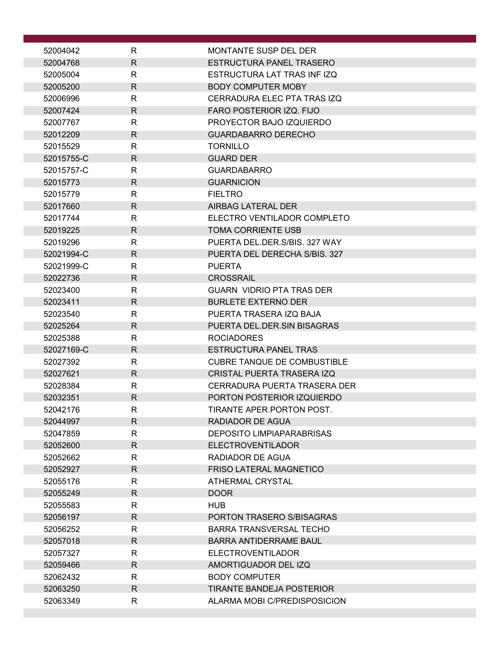| 52004042             | R                 | MONTANTE SUSP DEL DER                                       |
|----------------------|-------------------|-------------------------------------------------------------|
| 52004768             | $\mathsf{R}$      | ESTRUCTURA PANEL TRASERO                                    |
| 52005004             | $\mathsf{R}$      | ESTRUCTURA LAT TRAS INFIZQ                                  |
| 52005200             | $\mathsf{R}$      | <b>BODY COMPUTER MOBY</b>                                   |
| 52006996             | $\mathsf{R}$      | CERRADURA ELEC PTA TRAS IZQ                                 |
| 52007424             | $\mathsf{R}$      | FARO POSTERIOR IZQ. FIJO                                    |
| 52007767             | R                 | PROYECTOR BAJO IZQUIERDO                                    |
| 52012209             | $\mathsf{R}$      | <b>GUARDABARRO DERECHO</b>                                  |
| 52015529             | R                 | <b>TORNILLO</b>                                             |
| 52015755-C           | $\mathsf{R}$      | <b>GUARD DER</b>                                            |
| 52015757-C           | R                 | <b>GUARDABARRO</b>                                          |
| 52015773             | $\mathsf{R}$      | <b>GUARNICION</b>                                           |
| 52015779             | $\mathsf{R}$      | <b>FIELTRO</b>                                              |
| 52017660             | $\mathsf{R}$      | AIRBAG LATERAL DER                                          |
| 52017744<br>52019225 | $\mathsf{R}$      | ELECTRO VENTILADOR COMPLETO<br><b>TOMA CORRIENTE USB</b>    |
| 52019296             | R<br>$\mathsf{R}$ | PUERTA DEL.DER.S/BIS, 327 WAY                               |
| 52021994-C           | $\mathsf{R}$      | PUERTA DEL DERECHA S/BIS. 327                               |
| 52021999-C           | $\mathsf{R}$      | <b>PUERTA</b>                                               |
| 52022736             | $\mathsf{R}$      | <b>CROSSRAIL</b>                                            |
| 52023400             | R                 | <b>GUARN VIDRIO PTA TRAS DER</b>                            |
| 52023411             | $\mathsf{R}$      | <b>BURLETE EXTERNO DER</b>                                  |
| 52023540             | R                 | PUERTA TRASERA IZQ BAJA                                     |
| 52025264             | $\mathsf{R}$      | PUERTA DEL.DER.SIN BISAGRAS                                 |
| 52025388             | $\mathsf{R}$      | <b>ROCIADORES</b>                                           |
| 52027169-C           | $\mathsf{R}$      | <b>ESTRUCTURA PANEL TRAS</b>                                |
| 52027392             | R                 | <b>CUBRE TANQUE DE COMBUSTIBLE</b>                          |
| 52027621             | $\mathsf{R}$      | <b>CRISTAL PUERTA TRASERA IZQ</b>                           |
| 52028384             | R                 | CERRADURA PUERTA TRASERA DER                                |
| 52032351             | $\mathsf{R}$      | PORTON POSTERIOR IZQUIERDO                                  |
| 52042176             | к                 | TIRANTE APER.PORTON POST.                                   |
| 52044997             | $\mathsf{R}$      | RADIADOR DE AGUA                                            |
| 52047859             | R                 | <b>DEPOSITO LIMPIAPARABRISAS</b>                            |
| 52052600             | $\mathsf{R}$      | <b>ELECTROVENTILADOR</b>                                    |
| 52052662             | R                 | RADIADOR DE AGUA                                            |
| 52052927             | $\mathsf{R}$      | FRISO LATERAL MAGNETICO                                     |
| 52055176             | $\mathsf{R}$      | ATHERMAL CRYSTAL                                            |
| 52055249             | $\mathsf{R}$      | DOOR                                                        |
| 52055583             | R<br>$\mathsf{R}$ | <b>HUB</b>                                                  |
| 52056197<br>52056252 | R                 | PORTON TRASERO S/BISAGRAS<br><b>BARRA TRANSVERSAL TECHO</b> |
| 52057018             | $\mathsf{R}$      | <b>BARRA ANTIDERRAME BAUL</b>                               |
| 52057327             | R                 | <b>ELECTROVENTILADOR</b>                                    |
| 52059466             | $\mathsf{R}$      | AMORTIGUADOR DEL IZQ                                        |
| 52062432             | R                 | <b>BODY COMPUTER</b>                                        |
| 52063250             | $\mathsf{R}$      | <b>TIRANTE BANDEJA POSTERIOR</b>                            |
| 52063349             | R                 | ALARMA MOBI C/PREDISPOSICION                                |
|                      |                   |                                                             |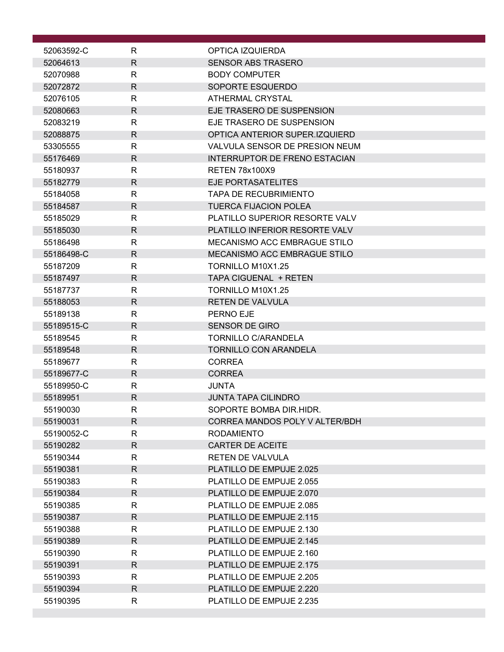| 52063592-C           | R                 | OPTICA IZQUIERDA                                     |
|----------------------|-------------------|------------------------------------------------------|
| 52064613             | $\mathsf{R}$      | <b>SENSOR ABS TRASERO</b>                            |
| 52070988             | R                 | <b>BODY COMPUTER</b>                                 |
| 52072872             | $\mathsf{R}$      | SOPORTE ESQUERDO                                     |
| 52076105             | R                 | <b>ATHERMAL CRYSTAL</b>                              |
| 52080663             | $\mathsf{R}$      | EJE TRASERO DE SUSPENSION                            |
| 52083219             | R                 | EJE TRASERO DE SUSPENSION                            |
| 52088875             | $\mathsf{R}$      | OPTICA ANTERIOR SUPER.IZQUIERD                       |
| 53305555             | R                 | VALVULA SENSOR DE PRESION NEUM                       |
| 55176469             | $\mathsf{R}$      | <b>INTERRUPTOR DE FRENO ESTACIAN</b>                 |
| 55180937             | R                 | <b>RETEN 78x100X9</b>                                |
| 55182779             | $\mathsf{R}$      | EJE PORTASATELITES                                   |
| 55184058             | R                 | <b>TAPA DE RECUBRIMIENTO</b>                         |
| 55184587             | $\mathsf{R}$      | <b>TUERCA FIJACION POLEA</b>                         |
| 55185029             | R                 | PLATILLO SUPERIOR RESORTE VALV                       |
| 55185030             | $\mathsf{R}$      | PLATILLO INFERIOR RESORTE VALV                       |
| 55186498             | R                 | MECANISMO ACC EMBRAGUE STILO                         |
| 55186498-C           | $\mathsf{R}$      | <b>MECANISMO ACC EMBRAGUE STILO</b>                  |
| 55187209             | R                 | TORNILLO M10X1.25                                    |
| 55187497             | $\mathsf{R}$      | TAPA CIGUENAL + RETEN                                |
| 55187737             | R                 | TORNILLO M10X1.25                                    |
| 55188053             | $\mathsf{R}$      | <b>RETEN DE VALVULA</b>                              |
| 55189138             | R                 | PERNO EJE                                            |
| 55189515-C           | $\mathsf{R}$      | <b>SENSOR DE GIRO</b>                                |
| 55189545             | R                 | <b>TORNILLO C/ARANDELA</b>                           |
| 55189548             | $\mathsf{R}$      | <b>TORNILLO CON ARANDELA</b>                         |
| 55189677             | R                 | <b>CORREA</b>                                        |
| 55189677-C           | R                 | <b>CORREA</b>                                        |
| 55189950-C           | R                 | <b>JUNTA</b>                                         |
| 55189951             | $\mathsf{R}$      | <b>JUNTA TAPA CILINDRO</b>                           |
| 55190030             | ${\sf R}$         | SOPORTE BOMBA DIR.HIDR.                              |
| 55190031             | R                 | CORREA MANDOS POLY V ALTER/BDH                       |
| 55190052-C           | $\mathsf{R}$      | <b>RODAMIENTO</b>                                    |
| 55190282             | R                 | <b>CARTER DE ACEITE</b>                              |
| 55190344             | R                 | <b>RETEN DE VALVULA</b>                              |
| 55190381             | $\mathsf{R}$      | PLATILLO DE EMPUJE 2.025                             |
| 55190383             | $\mathsf{R}$      | PLATILLO DE EMPUJE 2.055                             |
| 55190384             | $\mathsf{R}$      | PLATILLO DE EMPUJE 2.070                             |
| 55190385             | R<br>$\mathsf{R}$ | PLATILLO DE EMPUJE 2.085                             |
| 55190387             |                   | PLATILLO DE EMPUJE 2.115<br>PLATILLO DE EMPUJE 2.130 |
| 55190388<br>55190389 | R<br>$\mathsf{R}$ | PLATILLO DE EMPUJE 2.145                             |
| 55190390             | R                 | PLATILLO DE EMPUJE 2.160                             |
| 55190391             | R                 | PLATILLO DE EMPUJE 2.175                             |
| 55190393             | $\mathsf{R}$      | PLATILLO DE EMPUJE 2.205                             |
| 55190394             | $\mathsf{R}$      | PLATILLO DE EMPUJE 2.220                             |
| 55190395             | R                 | PLATILLO DE EMPUJE 2.235                             |
|                      |                   |                                                      |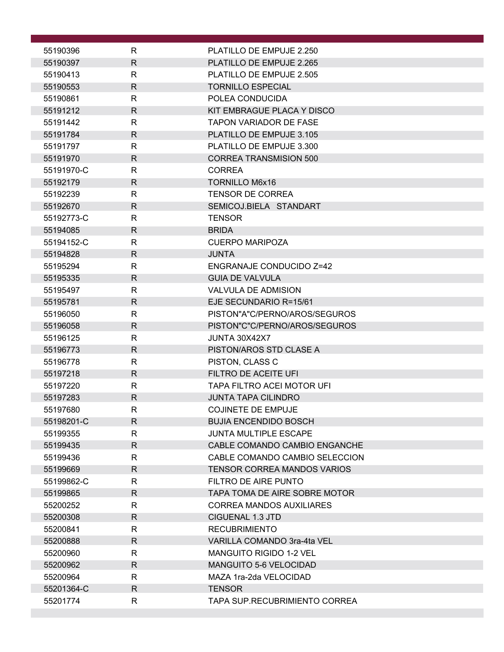| 55190396             | R            | PLATILLO DE EMPUJE 2.250                                 |
|----------------------|--------------|----------------------------------------------------------|
| 55190397             | R            | PLATILLO DE EMPUJE 2.265                                 |
| 55190413             | R            | PLATILLO DE EMPUJE 2.505                                 |
| 55190553             | $\mathsf{R}$ | <b>TORNILLO ESPECIAL</b>                                 |
| 55190861             | R            | POLEA CONDUCIDA                                          |
| 55191212             | $\mathsf{R}$ | KIT EMBRAGUE PLACA Y DISCO                               |
| 55191442             | R            | <b>TAPON VARIADOR DE FASE</b>                            |
| 55191784             | $\mathsf{R}$ | PLATILLO DE EMPUJE 3.105                                 |
| 55191797             | R            | PLATILLO DE EMPUJE 3.300                                 |
| 55191970             | $\mathsf{R}$ | <b>CORREA TRANSMISION 500</b>                            |
| 55191970-C           | R            | <b>CORREA</b>                                            |
| 55192179             | R            | <b>TORNILLO M6x16</b>                                    |
| 55192239             | R            | <b>TENSOR DE CORREA</b>                                  |
| 55192670             | $\mathsf{R}$ | SEMICOJ.BIELA STANDART                                   |
| 55192773-C           | R            | <b>TENSOR</b>                                            |
| 55194085             | $\mathsf{R}$ | <b>BRIDA</b>                                             |
| 55194152-C           | R            | <b>CUERPO MARIPOZA</b>                                   |
| 55194828             | $\mathsf{R}$ | <b>JUNTA</b>                                             |
| 55195294             | R            | ENGRANAJE CONDUCIDO Z=42                                 |
| 55195335             | $\mathsf{R}$ | <b>GUIA DE VALVULA</b>                                   |
| 55195497             | R            | <b>VALVULA DE ADMISION</b>                               |
| 55195781             | $\mathsf{R}$ | EJE SECUNDARIO R=15/61                                   |
| 55196050             | R            | PISTON"A"C/PERNO/AROS/SEGUROS                            |
| 55196058             | R            | PISTON"C"C/PERNO/AROS/SEGUROS                            |
| 55196125             | $\mathsf{R}$ | JUNTA 30X42X7                                            |
| 55196773             | R            | PISTON/AROS STD CLASE A                                  |
| 55196778             | R            | PISTON, CLASS C                                          |
| 55197218             | $\mathsf{R}$ | FILTRO DE ACEITE UFI                                     |
| 55197220<br>55197283 | R<br>R       | TAPA FILTRO ACEI MOTOR UFI<br><b>JUNTA TAPA CILINDRO</b> |
| 55197680             | R.           | <b>COJINETE DE EMPUJE</b>                                |
| 55198201-C           | R.           | <b>BUJIA ENCENDIDO BOSCH</b>                             |
| 55199355             | R            | JUNTA MULTIPLE ESCAPE                                    |
| 55199435             | R            | CABLE COMANDO CAMBIO ENGANCHE                            |
| 55199436             | R            | CABLE COMANDO CAMBIO SELECCION                           |
| 55199669             | R.           | <b>TENSOR CORREA MANDOS VARIOS</b>                       |
| 55199862-C           | R            | FILTRO DE AIRE PUNTO                                     |
| 55199865             | R.           | TAPA TOMA DE AIRE SOBRE MOTOR                            |
| 55200252             | R            | <b>CORREA MANDOS AUXILIARES</b>                          |
| 55200308             | R            | <b>CIGUENAL 1.3 JTD</b>                                  |
| 55200841             | R            | <b>RECUBRIMIENTO</b>                                     |
| 55200888             | R            | VARILLA COMANDO 3ra-4ta VEL                              |
| 55200960             | R            | <b>MANGUITO RIGIDO 1-2 VEL</b>                           |
| 55200962             | $\mathsf{R}$ | <b>MANGUITO 5-6 VELOCIDAD</b>                            |
| 55200964             | R            | MAZA 1ra-2da VELOCIDAD                                   |
| 55201364-C           | R            | <b>TENSOR</b>                                            |
| 55201774             | R            | TAPA SUP.RECUBRIMIENTO CORREA                            |
|                      |              |                                                          |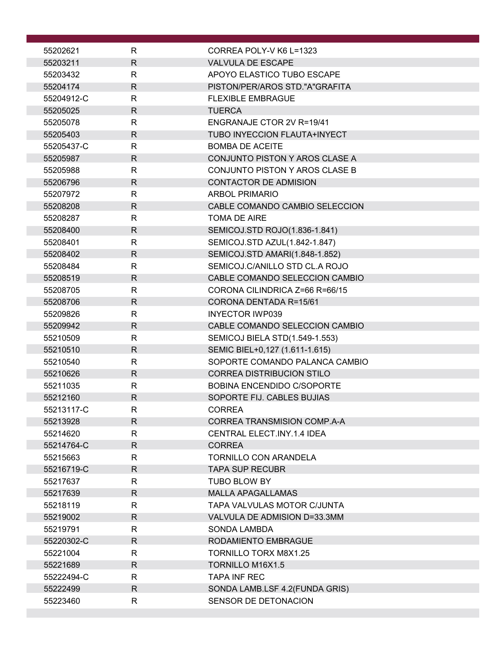| 55202621   | R            | CORREA POLY-V K6 L=1323             |
|------------|--------------|-------------------------------------|
| 55203211   | $\mathsf{R}$ | <b>VALVULA DE ESCAPE</b>            |
| 55203432   | R            | APOYO ELASTICO TUBO ESCAPE          |
| 55204174   | $\mathsf{R}$ | PISTON/PER/AROS STD."A"GRAFITA      |
| 55204912-C | R            | <b>FLEXIBLE EMBRAGUE</b>            |
| 55205025   | $\mathsf{R}$ | <b>TUERCA</b>                       |
| 55205078   | R            | ENGRANAJE CTOR 2V R=19/41           |
| 55205403   | $\mathsf{R}$ | <b>TUBO INYECCION FLAUTA+INYECT</b> |
| 55205437-C | R            | <b>BOMBA DE ACEITE</b>              |
| 55205987   | $\mathsf{R}$ | CONJUNTO PISTON Y AROS CLASE A      |
| 55205988   | R            | CONJUNTO PISTON Y AROS CLASE B      |
| 55206796   | $\mathsf{R}$ | <b>CONTACTOR DE ADMISION</b>        |
| 55207972   | R            | <b>ARBOL PRIMARIO</b>               |
|            | $\mathsf{R}$ | CABLE COMANDO CAMBIO SELECCION      |
| 55208208   |              |                                     |
| 55208287   | $\mathsf{R}$ | <b>TOMA DE AIRE</b>                 |
| 55208400   | R            | SEMICOJ.STD ROJO(1.836-1.841)       |
| 55208401   | R            | SEMICOJ.STD AZUL(1.842-1.847)       |
| 55208402   | $\mathsf{R}$ | SEMICOJ.STD AMARI(1.848-1.852)      |
| 55208484   | $\mathsf{R}$ | SEMICOJ.C/ANILLO STD CL.A ROJO      |
| 55208519   | $\mathsf{R}$ | CABLE COMANDO SELECCION CAMBIO      |
| 55208705   | R            | CORONA CILINDRICA Z=66 R=66/15      |
| 55208706   | R            | CORONA DENTADA R=15/61              |
| 55209826   | $\mathsf{R}$ | <b>INYECTOR IWP039</b>              |
| 55209942   | $\mathsf{R}$ | CABLE COMANDO SELECCION CAMBIO      |
| 55210509   | $\mathsf{R}$ | SEMICOJ BIELA STD(1.549-1.553)      |
| 55210510   | $\mathsf{R}$ | SEMIC BIEL+0,127 (1.611-1.615)      |
| 55210540   | R            | SOPORTE COMANDO PALANCA CAMBIO      |
| 55210626   | $\mathsf{R}$ | <b>CORREA DISTRIBUCION STILO</b>    |
| 55211035   | R            | <b>BOBINA ENCENDIDO C/SOPORTE</b>   |
| 55212160   | $\mathsf{R}$ | SOPORTE FIJ. CABLES BUJIAS          |
| 55213117-C | к            | <b>CORREA</b>                       |
| 55213928   | R.           | <b>CORREA TRANSMISION COMP.A-A</b>  |
| 55214620   | R            | <b>CENTRAL ELECT.INY.1.4 IDEA</b>   |
| 55214764-C | R            | <b>CORREA</b>                       |
| 55215663   | R            | <b>TORNILLO CON ARANDELA</b>        |
| 55216719-C | $\mathsf{R}$ | <b>TAPA SUP RECUBR</b>              |
| 55217637   | $\mathsf{R}$ | TUBO BLOW BY                        |
| 55217639   | R            | <b>MALLA APAGALLAMAS</b>            |
| 55218119   | R            | TAPA VALVULAS MOTOR C/JUNTA         |
| 55219002   | $\mathsf{R}$ | VALVULA DE ADMISION D=33.3MM        |
| 55219791   | R            | <b>SONDA LAMBDA</b>                 |
| 55220302-C | $\mathsf{R}$ | RODAMIENTO EMBRAGUE                 |
| 55221004   | R            | <b>TORNILLO TORX M8X1.25</b>        |
| 55221689   | $\mathsf{R}$ | <b>TORNILLO M16X1.5</b>             |
| 55222494-C | R            | <b>TAPA INF REC</b>                 |
| 55222499   | $\mathsf{R}$ | SONDA LAMB.LSF 4.2(FUNDA GRIS)      |
| 55223460   | $\mathsf{R}$ | SENSOR DE DETONACION                |
|            |              |                                     |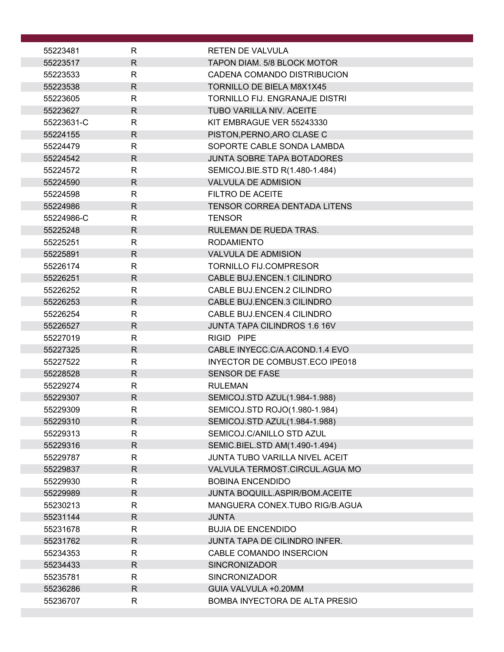| 55223481             | R            | RETEN DE VALVULA                                                 |
|----------------------|--------------|------------------------------------------------------------------|
| 55223517             | $\mathsf{R}$ | <b>TAPON DIAM, 5/8 BLOCK MOTOR</b>                               |
| 55223533             | R            | CADENA COMANDO DISTRIBUCION                                      |
| 55223538             | R            | <b>TORNILLO DE BIELA M8X1X45</b>                                 |
| 55223605             | R            | TORNILLO FIJ. ENGRANAJE DISTRI                                   |
| 55223627             | $\mathsf{R}$ | <b>TUBO VARILLA NIV. ACEITE</b>                                  |
| 55223631-C           | R            | KIT EMBRAGUE VER 55243330                                        |
| 55224155             | $\mathsf{R}$ | PISTON, PERNO, ARO CLASE C                                       |
| 55224479             | R            | SOPORTE CABLE SONDA LAMBDA                                       |
| 55224542             | R            | <b>JUNTA SOBRE TAPA BOTADORES</b>                                |
| 55224572             | $\mathsf{R}$ | SEMICOJ.BIE.STD R(1.480-1.484)                                   |
| 55224590             | $\mathsf{R}$ | <b>VALVULA DE ADMISION</b>                                       |
| 55224598             | $\mathsf{R}$ | FILTRO DE ACEITE                                                 |
| 55224986             | R            | <b>TENSOR CORREA DENTADA LITENS</b>                              |
| 55224986-C           | R            | <b>TENSOR</b>                                                    |
| 55225248             | R            | <b>RULEMAN DE RUEDA TRAS.</b>                                    |
| 55225251             | R            | <b>RODAMIENTO</b>                                                |
| 55225891             | $\mathsf{R}$ | <b>VALVULA DE ADMISION</b>                                       |
| 55226174             | R            | <b>TORNILLO FIJ.COMPRESOR</b>                                    |
| 55226251             | $\mathsf{R}$ | CABLE BUJ.ENCEN.1 CILINDRO                                       |
| 55226252             | R            | CABLE BUJ.ENCEN.2 CILINDRO                                       |
| 55226253             | R            | CABLE BUJ.ENCEN.3 CILINDRO                                       |
| 55226254             | $\mathsf{R}$ | CABLE BUJ.ENCEN.4 CILINDRO                                       |
| 55226527             | $\mathsf{R}$ | <b>JUNTA TAPA CILINDROS 1.6 16V</b>                              |
| 55227019             | $\mathsf{R}$ | RIGID PIPE                                                       |
| 55227325<br>55227522 | R<br>R       | CABLE INYECC.C/A.ACOND.1.4 EVO<br>INYECTOR DE COMBUST.ECO IPE018 |
| 55228528             | $\mathsf{R}$ | <b>SENSOR DE FASE</b>                                            |
| 55229274             | R            | <b>RULEMAN</b>                                                   |
| 55229307             | $\mathsf{R}$ | SEMICOJ.STD AZUL(1.984-1.988)                                    |
| 55229309             | к            | SEMICOJ.STD ROJO(1.980-1.984)                                    |
| 55229310             | $\mathsf{R}$ | SEMICOJ.STD AZUL(1.984-1.988)                                    |
| 55229313             | R            | SEMICOJ.C/ANILLO STD AZUL                                        |
| 55229316             | R.           | SEMIC.BIEL.STD AM(1.490-1.494)                                   |
| 55229787             | R            | JUNTA TUBO VARILLA NIVEL ACEIT                                   |
| 55229837             | R            | VALVULA TERMOST.CIRCUL.AGUA MO                                   |
| 55229930             | $\mathsf{R}$ | <b>BOBINA ENCENDIDO</b>                                          |
| 55229989             | R            | JUNTA BOQUILL.ASPIR/BOM.ACEITE                                   |
| 55230213             | R            | MANGUERA CONEX.TUBO RIG/B.AGUA                                   |
| 55231144             | R            | <b>JUNTA</b>                                                     |
| 55231678             | R            | <b>BUJIA DE ENCENDIDO</b>                                        |
| 55231762             | $\mathsf{R}$ | JUNTA TAPA DE CILINDRO INFER.                                    |
| 55234353             | R            | CABLE COMANDO INSERCION                                          |
| 55234433             | $\mathsf{R}$ | <b>SINCRONIZADOR</b>                                             |
| 55235781             | R            | <b>SINCRONIZADOR</b>                                             |
| 55236286             | $\mathsf{R}$ | GUIA VALVULA +0.20MM                                             |
| 55236707             | R            | <b>BOMBA INYECTORA DE ALTA PRESIO</b>                            |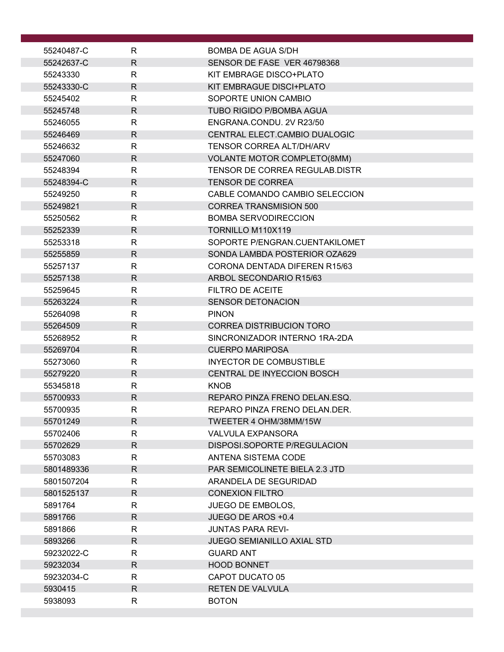| 55240487-C             | R                 | BOMBA DE AGUA S/DH                                 |
|------------------------|-------------------|----------------------------------------------------|
| 55242637-C             | $\mathsf{R}$      | SENSOR DE FASE VER 46798368                        |
| 55243330               | R                 | KIT EMBRAGE DISCO+PLATO                            |
| 55243330-C             | $\mathsf{R}$      | KIT EMBRAGUE DISCI+PLATO                           |
| 55245402               | R                 | SOPORTE UNION CAMBIO                               |
| 55245748               | $\mathsf{R}$      | <b>TUBO RIGIDO P/BOMBA AGUA</b>                    |
| 55246055               | R                 | ENGRANA.CONDU. 2V R23/50                           |
| 55246469               | R                 | CENTRAL ELECT.CAMBIO DUALOGIC                      |
| 55246632               | $\mathsf{R}$      | <b>TENSOR CORREA ALT/DH/ARV</b>                    |
| 55247060               | $\mathsf{R}$      | <b>VOLANTE MOTOR COMPLETO(8MM)</b>                 |
| 55248394               | $\mathsf{R}$      | TENSOR DE CORREA REGULAB.DISTR                     |
| 55248394-C             | $\mathsf{R}$      | <b>TENSOR DE CORREA</b>                            |
| 55249250               | R                 | CABLE COMANDO CAMBIO SELECCION                     |
| 55249821               | $\mathsf{R}$      | <b>CORREA TRANSMISION 500</b>                      |
| 55250562               | R                 | <b>BOMBA SERVODIRECCION</b>                        |
| 55252339               | $\mathsf{R}$      | TORNILLO M110X119                                  |
| 55253318               | R                 | SOPORTE P/ENGRAN.CUENTAKILOMET                     |
| 55255859               | $\mathsf{R}$      | SONDA LAMBDA POSTERIOR OZA629                      |
| 55257137               | R                 | CORONA DENTADA DIFEREN R15/63                      |
| 55257138<br>55259645   | $\mathsf{R}$<br>R | ARBOL SECONDARIO R15/63<br><b>FILTRO DE ACEITE</b> |
| 55263224               | R                 | <b>SENSOR DETONACION</b>                           |
| 55264098               | $\mathsf{R}$      | <b>PINON</b>                                       |
| 55264509               | R                 | <b>CORREA DISTRIBUCION TORO</b>                    |
| 55268952               | R                 | SINCRONIZADOR INTERNO 1RA-2DA                      |
| 55269704               | R                 | <b>CUERPO MARIPOSA</b>                             |
| 55273060               | R                 | <b>INYECTOR DE COMBUSTIBLE</b>                     |
| 55279220               | $\mathsf{R}$      | <b>CENTRAL DE INYECCION BOSCH</b>                  |
| 55345818               | $\mathsf{R}$      | <b>KNOB</b>                                        |
| 55700933               | $\mathsf{R}$      | REPARO PINZA FRENO DELAN.ESQ.                      |
| 55700935               | $\mathsf R$       | REPARO PINZA FRENO DELAN.DER.                      |
| 55701249               | R.                | TWEETER 4 OHM/38MM/15W                             |
| 55702406               | R                 | <b>VALVULA EXPANSORA</b>                           |
| 55702629               | R.                | DISPOSI.SOPORTE P/REGULACION                       |
| 55703083               | R.                | ANTENA SISTEMA CODE                                |
| 5801489336             | R.                | PAR SEMICOLINETE BIELA 2.3 JTD                     |
| 5801507204             | R                 | ARANDELA DE SEGURIDAD                              |
| 5801525137             | R.                | <b>CONEXION FILTRO</b>                             |
| 5891764                | R                 | <b>JUEGO DE EMBOLOS,</b>                           |
| 5891766                | R                 | JUEGO DE AROS +0.4                                 |
| 5891866                | R                 | <b>JUNTAS PARA REVI-</b>                           |
| 5893266                | $\mathsf{R}$      | <b>JUEGO SEMIANILLO AXIAL STD</b>                  |
| 59232022-C<br>59232034 | R<br>$\mathsf{R}$ | <b>GUARD ANT</b><br><b>HOOD BONNET</b>             |
| 59232034-C             | R                 | CAPOT DUCATO 05                                    |
| 5930415                | $\mathsf{R}$      | RETEN DE VALVULA                                   |
| 5938093                | R                 | <b>BOTON</b>                                       |
|                        |                   |                                                    |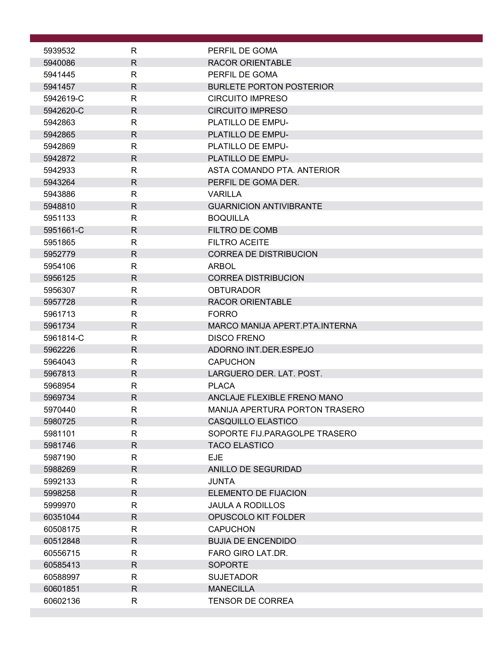| 5939532            | R                 | PERFIL DE GOMA                           |
|--------------------|-------------------|------------------------------------------|
| 5940086            | R                 | <b>RACOR ORIENTABLE</b>                  |
| 5941445            | R                 | PERFIL DE GOMA                           |
| 5941457            | $\mathsf{R}$      | <b>BURLETE PORTON POSTERIOR</b>          |
| 5942619-C          | R                 | <b>CIRCUITO IMPRESO</b>                  |
| 5942620-C          | $\mathsf{R}$      | <b>CIRCUITO IMPRESO</b>                  |
| 5942863            | $\mathsf{R}$      | PLATILLO DE EMPU-                        |
| 5942865            | $\mathsf{R}$      | PLATILLO DE EMPU-                        |
| 5942869            | R                 | PLATILLO DE EMPU-                        |
| 5942872            | $\mathsf{R}$      | <b>PLATILLO DE EMPU-</b>                 |
| 5942933            | $\mathsf{R}$      | ASTA COMANDO PTA, ANTERIOR               |
| 5943264            | $\mathsf{R}$      | PERFIL DE GOMA DER.                      |
| 5943886            | R                 | <b>VARILLA</b>                           |
| 5948810            | $\mathsf{R}$      | <b>GUARNICION ANTIVIBRANTE</b>           |
| 5951133            | $\mathsf{R}$      | <b>BOQUILLA</b>                          |
| 5951661-C          | $\mathsf{R}$      | FILTRO DE COMB                           |
| 5951865            | R                 | <b>FILTRO ACEITE</b>                     |
| 5952779            | $\mathsf{R}$      | <b>CORREA DE DISTRIBUCION</b>            |
| 5954106            | R                 | ARBOL                                    |
| 5956125            | $\mathsf{R}$      | <b>CORREA DISTRIBUCION</b>               |
| 5956307            | R                 | <b>OBTURADOR</b>                         |
| 5957728            | $\mathsf{R}$      | <b>RACOR ORIENTABLE</b>                  |
| 5961713            | $\mathsf{R}$      | <b>FORRO</b>                             |
| 5961734            | R                 | MARCO MANIJA APERT.PTA.INTERNA           |
| 5961814-C          | $\mathsf{R}$      | <b>DISCO FRENO</b>                       |
| 5962226<br>5964043 | $\mathsf{R}$<br>R | ADORNO INT.DER.ESPEJO<br><b>CAPUCHON</b> |
| 5967813            | $\mathsf{R}$      | LARGUERO DER. LAT. POST.                 |
| 5968954            | R                 | <b>PLACA</b>                             |
| 5969734            | $\mathsf{R}$      | ANCLAJE FLEXIBLE FRENO MANO              |
| 5970440            | R.                | MANIJA APERTURA PORTON TRASERO           |
| 5980725            | $\mathsf{R}$      | <b>CASQUILLO ELASTICO</b>                |
| 5981101            | R                 | SOPORTE FIJ.PARAGOLPE TRASERO            |
| 5981746            | $\mathsf{R}$      | <b>TACO ELASTICO</b>                     |
| 5987190            | R                 | <b>EJE</b>                               |
| 5988269            | $\mathsf{R}$      | ANILLO DE SEGURIDAD                      |
| 5992133            | $\mathsf{R}$      | <b>JUNTA</b>                             |
| 5998258            | $\mathsf{R}$      | ELEMENTO DE FIJACION                     |
| 5999970            | $\mathsf{R}$      | <b>JAULA A RODILLOS</b>                  |
| 60351044           | $\mathsf{R}$      | OPUSCOLO KIT FOLDER                      |
| 60508175           | $\mathsf{R}$      | <b>CAPUCHON</b>                          |
| 60512848           | $\mathsf{R}$      | <b>BUJIA DE ENCENDIDO</b>                |
| 60556715           | R                 | FARO GIRO LAT.DR.                        |
| 60585413           | $\mathsf{R}$      | <b>SOPORTE</b>                           |
| 60588997           | R                 | <b>SUJETADOR</b>                         |
| 60601851           | $\mathsf{R}$      | <b>MANECILLA</b>                         |
| 60602136           | R                 | <b>TENSOR DE CORREA</b>                  |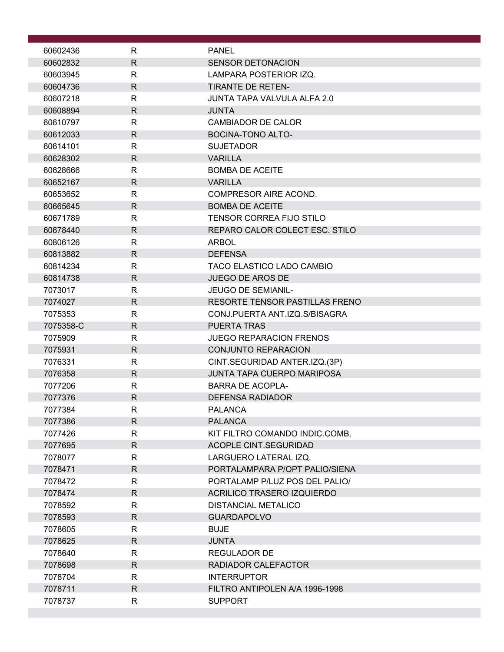| 60602436           | R                 | <b>PANEL</b>                                     |  |
|--------------------|-------------------|--------------------------------------------------|--|
| 60602832           | $\mathsf{R}$      | <b>SENSOR DETONACION</b>                         |  |
| 60603945           | R                 | LAMPARA POSTERIOR IZQ.                           |  |
| 60604736           | $\mathsf{R}$      | <b>TIRANTE DE RETEN-</b>                         |  |
| 60607218           | $\mathsf{R}$      | JUNTA TAPA VALVULA ALFA 2.0                      |  |
| 60608894           | $\mathsf{R}$      | <b>JUNTA</b>                                     |  |
| 60610797           | $\mathsf{R}$      | <b>CAMBIADOR DE CALOR</b>                        |  |
| 60612033           | $\mathsf{R}$      | <b>BOCINA-TONO ALTO-</b>                         |  |
| 60614101           | R                 | <b>SUJETADOR</b>                                 |  |
| 60628302           | $\mathsf{R}$      | <b>VARILLA</b>                                   |  |
| 60628666           | $\mathsf{R}$      | <b>BOMBA DE ACEITE</b>                           |  |
| 60652167           | $\mathsf{R}$      | <b>VARILLA</b>                                   |  |
| 60653652           | $\mathsf{R}$      | COMPRESOR AIRE ACOND.                            |  |
| 60665645           | $\mathsf{R}$      | <b>BOMBA DE ACEITE</b>                           |  |
| 60671789           | R                 | TENSOR CORREA FIJO STILO                         |  |
| 60678440           | $\mathsf{R}$      | REPARO CALOR COLECT ESC. STILO                   |  |
| 60806126           | R                 | <b>ARBOL</b>                                     |  |
| 60813882           | $\mathsf{R}$      | <b>DEFENSA</b>                                   |  |
| 60814234           | $\mathsf{R}$      | TACO ELASTICO LADO CAMBIO                        |  |
| 60814738           | $\mathsf{R}$      | <b>JUEGO DE AROS DE</b>                          |  |
| 7073017            | $\mathsf{R}$      | JEUGO DE SEMIANIL-                               |  |
| 7074027            | $\mathsf{R}$      | RESORTE TENSOR PASTILLAS FRENO                   |  |
| 7075353            | $\mathsf{R}$      | CONJ.PUERTA ANT.IZQ.S/BISAGRA                    |  |
| 7075358-C          | $\mathsf{R}$      | <b>PUERTA TRAS</b>                               |  |
| 7075909            | $\mathsf{R}$      | <b>JUEGO REPARACION FRENOS</b>                   |  |
| 7075931            | $\mathsf{R}$      | <b>CONJUNTO REPARACION</b>                       |  |
| 7076331            | R                 | CINT.SEGURIDAD ANTER.IZQ.(3P)                    |  |
| 7076358            | $\mathsf{R}$      | <b>JUNTA TAPA CUERPO MARIPOSA</b>                |  |
| 7077206            | R                 | <b>BARRA DE ACOPLA-</b>                          |  |
| 7077376<br>7077384 | $\mathsf{R}$      | <b>DEFENSA RADIADOR</b><br><b>PALANCA</b>        |  |
|                    | R<br>$\mathsf{R}$ |                                                  |  |
| 7077386<br>7077426 | $\mathsf{R}$      | <b>PALANCA</b><br>KIT FILTRO COMANDO INDIC.COMB. |  |
| 7077695            | R                 | <b>ACOPLE CINT.SEGURIDAD</b>                     |  |
| 7078077            | $\mathsf{R}$      | LARGUERO LATERAL IZQ.                            |  |
| 7078471            | $\mathsf{R}$      | PORTALAMPARA P/OPT PALIO/SIENA                   |  |
| 7078472            | $\mathsf{R}$      | PORTALAMP P/LUZ POS DEL PALIO/                   |  |
| 7078474            | R                 | ACRILICO TRASERO IZQUIERDO                       |  |
| 7078592            | R                 | DISTANCIAL METALICO                              |  |
| 7078593            | $\mathsf{R}$      | <b>GUARDAPOLVO</b>                               |  |
| 7078605            | R                 | <b>BUJE</b>                                      |  |
| 7078625            | $\mathsf{R}$      | <b>JUNTA</b>                                     |  |
| 7078640            | R                 | <b>REGULADOR DE</b>                              |  |
| 7078698            | R                 | RADIADOR CALEFACTOR                              |  |
| 7078704            | R                 | <b>INTERRUPTOR</b>                               |  |
| 7078711            | $\mathsf{R}$      | FILTRO ANTIPOLEN A/A 1996-1998                   |  |
| 7078737            | R                 | <b>SUPPORT</b>                                   |  |
|                    |                   |                                                  |  |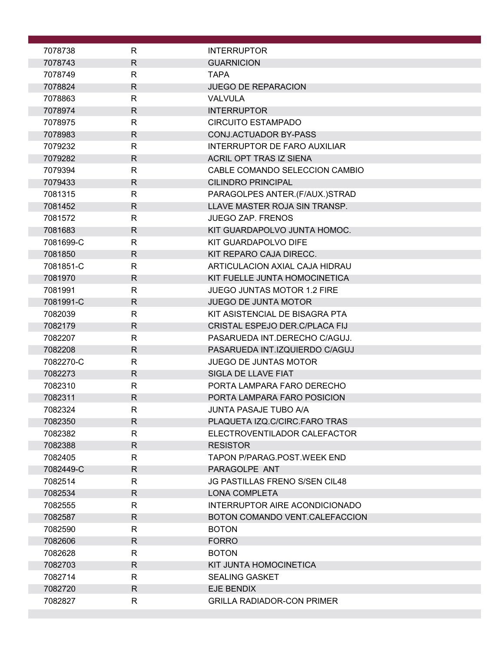| 7078738            | R                            | <b>INTERRUPTOR</b>                                |
|--------------------|------------------------------|---------------------------------------------------|
| 7078743            | $\mathsf{R}$                 | <b>GUARNICION</b>                                 |
| 7078749            | $\mathsf{R}$                 | <b>TAPA</b>                                       |
| 7078824            | R                            | <b>JUEGO DE REPARACION</b>                        |
| 7078863            | R                            | <b>VALVULA</b>                                    |
| 7078974            | $\mathsf{R}$                 | <b>INTERRUPTOR</b>                                |
| 7078975            | R                            | <b>CIRCUITO ESTAMPADO</b>                         |
| 7078983            | R                            | <b>CONJ.ACTUADOR BY-PASS</b>                      |
| 7079232            | R                            | INTERRUPTOR DE FARO AUXILIAR                      |
| 7079282            | $\mathsf{R}$                 | <b>ACRIL OPT TRAS IZ SIENA</b>                    |
| 7079394            | $\mathsf{R}$                 | CABLE COMANDO SELECCION CAMBIO                    |
| 7079433            | $\mathsf{R}$                 | <b>CILINDRO PRINCIPAL</b>                         |
| 7081315            | $\mathsf{R}$                 | PARAGOLPES ANTER.(F/AUX.)STRAD                    |
| 7081452            | $\mathsf{R}$                 | LLAVE MASTER ROJA SIN TRANSP.                     |
| 7081572            | $\mathsf{R}$                 | <b>JUEGO ZAP. FRENOS</b>                          |
| 7081683            | R                            | KIT GUARDAPOLVO JUNTA HOMOC.                      |
| 7081699-C          | R                            | KIT GUARDAPOLVO DIFE                              |
| 7081850            | $\mathsf{R}$                 | KIT REPARO CAJA DIRECC.                           |
| 7081851-C          | $\mathsf{R}$                 | ARTICULACION AXIAL CAJA HIDRAU                    |
| 7081970            | $\mathsf{R}$                 | KIT FUELLE JUNTA HOMOCINETICA                     |
| 7081991            | $\mathsf{R}$                 | JUEGO JUNTAS MOTOR 1.2 FIRE                       |
| 7081991-C          | $\mathsf{R}$                 | <b>JUEGO DE JUNTA MOTOR</b>                       |
| 7082039            | $\mathsf{R}$                 | KIT ASISTENCIAL DE BISAGRA PTA                    |
| 7082179            | $\mathsf{R}$                 | CRISTAL ESPEJO DER.C/PLACA FIJ                    |
| 7082207            | $\mathsf{R}$                 | PASARUEDA INT.DERECHO C/AGUJ.                     |
| 7082208            | $\mathsf{R}$                 | PASARUEDA INT.IZQUIERDO C/AGUJ                    |
| 7082270-C          | $\mathsf{R}$                 | <b>JUEGO DE JUNTAS MOTOR</b>                      |
| 7082273<br>7082310 | $\mathsf{R}$<br>$\mathsf{R}$ | SIGLA DE LLAVE FIAT<br>PORTA LAMPARA FARO DERECHO |
| 7082311            | $\mathsf{R}$                 | PORTA LAMPARA FARO POSICION                       |
| 7082324            | к                            | JUNTA PASAJE TUBO A/A                             |
| 7082350            | $\mathsf{R}$                 | PLAQUETA IZQ.C/CIRC.FARO TRAS                     |
| 7082382            | R                            | ELECTROVENTILADOR CALEFACTOR                      |
| 7082388            | R.                           | <b>RESISTOR</b>                                   |
| 7082405            | R                            | <b>TAPON P/PARAG.POST.WEEK END</b>                |
| 7082449-C          | $\mathsf{R}$                 | PARAGOLPE ANT                                     |
| 7082514            | $\mathsf{R}$                 | <b>JG PASTILLAS FRENO S/SEN CIL48</b>             |
| 7082534            | R                            | <b>LONA COMPLETA</b>                              |
| 7082555            | R                            | INTERRUPTOR AIRE ACONDICIONADO                    |
| 7082587            | $\mathsf{R}$                 | BOTON COMANDO VENT.CALEFACCION                    |
| 7082590            | R                            | <b>BOTON</b>                                      |
| 7082606            | $\mathsf{R}$                 | <b>FORRO</b>                                      |
| 7082628            | $\mathsf{R}$                 | <b>BOTON</b>                                      |
| 7082703            | $\mathsf{R}$                 | KIT JUNTA HOMOCINETICA                            |
| 7082714            | R                            | <b>SEALING GASKET</b>                             |
| 7082720            | $\mathsf{R}$                 | EJE BENDIX                                        |
| 7082827            | $\mathsf{R}$                 | <b>GRILLA RADIADOR-CON PRIMER</b>                 |
|                    |                              |                                                   |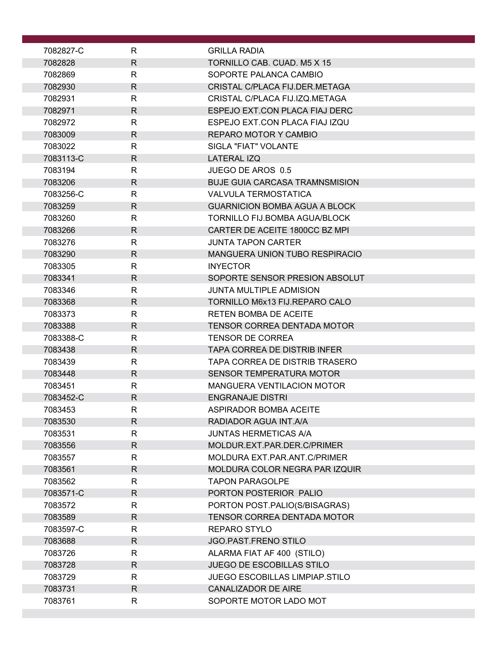| 7082827-C          | R                            | <b>GRILLA RADIA</b>                                                   |
|--------------------|------------------------------|-----------------------------------------------------------------------|
| 7082828            | $\mathsf{R}$                 | TORNILLO CAB. CUAD. M5 X 15                                           |
| 7082869            | R                            | SOPORTE PALANCA CAMBIO                                                |
| 7082930            | R                            | CRISTAL C/PLACA FIJ.DER.METAGA                                        |
| 7082931            | $\mathsf{R}$                 | CRISTAL C/PLACA FIJ.IZQ.METAGA                                        |
| 7082971            | $\mathsf{R}$                 | ESPEJO EXT.CON PLACA FIAJ DERC                                        |
| 7082972            | R                            | ESPEJO EXT.CON PLACA FIAJ IZQU                                        |
| 7083009            | $\mathsf{R}$                 | REPARO MOTOR Y CAMBIO                                                 |
| 7083022            | R                            | SIGLA "FIAT" VOLANTE                                                  |
| 7083113-C          | $\mathsf{R}$                 | LATERAL IZQ                                                           |
| 7083194            | $\mathsf{R}$                 | JUEGO DE AROS 0.5                                                     |
| 7083206            | R                            | <b>BUJE GUIA CARCASA TRAMNSMISION</b>                                 |
| 7083256-C          | $\mathsf{R}$                 | VALVULA TERMOSTATICA                                                  |
| 7083259<br>7083260 | $\mathsf{R}$<br>$\mathsf{R}$ | <b>GUARNICION BOMBA AGUA A BLOCK</b><br>TORNILLO FIJ.BOMBA AGUA/BLOCK |
| 7083266            | R                            | CARTER DE ACEITE 1800CC BZ MPI                                        |
| 7083276            | R                            | JUNTA TAPON CARTER                                                    |
| 7083290            | $\mathsf{R}$                 | MANGUERA UNION TUBO RESPIRACIO                                        |
| 7083305            | $\mathsf{R}$                 | <b>INYECTOR</b>                                                       |
| 7083341            | $\mathsf{R}$                 | SOPORTE SENSOR PRESION ABSOLUT                                        |
| 7083346            | $\mathsf{R}$                 | <b>JUNTA MULTIPLE ADMISION</b>                                        |
| 7083368            | $\mathsf{R}$                 | TORNILLO M6x13 FIJ.REPARO CALO                                        |
| 7083373            | R                            | <b>RETEN BOMBA DE ACEITE</b>                                          |
| 7083388            | $\mathsf{R}$                 | <b>TENSOR CORREA DENTADA MOTOR</b>                                    |
| 7083388-C          | $\mathsf{R}$                 | <b>TENSOR DE CORREA</b>                                               |
| 7083438            | R                            | TAPA CORREA DE DISTRIB INFER                                          |
| 7083439            | R                            | TAPA CORREA DE DISTRIB TRASERO                                        |
| 7083448            | $\mathsf{R}$                 | SENSOR TEMPERATURA MOTOR                                              |
| 7083451            | R                            | <b>MANGUERA VENTILACION MOTOR</b>                                     |
| 7083452-C          | $\mathsf{R}$                 | <b>ENGRANAJE DISTRI</b>                                               |
| 7083453            | R                            | ASPIRADOR BOMBA ACEITE                                                |
| 7083530            | $\mathsf{R}$                 | RADIADOR AGUA INT.A/A                                                 |
| 7083531<br>7083556 | $\mathsf{R}$<br>R            | JUNTAS HERMETICAS A/A<br>MOLDUR.EXT.PAR.DER.C/PRIMER                  |
| 7083557            | R                            | MOLDURA EXT.PAR.ANT.C/PRIMER                                          |
| 7083561            | $\mathsf{R}$                 | MOLDURA COLOR NEGRA PAR IZQUIR                                        |
| 7083562            | $\mathsf{R}$                 | <b>TAPON PARAGOLPE</b>                                                |
| 7083571-C          | R                            | PORTON POSTERIOR PALIO                                                |
| 7083572            | R                            | PORTON POST.PALIO(S/BISAGRAS)                                         |
| 7083589            | $\mathsf{R}$                 | TENSOR CORREA DENTADA MOTOR                                           |
| 7083597-C          | R                            | REPARO STYLO                                                          |
| 7083688            | $\mathsf{R}$                 | JGO.PAST.FRENO STILO                                                  |
| 7083726            | R                            | ALARMA FIAT AF 400 (STILO)                                            |
| 7083728            | $\mathsf{R}$                 | JUEGO DE ESCOBILLAS STILO                                             |
| 7083729            | R                            | <b>JUEGO ESCOBILLAS LIMPIAP.STILO</b>                                 |
| 7083731            | $\mathsf{R}$                 | <b>CANALIZADOR DE AIRE</b>                                            |
| 7083761            | $\mathsf{R}$                 | SOPORTE MOTOR LADO MOT                                                |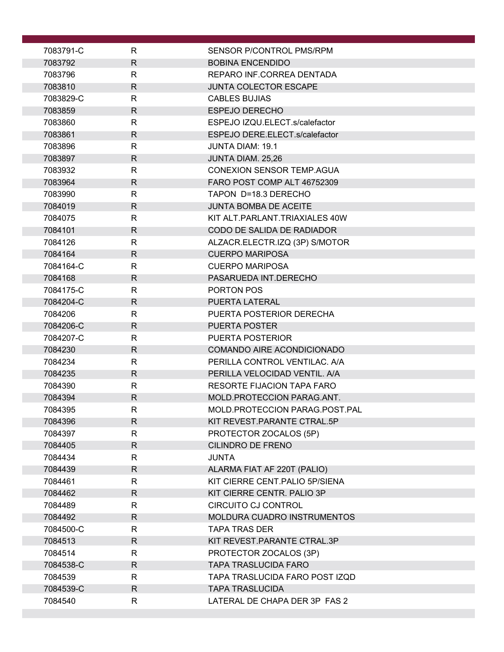| 7083791-C          | R            | SENSOR P/CONTROL PMS/RPM                           |
|--------------------|--------------|----------------------------------------------------|
| 7083792            | $\mathsf{R}$ | <b>BOBINA ENCENDIDO</b>                            |
| 7083796            | R            | REPARO INF.CORREA DENTADA                          |
| 7083810            | $\mathsf{R}$ | <b>JUNTA COLECTOR ESCAPE</b>                       |
| 7083829-C          | R            | <b>CABLES BUJIAS</b>                               |
| 7083859            | $\mathsf{R}$ | <b>ESPEJO DERECHO</b>                              |
| 7083860            | $\mathsf{R}$ | ESPEJO IZQU.ELECT.s/calefactor                     |
| 7083861            | R            | ESPEJO DERE.ELECT.s/calefactor                     |
| 7083896            | R            | <b>JUNTA DIAM: 19.1</b>                            |
| 7083897            | $\mathsf{R}$ | JUNTA DIAM. 25,26                                  |
| 7083932            | $\mathsf{R}$ | <b>CONEXION SENSOR TEMP.AGUA</b>                   |
| 7083964            | R            | FARO POST COMP ALT 46752309                        |
| 7083990            | $\mathsf{R}$ | TAPON D=18.3 DERECHO                               |
| 7084019            | $\mathsf{R}$ | <b>JUNTA BOMBA DE ACEITE</b>                       |
| 7084075            | $\mathsf{R}$ | KIT ALT. PARLANT. TRIAXIALES 40W                   |
| 7084101            | $\mathsf{R}$ | CODO DE SALIDA DE RADIADOR                         |
| 7084126            | $\mathsf{R}$ | ALZACR.ELECTR.IZQ (3P) S/MOTOR                     |
| 7084164            | $\mathsf{R}$ | <b>CUERPO MARIPOSA</b>                             |
| 7084164-C          | $\mathsf{R}$ | <b>CUERPO MARIPOSA</b>                             |
| 7084168            | $\mathsf{R}$ | PASARUEDA INT.DERECHO                              |
| 7084175-C          | $\mathsf{R}$ | PORTON POS                                         |
| 7084204-C          | $\mathsf{R}$ | PUERTA LATERAL                                     |
| 7084206            | R            | PUERTA POSTERIOR DERECHA                           |
| 7084206-C          | $\mathsf{R}$ | <b>PUERTA POSTER</b>                               |
| 7084207-C          | $\mathsf{R}$ | PUERTA POSTERIOR                                   |
| 7084230            | $\mathsf{R}$ | <b>COMANDO AIRE ACONDICIONADO</b>                  |
| 7084234            | R            | PERILLA CONTROL VENTILAC. A/A                      |
| 7084235            | $\mathsf{R}$ | PERILLA VELOCIDAD VENTIL, A/A                      |
| 7084390            | R            | RESORTE FIJACION TAPA FARO                         |
| 7084394            | $\mathsf{R}$ | MOLD.PROTECCION PARAG.ANT.                         |
| 7084395            | ${\sf R}$    | MOLD.PROTECCION PARAG.POST.PAL                     |
| 7084396            | R            | KIT REVEST. PARANTE CTRAL. 5P                      |
| 7084397<br>7084405 | $\mathsf{R}$ | PROTECTOR ZOCALOS (5P)<br><b>CILINDRO DE FRENO</b> |
| 7084434            | R<br>R       | <b>JUNTA</b>                                       |
| 7084439            | $\mathsf{R}$ | ALARMA FIAT AF 220T (PALIO)                        |
| 7084461            | $\mathsf{R}$ | KIT CIERRE CENT. PALIO 5P/SIENA                    |
| 7084462            | R            | KIT CIERRE CENTR. PALIO 3P                         |
| 7084489            | R            | CIRCUITO CJ CONTROL                                |
| 7084492            | R            | MOLDURA CUADRO INSTRUMENTOS                        |
| 7084500-C          | R            | <b>TAPA TRAS DER</b>                               |
| 7084513            | $\mathsf{R}$ | KIT REVEST. PARANTE CTRAL. 3P                      |
| 7084514            | R            | PROTECTOR ZOCALOS (3P)                             |
| 7084538-C          | R            | <b>TAPA TRASLUCIDA FARO</b>                        |
| 7084539            | R            | TAPA TRASLUCIDA FARO POST IZQD                     |
| 7084539-C          | $\mathsf{R}$ | <b>TAPA TRASLUCIDA</b>                             |
| 7084540            | R            | LATERAL DE CHAPA DER 3P FAS 2                      |
|                    |              |                                                    |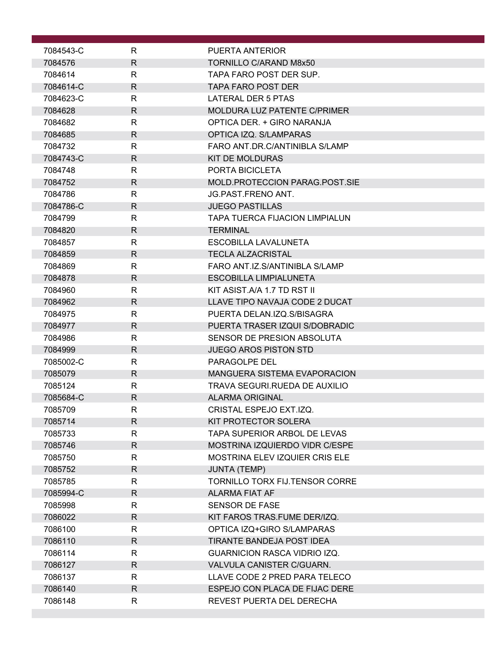| 7084543-C | R            | PUERTA ANTERIOR                                            |
|-----------|--------------|------------------------------------------------------------|
| 7084576   | R            | TORNILLO C/ARAND M8x50                                     |
| 7084614   | R            | TAPA FARO POST DER SUP.                                    |
| 7084614-C | R            | <b>TAPA FARO POST DER</b>                                  |
| 7084623-C | R            | LATERAL DER 5 PTAS                                         |
| 7084628   | $\mathsf{R}$ | <b>MOLDURA LUZ PATENTE C/PRIMER</b>                        |
| 7084682   | $\mathsf{R}$ | OPTICA DER. + GIRO NARANJA                                 |
| 7084685   | R            | OPTICA IZQ. S/LAMPARAS                                     |
| 7084732   | R            | FARO ANT.DR.C/ANTINIBLA S/LAMP                             |
| 7084743-C | R            | <b>KIT DE MOLDURAS</b>                                     |
| 7084748   | R            | PORTA BICICLETA                                            |
| 7084752   | R            | MOLD.PROTECCION PARAG.POST.SIE                             |
| 7084786   | $\mathsf{R}$ | JG.PAST.FRENO ANT.                                         |
| 7084786-C | $\mathsf{R}$ | <b>JUEGO PASTILLAS</b>                                     |
| 7084799   | R            | <b>TAPA TUERCA FIJACION LIMPIALUN</b>                      |
| 7084820   | R            | <b>TERMINAL</b>                                            |
| 7084857   | R            | <b>ESCOBILLA LAVALUNETA</b>                                |
|           | $\mathsf{R}$ |                                                            |
| 7084859   | $\mathsf{R}$ | <b>TECLA ALZACRISTAL</b><br>FARO ANT.IZ.S/ANTINIBLA S/LAMP |
| 7084869   |              |                                                            |
| 7084878   | $\mathsf{R}$ | <b>ESCOBILLA LIMPIALUNETA</b>                              |
| 7084960   | R            | KIT ASIST.A/A 1.7 TD RST II                                |
| 7084962   | $\mathsf{R}$ | LLAVE TIPO NAVAJA CODE 2 DUCAT                             |
| 7084975   | R            | PUERTA DELAN.IZQ.S/BISAGRA                                 |
| 7084977   | $\mathsf{R}$ | PUERTA TRASER IZQUI S/DOBRADIC                             |
| 7084986   | $\mathsf{R}$ | SENSOR DE PRESION ABSOLUTA                                 |
| 7084999   | R            | JUEGO AROS PISTON STD                                      |
| 7085002-C | R            | PARAGOLPE DEL                                              |
| 7085079   | $\mathsf{R}$ | <b>MANGUERA SISTEMA EVAPORACION</b>                        |
| 7085124   | R            | TRAVA SEGURI.RUEDA DE AUXILIO                              |
| 7085684-C | R            | <b>ALARMA ORIGINAL</b>                                     |
| 7085709   | R            | CRISTAL ESPEJO EXT.IZQ.                                    |
| 7085714   | $\mathsf{R}$ | KIT PROTECTOR SOLERA                                       |
| 7085733   | R            | TAPA SUPERIOR ARBOL DE LEVAS                               |
| 7085746   | $\mathsf{R}$ | MOSTRINA IZQUIERDO VIDR C/ESPE                             |
| 7085750   | R            | <b>MOSTRINA ELEV IZQUIER CRIS ELE</b>                      |
| 7085752   | $\mathsf{R}$ | <b>JUNTA (TEMP)</b>                                        |
| 7085785   | $\mathsf{R}$ | TORNILLO TORX FIJ.TENSOR CORRE                             |
| 7085994-C | R            | ALARMA FIAT AF                                             |
| 7085998   | R            | <b>SENSOR DE FASE</b>                                      |
| 7086022   | R            | KIT FAROS TRAS.FUME DER/IZQ.                               |
| 7086100   | $\mathsf{R}$ | OPTICA IZQ+GIRO S/LAMPARAS                                 |
| 7086110   | $\mathsf{R}$ | TIRANTE BANDEJA POST IDEA                                  |
| 7086114   | R            | <b>GUARNICION RASCA VIDRIO IZQ.</b>                        |
| 7086127   | $\mathsf{R}$ | VALVULA CANISTER C/GUARN.                                  |
| 7086137   | R            | LLAVE CODE 2 PRED PARA TELECO                              |
| 7086140   | $\mathsf{R}$ | ESPEJO CON PLACA DE FIJAC DERE                             |
| 7086148   | R            | REVEST PUERTA DEL DERECHA                                  |
|           |              |                                                            |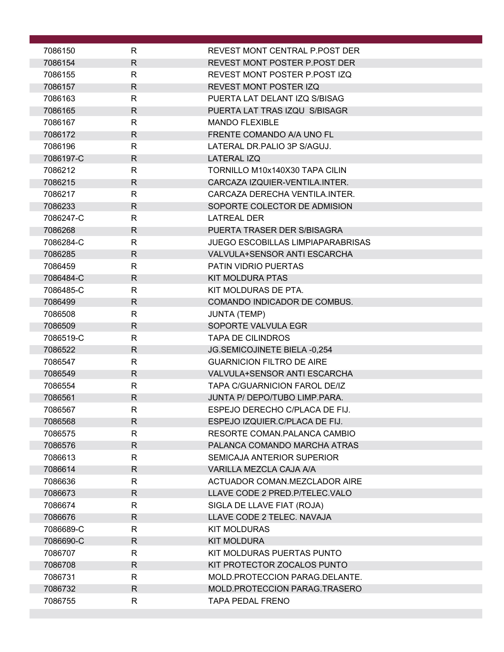| 7086150   | R            | REVEST MONT CENTRAL P POST DER       |
|-----------|--------------|--------------------------------------|
| 7086154   | $\mathsf{R}$ | REVEST MONT POSTER P.POST DER        |
| 7086155   | $\mathsf{R}$ | REVEST MONT POSTER P.POST IZQ        |
| 7086157   | $\mathsf{R}$ | <b>REVEST MONT POSTER IZQ</b>        |
| 7086163   | $\mathsf{R}$ | PUERTA LAT DELANT IZQ S/BISAG        |
| 7086165   | $\mathsf{R}$ | PUERTA LAT TRAS IZQU S/BISAGR        |
| 7086167   | $\mathsf{R}$ | <b>MANDO FLEXIBLE</b>                |
| 7086172   | $\mathsf{R}$ | FRENTE COMANDO A/A UNO FL            |
| 7086196   | $\mathsf{R}$ | LATERAL DR PALIO 3P S/AGUJ.          |
| 7086197-C | $\mathsf{R}$ | <b>LATERAL IZQ</b>                   |
| 7086212   | $\mathsf{R}$ | TORNILLO M10x140X30 TAPA CILIN       |
| 7086215   | $\mathsf{R}$ | CARCAZA IZQUIER-VENTILA.INTER.       |
| 7086217   | $\mathsf{R}$ | CARCAZA DERECHA VENTILA.INTER.       |
| 7086233   | $\mathsf{R}$ | SOPORTE COLECTOR DE ADMISION         |
| 7086247-C | $\mathsf{R}$ | <b>LATREAL DER</b>                   |
| 7086268   | R            | PUERTA TRASER DER S/BISAGRA          |
| 7086284-C | R            | JUEGO ESCOBILLAS LIMPIAPARABRISAS    |
| 7086285   | $\mathsf{R}$ | <b>VALVULA+SENSOR ANTI ESCARCHA</b>  |
| 7086459   | $\mathsf{R}$ | PATIN VIDRIO PUERTAS                 |
| 7086484-C | $\mathsf{R}$ | <b>KIT MOLDURA PTAS</b>              |
| 7086485-C | $\mathsf{R}$ | KIT MOLDURAS DE PTA.                 |
| 7086499   | R            | COMANDO INDICADOR DE COMBUS.         |
| 7086508   | $\mathsf{R}$ | <b>JUNTA (TEMP)</b>                  |
| 7086509   | $\mathsf{R}$ | SOPORTE VALVULA EGR                  |
| 7086519-C | $\mathsf{R}$ | <b>TAPA DE CILINDROS</b>             |
| 7086522   | $\mathsf{R}$ | JG.SEMICOJINETE BIELA -0,254         |
| 7086547   | R            | <b>GUARNICION FILTRO DE AIRE</b>     |
| 7086549   | $\mathsf{R}$ | <b>VALVULA+SENSOR ANTI ESCARCHA</b>  |
| 7086554   | R            | <b>TAPA C/GUARNICION FAROL DE/IZ</b> |
| 7086561   | $\mathsf{R}$ | JUNTA P/ DEPO/TUBO LIMP.PARA.        |
| 7086567   | к            | ESPEJO DERECHO C/PLACA DE FIJ.       |
| 7086568   | R            | ESPEJO IZQUIER.C/PLACA DE FIJ.       |
| 7086575   | $\mathsf{R}$ | RESORTE COMAN.PALANCA CAMBIO         |
| 7086576   | R            | PALANCA COMANDO MARCHA ATRAS         |
| 7086613   | R            | SEMICAJA ANTERIOR SUPERIOR           |
| 7086614   | $\mathsf{R}$ | VARILLA MEZCLA CAJA A/A              |
| 7086636   | $\mathsf{R}$ | ACTUADOR COMAN.MEZCLADOR AIRE        |
| 7086673   | $\mathsf{R}$ | LLAVE CODE 2 PRED.P/TELEC.VALO       |
| 7086674   | $\mathsf{R}$ | SIGLA DE LLAVE FIAT (ROJA)           |
| 7086676   | $\mathsf{R}$ | LLAVE CODE 2 TELEC. NAVAJA           |
| 7086689-C | R            | <b>KIT MOLDURAS</b>                  |
| 7086690-C | $\mathsf{R}$ | <b>KIT MOLDURA</b>                   |
| 7086707   | R            | KIT MOLDURAS PUERTAS PUNTO           |
| 7086708   | $\mathsf{R}$ | KIT PROTECTOR ZOCALOS PUNTO          |
| 7086731   | R            | MOLD.PROTECCION PARAG.DELANTE.       |
| 7086732   | $\mathsf{R}$ | MOLD.PROTECCION PARAG.TRASERO        |
| 7086755   | $\mathsf{R}$ | <b>TAPA PEDAL FRENO</b>              |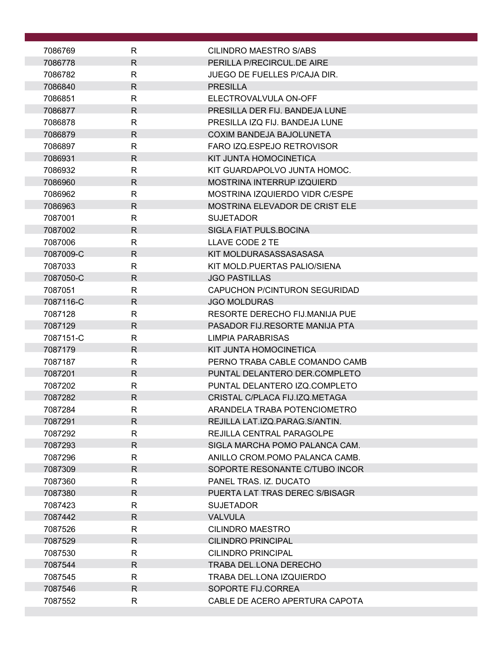| 7086769            | R                 | CILINDRO MAESTRO S/ABS                                         |
|--------------------|-------------------|----------------------------------------------------------------|
| 7086778            | R.                | PERILLA P/RECIRCUL.DE AIRE                                     |
| 7086782            | $\mathsf{R}$      | JUEGO DE FUELLES P/CAJA DIR.                                   |
| 7086840            | $\mathsf{R}$      | <b>PRESILLA</b>                                                |
| 7086851            | R                 | ELECTROVALVULA ON-OFF                                          |
| 7086877            | $\mathsf{R}$      | PRESILLA DER FIJ. BANDEJA LUNE                                 |
| 7086878            | R                 | PRESILLA IZO FIJ. BANDEJA LUNE                                 |
| 7086879            | $\mathsf{R}$      | <b>COXIM BANDEJA BAJOLUNETA</b>                                |
| 7086897            | $\mathsf{R}$      | FARO IZQ.ESPEJO RETROVISOR                                     |
| 7086931            | R                 | KIT JUNTA HOMOCINETICA                                         |
| 7086932            | R                 | KIT GUARDAPOLVO JUNTA HOMOC.                                   |
| 7086960            | R                 | <b>MOSTRINA INTERRUP IZQUIERD</b>                              |
| 7086962            | R                 | MOSTRINA IZQUIERDO VIDR C/ESPE                                 |
| 7086963            | $\mathsf{R}$      | MOSTRINA ELEVADOR DE CRIST ELE                                 |
| 7087001            | $\mathsf{R}$      | <b>SUJETADOR</b>                                               |
| 7087002            | $\mathsf{R}$      | SIGLA FIAT PULS.BOCINA                                         |
| 7087006            | R                 | LLAVE CODE 2 TE                                                |
| 7087009-C          | $\mathsf{R}$      | KIT MOLDURASASSASASASA                                         |
| 7087033            | $\mathsf{R}$      | KIT MOLD.PUERTAS PALIO/SIENA                                   |
| 7087050-C          | R                 | <b>JGO PASTILLAS</b>                                           |
| 7087051            | $\mathsf{R}$      | CAPUCHON P/CINTURON SEGURIDAD                                  |
| 7087116-C          | R                 | <b>JGO MOLDURAS</b>                                            |
| 7087128            | R                 | RESORTE DERECHO FIJ.MANIJA PUE                                 |
| 7087129            | R                 | PASADOR FIJ.RESORTE MANIJA PTA                                 |
| 7087151-C          | $\mathsf{R}$      | <b>LIMPIA PARABRISAS</b>                                       |
| 7087179            | R                 | KIT JUNTA HOMOCINETICA                                         |
| 7087187            | $\mathsf{R}$      | PERNO TRABA CABLE COMANDO CAMB                                 |
| 7087201            | $\mathsf{R}$      | PUNTAL DELANTERO DER.COMPLETO                                  |
| 7087202            | $\mathsf{R}$      | PUNTAL DELANTERO IZQ.COMPLETO                                  |
| 7087282            | R                 | CRISTAL C/PLACA FIJ.IZQ.METAGA<br>ARANDELA TRABA POTENCIOMETRO |
| 7087284            | R<br>$\mathsf{R}$ | REJILLA LAT.IZQ.PARAG.S/ANTIN.                                 |
| 7087291<br>7087292 | R                 | <b>REJILLA CENTRAL PARAGOLPE</b>                               |
| 7087293            | R.                | SIGLA MARCHA POMO PALANCA CAM.                                 |
| 7087296            | R.                | ANILLO CROM POMO PALANCA CAMB.                                 |
| 7087309            | R.                | SOPORTE RESONANTE C/TUBO INCOR                                 |
| 7087360            | R                 | PANEL TRAS. IZ. DUCATO                                         |
| 7087380            | R                 | PUERTA LAT TRAS DEREC S/BISAGR                                 |
| 7087423            | R                 | <b>SUJETADOR</b>                                               |
| 7087442            | R                 | <b>VALVULA</b>                                                 |
| 7087526            | R                 | CILINDRO MAESTRO                                               |
| 7087529            | R.                | <b>CILINDRO PRINCIPAL</b>                                      |
| 7087530            | R                 | CILINDRO PRINCIPAL                                             |
| 7087544            | R.                | TRABA DEL.LONA DERECHO                                         |
| 7087545            | R                 | TRABA DEL.LONA IZQUIERDO                                       |
| 7087546            | $\mathsf{R}$      | SOPORTE FIJ.CORREA                                             |
| 7087552            | R                 | CABLE DE ACERO APERTURA CAPOTA                                 |
|                    |                   |                                                                |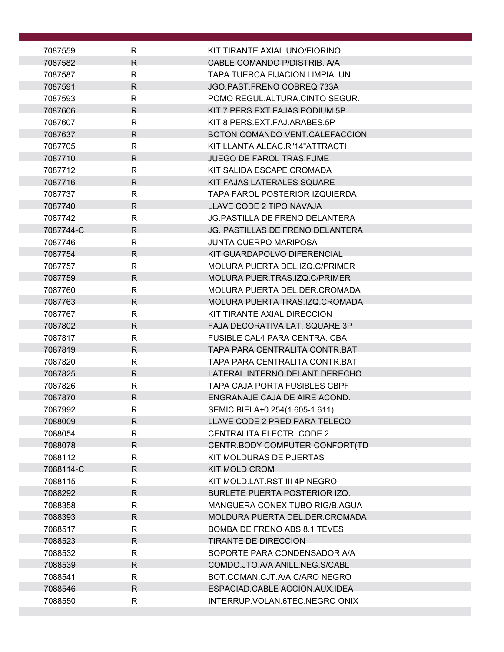| 7087559              | R                 | KIT TIRANTE AXIAL UNO/FIORINO                                                    |
|----------------------|-------------------|----------------------------------------------------------------------------------|
| 7087582              | R.                | CABLE COMANDO P/DISTRIB. A/A                                                     |
| 7087587              | R                 | <b>TAPA TUERCA FIJACION LIMPIALUN</b>                                            |
| 7087591              | R.                | JGO PAST FRENO COBREO 733A                                                       |
| 7087593              | R                 | POMO REGUL.ALTURA.CINTO SEGUR.                                                   |
| 7087606              | R                 | KIT 7 PERS.EXT.FAJAS PODIUM 5P                                                   |
| 7087607              | R                 | KIT 8 PERS.EXT.FAJ.ARABES.5P                                                     |
| 7087637              | R                 | BOTON COMANDO VENT.CALEFACCION                                                   |
| 7087705              | R                 | KIT LLANTA ALEAC.R"14"ATTRACTI                                                   |
| 7087710              | R                 | <b>JUEGO DE FAROL TRAS.FUME</b>                                                  |
| 7087712              | R                 | KIT SALIDA ESCAPE CROMADA                                                        |
| 7087716              | R                 | KIT FAJAS LATERALES SQUARE                                                       |
| 7087737              | R                 | TAPA FAROL POSTERIOR IZQUIERDA                                                   |
| 7087740              | R                 | LLAVE CODE 2 TIPO NAVAJA                                                         |
| 7087742<br>7087744-C | R<br>$\mathsf{R}$ | <b>JG.PASTILLA DE FRENO DELANTERA</b><br><b>JG. PASTILLAS DE FRENO DELANTERA</b> |
| 7087746              | R                 | <b>JUNTA CUERPO MARIPOSA</b>                                                     |
| 7087754              | R                 | KIT GUARDAPOLVO DIFERENCIAL                                                      |
| 7087757              | R                 | MOLURA PUERTA DEL.IZQ.C/PRIMER                                                   |
| 7087759              | R                 | MOLURA PUER.TRAS.IZQ.C/PRIMER                                                    |
| 7087760              | R                 | MOLURA PUERTA DEL.DER.CROMADA                                                    |
| 7087763              | R                 | MOLURA PUERTA TRAS.IZQ.CROMADA                                                   |
| 7087767              | $\mathsf{R}$      | KIT TIRANTE AXIAL DIRECCION                                                      |
| 7087802              | R                 | FAJA DECORATIVA LAT. SQUARE 3P                                                   |
| 7087817              | R                 | FUSIBLE CAL4 PARA CENTRA. CBA                                                    |
| 7087819              | R                 | TAPA PARA CENTRALITA CONTR.BAT                                                   |
| 7087820              | R                 | TAPA PARA CENTRALITA CONTR.BAT                                                   |
| 7087825              | $\mathsf{R}$      | LATERAL INTERNO DELANT.DERECHO                                                   |
| 7087826              | R                 | <b>TAPA CAJA PORTA FUSIBLES CBPF</b>                                             |
| 7087870              | $\mathsf{R}$      | ENGRANAJE CAJA DE AIRE ACOND.                                                    |
| 7087992              | R                 | SEMIC.BIELA+0.254(1.605-1.611)                                                   |
| 7088009              | R                 | LLAVE CODE 2 PRED PARA TELECO                                                    |
| 7088054              | R                 | CENTRALITA ELECTR. CODE 2                                                        |
| 7088078              | R                 | CENTR.BODY COMPUTER-CONFORT(TD                                                   |
| 7088112              | R                 | KIT MOLDURAS DE PUERTAS                                                          |
| 7088114-C<br>7088115 | R.                | <b>KIT MOLD CROM</b>                                                             |
| 7088292              | R.<br>R           | KIT MOLD.LAT.RST III 4P NEGRO<br><b>BURLETE PUERTA POSTERIOR IZQ.</b>            |
| 7088358              | R                 | MANGUERA CONEX.TUBO RIG/B.AGUA                                                   |
| 7088393              | R                 | MOLDURA PUERTA DEL.DER.CROMADA                                                   |
| 7088517              | R                 | BOMBA DE FRENO ABS 8.1 TEVES                                                     |
| 7088523              | $\mathsf{R}$      | <b>TIRANTE DE DIRECCION</b>                                                      |
| 7088532              | R                 | SOPORTE PARA CONDENSADOR A/A                                                     |
| 7088539              | R                 | COMDO.JTO.A/A ANILL.NEG.S/CABL                                                   |
| 7088541              | R                 | BOT.COMAN.CJT.A/A C/ARO NEGRO                                                    |
| 7088546              | $\mathsf{R}$      | ESPACIAD.CABLE ACCION.AUX.IDEA                                                   |
| 7088550              | $\mathsf{R}$      | INTERRUP.VOLAN.6TEC.NEGRO ONIX                                                   |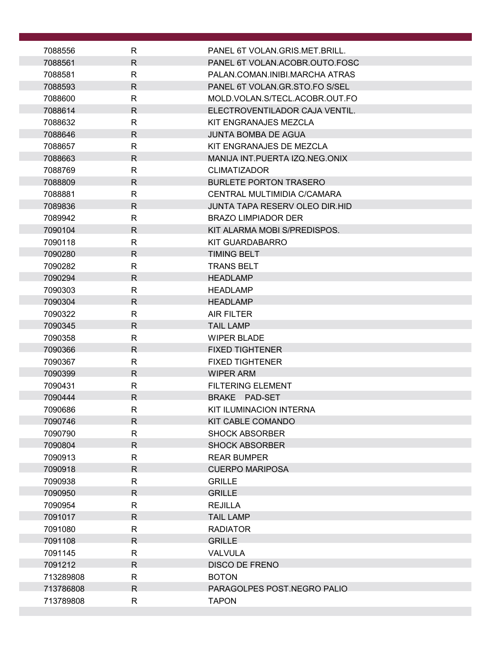| 7088556            | R                 | PANEL 6T VOLAN.GRIS.MET.BRILL.                                      |
|--------------------|-------------------|---------------------------------------------------------------------|
| 7088561            | R.                | PANEL 6T VOLAN.ACOBR.OUTO.FOSC                                      |
| 7088581            | R                 | PALAN.COMAN.INIBI.MARCHA ATRAS                                      |
| 7088593            | R.                | PANEL 6T VOLAN.GR.STO.FO S/SEL                                      |
| 7088600            | R                 | MOLD.VOLAN.S/TECL.ACOBR.OUT.FO                                      |
| 7088614            | R.                | ELECTROVENTILADOR CAJA VENTIL.                                      |
| 7088632            | R                 | KIT ENGRANAJES MEZCLA                                               |
| 7088646            | R                 | <b>JUNTA BOMBA DE AGUA</b>                                          |
| 7088657            | R                 | KIT ENGRANAJES DE MEZCLA                                            |
| 7088663            | R                 | MANIJA INT. PUERTA IZQ. NEG. ONIX                                   |
| 7088769            | R                 | <b>CLIMATIZADOR</b>                                                 |
| 7088809            | $\mathsf{R}$      | <b>BURLETE PORTON TRASERO</b>                                       |
| 7088881            | R                 | CENTRAL MULTIMIDIA C/CAMARA                                         |
| 7089836            | R.                | <b>JUNTA TAPA RESERV OLEO DIR.HID</b><br><b>BRAZO LIMPIADOR DER</b> |
| 7089942<br>7090104 | R<br>$\mathsf{R}$ | KIT ALARMA MOBI S/PREDISPOS.                                        |
| 7090118            | R                 | KIT GUARDABARRO                                                     |
| 7090280            | R                 | <b>TIMING BELT</b>                                                  |
| 7090282            | R                 | <b>TRANS BELT</b>                                                   |
| 7090294            | $\mathsf{R}$      | <b>HEADLAMP</b>                                                     |
| 7090303            | R                 | <b>HEADLAMP</b>                                                     |
| 7090304            | R.                | <b>HEADLAMP</b>                                                     |
| 7090322            | R                 | <b>AIR FILTER</b>                                                   |
| 7090345            | $\mathsf{R}$      | <b>TAIL LAMP</b>                                                    |
| 7090358            | R                 | <b>WIPER BLADE</b>                                                  |
| 7090366            | R.                | <b>FIXED TIGHTENER</b>                                              |
| 7090367            | R                 | <b>FIXED TIGHTENER</b>                                              |
| 7090399            | $\mathsf{R}$      | <b>WIPER ARM</b>                                                    |
| 7090431            | $\mathsf{R}$      | <b>FILTERING ELEMENT</b>                                            |
| 7090444            | R                 | BRAKE PAD-SET                                                       |
| 7090686            | R                 | KIT ILUMINACION INTERNA                                             |
| 7090746            | R                 | KIT CABLE COMANDO                                                   |
| 7090790            | R                 | <b>SHOCK ABSORBER</b>                                               |
| 7090804            | R.                | <b>SHOCK ABSORBER</b>                                               |
| 7090913            | R                 | <b>REAR BUMPER</b>                                                  |
| 7090918            | R                 | <b>CUERPO MARIPOSA</b>                                              |
| 7090938            | R                 | <b>GRILLE</b>                                                       |
| 7090950            | R.                | <b>GRILLE</b>                                                       |
| 7090954            | R                 | <b>REJILLA</b>                                                      |
| 7091017            | R.                | <b>TAIL LAMP</b>                                                    |
| 7091080            | R                 | <b>RADIATOR</b>                                                     |
| 7091108            | R.                | <b>GRILLE</b>                                                       |
| 7091145            | R                 | <b>VALVULA</b>                                                      |
| 7091212            | R.                | <b>DISCO DE FRENO</b>                                               |
| 713289808          | R                 | <b>BOTON</b>                                                        |
| 713786808          | $\mathsf{R}$      | PARAGOLPES POST.NEGRO PALIO                                         |
| 713789808          | R.                | <b>TAPON</b>                                                        |
|                    |                   |                                                                     |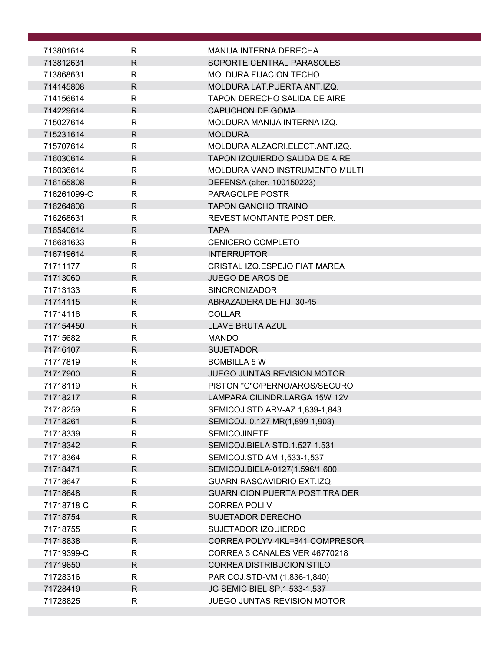| 713801614              | R                 | MANIJA INTERNA DERECHA                                               |
|------------------------|-------------------|----------------------------------------------------------------------|
| 713812631              | $\mathsf{R}$      | SOPORTE CENTRAL PARASOLES                                            |
| 713868631              | R.                | <b>MOLDURA FIJACION TECHO</b>                                        |
| 714145808              | $\mathsf{R}$      | MOLDURA LAT. PUERTA ANT.IZQ.                                         |
| 714156614              | R                 | <b>TAPON DERECHO SALIDA DE AIRE</b>                                  |
| 714229614              | R.                | <b>CAPUCHON DE GOMA</b>                                              |
| 715027614              | R.                | MOLDURA MANIJA INTERNA IZQ.                                          |
| 715231614              | R                 | <b>MOLDURA</b>                                                       |
| 715707614              | R.                | MOLDURA ALZACRI.ELECT.ANT.IZQ.                                       |
| 716030614              | $\mathsf{R}$      | TAPON IZQUIERDO SALIDA DE AIRE                                       |
| 716036614              | R                 | MOLDURA VANO INSTRUMENTO MULTI                                       |
| 716155808              | $\mathsf{R}$      | DEFENSA (alter. 100150223)                                           |
| 716261099-C            | R                 | PARAGOLPE POSTR                                                      |
| 716264808              | $\mathsf{R}$      | <b>TAPON GANCHO TRAINO</b>                                           |
| 716268631              | R                 | REVEST.MONTANTE POST.DER.                                            |
| 716540614              | $\mathsf{R}$      | <b>TAPA</b>                                                          |
| 716681633              | $\mathsf{R}$      | CENICERO COMPLETO                                                    |
| 716719614              | $\mathsf{R}$      | <b>INTERRUPTOR</b>                                                   |
| 71711177               | $\mathsf{R}$      | CRISTAL IZQ.ESPEJO FIAT MAREA                                        |
| 71713060               | $\mathsf{R}$      | <b>JUEGO DE AROS DE</b>                                              |
| 71713133               | $\mathsf{R}$      | <b>SINCRONIZADOR</b>                                                 |
| 71714115               | R.                | ABRAZADERA DE FIJ. 30-45                                             |
| 71714116               | $\mathsf{R}$      | <b>COLLAR</b>                                                        |
| 717154450              | $\mathsf{R}$      | <b>LLAVE BRUTA AZUL</b>                                              |
| 71715682               | R                 | <b>MANDO</b>                                                         |
| 71716107               | R.                | <b>SUJETADOR</b>                                                     |
| 71717819               | R                 | <b>BOMBILLA 5 W</b>                                                  |
| 71717900               | $\mathsf{R}$      | <b>JUEGO JUNTAS REVISION MOTOR</b>                                   |
| 71718119               | $\mathsf{R}$      | PISTON "C"C/PERNO/AROS/SEGURO                                        |
| 71718217               | $\mathsf{R}$      | LAMPARA CILINDR.LARGA 15W 12V                                        |
| 71718259               | R                 | SEMICOJ.STD ARV-AZ 1,839-1,843                                       |
| 71718261               | $\mathsf{R}$      | SEMICOJ.-0.127 MR(1,899-1,903)                                       |
| 71718339               | $\mathsf{R}$      | <b>SEMICOJINETE</b>                                                  |
| 71718342               | R.                | SEMICOJ.BIELA STD.1.527-1.531                                        |
| 71718364               | R                 | SEMICOJ.STD AM 1,533-1,537                                           |
| 71718471               | $\mathsf{R}$      | SEMICOJ.BIELA-0127(1.596/1.600                                       |
| 71718647               | R<br>$\mathsf{R}$ | GUARN.RASCAVIDRIO EXT.IZQ.<br><b>GUARNICION PUERTA POST. TRA DER</b> |
| 71718648<br>71718718-C | R                 | <b>CORREA POLIV</b>                                                  |
| 71718754               | $\mathsf{R}$      | <b>SUJETADOR DERECHO</b>                                             |
| 71718755               | R                 | SUJETADOR IZQUIERDO                                                  |
| 71718838               | $\mathsf{R}$      | CORREA POLYV 4KL=841 COMPRESOR                                       |
| 71719399-C             | R                 | CORREA 3 CANALES VER 46770218                                        |
| 71719650               | $\mathsf{R}$      | <b>CORREA DISTRIBUCION STILO</b>                                     |
| 71728316               | $\mathsf{R}$      | PAR COJ.STD-VM (1,836-1,840)                                         |
| 71728419               | $\mathsf{R}$      | JG SEMIC BIEL SP.1.533-1.537                                         |
| 71728825               | $\mathsf{R}$      | JUEGO JUNTAS REVISION MOTOR                                          |
|                        |                   |                                                                      |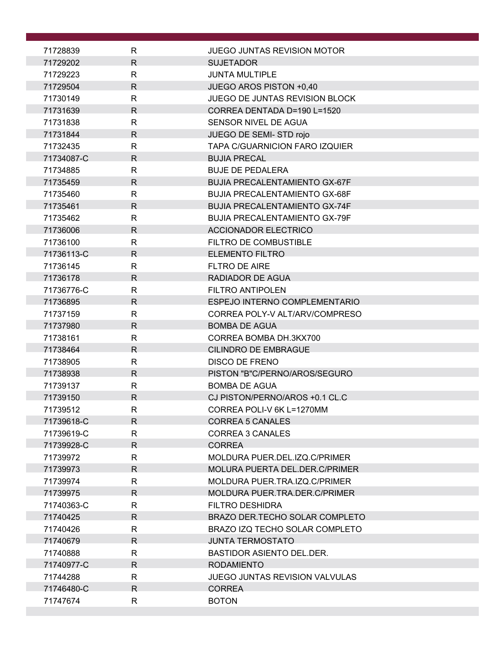| 71728839             | R                 | <b>JUEGO JUNTAS REVISION MOTOR</b>       |
|----------------------|-------------------|------------------------------------------|
| 71729202             | $\mathsf{R}$      | <b>SUJETADOR</b>                         |
| 71729223             | $\mathsf{R}$      | <b>JUNTA MULTIPLE</b>                    |
| 71729504             | $\mathsf{R}$      | JUEGO AROS PISTON +0,40                  |
| 71730149             | $\mathsf{R}$      | <b>JUEGO DE JUNTAS REVISION BLOCK</b>    |
| 71731639             | R                 | CORREA DENTADA D=190 L=1520              |
| 71731838             | $\mathsf{R}$      | SENSOR NIVEL DE AGUA                     |
| 71731844             | $\mathsf{R}$      | JUEGO DE SEMI-STD rojo                   |
| 71732435             | $\mathsf{R}$      | TAPA C/GUARNICION FARO IZQUIER           |
| 71734087-C           | $\mathsf{R}$      | <b>BUJIA PRECAL</b>                      |
| 71734885             | $\mathsf{R}$      | <b>BUJE DE PEDALERA</b>                  |
| 71735459             | $\mathsf{R}$      | <b>BUJIA PRECALENTAMIENTO GX-67F</b>     |
| 71735460             | $\mathsf{R}$      | <b>BUJIA PRECALENTAMIENTO GX-68F</b>     |
| 71735461             | $\mathsf{R}$      | <b>BUJIA PRECALENTAMIENTO GX-74F</b>     |
| 71735462             | $\mathsf{R}$      | <b>BUJIA PRECALENTAMIENTO GX-79F</b>     |
| 71736006             | $\mathsf{R}$      | <b>ACCIONADOR ELECTRICO</b>              |
| 71736100             | $\mathsf{R}$      | FILTRO DE COMBUSTIBLE                    |
| 71736113-C           | R                 | <b>ELEMENTO FILTRO</b>                   |
| 71736145             | $\mathsf{R}$      | FLTRO DE AIRE                            |
| 71736178             | $\mathsf{R}$      | <b>RADIADOR DE AGUA</b>                  |
| 71736776-C           | $\mathsf{R}$      | <b>FILTRO ANTIPOLEN</b>                  |
| 71736895             | R                 | ESPEJO INTERNO COMPLEMENTARIO            |
| 71737159             | $\mathsf{R}$      | CORREA POLY-V ALT/ARV/COMPRESO           |
| 71737980             | $\mathsf{R}$      | <b>BOMBA DE AGUA</b>                     |
| 71738161             | $\mathsf{R}$      | CORREA BOMBA DH.3KX700                   |
| 71738464             | $\mathsf{R}$      | <b>CILINDRO DE EMBRAGUE</b>              |
| 71738905             | $\mathsf{R}$      | <b>DISCO DE FRENO</b>                    |
| 71738938             | $\mathsf{R}$      | PISTON "B"C/PERNO/AROS/SEGURO            |
| 71739137             | $\mathsf{R}$      | <b>BOMBA DE AGUA</b>                     |
| 71739150             | R                 | CJ PISTON/PERNO/AROS +0.1 CL.C           |
| 71739512             | $\mathsf{R}$      | CORREA POLI-V 6K L=1270MM                |
| 71739618-C           | R                 | <b>CORREA 5 CANALES</b>                  |
| 71739619-C           | R                 | <b>CORREA 3 CANALES</b><br><b>CORREA</b> |
| 71739928-C           | $\mathsf{R}$<br>R | MOLDURA PUER.DEL.IZQ.C/PRIMER            |
| 71739972<br>71739973 | R                 | MOLURA PUERTA DEL.DER.C/PRIMER           |
| 71739974             | $\mathsf{R}$      | MOLDURA PUER.TRA.IZQ.C/PRIMER            |
| 71739975             | $\mathsf{R}$      | MOLDURA PUER.TRA.DER.C/PRIMER            |
| 71740363-C           | R                 | <b>FILTRO DESHIDRA</b>                   |
| 71740425             | $\mathsf{R}$      | BRAZO DER. TECHO SOLAR COMPLETO          |
| 71740426             | $\mathsf{R}$      | BRAZO IZQ TECHO SOLAR COMPLETO           |
| 71740679             | $\mathsf{R}$      | <b>JUNTA TERMOSTATO</b>                  |
| 71740888             | R                 | <b>BASTIDOR ASIENTO DEL.DER.</b>         |
| 71740977-C           | $\mathsf{R}$      | <b>RODAMIENTO</b>                        |
| 71744288             | R                 | <b>JUEGO JUNTAS REVISION VALVULAS</b>    |
| 71746480-C           | $\mathsf{R}$      | <b>CORREA</b>                            |
| 71747674             | $\mathsf{R}$      | <b>BOTON</b>                             |
|                      |                   |                                          |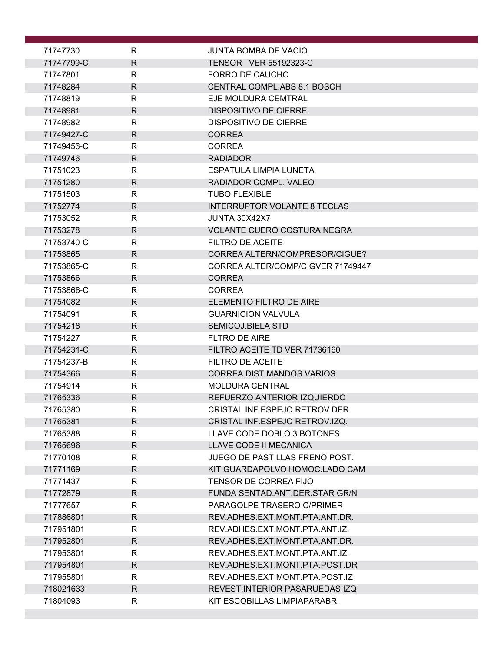| 71747730   | R            | JUNTA BOMBA DE VACIO                |  |
|------------|--------------|-------------------------------------|--|
| 71747799-C | $\mathsf{R}$ | TENSOR VER 55192323-C               |  |
| 71747801   | R            | FORRO DE CAUCHO                     |  |
| 71748284   | R            | <b>CENTRAL COMPL.ABS 8.1 BOSCH</b>  |  |
| 71748819   | R            | EJE MOLDURA CEMTRAL                 |  |
| 71748981   | R            | <b>DISPOSITIVO DE CIERRE</b>        |  |
| 71748982   | $\mathsf{R}$ | <b>DISPOSITIVO DE CIERRE</b>        |  |
| 71749427-C | R            | <b>CORREA</b>                       |  |
| 71749456-C | R            | <b>CORREA</b>                       |  |
| 71749746   | $\mathsf{R}$ | <b>RADIADOR</b>                     |  |
| 71751023   | $\mathsf{R}$ | ESPATULA LIMPIA LUNETA              |  |
| 71751280   | R            | RADIADOR COMPL. VALEO               |  |
| 71751503   | $\mathsf{R}$ | <b>TUBO FLEXIBLE</b>                |  |
| 71752774   | $\mathsf{R}$ | <b>INTERRUPTOR VOLANTE 8 TECLAS</b> |  |
| 71753052   | R            | JUNTA 30X42X7                       |  |
| 71753278   | R            | <b>VOLANTE CUERO COSTURA NEGRA</b>  |  |
| 71753740-C | R            | FILTRO DE ACEITE                    |  |
| 71753865   | $\mathsf{R}$ | CORREA ALTERN/COMPRESOR/CIGUE?      |  |
| 71753865-C | R            | CORREA ALTER/COMP/CIGVER 71749447   |  |
| 71753866   | $\mathsf{R}$ | <b>CORREA</b>                       |  |
| 71753866-C | $\mathsf{R}$ | <b>CORREA</b>                       |  |
| 71754082   | R            | ELEMENTO FILTRO DE AIRE             |  |
| 71754091   | $\mathsf{R}$ | <b>GUARNICION VALVULA</b>           |  |
| 71754218   | R            | <b>SEMICOJ.BIELA STD</b>            |  |
| 71754227   | $\mathsf{R}$ | FLTRO DE AIRE                       |  |
| 71754231-C | $\mathsf{R}$ | FILTRO ACEITE TD VER 71736160       |  |
| 71754237-B | R            | <b>FILTRO DE ACEITE</b>             |  |
| 71754366   | R            | <b>CORREA DIST.MANDOS VARIOS</b>    |  |
| 71754914   | R            | <b>MOLDURA CENTRAL</b>              |  |
| 71765336   | $\mathsf{R}$ | REFUERZO ANTERIOR IZQUIERDO         |  |
| 71765380   | R            | CRISTAL INF.ESPEJO RETROV.DER.      |  |
| 71765381   | R            | CRISTAL INF.ESPEJO RETROV.IZQ.      |  |
| 71765388   | $\mathsf{R}$ | LLAVE CODE DOBLO 3 BOTONES          |  |
| 71765696   | R            | LLAVE CODE II MECANICA              |  |
| 71770108   | $\mathsf{R}$ | JUEGO DE PASTILLAS FRENO POST.      |  |
| 71771169   | $\mathsf{R}$ | KIT GUARDAPOLVO HOMOC.LADO CAM      |  |
| 71771437   | $\mathsf{R}$ | TENSOR DE CORREA FIJO               |  |
| 71772879   | R            | FUNDA SENTAD.ANT.DER.STAR GR/N      |  |
| 71777657   | R            | PARAGOLPE TRASERO C/PRIMER          |  |
| 717886801  | $\mathsf{R}$ | REV.ADHES.EXT.MONT.PTA.ANT.DR.      |  |
| 717951801  | R            | REV.ADHES.EXT.MONT.PTA.ANT.IZ.      |  |
| 717952801  | $\mathsf{R}$ | REV.ADHES.EXT.MONT.PTA.ANT.DR.      |  |
| 717953801  | R            | REV.ADHES.EXT.MONT.PTA.ANT.IZ.      |  |
| 717954801  | R            | REV.ADHES.EXT.MONT.PTA.POST.DR      |  |
| 717955801  | $\mathsf{R}$ | REV.ADHES.EXT.MONT.PTA.POST.IZ      |  |
| 718021633  | R            | REVEST. INTERIOR PASARUEDAS IZQ     |  |
| 71804093   | $\mathsf{R}$ | KIT ESCOBILLAS LIMPIAPARABR.        |  |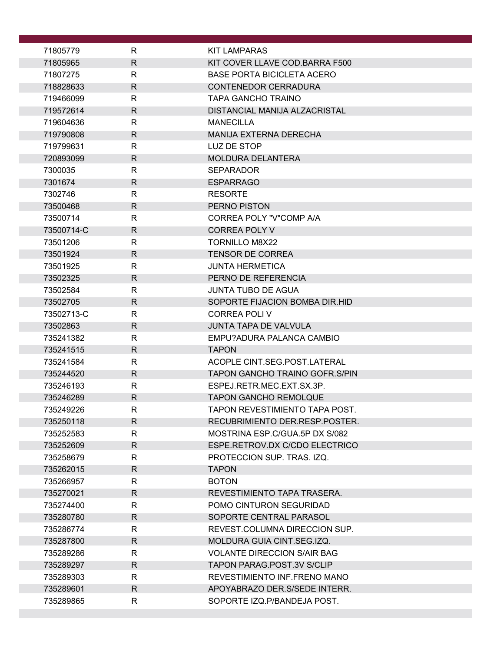| 71805779             | R            | <b>KIT LAMPARAS</b>                           |
|----------------------|--------------|-----------------------------------------------|
| 71805965             | $\mathsf{R}$ | KIT COVER LLAVE COD.BARRA F500                |
| 71807275             | R            | <b>BASE PORTA BICICLETA ACERO</b>             |
| 718828633            | $\mathsf{R}$ | <b>CONTENEDOR CERRADURA</b>                   |
| 719466099            | R            | TAPA GANCHO TRAINO                            |
| 719572614            | $\mathsf{R}$ | DISTANCIAL MANIJA ALZACRISTAL                 |
| 719604636            | $\mathsf{R}$ | <b>MANECILLA</b>                              |
| 719790808            | R            | <b>MANIJA EXTERNA DERECHA</b>                 |
| 719799631            | $\mathsf{R}$ | LUZ DE STOP                                   |
| 720893099            | R            | <b>MOLDURA DELANTERA</b>                      |
| 7300035              | $\mathsf{R}$ | <b>SEPARADOR</b>                              |
| 7301674              | R.           | <b>ESPARRAGO</b>                              |
| 7302746              | R            | <b>RESORTE</b>                                |
| 73500468             | $\mathsf{R}$ | <b>PERNO PISTON</b>                           |
| 73500714             | R            | CORREA POLY "V"COMP A/A                       |
| 73500714-C           | $\mathsf{R}$ | <b>CORREA POLY V</b>                          |
| 73501206             | R            | <b>TORNILLO M8X22</b>                         |
| 73501924             | R            | <b>TENSOR DE CORREA</b>                       |
| 73501925             | R            | <b>JUNTA HERMETICA</b><br>PERNO DE REFERENCIA |
| 73502325<br>73502584 | R.<br>R      | <b>JUNTA TUBO DE AGUA</b>                     |
| 73502705             | $\mathsf{R}$ | SOPORTE FIJACION BOMBA DIR.HID                |
| 73502713-C           | $\mathsf{R}$ | <b>CORREA POLIV</b>                           |
| 73502863             | $\mathsf{R}$ | <b>JUNTA TAPA DE VALVULA</b>                  |
| 735241382            | R            | EMPU?ADURA PALANCA CAMBIO                     |
| 735241515            | R            | <b>TAPON</b>                                  |
| 735241584            | R            | ACOPLE CINT.SEG.POST.LATERAL                  |
| 735244520            | $\mathsf{R}$ | <b>TAPON GANCHO TRAINO GOFR.S/PIN</b>         |
| 735246193            | R            | ESPEJ.RETR.MEC.EXT.SX.3P.                     |
| 735246289            | $\mathsf{R}$ | <b>TAPON GANCHO REMOLQUE</b>                  |
| 735249226            | $\mathsf{R}$ | TAPON REVESTIMIENTO TAPA POST.                |
| 735250118            | R.           | RECUBRIMIENTO DER RESP POSTER.                |
| 735252583            | R.           | MOSTRINA ESP.C/GUA.5P DX S/082                |
| 735252609            | $\mathsf{R}$ | ESPE.RETROV.DX C/CDO ELECTRICO                |
| 735258679            | R.           | PROTECCION SUP. TRAS. IZQ.                    |
| 735262015            | R            | <b>TAPON</b>                                  |
| 735266957            | R.           | <b>BOTON</b>                                  |
| 735270021            | R.           | REVESTIMIENTO TAPA TRASERA.                   |
| 735274400            | R            | POMO CINTURON SEGURIDAD                       |
| 735280780            | R.           | SOPORTE CENTRAL PARASOL                       |
| 735286774            | R            | REVEST.COLUMNA DIRECCION SUP.                 |
| 735287800            | $\mathsf{R}$ | MOLDURA GUIA CINT.SEG.IZQ.                    |
| 735289286            | R            | <b>VOLANTE DIRECCION S/AIR BAG</b>            |
| 735289297            | R            | TAPON PARAG.POST.3V S/CLIP                    |
| 735289303            | R            | REVESTIMIENTO INF.FRENO MANO                  |
| 735289601            | R.           | APOYABRAZO DER. S/SEDE INTERR.                |
| 735289865            | R            | SOPORTE IZQ.P/BANDEJA POST.                   |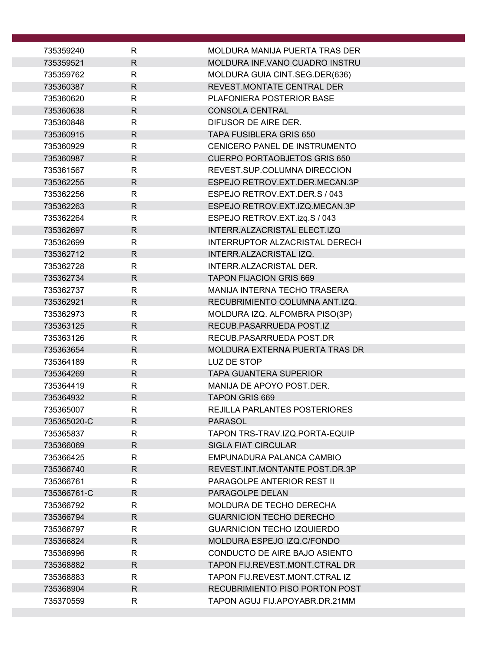| 735359240   | R            | MOLDURA MANIJA PUERTA TRAS DER      |
|-------------|--------------|-------------------------------------|
| 735359521   | $\mathsf{R}$ | MOLDURA INF.VANO CUADRO INSTRU      |
| 735359762   | $\mathsf{R}$ | MOLDURA GUIA CINT.SEG.DER(636)      |
| 735360387   | $\mathsf{R}$ | REVEST.MONTATE CENTRAL DER          |
| 735360620   | $\mathsf{R}$ | PLAFONIERA POSTERIOR BASE           |
| 735360638   | $\mathsf{R}$ | <b>CONSOLA CENTRAL</b>              |
| 735360848   | $\mathsf{R}$ | DIFUSOR DE AIRE DER.                |
| 735360915   | R            | TAPA FUSIBLERA GRIS 650             |
| 735360929   | $\mathsf{R}$ | CENICERO PANEL DE INSTRUMENTO       |
| 735360987   | $\mathsf{R}$ | <b>CUERPO PORTAOBJETOS GRIS 650</b> |
| 735361567   | $\mathsf{R}$ | REVEST.SUP.COLUMNA DIRECCION        |
| 735362255   | $\mathsf{R}$ | ESPEJO RETROV.EXT.DER.MECAN.3P      |
| 735362256   | $\mathsf{R}$ | ESPEJO RETROV.EXT.DER.S / 043       |
| 735362263   | $\mathsf{R}$ | ESPEJO RETROV.EXT.IZQ.MECAN.3P      |
| 735362264   | R            | ESPEJO RETROV.EXT.izq.S / 043       |
| 735362697   | $\mathsf{R}$ | INTERR.ALZACRISTAL ELECT.IZQ        |
| 735362699   | $\mathsf{R}$ | INTERRUPTOR ALZACRISTAL DERECH      |
| 735362712   | $\mathsf{R}$ | INTERR.ALZACRISTAL IZQ.             |
| 735362728   | $\mathsf{R}$ | INTERR.ALZACRISTAL DER.             |
| 735362734   | $\mathsf{R}$ | <b>TAPON FIJACION GRIS 669</b>      |
| 735362737   | $\mathsf{R}$ | <b>MANIJA INTERNA TECHO TRASERA</b> |
| 735362921   | $\mathsf{R}$ | RECUBRIMIENTO COLUMNA ANT.IZQ.      |
| 735362973   | $\mathsf{R}$ | MOLDURA IZQ. ALFOMBRA PISO(3P)      |
| 735363125   | $\mathsf{R}$ | RECUB.PASARRUEDA POST.IZ            |
| 735363126   | R            | RECUB.PASARRUEDA POST.DR            |
| 735363654   | $\mathsf{R}$ | MOLDURA EXTERNA PUERTA TRAS DR      |
| 735364189   | R            | LUZ DE STOP                         |
| 735364269   | R            | <b>TAPA GUANTERA SUPERIOR</b>       |
| 735364419   | R            | MANIJA DE APOYO POST.DER.           |
| 735364932   | $\mathsf R$  | <b>TAPON GRIS 669</b>               |
| 735365007   | R            | REJILLA PARLANTES POSTERIORES       |
| 735365020-C | R            | <b>PARASOL</b>                      |
| 735365837   | $\mathsf{R}$ | TAPON TRS-TRAV.IZQ.PORTA-EQUIP      |
| 735366069   | R            | <b>SIGLA FIAT CIRCULAR</b>          |
| 735366425   | R            | EMPUNADURA PALANCA CAMBIO           |
| 735366740   | R.           | REVEST.INT.MONTANTE POST.DR.3P      |
| 735366761   | R            | PARAGOLPE ANTERIOR REST II          |
| 735366761-C | R            | PARAGOLPE DELAN                     |
| 735366792   | R            | MOLDURA DE TECHO DERECHA            |
| 735366794   | R            | <b>GUARNICION TECHO DERECHO</b>     |
| 735366797   | R            | <b>GUARNICION TECHO IZQUIERDO</b>   |
| 735366824   | R.           | MOLDURA ESPEJO IZQ.C/FONDO          |
| 735366996   | R            | CONDUCTO DE AIRE BAJO ASIENTO       |
| 735368882   | R            | TAPON FIJ.REVEST.MONT.CTRAL DR      |
| 735368883   | R            | TAPON FIJ.REVEST.MONT.CTRALIZ       |
| 735368904   | R            | RECUBRIMIENTO PISO PORTON POST      |
| 735370559   | R            | TAPON AGUJ FIJ.APOYABR.DR.21MM      |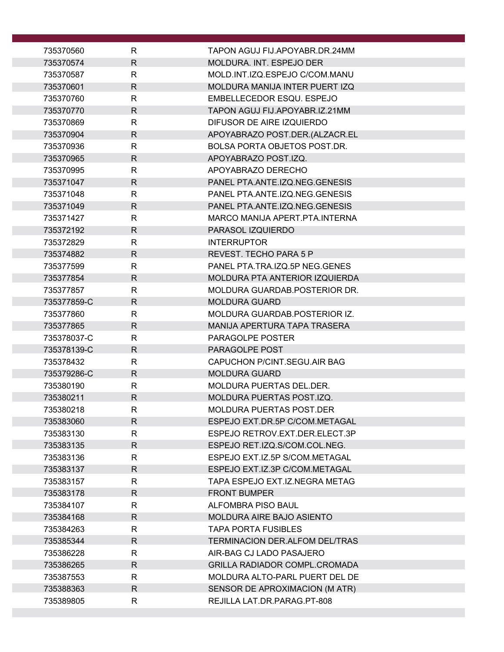| 735370560              | R                            | TAPON AGUJ FIJ.APOYABR.DR.24MM                                   |
|------------------------|------------------------------|------------------------------------------------------------------|
| 735370574              | $\mathsf{R}$                 | MOLDURA. INT. ESPEJO DER                                         |
| 735370587              | R                            | MOLD.INT.IZQ.ESPEJO C/COM.MANU                                   |
| 735370601              | $\mathsf R$                  | MOLDURA MANIJA INTER PUERT IZQ                                   |
| 735370760              | R                            | EMBELLECEDOR ESQU. ESPEJO                                        |
| 735370770              | $\mathsf{R}$                 | TAPON AGUJ FIJ.APOYABR.IZ.21MM                                   |
| 735370869              | $\mathsf{R}$                 | DIFUSOR DE AIRE IZQUIERDO                                        |
| 735370904              | $\mathsf{R}$                 | APOYABRAZO POST.DER.(ALZACR.EL                                   |
| 735370936              | R                            | <b>BOLSA PORTA OBJETOS POST.DR.</b>                              |
| 735370965              | $\mathsf{R}$                 | APOYABRAZO POST.IZQ.                                             |
| 735370995              | R                            | APOYABRAZO DERECHO                                               |
| 735371047              | $\mathsf{R}$                 | PANEL PTA.ANTE.IZQ.NEG.GENESIS                                   |
| 735371048              | R                            | PANEL PTA.ANTE.IZQ.NEG.GENESIS                                   |
| 735371049              | $\mathsf{R}$                 | PANEL PTA.ANTE.IZQ.NEG.GENESIS                                   |
| 735371427              | R                            | MARCO MANIJA APERT.PTA.INTERNA                                   |
| 735372192              | $\mathsf R$                  | PARASOL IZQUIERDO                                                |
| 735372829              | R                            | <b>INTERRUPTOR</b>                                               |
| 735374882              | $\mathsf{R}$                 | REVEST. TECHO PARA 5 P                                           |
| 735377599              | R                            | PANEL PTA.TRA.IZQ.5P NEG.GENES<br>MOLDURA PTA ANTERIOR IZQUIERDA |
| 735377854<br>735377857 | $\mathsf{R}$<br>$\mathsf{R}$ | MOLDURA GUARDAB.POSTERIOR DR.                                    |
| 735377859-C            | R                            | <b>MOLDURA GUARD</b>                                             |
| 735377860              | $\mathsf R$                  | MOLDURA GUARDAB.POSTERIOR IZ.                                    |
| 735377865              | $\mathsf{R}$                 | MANIJA APERTURA TAPA TRASERA                                     |
| 735378037-C            | $\mathsf{R}$                 | PARAGOLPE POSTER                                                 |
| 735378139-C            | $\mathsf{R}$                 | PARAGOLPE POST                                                   |
| 735378432              | R                            | CAPUCHON P/CINT.SEGU.AIR BAG                                     |
| 735379286-C            | $\mathsf{R}$                 | <b>MOLDURA GUARD</b>                                             |
| 735380190              | R                            | MOLDURA PUERTAS DEL.DER.                                         |
| 735380211              | $\mathsf{R}$                 | MOLDURA PUERTAS POST.IZQ.                                        |
| 735380218              | R                            | MOLDURA PUERTAS POST.DER                                         |
| 735383060              | R                            | ESPEJO EXT.DR.5P C/COM.METAGAL                                   |
| 735383130              | R                            | ESPEJO RETROV.EXT.DER.ELECT.3P                                   |
| 735383135              | R                            | ESPEJO RET.IZQ.S/COM.COL.NEG.                                    |
| 735383136              | R                            | ESPEJO EXT.IZ.5P S/COM.METAGAL                                   |
| 735383137              | $\mathsf{R}$                 | ESPEJO EXT.IZ.3P C/COM.METAGAL                                   |
| 735383157              | R                            | TAPA ESPEJO EXT.IZ.NEGRA METAG                                   |
| 735383178              | R                            | <b>FRONT BUMPER</b>                                              |
| 735384107              | R                            | ALFOMBRA PISO BAUL                                               |
| 735384168              | $\mathsf{R}$                 | MOLDURA AIRE BAJO ASIENTO                                        |
| 735384263              | R                            | <b>TAPA PORTA FUSIBLES</b>                                       |
| 735385344              | $\mathsf{R}$                 | TERMINACION DER.ALFOM DEL/TRAS                                   |
| 735386228              | R                            | AIR-BAG CJ LADO PASAJERO                                         |
| 735386265              | R                            | GRILLA RADIADOR COMPL.CROMADA                                    |
| 735387553              | R                            | MOLDURA ALTO-PARL PUERT DEL DE                                   |
| 735388363              | $\mathsf{R}$                 | SENSOR DE APROXIMACION (M ATR)                                   |
| 735389805              | $\mathsf R$                  | REJILLA LAT.DR.PARAG.PT-808                                      |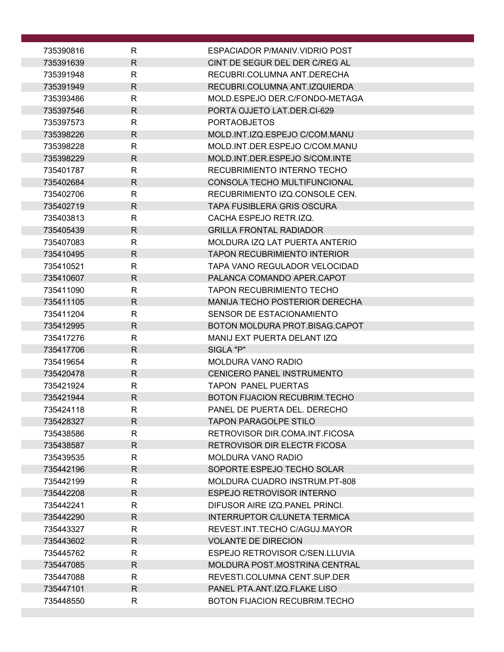| 735390816              | R                 | ESPACIADOR P/MANIV.VIDRIO POST                                    |
|------------------------|-------------------|-------------------------------------------------------------------|
| 735391639              | $\mathsf{R}$      | CINT DE SEGUR DEL DER C/REG AL                                    |
| 735391948              | R                 | RECUBRI.COLUMNA ANT.DERECHA                                       |
| 735391949              | $\mathsf{R}$      | RECUBRI.COLUMNA ANT.IZQUIERDA                                     |
| 735393486              | R                 | MOLD.ESPEJO DER.C/FONDO-METAGA                                    |
| 735397546              | $\mathsf{R}$      | PORTA OJJETO LAT.DER.CI-629                                       |
| 735397573              | R                 | <b>PORTAOBJETOS</b>                                               |
| 735398226              | R.                | MOLD.INT.IZQ.ESPEJO C/COM.MANU                                    |
| 735398228              | $\mathsf{R}$      | MOLD.INT.DER.ESPEJO C/COM.MANU                                    |
| 735398229              | R                 | MOLD.INT.DER.ESPEJO S/COM.INTE                                    |
| 735401787              | R                 | RECUBRIMIENTO INTERNO TECHO                                       |
| 735402684              | R.                | CONSOLA TECHO MULTIFUNCIONAL                                      |
| 735402706              | R                 | RECUBRIMIENTO IZQ.CONSOLE CEN.                                    |
| 735402719              | $\mathsf{R}$      | <b>TAPA FUSIBLERA GRIS OSCURA</b>                                 |
| 735403813<br>735405439 | R<br>$\mathsf{R}$ | CACHA ESPEJO RETR.IZQ.<br><b>GRILLA FRONTAL RADIADOR</b>          |
| 735407083              | R                 | MOLDURA IZQ LAT PUERTA ANTERIO                                    |
| 735410495              | $\mathsf{R}$      | <b>TAPON RECUBRIMIENTO INTERIOR</b>                               |
| 735410521              | R                 | TAPA VANO REGULADOR VELOCIDAD                                     |
| 735410607              | $\mathsf{R}$      | PALANCA COMANDO APER.CAPOT                                        |
| 735411090              | R                 | <b>TAPON RECUBRIMIENTO TECHO</b>                                  |
| 735411105              | $\mathsf{R}$      | <b>MANIJA TECHO POSTERIOR DERECHA</b>                             |
| 735411204              | R                 | SENSOR DE ESTACIONAMIENTO                                         |
| 735412995              | $\mathsf{R}$      | BOTON MOLDURA PROT.BISAG.CAPOT                                    |
| 735417276              | R                 | MANIJ EXT PUERTA DELANT IZQ                                       |
| 735417706              | $\mathsf{R}$      | SIGLA "P"                                                         |
| 735419654              | R                 | MOLDURA VANO RADIO                                                |
| 735420478              | $\mathsf{R}$      | <b>CENICERO PANEL INSTRUMENTO</b>                                 |
| 735421924              | $\mathsf{R}$      | <b>TAPON PANEL PUERTAS</b>                                        |
| 735421944              | $\mathsf{R}$      | <b>BOTON FIJACION RECUBRIM.TECHO</b>                              |
| 735424118              | $\mathsf{R}$      | PANEL DE PUERTA DEL. DERECHO                                      |
| 735428327              | R                 | <b>TAPON PARAGOLPE STILO</b>                                      |
| 735438586              | R                 | RETROVISOR DIR.COMA.INT.FICOSA                                    |
| 735438587              | $\mathsf{R}$      | RETROVISOR DIR ELECTR FICOSA                                      |
| 735439535              | $\mathsf{R}$      | <b>MOLDURA VANO RADIO</b>                                         |
| 735442196              | R                 | SOPORTE ESPEJO TECHO SOLAR                                        |
| 735442199<br>735442208 | R<br>$\mathsf{R}$ | MOLDURA CUADRO INSTRUM.PT-808<br><b>ESPEJO RETROVISOR INTERNO</b> |
| 735442241              | R                 | DIFUSOR AIRE IZQ.PANEL PRINCI.                                    |
| 735442290              | $\mathsf{R}$      | INTERRUPTOR C/LUNETA TERMICA                                      |
| 735443327              | R                 | REVEST.INT.TECHO C/AGUJ.MAYOR                                     |
| 735443602              | $\mathsf{R}$      | <b>VOLANTE DE DIRECION</b>                                        |
| 735445762              | R                 | ESPEJO RETROVISOR C/SEN.LLUVIA                                    |
| 735447085              | R.                | MOLDURA POST.MOSTRINA CENTRAL                                     |
| 735447088              | R                 | REVESTI.COLUMNA CENT.SUP.DER                                      |
| 735447101              | $\mathsf{R}$      | PANEL PTA.ANT.IZQ.FLAKE LISO                                      |
| 735448550              | $\mathsf{R}$      | <b>BOTON FIJACION RECUBRIM.TECHO</b>                              |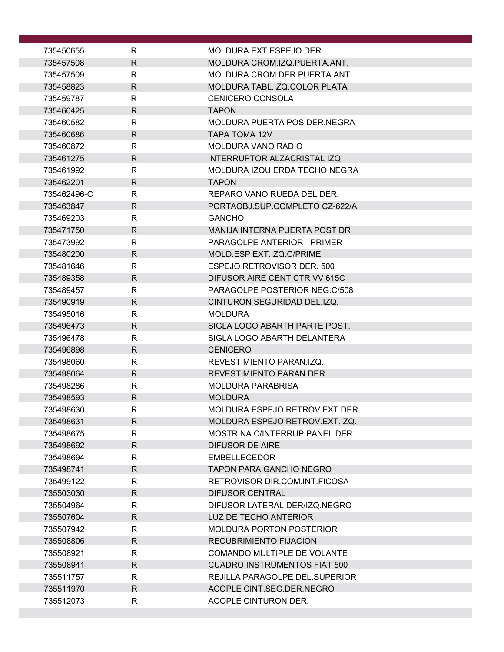| 735450655              | R            | MOLDURA EXT.ESPEJO DER.                                      |
|------------------------|--------------|--------------------------------------------------------------|
| 735457508              | $\mathsf{R}$ | MOLDURA CROM.IZQ.PUERTA.ANT.                                 |
| 735457509              | R            | MOLDURA CROM.DER.PUERTA.ANT.                                 |
| 735458823              | $\mathsf{R}$ | MOLDURA TABL.IZQ.COLOR PLATA                                 |
| 735459787              | R            | <b>CENICERO CONSOLA</b>                                      |
| 735460425              | $\mathsf{R}$ | <b>TAPON</b>                                                 |
| 735460582              | R            | MOLDURA PUERTA POS.DER.NEGRA                                 |
| 735460686              | R            | <b>TAPA TOMA 12V</b>                                         |
| 735460872              | R            | <b>MOLDURA VANO RADIO</b>                                    |
| 735461275              | R            | INTERRUPTOR ALZACRISTAL IZQ.                                 |
| 735461992              | R            | MOLDURA IZQUIERDA TECHO NEGRA                                |
| 735462201              | R            | <b>TAPON</b>                                                 |
| 735462496-C            | R            | REPARO VANO RUEDA DEL DER.                                   |
| 735463847              | $\mathsf{R}$ | PORTAOBJ.SUP.COMPLETO CZ-622/A                               |
| 735469203              | R            | <b>GANCHO</b>                                                |
| 735471750              | $\mathsf{R}$ | MANIJA INTERNA PUERTA POST DR                                |
| 735473992              | R            | <b>PARAGOLPE ANTERIOR - PRIMER</b>                           |
| 735480200              | R            | MOLD.ESP EXT.IZQ.C/PRIME                                     |
| 735481646              | R            | ESPEJO RETROVISOR DER. 500                                   |
| 735489358              | R.           | DIFUSOR AIRE CENT.CTR VV 615C                                |
| 735489457              | $\mathsf{R}$ | PARAGOLPE POSTERIOR NEG.C/508                                |
| 735490919              | R            | CINTURON SEGURIDAD DEL.IZQ.                                  |
| 735495016              | R            | <b>MOLDURA</b>                                               |
| 735496473<br>735496478 | R<br>R       | SIGLA LOGO ABARTH PARTE POST.<br>SIGLA LOGO ABARTH DELANTERA |
| 735496898              | R            | <b>CENICERO</b>                                              |
| 735498060              | R            | REVESTIMIENTO PARANJZO.                                      |
| 735498064              | $\mathsf{R}$ | REVESTIMIENTO PARAN.DER.                                     |
| 735498286              | R            | <b>MOLDURA PARABRISA</b>                                     |
| 735498593              | $\mathsf{R}$ | <b>MOLDURA</b>                                               |
| 735498630              | $\mathsf{R}$ | MOLDURA ESPEJO RETROV.EXT.DER.                               |
| 735498631              | R.           | MOLDURA ESPEJO RETROV.EXT.IZQ.                               |
| 735498675              | R.           | MOSTRINA C/INTERRUP. PANEL DER.                              |
| 735498692              | $\mathsf{R}$ | <b>DIFUSOR DE AIRE</b>                                       |
| 735498694              | R.           | <b>EMBELLECEDOR</b>                                          |
| 735498741              | R.           | <b>TAPON PARA GANCHO NEGRO</b>                               |
| 735499122              | R            | RETROVISOR DIR.COM.INT.FICOSA                                |
| 735503030              | R.           | <b>DIFUSOR CENTRAL</b>                                       |
| 735504964              | R            | DIFUSOR LATERAL DER/IZQ.NEGRO                                |
| 735507604              | $\mathsf{R}$ | LUZ DE TECHO ANTERIOR                                        |
| 735507942              | R            | <b>MOLDURA PORTON POSTERIOR</b>                              |
| 735508806              | R            | <b>RECUBRIMIENTO FIJACION</b>                                |
| 735508921              | R            | <b>COMANDO MULTIPLE DE VOLANTE</b>                           |
| 735508941              | R.           | <b>CUADRO INSTRUMENTOS FIAT 500</b>                          |
| 735511757              | R            | REJILLA PARAGOLPE DEL.SUPERIOR                               |
| 735511970              | R            | ACOPLE CINT.SEG.DER.NEGRO                                    |
| 735512073              | R.           | ACOPLE CINTURON DER.                                         |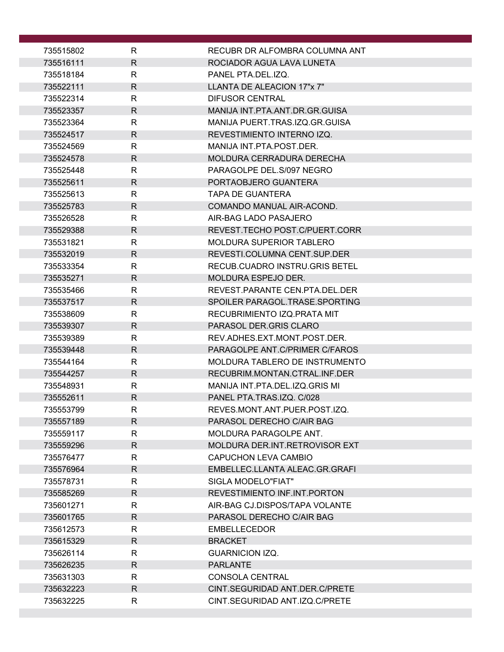| 735515802              | R                 | RECUBR DR ALFOMBRA COLUMNA ANT                                 |
|------------------------|-------------------|----------------------------------------------------------------|
| 735516111              | $\mathsf{R}$      | ROCIADOR AGUA LAVA LUNETA                                      |
| 735518184              | R                 | PANEL PTA.DEL.IZQ.                                             |
| 735522111              | $\mathsf{R}$      | LLANTA DE ALEACION 17"x 7"                                     |
| 735522314              | R                 | <b>DIFUSOR CENTRAL</b>                                         |
| 735523357              | $\mathsf{R}$      | MANIJA INT.PTA.ANT.DR.GR.GUISA                                 |
| 735523364              | R                 | MANIJA PUERT.TRAS.IZQ.GR.GUISA                                 |
| 735524517              | R                 | REVESTIMIENTO INTERNO IZQ.                                     |
| 735524569              | $\mathsf{R}$      | MANIJA INT.PTA.POST.DER.                                       |
| 735524578              | $\mathsf{R}$      | MOLDURA CERRADURA DERECHA                                      |
| 735525448              | $\mathsf{R}$      | PARAGOLPE DEL.S/097 NEGRO                                      |
| 735525611              | R                 | PORTAOBJERO GUANTERA                                           |
| 735525613              | R                 | <b>TAPA DE GUANTERA</b>                                        |
| 735525783              | R                 | COMANDO MANUAL AIR-ACOND.                                      |
| 735526528              | R                 | AIR-BAG LADO PASAJERO                                          |
| 735529388              | $\mathsf{R}$      | REVEST.TECHO POST.C/PUERT.CORR                                 |
| 735531821              | R                 | <b>MOLDURA SUPERIOR TABLERO</b>                                |
| 735532019              | R                 | REVESTI.COLUMNA CENT.SUP.DER<br>RECUB.CUADRO INSTRU.GRIS BETEL |
| 735533354<br>735535271 | R<br>$\mathsf{R}$ | <b>MOLDURA ESPEJO DER.</b>                                     |
| 735535466              | $\mathsf{R}$      | REVEST.PARANTE CEN.PTA.DEL.DER                                 |
| 735537517              | $\mathsf{R}$      | SPOILER PARAGOL.TRASE.SPORTING                                 |
| 735538609              | R                 | RECUBRIMIENTO IZQ.PRATA MIT                                    |
| 735539307              | $\mathsf{R}$      | PARASOL DER.GRIS CLARO                                         |
| 735539389              | R                 | REV.ADHES.EXT.MONT.POST.DER.                                   |
| 735539448              | R                 | PARAGOLPE ANT.C/PRIMER C/FAROS                                 |
| 735544164              | R                 | MOLDURA TABLERO DE INSTRUMENTO                                 |
| 735544257              | $\mathsf{R}$      | RECUBRIM.MONTAN.CTRAL.INF.DER                                  |
| 735548931              | R                 | MANIJA INT.PTA.DEL.IZQ.GRIS MI                                 |
| 735552611              | $\mathsf{R}$      | PANEL PTA.TRAS.IZQ. C/028                                      |
| 735553799              | $\mathsf{R}$      | REVES.MONT.ANT.PUER.POST.IZQ.                                  |
| 735557189              | R                 | PARASOL DERECHO C/AIR BAG                                      |
| 735559117              | $\mathsf{R}$      | MOLDURA PARAGOLPE ANT.                                         |
| 735559296              | $\mathsf{R}$      | MOLDURA DER.INT.RETROVISOR EXT                                 |
| 735576477              | $\mathsf{R}$      | CAPUCHON LEVA CAMBIO                                           |
| 735576964              | R                 | EMBELLEC.LLANTA ALEAC.GR.GRAFI                                 |
| 735578731              | $\mathsf{R}$      | SIGLA MODELO"FIAT"                                             |
| 735585269              | R                 | REVESTIMIENTO INF.INT.PORTON                                   |
| 735601271              | R                 | AIR-BAG CJ.DISPOS/TAPA VOLANTE                                 |
| 735601765              | $\mathsf{R}$      | PARASOL DERECHO C/AIR BAG                                      |
| 735612573              | R                 | <b>EMBELLECEDOR</b>                                            |
| 735615329              | $\mathsf{R}$      | <b>BRACKET</b><br><b>GUARNICION IZQ.</b>                       |
| 735626114<br>735626235 | R<br>R            | <b>PARLANTE</b>                                                |
| 735631303              | R                 | <b>CONSOLA CENTRAL</b>                                         |
| 735632223              | $\mathsf{R}$      | CINT.SEGURIDAD ANT.DER.C/PRETE                                 |
| 735632225              | $\mathsf{R}$      | CINT.SEGURIDAD ANT.IZQ.C/PRETE                                 |
|                        |                   |                                                                |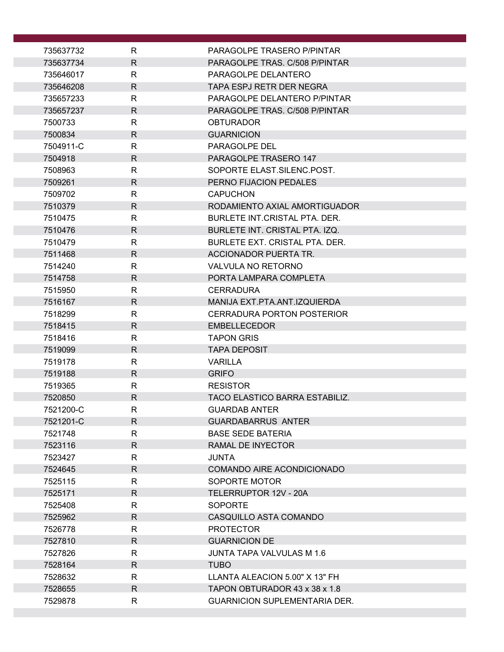| 735637732          | R                 | PARAGOLPE TRASERO P/PINTAR            |
|--------------------|-------------------|---------------------------------------|
| 735637734          | $\mathsf{R}$      | PARAGOLPE TRAS. C/508 P/PINTAR        |
| 735646017          | R                 | PARAGOLPE DELANTERO                   |
| 735646208          | $\mathsf{R}$      | <b>TAPA ESPJ RETR DER NEGRA</b>       |
| 735657233          | $\mathsf{R}$      | PARAGOLPE DELANTERO P/PINTAR          |
| 735657237          | $\mathsf{R}$      | PARAGOLPE TRAS. C/508 P/PINTAR        |
| 7500733            | R                 | <b>OBTURADOR</b>                      |
| 7500834            | $\mathsf{R}$      | <b>GUARNICION</b>                     |
| 7504911-C          | $\mathsf{R}$      | PARAGOLPE DEL                         |
| 7504918            | $\mathsf{R}$      | PARAGOLPE TRASERO 147                 |
| 7508963            | R                 | SOPORTE ELAST.SILENC.POST.            |
| 7509261            | $\mathsf{R}$      | PERNO FIJACION PEDALES                |
| 7509702            | R                 | <b>CAPUCHON</b>                       |
| 7510379            | $\mathsf{R}$      | RODAMIENTO AXIAL AMORTIGUADOR         |
| 7510475            | $\mathsf{R}$      | BURLETE INT.CRISTAL PTA, DER.         |
| 7510476            | $\mathsf{R}$      | BURLETE INT. CRISTAL PTA. IZQ.        |
| 7510479            | R                 | BURLETE EXT. CRISTAL PTA. DER.        |
| 7511468            | $\mathsf{R}$      | ACCIONADOR PUERTA TR.                 |
| 7514240            | $\mathsf{R}$      | VALVULA NO RETORNO                    |
| 7514758            | $\mathsf{R}$      | PORTA LAMPARA COMPLETA                |
| 7515950            | $\mathsf{R}$      | <b>CERRADURA</b>                      |
| 7516167            | $\mathsf{R}$      | MANIJA EXT.PTA.ANT.IZQUIERDA          |
| 7518299            | R                 | <b>CERRADURA PORTON POSTERIOR</b>     |
| 7518415            | $\mathsf{R}$      | <b>EMBELLECEDOR</b>                   |
| 7518416            | R                 | <b>TAPON GRIS</b>                     |
| 7519099<br>7519178 | $\mathsf{R}$      | <b>TAPA DEPOSIT</b><br><b>VARILLA</b> |
| 7519188            | R<br>$\mathsf{R}$ | <b>GRIFO</b>                          |
| 7519365            | $\mathsf{R}$      | <b>RESISTOR</b>                       |
| 7520850            | $\mathsf{R}$      | TACO ELASTICO BARRA ESTABILIZ.        |
| 7521200-C          | $\mathsf R$       | <b>GUARDAB ANTER</b>                  |
| 7521201-C          | R                 | <b>GUARDABARRUS ANTER</b>             |
| 7521748            | $\mathsf{R}$      | <b>BASE SEDE BATERIA</b>              |
| 7523116            | $\mathsf{R}$      | RAMAL DE INYECTOR                     |
| 7523427            | $\mathsf{R}$      | <b>JUNTA</b>                          |
| 7524645            | R                 | <b>COMANDO AIRE ACONDICIONADO</b>     |
| 7525115            | R                 | SOPORTE MOTOR                         |
| 7525171            | $\mathsf{R}$      | TELERRUPTOR 12V - 20A                 |
| 7525408            | R                 | <b>SOPORTE</b>                        |
| 7525962            | $\mathsf{R}$      | CASQUILLO ASTA COMANDO                |
| 7526778            | R                 | <b>PROTECTOR</b>                      |
| 7527810            | $\mathsf{R}$      | <b>GUARNICION DE</b>                  |
| 7527826            | R                 | JUNTA TAPA VALVULAS M 1.6             |
| 7528164            | R                 | <b>TUBO</b>                           |
| 7528632            | $\mathsf{R}$      | LLANTA ALEACION 5.00" X 13" FH        |
| 7528655            | $\mathsf{R}$      | TAPON OBTURADOR 43 x 38 x 1.8         |
| 7529878            | R                 | <b>GUARNICION SUPLEMENTARIA DER.</b>  |
|                    |                   |                                       |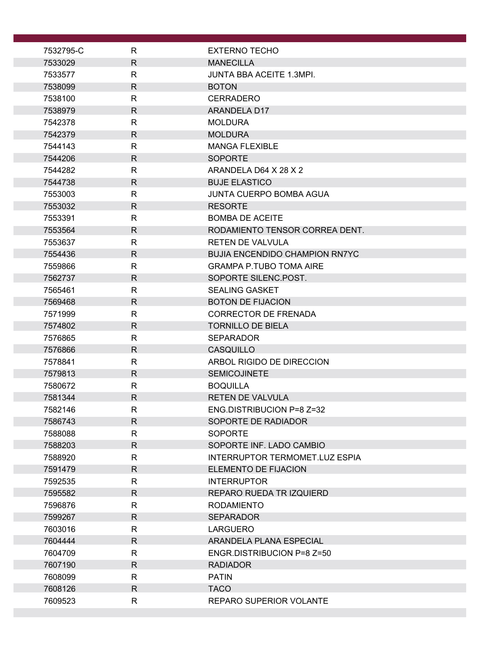| 7532795-C          | R                            | <b>EXTERNO TECHO</b>                         |
|--------------------|------------------------------|----------------------------------------------|
| 7533029            | $\mathsf{R}$                 | <b>MANECILLA</b>                             |
| 7533577            | R                            | <b>JUNTA BBA ACEITE 1.3MPI.</b>              |
| 7538099            | $\mathsf{R}$                 | <b>BOTON</b>                                 |
| 7538100            | R                            | <b>CERRADERO</b>                             |
| 7538979            | $\mathsf{R}$                 | ARANDELA D17                                 |
| 7542378            | R                            | <b>MOLDURA</b>                               |
| 7542379            | $\mathsf{R}$                 | <b>MOLDURA</b>                               |
| 7544143            | R                            | <b>MANGA FLEXIBLE</b>                        |
| 7544206            | $\mathsf{R}$                 | <b>SOPORTE</b>                               |
| 7544282            | R                            | ARANDELA D64 X 28 X 2                        |
| 7544738            | $\mathsf{R}$                 | <b>BUJE ELASTICO</b>                         |
| 7553003            | $\mathsf{R}$                 | <b>JUNTA CUERPO BOMBA AGUA</b>               |
| 7553032            | $\mathsf{R}$                 | <b>RESORTE</b>                               |
| 7553391            | R                            | <b>BOMBA DE ACEITE</b>                       |
| 7553564            | $\mathsf{R}$                 | RODAMIENTO TENSOR CORREA DENT.               |
| 7553637            | R                            | <b>RETEN DE VALVULA</b>                      |
| 7554436            | $\mathsf{R}$                 | <b>BUJIA ENCENDIDO CHAMPION RN7YC</b>        |
| 7559866            | R                            | <b>GRAMPA P.TUBO TOMA AIRE</b>               |
| 7562737            | $\mathsf{R}$                 | SOPORTE SILENC.POST.                         |
| 7565461            | R                            | <b>SEALING GASKET</b>                        |
| 7569468            | $\mathsf{R}$                 | <b>BOTON DE FIJACION</b>                     |
| 7571999            | R                            | <b>CORRECTOR DE FRENADA</b>                  |
| 7574802<br>7576865 | $\mathsf{R}$<br>$\mathsf{R}$ | <b>TORNILLO DE BIELA</b><br><b>SEPARADOR</b> |
| 7576866            | $\mathsf{R}$                 | <b>CASQUILLO</b>                             |
| 7578841            | R                            | ARBOL RIGIDO DE DIRECCION                    |
| 7579813            | $\mathsf{R}$                 | <b>SEMICOJINETE</b>                          |
| 7580672            | R                            | <b>BOQUILLA</b>                              |
| 7581344            | $\mathsf{R}$                 | <b>RETEN DE VALVULA</b>                      |
| 7582146            | R                            | ENG.DISTRIBUCION P=8 Z=32                    |
| 7586743            | $\mathsf{R}$                 | SOPORTE DE RADIADOR                          |
| 7588088            | $\mathsf{R}$                 | <b>SOPORTE</b>                               |
| 7588203            | $\mathsf{R}$                 | SOPORTE INF. LADO CAMBIO                     |
| 7588920            | $\mathsf{R}$                 | INTERRUPTOR TERMOMET.LUZ ESPIA               |
| 7591479            | $\mathsf{R}$                 | ELEMENTO DE FIJACION                         |
| 7592535            | $\mathsf{R}$                 | <b>INTERRUPTOR</b>                           |
| 7595582            | R                            | REPARO RUEDA TRIZQUIERD                      |
| 7596876            | R                            | <b>RODAMIENTO</b>                            |
| 7599267            | $\mathsf{R}$                 | <b>SEPARADOR</b>                             |
| 7603016            | $\mathsf{R}$                 | <b>LARGUERO</b>                              |
| 7604444            | $\mathsf{R}$                 | ARANDELA PLANA ESPECIAL                      |
| 7604709            | R                            | ENGR.DISTRIBUCION P=8 Z=50                   |
| 7607190            | $\mathsf{R}$                 | <b>RADIADOR</b>                              |
| 7608099            | R                            | <b>PATIN</b>                                 |
| 7608126            | $\mathsf{R}$                 | <b>TACO</b>                                  |
| 7609523            | $\mathsf R$                  | <b>REPARO SUPERIOR VOLANTE</b>               |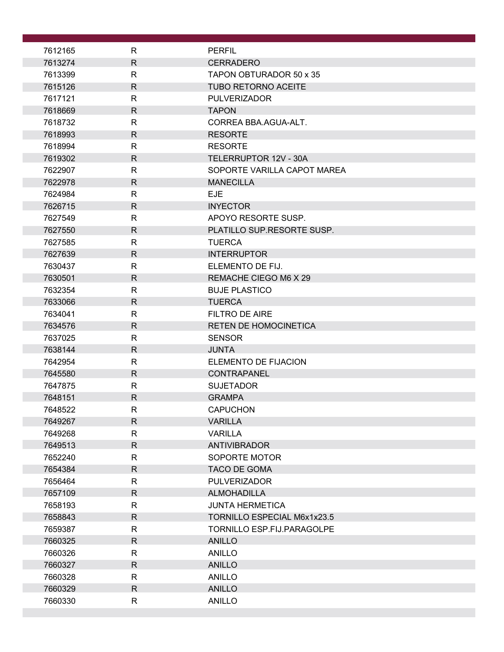| 7612165            | R                 | <b>PERFIL</b>                                 |
|--------------------|-------------------|-----------------------------------------------|
| 7613274            | $\mathsf{R}$      | <b>CERRADERO</b>                              |
| 7613399            | R                 | TAPON OBTURADOR 50 x 35                       |
| 7615126            | $\mathsf{R}$      | <b>TUBO RETORNO ACEITE</b>                    |
| 7617121            | R                 | <b>PULVERIZADOR</b>                           |
| 7618669            | $\mathsf{R}$      | <b>TAPON</b>                                  |
| 7618732            | $\mathsf{R}$      | CORREA BBA.AGUA-ALT.                          |
| 7618993            | $\mathsf R$       | <b>RESORTE</b>                                |
| 7618994            | R                 | <b>RESORTE</b>                                |
| 7619302            | $\mathsf{R}$      | TELERRUPTOR 12V - 30A                         |
| 7622907            | $\mathsf{R}$      | SOPORTE VARILLA CAPOT MAREA                   |
| 7622978            | $\mathsf{R}$      | <b>MANECILLA</b>                              |
| 7624984            | R                 | <b>EJE</b>                                    |
| 7626715            | $\mathsf{R}$      | <b>INYECTOR</b>                               |
| 7627549            | R                 | APOYO RESORTE SUSP.                           |
| 7627550            | $\mathsf{R}$      | PLATILLO SUP.RESORTE SUSP.                    |
| 7627585            | R                 | <b>TUERCA</b>                                 |
| 7627639            | $\mathsf{R}$      | <b>INTERRUPTOR</b>                            |
| 7630437            | R                 | ELEMENTO DE FIJ.                              |
| 7630501            | $\mathsf{R}$      | REMACHE CIEGO M6 X 29                         |
| 7632354            | $\mathsf{R}$      | <b>BUJE PLASTICO</b>                          |
| 7633066            | $\mathsf{R}$      | <b>TUERCA</b>                                 |
| 7634041            | $\mathsf{R}$      | <b>FILTRO DE AIRE</b>                         |
| 7634576            | $\mathsf{R}$      | <b>RETEN DE HOMOCINETICA</b><br><b>SENSOR</b> |
| 7637025<br>7638144 | R<br>$\mathsf{R}$ | <b>JUNTA</b>                                  |
| 7642954            | R                 | ELEMENTO DE FIJACION                          |
| 7645580            | $\mathsf{R}$      | CONTRAPANEL                                   |
| 7647875            | R                 | <b>SUJETADOR</b>                              |
| 7648151            | $\mathsf{R}$      | <b>GRAMPA</b>                                 |
| 7648522            | R                 | <b>CAPUCHON</b>                               |
| 7649267            | $\mathsf{R}$      | <b>VARILLA</b>                                |
| 7649268            | $\mathsf{R}$      | <b>VARILLA</b>                                |
| 7649513            | $\mathsf{R}$      | <b>ANTIVIBRADOR</b>                           |
| 7652240            | R                 | SOPORTE MOTOR                                 |
| 7654384            | $\mathsf{R}$      | <b>TACO DE GOMA</b>                           |
| 7656464            | $\mathsf{R}$      | <b>PULVERIZADOR</b>                           |
| 7657109            | R.                | <b>ALMOHADILLA</b>                            |
| 7658193            | R                 | <b>JUNTA HERMETICA</b>                        |
| 7658843            | $\mathsf{R}$      | TORNILLO ESPECIAL M6x1x23.5                   |
| 7659387            | $\mathsf{R}$      | TORNILLO ESP.FIJ.PARAGOLPE                    |
| 7660325            | $\mathsf{R}$      | <b>ANILLO</b>                                 |
| 7660326            | $\mathsf{R}$      | <b>ANILLO</b>                                 |
| 7660327            | $\mathsf{R}$      | <b>ANILLO</b>                                 |
| 7660328            | R                 | <b>ANILLO</b>                                 |
| 7660329            | R.                | <b>ANILLO</b>                                 |
| 7660330            | R                 | <b>ANILLO</b>                                 |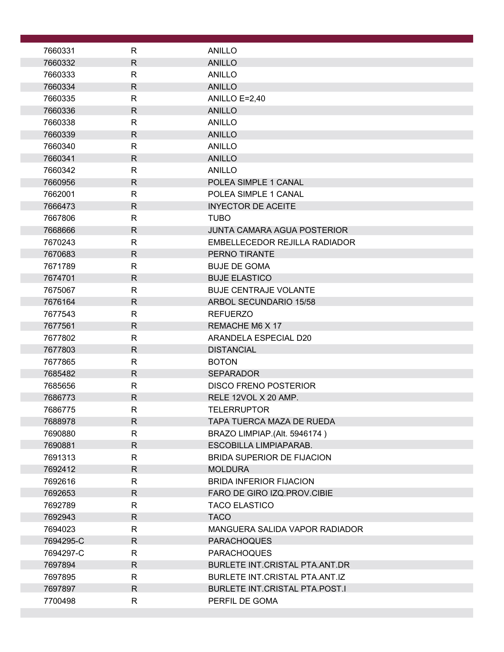| 7660331            | $\mathsf{R}$ | <b>ANILLO</b>                      |
|--------------------|--------------|------------------------------------|
| 7660332            | $\mathsf{R}$ | <b>ANILLO</b>                      |
| 7660333            | $\mathsf{R}$ | <b>ANILLO</b>                      |
| 7660334            | R            | <b>ANILLO</b>                      |
| 7660335            | R            | ANILLO E=2,40                      |
| 7660336            | $\mathsf{R}$ | <b>ANILLO</b>                      |
| 7660338            | R            | <b>ANILLO</b>                      |
| 7660339            | $\mathsf{R}$ | <b>ANILLO</b>                      |
| 7660340            | R            | <b>ANILLO</b>                      |
| 7660341            | $\mathsf{R}$ | <b>ANILLO</b>                      |
| 7660342            | R            | <b>ANILLO</b>                      |
| 7660956            | R            | POLEA SIMPLE 1 CANAL               |
| 7662001            | $\mathsf{R}$ | POLEA SIMPLE 1 CANAL               |
| 7666473            | $\mathsf{R}$ | <b>INYECTOR DE ACEITE</b>          |
| 7667806            | $\mathsf{R}$ | <b>TUBO</b>                        |
| 7668666            | R            | <b>JUNTA CAMARA AGUA POSTERIOR</b> |
| 7670243            | $\mathsf{R}$ | EMBELLECEDOR REJILLA RADIADOR      |
| 7670683            | $\mathsf{R}$ | <b>PERNO TIRANTE</b>               |
| 7671789            | $\mathsf{R}$ | <b>BUJE DE GOMA</b>                |
| 7674701            | $\mathsf{R}$ | <b>BUJE ELASTICO</b>               |
| 7675067            | $\mathsf{R}$ | <b>BUJE CENTRAJE VOLANTE</b>       |
| 7676164            | $\mathsf{R}$ | <b>ARBOL SECUNDARIO 15/58</b>      |
| 7677543            | $\mathsf{R}$ | <b>REFUERZO</b>                    |
| 7677561            | $\mathsf{R}$ | REMACHE M6 X 17                    |
| 7677802            | $\mathsf{R}$ | ARANDELA ESPECIAL D20              |
| 7677803            | $\mathsf{R}$ | <b>DISTANCIAL</b>                  |
| 7677865            | $\mathsf{R}$ | <b>BOTON</b><br><b>SEPARADOR</b>   |
| 7685482<br>7685656 | R<br>R       | <b>DISCO FRENO POSTERIOR</b>       |
| 7686773            | $\mathsf{R}$ | RELE 12VOL X 20 AMP.               |
| 7686775            | R            | TELERRUPTOR                        |
| 7688978            | $\mathsf{R}$ | TAPA TUERCA MAZA DE RUEDA          |
| 7690880            | $\mathsf{R}$ | BRAZO LIMPIAP.(Alt. 5946174)       |
| 7690881            | $\mathsf{R}$ | ESCOBILLA LIMPIAPARAB.             |
| 7691313            | R            | <b>BRIDA SUPERIOR DE FIJACION</b>  |
| 7692412            | $\mathsf{R}$ | <b>MOLDURA</b>                     |
| 7692616            | R            | <b>BRIDA INFERIOR FIJACION</b>     |
| 7692653            | R            | FARO DE GIRO IZQ.PROV.CIBIE        |
| 7692789            | R.           | <b>TACO ELASTICO</b>               |
| 7692943            | $\mathsf{R}$ | <b>TACO</b>                        |
| 7694023            | $\mathsf{R}$ | MANGUERA SALIDA VAPOR RADIADOR     |
| 7694295-C          | R            | <b>PARACHOQUES</b>                 |
| 7694297-C          | R            | <b>PARACHOQUES</b>                 |
| 7697894            | $\mathsf{R}$ | BURLETE INT.CRISTAL PTA.ANT.DR     |
| 7697895            | R            | BURLETE INT.CRISTAL PTA.ANT.IZ     |
| 7697897            | $\mathsf{R}$ | BURLETE INT.CRISTAL PTA.POST.I     |
| 7700498            | R            | PERFIL DE GOMA                     |
|                    |              |                                    |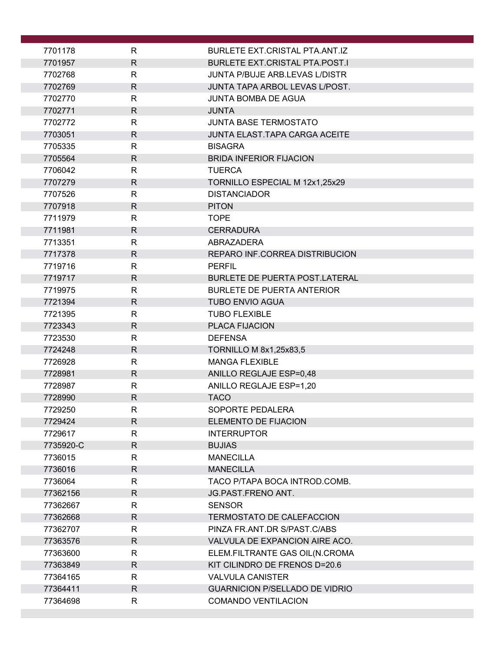| 7701178              | R                            | BURLETE EXT.CRISTAL PTA.ANT.IZ                              |
|----------------------|------------------------------|-------------------------------------------------------------|
| 7701957              | $\mathsf{R}$                 | <b>BURLETE EXT.CRISTAL PTA.POST.I</b>                       |
| 7702768              | $\mathsf{R}$                 | <b>JUNTA P/BUJE ARB.LEVAS L/DISTR</b>                       |
| 7702769              | $\mathsf{R}$                 | JUNTA TAPA ARBOL LEVAS L/POST.                              |
| 7702770              | R                            | JUNTA BOMBA DE AGUA                                         |
| 7702771              | $\mathsf{R}$                 | <b>JUNTA</b>                                                |
| 7702772              | R                            | <b>JUNTA BASE TERMOSTATO</b>                                |
| 7703051              | R                            | <b>JUNTA ELAST.TAPA CARGA ACEITE</b>                        |
| 7705335              | $\mathsf{R}$                 | <b>BISAGRA</b>                                              |
| 7705564              | $\mathsf{R}$                 | <b>BRIDA INFERIOR FIJACION</b>                              |
| 7706042              | $\mathsf{R}$                 | <b>TUERCA</b>                                               |
| 7707279              | R                            | TORNILLO ESPECIAL M 12x1,25x29                              |
| 7707526              | $\mathsf{R}$                 | <b>DISTANCIADOR</b>                                         |
| 7707918              | $\mathsf{R}$                 | <b>PITON</b>                                                |
| 7711979              | R                            | <b>TOPE</b>                                                 |
| 7711981              | R                            | <b>CERRADURA</b>                                            |
| 7713351              | R                            | ABRAZADERA                                                  |
| 7717378              | $\mathsf{R}$                 | REPARO INF.CORREA DISTRIBUCION                              |
| 7719716              | R                            | <b>PERFIL</b>                                               |
| 7719717              | R                            | <b>BURLETE DE PUERTA POST.LATERAL</b>                       |
| 7719975<br>7721394   | $\mathsf{R}$<br>$\mathsf{R}$ | <b>BURLETE DE PUERTA ANTERIOR</b><br><b>TUBO ENVIO AGUA</b> |
| 7721395              | $\mathsf{R}$                 | <b>TUBO FLEXIBLE</b>                                        |
| 7723343              | $\mathsf{R}$                 | <b>PLACA FIJACION</b>                                       |
| 7723530              | $\mathsf{R}$                 | <b>DEFENSA</b>                                              |
| 7724248              | $\mathsf{R}$                 | TORNILLO M 8x1,25x83,5                                      |
| 7726928              | R                            | <b>MANGA FLEXIBLE</b>                                       |
| 7728981              | $\mathsf{R}$                 | ANILLO REGLAJE ESP=0,48                                     |
| 7728987              | R                            | ANILLO REGLAJE ESP=1,20                                     |
| 7728990              | $\mathsf{R}$                 | <b>TACO</b>                                                 |
| 7729250              | ${\sf R}$                    | SOPORTE PEDALERA                                            |
| 7729424              | R                            | ELEMENTO DE FIJACION                                        |
| 7729617              | R                            | <b>INTERRUPTOR</b>                                          |
| 7735920-C            | $\mathsf{R}$                 | <b>BUJIAS</b>                                               |
| 7736015              | $\mathsf{R}$                 | <b>MANECILLA</b>                                            |
| 7736016              | R                            | <b>MANECILLA</b>                                            |
| 7736064              | R                            | TACO P/TAPA BOCA INTROD.COMB.                               |
| 77362156             | R                            | <b>JG.PAST.FRENO ANT.</b>                                   |
| 77362667             | R                            | <b>SENSOR</b>                                               |
| 77362668             | $\mathsf{R}$                 | <b>TERMOSTATO DE CALEFACCION</b>                            |
| 77362707             | R                            | PINZA FR.ANT.DR S/PAST.C/ABS                                |
| 77363576             | $\mathsf{R}$                 | VALVULA DE EXPANCION AIRE ACO.                              |
| 77363600             | R<br>$\mathsf{R}$            | ELEM.FILTRANTE GAS OIL(N.CROMA                              |
| 77363849<br>77364165 | R                            | KIT CILINDRO DE FRENOS D=20.6<br><b>VALVULA CANISTER</b>    |
| 77364411             | $\mathsf{R}$                 | <b>GUARNICION P/SELLADO DE VIDRIO</b>                       |
| 77364698             | $\mathsf{R}$                 | <b>COMANDO VENTILACION</b>                                  |
|                      |                              |                                                             |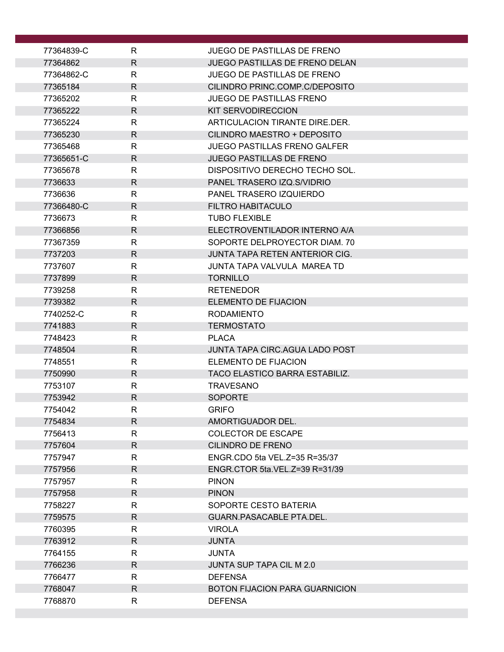| 77364839-C         | $\mathsf{R}$      | JUEGO DE PASTILLAS DE FRENO           |
|--------------------|-------------------|---------------------------------------|
| 77364862           | $\mathsf{R}$      | JUEGO PASTILLAS DE FRENO DELAN        |
| 77364862-C         | R                 | <b>JUEGO DE PASTILLAS DE FRENO</b>    |
| 77365184           | $\mathsf{R}$      | CILINDRO PRINC.COMP.C/DEPOSITO        |
| 77365202           | $\mathsf{R}$      | <b>JUEGO DE PASTILLAS FRENO</b>       |
| 77365222           | $\mathsf{R}$      | <b>KIT SERVODIRECCION</b>             |
| 77365224           | $\mathsf{R}$      | ARTICULACION TIRANTE DIRE.DER.        |
| 77365230           | R.                | CILINDRO MAESTRO + DEPOSITO           |
| 77365468           | $\mathsf{R}$      | <b>JUEGO PASTILLAS FRENO GALFER</b>   |
| 77365651-C         | R                 | <b>JUEGO PASTILLAS DE FRENO</b>       |
| 77365678           | $\mathsf{R}$      | DISPOSITIVO DERECHO TECHO SOL.        |
| 7736633            | R                 | PANEL TRASERO IZQ.S/VIDRIO            |
| 7736636            | R                 | PANEL TRASERO IZQUIERDO               |
| 77366480-C         | $\mathsf{R}$      | <b>FILTRO HABITACULO</b>              |
| 7736673            | $\mathsf{R}$      | <b>TUBO FLEXIBLE</b>                  |
| 77366856           | $\mathsf{R}$      | ELECTROVENTILADOR INTERNO A/A         |
| 77367359           | $\mathsf{R}$      | SOPORTE DELPROYECTOR DIAM. 70         |
| 7737203            | $\mathsf{R}$      | JUNTA TAPA RETEN ANTERIOR CIG.        |
| 7737607            | $\mathsf{R}$      | JUNTA TAPA VALVULA MAREA TD           |
| 7737899            | $\mathsf{R}$      | <b>TORNILLO</b>                       |
| 7739258            | $\mathsf{R}$      | <b>RETENEDOR</b>                      |
| 7739382            | $\mathsf{R}$      | <b>ELEMENTO DE FIJACION</b>           |
| 7740252-C          | R                 | <b>RODAMIENTO</b>                     |
| 7741883            | $\mathsf{R}$      | <b>TERMOSTATO</b>                     |
| 7748423            | $\mathsf{R}$      | <b>PLACA</b>                          |
| 7748504            | $\mathsf{R}$      | JUNTA TAPA CIRC.AGUA LADO POST        |
| 7748551            | R                 | ELEMENTO DE FIJACION                  |
| 7750990            | $\mathsf{R}$      | <b>TACO ELASTICO BARRA ESTABILIZ.</b> |
| 7753107            | R                 | <b>TRAVESANO</b>                      |
| 7753942            | $\mathsf{R}$      | <b>SOPORTE</b>                        |
| 7754042            | $\mathsf R$       | <b>GRIFO</b>                          |
| 7754834            | R                 | AMORTIGUADOR DEL.                     |
| 7756413            | R                 | <b>COLECTOR DE ESCAPE</b>             |
| 7757604            | $\mathsf{R}$      | <b>CILINDRO DE FRENO</b>              |
| 7757947            | R                 | ENGR.CDO 5ta VEL.Z=35 R=35/37         |
| 7757956            | $\mathsf{R}$      | ENGR.CTOR 5ta.VEL.Z=39 R=31/39        |
| 7757957            | R                 | <b>PINON</b>                          |
| 7757958            | $\mathsf{R}$      | <b>PINON</b><br>SOPORTE CESTO BATERIA |
| 7758227            | R<br>$\mathsf{R}$ |                                       |
| 7759575            |                   | GUARN.PASACABLE PTA.DEL.              |
| 7760395            | R<br>$\mathsf{R}$ | <b>VIROLA</b>                         |
| 7763912<br>7764155 | R                 | <b>JUNTA</b><br><b>JUNTA</b>          |
| 7766236            | R                 | JUNTA SUP TAPA CIL M 2.0              |
| 7766477            | $\mathsf{R}$      | <b>DEFENSA</b>                        |
| 7768047            | $\mathsf{R}$      | <b>BOTON FIJACION PARA GUARNICION</b> |
| 7768870            | R                 | <b>DEFENSA</b>                        |
|                    |                   |                                       |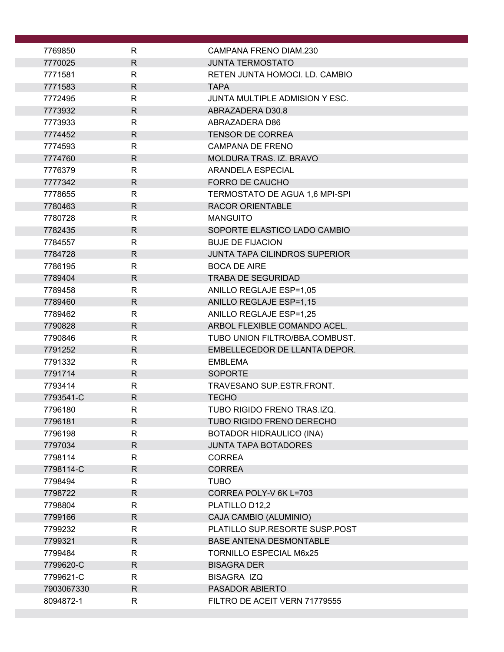| 7769850    | R            | CAMPANA FRENO DIAM.230               |
|------------|--------------|--------------------------------------|
| 7770025    | $\mathsf{R}$ | <b>JUNTA TERMOSTATO</b>              |
| 7771581    | R            | RETEN JUNTA HOMOCI. LD. CAMBIO       |
| 7771583    | $\mathsf{R}$ | <b>TAPA</b>                          |
| 7772495    | R            | JUNTA MULTIPLE ADMISION Y ESC.       |
| 7773932    | $\mathsf R$  | ABRAZADERA D30.8                     |
| 7773933    | R            | ABRAZADERA D86                       |
| 7774452    | $\mathsf{R}$ | <b>TENSOR DE CORREA</b>              |
| 7774593    | R            | <b>CAMPANA DE FRENO</b>              |
| 7774760    | $\mathsf{R}$ | MOLDURA TRAS. IZ. BRAVO              |
| 7776379    | $\mathsf{R}$ | ARANDELA ESPECIAL                    |
| 7777342    | $\mathsf{R}$ | FORRO DE CAUCHO                      |
| 7778655    | $\mathsf{R}$ | TERMOSTATO DE AGUA 1,6 MPI-SPI       |
| 7780463    | $\mathsf{R}$ | <b>RACOR ORIENTABLE</b>              |
| 7780728    | R            | <b>MANGUITO</b>                      |
| 7782435    | $\mathsf{R}$ | SOPORTE ELASTICO LADO CAMBIO         |
| 7784557    | R            | <b>BUJE DE FIJACION</b>              |
| 7784728    | $\mathsf{R}$ | <b>JUNTA TAPA CILINDROS SUPERIOR</b> |
| 7786195    | $\mathsf{R}$ | <b>BOCA DE AIRE</b>                  |
| 7789404    | $\mathsf{R}$ | <b>TRABA DE SEGURIDAD</b>            |
| 7789458    | $\mathsf{R}$ | ANILLO REGLAJE ESP=1,05              |
| 7789460    | $\mathsf{R}$ | <b>ANILLO REGLAJE ESP=1,15</b>       |
| 7789462    | $\mathsf{R}$ | ANILLO REGLAJE ESP=1,25              |
| 7790828    | R            | ARBOL FLEXIBLE COMANDO ACEL.         |
| 7790846    | $\mathsf{R}$ | TUBO UNION FILTRO/BBA.COMBUST.       |
| 7791252    | $\mathsf{R}$ | EMBELLECEDOR DE LLANTA DEPOR.        |
| 7791332    | R            | <b>EMBLEMA</b>                       |
| 7791714    | $\mathsf{R}$ | <b>SOPORTE</b>                       |
| 7793414    | $\mathsf{R}$ | TRAVESANO SUP.ESTR.FRONT.            |
| 7793541-C  | $\mathsf{R}$ | <b>TECHO</b>                         |
| 7796180    | R            | TUBO RIGIDO FRENO TRAS.IZQ.          |
| 7796181    | $\mathsf{R}$ | TUBO RIGIDO FRENO DERECHO            |
| 7796198    | $\mathsf{R}$ | <b>BOTADOR HIDRAULICO (INA)</b>      |
| 7797034    | $\mathsf{R}$ | <b>JUNTA TAPA BOTADORES</b>          |
| 7798114    | $\mathsf{R}$ | <b>CORREA</b>                        |
| 7798114-C  | $\mathsf{R}$ | <b>CORREA</b>                        |
| 7798494    | $\mathsf{R}$ | <b>TUBO</b>                          |
| 7798722    | $\mathsf{R}$ | CORREA POLY-V 6K L=703               |
| 7798804    | R            | PLATILLO D12,2                       |
| 7799166    | $\mathsf{R}$ | CAJA CAMBIO (ALUMINIO)               |
| 7799232    | R            | PLATILLO SUP.RESORTE SUSP.POST       |
| 7799321    | $\mathsf{R}$ | <b>BASE ANTENA DESMONTABLE</b>       |
| 7799484    | R            | <b>TORNILLO ESPECIAL M6x25</b>       |
| 7799620-C  | $\mathsf{R}$ | <b>BISAGRA DER</b>                   |
| 7799621-C  | $\mathsf{R}$ | <b>BISAGRA IZQ</b>                   |
| 7903067330 | R            | PASADOR ABIERTO                      |
| 8094872-1  | $\mathsf{R}$ | FILTRO DE ACEIT VERN 71779555        |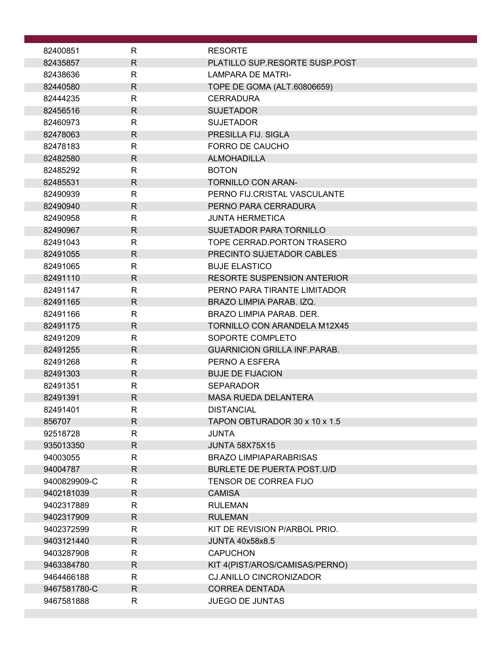| 82400851             | R                            | <b>RESORTE</b>                                             |
|----------------------|------------------------------|------------------------------------------------------------|
| 82435857             | $\mathsf{R}$                 | PLATILLO SUP.RESORTE SUSP.POST                             |
| 82438636             | R                            | <b>LAMPARA DE MATRI-</b>                                   |
| 82440580             | R                            | TOPE DE GOMA (ALT.60806659)                                |
| 82444235             | R                            | <b>CERRADURA</b>                                           |
| 82456516             | R                            | <b>SUJETADOR</b>                                           |
| 82460973             | R                            | <b>SUJETADOR</b>                                           |
| 82478063             | R                            | PRESILLA FIJ. SIGLA                                        |
| 82478183             | R                            | FORRO DE CAUCHO                                            |
| 82482580             | R                            | <b>ALMOHADILLA</b>                                         |
| 82485292             | R                            | <b>BOTON</b>                                               |
| 82485531             | R                            | <b>TORNILLO CON ARAN-</b>                                  |
| 82490939             | R                            | PERNO FIJ.CRISTAL VASCULANTE                               |
| 82490940             | $\mathsf{R}$                 | PERNO PARA CERRADURA                                       |
| 82490958             | $\mathsf{R}$                 | <b>JUNTA HERMETICA</b>                                     |
| 82490967             | $\mathsf{R}$                 | <b>SUJETADOR PARA TORNILLO</b>                             |
| 82491043             | $\mathsf{R}$                 | TOPE CERRAD. PORTON TRASERO                                |
| 82491055             | R                            | PRECINTO SUJETADOR CABLES                                  |
| 82491065             | $\mathsf{R}$                 | <b>BUJE ELASTICO</b><br><b>RESORTE SUSPENSION ANTERIOR</b> |
| 82491110             | $\mathsf{R}$<br>$\mathsf{R}$ | PERNO PARA TIRANTE LIMITADOR                               |
| 82491147<br>82491165 | R                            | BRAZO LIMPIA PARAB. IZQ.                                   |
| 82491166             | R                            | BRAZO LIMPIA PARAB. DER.                                   |
| 82491175             | $\mathsf{R}$                 | <b>TORNILLO CON ARANDELA M12X45</b>                        |
| 82491209             | R                            | SOPORTE COMPLETO                                           |
| 82491255             | R                            | <b>GUARNICION GRILLA INF.PARAB.</b>                        |
| 82491268             | R                            | PERNO A ESFERA                                             |
| 82491303             | R                            | <b>BUJE DE FIJACION</b>                                    |
| 82491351             | R                            | <b>SEPARADOR</b>                                           |
| 82491391             | R                            | <b>MASA RUEDA DELANTERA</b>                                |
| 82491401             | R                            | <b>DISTANCIAL</b>                                          |
| 856707               | R                            | TAPON OBTURADOR 30 x 10 x 1.5                              |
| 92518728             | $\mathsf{R}$                 | <b>JUNTA</b>                                               |
| 935013350            | R                            | <b>JUNTA 58X75X15</b>                                      |
| 94003055             | R                            | <b>BRAZO LIMPIAPARABRISAS</b>                              |
| 94004787             | R                            | <b>BURLETE DE PUERTA POST.U/D</b>                          |
| 9400829909-C         | $\mathsf{R}$                 | TENSOR DE CORREA FIJO                                      |
| 9402181039           | R                            | <b>CAMISA</b>                                              |
| 9402317889           | R                            | <b>RULEMAN</b>                                             |
| 9402317909           | $\mathsf{R}$                 | <b>RULEMAN</b>                                             |
| 9402372599           | R                            | KIT DE REVISION P/ARBOL PRIO.                              |
| 9403121440           | R                            | <b>JUNTA 40x58x8.5</b>                                     |
| 9403287908           | R                            | <b>CAPUCHON</b>                                            |
| 9463384780           | R                            | KIT 4(PIST/AROS/CAMISAS/PERNO)                             |
| 9464466188           | $\mathsf{R}$                 | <b>CJ.ANILLO CINCRONIZADOR</b>                             |
| 9467581780-C         | R.                           | <b>CORREA DENTADA</b>                                      |
| 9467581888           | R                            | <b>JUEGO DE JUNTAS</b>                                     |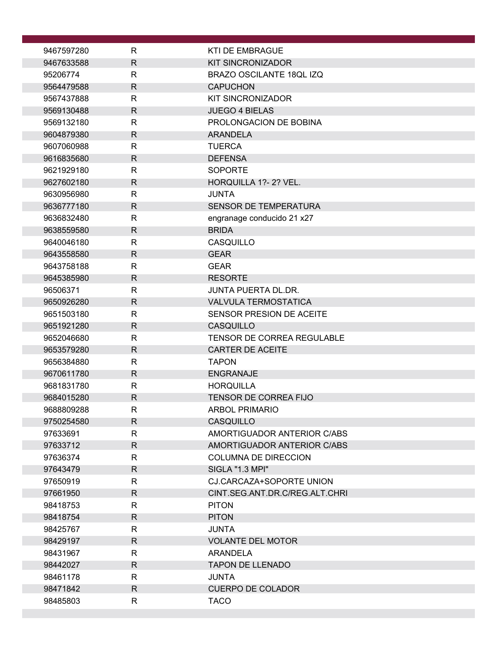| 9467597280 | R            | <b>KTI DE EMBRAGUE</b>          |
|------------|--------------|---------------------------------|
| 9467633588 | $\mathsf{R}$ | <b>KIT SINCRONIZADOR</b>        |
| 95206774   | R            | <b>BRAZO OSCILANTE 18QL IZQ</b> |
| 9564479588 | $\mathsf{R}$ | <b>CAPUCHON</b>                 |
| 9567437888 | R            | <b>KIT SINCRONIZADOR</b>        |
| 9569130488 | $\mathsf{R}$ | <b>JUEGO 4 BIELAS</b>           |
| 9569132180 | R            | PROLONGACION DE BOBINA          |
| 9604879380 | $\mathsf{R}$ | <b>ARANDELA</b>                 |
| 9607060988 | $\mathsf{R}$ | <b>TUERCA</b>                   |
| 9616835680 | $\mathsf{R}$ | <b>DEFENSA</b>                  |
| 9621929180 | R            | <b>SOPORTE</b>                  |
| 9627602180 | $\mathsf{R}$ | HORQUILLA 1?- 2? VEL.           |
| 9630956980 | R            | JUNTA                           |
| 9636777180 | $\mathsf{R}$ | SENSOR DE TEMPERATURA           |
| 9636832480 | R            | engranage conducido 21 x27      |
| 9638559580 | R            | <b>BRIDA</b>                    |
| 9640046180 | R            | CASQUILLO                       |
| 9643558580 | $\mathsf{R}$ | <b>GEAR</b>                     |
| 9643758188 | $\mathsf{R}$ | <b>GEAR</b>                     |
| 9645385980 | $\mathsf{R}$ | <b>RESORTE</b>                  |
| 96506371   | $\mathsf{R}$ | <b>JUNTA PUERTA DL.DR.</b>      |
| 9650926280 | $\mathsf{R}$ | <b>VALVULA TERMOSTATICA</b>     |
| 9651503180 | $\mathsf{R}$ | SENSOR PRESION DE ACEITE        |
| 9651921280 | $\mathsf{R}$ | CASQUILLO                       |
| 9652046680 | R            | TENSOR DE CORREA REGULABLE      |
| 9653579280 | $\mathsf{R}$ | <b>CARTER DE ACEITE</b>         |
| 9656384880 | R            | <b>TAPON</b>                    |
| 9670611780 | $\mathsf{R}$ | <b>ENGRANAJE</b>                |
| 9681831780 | $\mathsf{R}$ | <b>HORQUILLA</b>                |
| 9684015280 | $\mathsf{R}$ | <b>TENSOR DE CORREA FIJO</b>    |
| 9688809288 | $\mathsf{R}$ | <b>ARBOL PRIMARIO</b>           |
| 9750254580 | R.           | CASQUILLO                       |
| 97633691   | $\mathsf{R}$ | AMORTIGUADOR ANTERIOR C/ABS     |
| 97633712   | $\mathsf{R}$ | AMORTIGUADOR ANTERIOR C/ABS     |
| 97636374   | R            | <b>COLUMNA DE DIRECCION</b>     |
| 97643479   | $\mathsf{R}$ | SIGLA "1.3 MPI"                 |
| 97650919   | $\mathsf{R}$ | CJ.CARCAZA+SOPORTE UNION        |
| 97661950   | $\mathsf{R}$ | CINT.SEG.ANT.DR.C/REG.ALT.CHRI  |
| 98418753   | R            | <b>PITON</b>                    |
| 98418754   | $\mathsf{R}$ | <b>PITON</b>                    |
| 98425767   | $\mathsf{R}$ | <b>JUNTA</b>                    |
| 98429197   | $\mathsf{R}$ | <b>VOLANTE DEL MOTOR</b>        |
| 98431967   | R            | ARANDELA                        |
| 98442027   | $\mathsf{R}$ | <b>TAPON DE LLENADO</b>         |
| 98461178   | $\mathsf{R}$ | <b>JUNTA</b>                    |
| 98471842   | $\mathsf{R}$ | <b>CUERPO DE COLADOR</b>        |
| 98485803   | R            | <b>TACO</b>                     |
|            |              |                                 |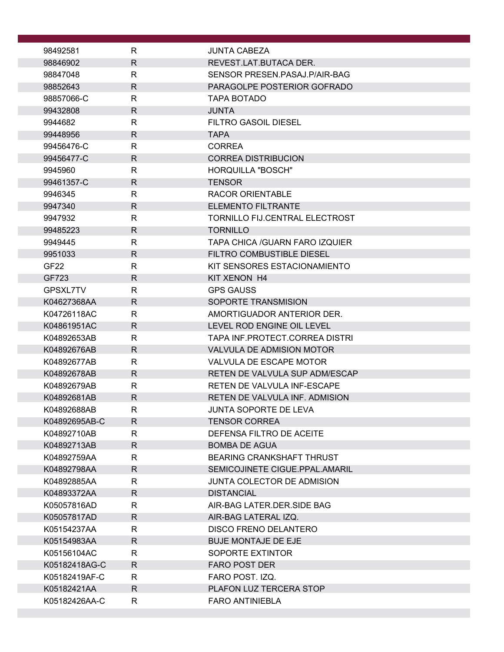| 98492581                   | R            | <b>JUNTA CABEZA</b>                                                |
|----------------------------|--------------|--------------------------------------------------------------------|
| 98846902                   | R.           | REVEST.LAT.BUTACA DER.                                             |
| 98847048                   | R            | SENSOR PRESEN PASAJ P/AIR-BAG                                      |
| 98852643                   | R.           | PARAGOLPE POSTERIOR GOFRADO                                        |
| 98857066-C                 | R            | TAPA BOTADO                                                        |
| 99432808                   | R            | <b>JUNTA</b>                                                       |
| 9944682                    | R            | <b>FILTRO GASOIL DIESEL</b>                                        |
| 99448956                   | R            | <b>TAPA</b>                                                        |
| 99456476-C                 | R            | <b>CORREA</b>                                                      |
| 99456477-C                 | R            | <b>CORREA DISTRIBUCION</b>                                         |
| 9945960                    | R            | HORQUILLA "BOSCH"                                                  |
| 99461357-C                 | R            | <b>TENSOR</b>                                                      |
| 9946345                    | R            | <b>RACOR ORIENTABLE</b>                                            |
| 9947340                    | R            | <b>ELEMENTO FILTRANTE</b>                                          |
| 9947932                    | R            | <b>TORNILLO FIJ.CENTRAL ELECTROST</b>                              |
| 99485223                   | $\mathsf{R}$ | <b>TORNILLO</b>                                                    |
| 9949445                    | R            | <b>TAPA CHICA /GUARN FARO IZQUIER</b>                              |
| 9951033                    | R            | <b>FILTRO COMBUSTIBLE DIESEL</b>                                   |
| GF <sub>22</sub>           | R            | KIT SENSORES ESTACIONAMIENTO                                       |
| GF723                      | R            | KIT XENON H4                                                       |
| GPSXL7TV                   | R            | <b>GPS GAUSS</b>                                                   |
| K04627368AA                | R            | SOPORTE TRANSMISION                                                |
| K04726118AC                | $\mathsf{R}$ | AMORTIGUADOR ANTERIOR DER.                                         |
| K04861951AC                | R            | LEVEL ROD ENGINE OIL LEVEL                                         |
| K04892653AB                | $\mathsf{R}$ | TAPA INF.PROTECT.CORREA DISTRI                                     |
| K04892676AB                | R            | <b>VALVULA DE ADMISION MOTOR</b>                                   |
| K04892677AB                | R            | VALVULA DE ESCAPE MOTOR                                            |
| K04892678AB                | R.           | RETEN DE VALVULA SUP ADM/ESCAP                                     |
| K04892679AB                | R            | RETEN DE VALVULA INF-ESCAPE                                        |
| K04892681AB                | R            | RETEN DE VALVULA INF. ADMISION                                     |
| K04892688AB                | R            | JUNTA SOPORTE DE LEVA                                              |
| K04892695AB-C              | R.           | <b>TENSOR CORREA</b>                                               |
| K04892710AB                | R<br>R.      | DEFENSA FILTRO DE ACEITE                                           |
| K04892713AB<br>K04892759AA | R.           | <b>BOMBA DE AGUA</b>                                               |
|                            |              | <b>BEARING CRANKSHAFT THRUST</b><br>SEMICOJINETE CIGUE.PPAL.AMARIL |
| K04892798AA<br>K04892885AA | R.<br>R      | JUNTA COLECTOR DE ADMISION                                         |
| K04893372AA                | R.           | <b>DISTANCIAL</b>                                                  |
| K05057816AD                | R.           | AIR-BAG LATER.DER.SIDE BAG                                         |
| K05057817AD                | R.           | AIR-BAG LATERAL IZQ.                                               |
| K05154237AA                | R.           | <b>DISCO FRENO DELANTERO</b>                                       |
| K05154983AA                | $\mathsf{R}$ | <b>BUJE MONTAJE DE EJE</b>                                         |
| K05156104AC                | R            | SOPORTE EXTINTOR                                                   |
| K05182418AG-C              | R.           | <b>FARO POST DER</b>                                               |
| K05182419AF-C              | R            | FARO POST. IZQ.                                                    |
| K05182421AA                | R.           | PLAFON LUZ TERCERA STOP                                            |
| K05182426AA-C              | R            | <b>FARO ANTINIEBLA</b>                                             |
|                            |              |                                                                    |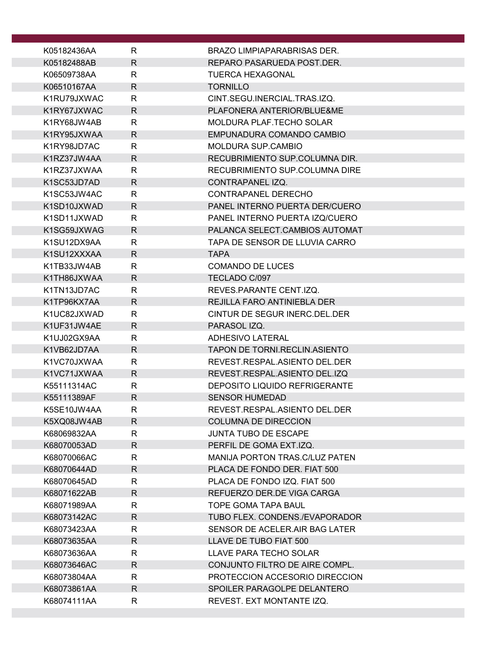| K05182436AA | R                 | <b>BRAZO LIMPIAPARABRISAS DER.</b> |
|-------------|-------------------|------------------------------------|
| K05182488AB | $\mathsf{R}$      | REPARO PASARUEDA POST.DER.         |
| K06509738AA | R                 | <b>TUERCA HEXAGONAL</b>            |
| K06510167AA | $\mathsf{R}$      | <b>TORNILLO</b>                    |
| K1RU79JXWAC | R                 | CINT.SEGU.INERCIAL.TRAS.IZQ.       |
| K1RY67JXWAC | $\mathsf{R}$      | PLAFONERA ANTERIOR/BLUE&ME         |
| K1RY68JW4AB | R                 | MOLDURA PLAF. TECHO SOLAR          |
| K1RY95JXWAA | R                 | EMPUNADURA COMANDO CAMBIO          |
| K1RY98JD7AC | $\mathsf{R}$      | <b>MOLDURA SUP.CAMBIO</b>          |
| K1RZ37JW4AA | $\mathsf{R}$      | RECUBRIMIENTO SUP.COLUMNA DIR.     |
| K1RZ37JXWAA | R                 | RECUBRIMIENTO SUP.COLUMNA DIRE     |
| K1SC53JD7AD | R                 | CONTRAPANEL IZQ.                   |
| K1SC53JW4AC | R                 | CONTRAPANEL DERECHO                |
| K1SD10JXWAD | $\mathsf{R}$      | PANEL INTERNO PUERTA DER/CUERO     |
| K1SD11JXWAD |                   | PANEL INTERNO PUERTA IZQ/CUERO     |
|             | R<br>$\mathsf{R}$ |                                    |
| K1SG59JXWAG |                   | PALANCA SELECT.CAMBIOS AUTOMAT     |
| K1SU12DX9AA | R                 | TAPA DE SENSOR DE LLUVIA CARRO     |
| K1SU12XXXAA | $\mathsf{R}$      | <b>TAPA</b>                        |
| K1TB33JW4AB | R                 | <b>COMANDO DE LUCES</b>            |
| K1TH86JXWAA | R                 | TECLADO C/097                      |
| K1TN13JD7AC | $\mathsf{R}$      | REVES.PARANTE CENT.IZQ.            |
| K1TP96KX7AA | $\mathsf{R}$      | REJILLA FARO ANTINIEBLA DER        |
| K1UC82JXWAD | R                 | CINTUR DE SEGUR INERC. DEL. DER    |
| K1UF31JW4AE | R                 | PARASOL IZQ.                       |
| K1UJ02GX9AA | R                 | ADHESIVO LATERAL                   |
| K1VB62JD7AA | $\mathsf{R}$      | TAPON DE TORNI.RECLIN.ASIENTO      |
| K1VC70JXWAA | R                 | REVEST.RESPAL.ASIENTO DEL.DER      |
| K1VC71JXWAA | $\mathsf{R}$      | REVEST.RESPAL.ASIENTO DEL.IZQ      |
| K55111314AC | $\mathsf{R}$      | DEPOSITO LIQUIDO REFRIGERANTE      |
| K55111389AF | $\mathsf{R}$      | <b>SENSOR HUMEDAD</b>              |
| K5SE10JW4AA | R                 | REVEST.RESPAL.ASIENTO DEL.DER      |
| K5XQ08JW4AB | R                 | <b>COLUMNA DE DIRECCION</b>        |
| K68069832AA | $\mathsf{R}$      | <b>JUNTA TUBO DE ESCAPE</b>        |
| K68070053AD | $\mathsf{R}$      | PERFIL DE GOMA EXT.IZQ.            |
| K68070066AC | $\mathsf{R}$      | MANIJA PORTON TRAS.C/LUZ PATEN     |
| K68070644AD | R                 | PLACA DE FONDO DER. FIAT 500       |
| K68070645AD | R                 | PLACA DE FONDO IZQ. FIAT 500       |
| K68071622AB | R                 | REFUERZO DER.DE VIGA CARGA         |
| K68071989AA | R                 | TOPE GOMA TAPA BAUL                |
| K68073142AC | $\mathsf{R}$      | TUBO FLEX. CONDENS./EVAPORADOR     |
| K68073423AA | R                 | SENSOR DE ACELER.AIR BAG LATER     |
| K68073635AA | $\mathsf{R}$      | LLAVE DE TUBO FIAT 500             |
| K68073636AA | R                 | LLAVE PARA TECHO SOLAR             |
| K68073646AC | R                 | CONJUNTO FILTRO DE AIRE COMPL.     |
| K68073804AA | R                 | PROTECCION ACCESORIO DIRECCION     |
| K68073861AA | $\mathsf{R}$      | SPOILER PARAGOLPE DELANTERO        |
| K68074111AA | R                 | REVEST. EXT MONTANTE IZQ.          |
|             |                   |                                    |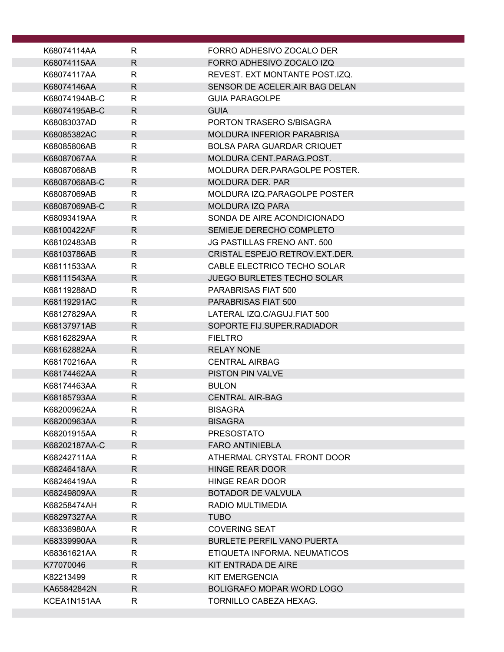| K68074114AA                | R                            | FORRO ADHESIVO ZOCALO DER                                        |
|----------------------------|------------------------------|------------------------------------------------------------------|
| K68074115AA                | $\mathsf{R}$                 | FORRO ADHESIVO ZOCALO IZQ                                        |
| K68074117AA                | R                            | REVEST. EXT MONTANTE POST.IZQ.                                   |
| K68074146AA                | $\mathsf{R}$                 | SENSOR DE ACELER.AIR BAG DELAN                                   |
| K68074194AB-C              | R                            | <b>GUIA PARAGOLPE</b>                                            |
| K68074195AB-C              | $\mathsf{R}$                 | <b>GUIA</b>                                                      |
| K68083037AD                | $\mathsf{R}$                 | PORTON TRASERO S/BISAGRA                                         |
| K68085382AC                | $\mathsf{R}$                 | <b>MOLDURA INFERIOR PARABRISA</b>                                |
| K68085806AB                | R                            | <b>BOLSA PARA GUARDAR CRIQUET</b>                                |
| K68087067AA                | $\mathsf{R}$                 | MOLDURA CENT.PARAG.POST.                                         |
| K68087068AB                | R                            | MOLDURA DER.PARAGOLPE POSTER.                                    |
| K68087068AB-C              | $\mathsf{R}$                 | <b>MOLDURA DER. PAR</b>                                          |
| K68087069AB                | $\mathsf{R}$                 | MOLDURA IZQ.PARAGOLPE POSTER                                     |
| K68087069AB-C              | $\mathsf{R}$                 | <b>MOLDURA IZQ PARA</b>                                          |
| K68093419AA                | R                            | SONDA DE AIRE ACONDICIONADO                                      |
| K68100422AF                | $\mathsf{R}$                 | SEMIEJE DERECHO COMPLETO                                         |
| K68102483AB                | $\mathsf{R}$                 | JG PASTILLAS FRENO ANT. 500                                      |
| K68103786AB                | R                            | CRISTAL ESPEJO RETROV.EXT.DER.                                   |
| K68111533AA                | R                            | CABLE ELECTRICO TECHO SOLAR<br><b>JUEGO BURLETES TECHO SOLAR</b> |
| K68111543AA                | $\mathsf{R}$<br>$\mathsf{R}$ |                                                                  |
| K68119288AD<br>K68119291AC | $\mathsf{R}$                 | PARABRISAS FIAT 500<br>PARABRISAS FIAT 500                       |
| K68127829AA                | R                            | LATERAL IZQ.C/AGUJ.FIAT 500                                      |
| K68137971AB                | $\mathsf{R}$                 | SOPORTE FIJ.SUPER.RADIADOR                                       |
| K68162829AA                | R                            | <b>FIELTRO</b>                                                   |
| K68162882AA                | $\mathsf{R}$                 | <b>RELAY NONE</b>                                                |
| K68170216AA                | R                            | <b>CENTRAL AIRBAG</b>                                            |
| K68174462AA                | R                            | <b>PISTON PIN VALVE</b>                                          |
| K68174463AA                | R                            | <b>BULON</b>                                                     |
| K68185793AA                | $\mathsf{R}$                 | <b>CENTRAL AIR-BAG</b>                                           |
| K68200962AA                | $\mathsf{R}$                 | <b>BISAGRA</b>                                                   |
| K68200963AA                | $\mathsf{R}$                 | <b>BISAGRA</b>                                                   |
| K68201915AA                | $\mathsf{R}$                 | <b>PRESOSTATO</b>                                                |
| K68202187AA-C              | $\mathsf{R}$                 | <b>FARO ANTINIEBLA</b>                                           |
| K68242711AA                | R                            | ATHERMAL CRYSTAL FRONT DOOR                                      |
| K68246418AA                | R                            | <b>HINGE REAR DOOR</b>                                           |
| K68246419AA                | R                            | HINGE REAR DOOR                                                  |
| K68249809AA                | $\mathsf{R}$                 | <b>BOTADOR DE VALVULA</b>                                        |
| K68258474AH                | R                            | <b>RADIO MULTIMEDIA</b>                                          |
| K68297327AA                | $\mathsf{R}$                 | <b>TUBO</b>                                                      |
| K68336980AA                | R                            | <b>COVERING SEAT</b>                                             |
| K68339990AA                | $\mathsf{R}$                 | <b>BURLETE PERFIL VANO PUERTA</b>                                |
| K68361621AA                | R                            | ETIQUETA INFORMA. NEUMATICOS                                     |
| K77070046                  | R.                           | KIT ENTRADA DE AIRE                                              |
| K82213499                  | $\mathsf{R}$                 | <b>KIT EMERGENCIA</b>                                            |
| KA65842842N                | R                            | BOLIGRAFO MOPAR WORD LOGO                                        |
| KCEA1N151AA                | R                            | TORNILLO CABEZA HEXAG.                                           |
|                            |                              |                                                                  |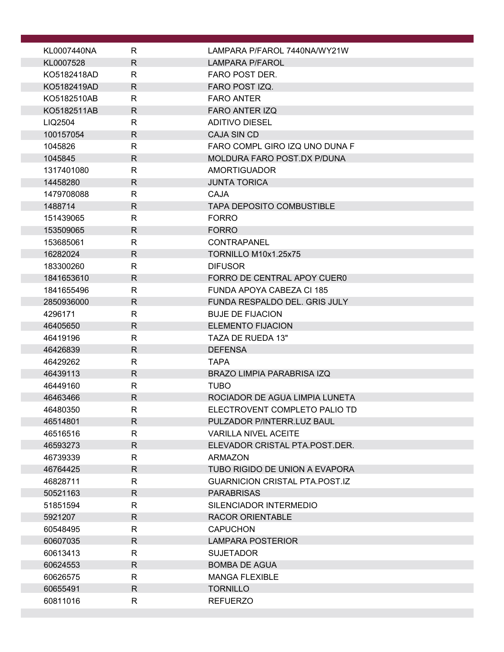| KL0007440NA | R            | LAMPARA P/FAROL 7440NA/WY21W          |
|-------------|--------------|---------------------------------------|
| KL0007528   | $\mathsf{R}$ | <b>LAMPARA P/FAROL</b>                |
| KO5182418AD | R            | <b>FARO POST DER.</b>                 |
| KO5182419AD | $\mathsf{R}$ | FARO POST IZQ.                        |
| KO5182510AB | R            | <b>FARO ANTER</b>                     |
| KO5182511AB | R            | <b>FARO ANTER IZQ</b>                 |
| LIQ2504     | $\mathsf{R}$ | <b>ADITIVO DIESEL</b>                 |
| 100157054   | $\mathsf{R}$ | <b>CAJA SIN CD</b>                    |
| 1045826     | $\mathsf{R}$ | FARO COMPL GIRO IZQ UNO DUNA F        |
| 1045845     | R            | MOLDURA FARO POST.DX P/DUNA           |
| 1317401080  | R            | <b>AMORTIGUADOR</b>                   |
| 14458280    | $\mathsf{R}$ | <b>JUNTA TORICA</b>                   |
| 1479708088  | $\mathsf{R}$ | <b>CAJA</b>                           |
| 1488714     | $\mathsf{R}$ | <b>TAPA DEPOSITO COMBUSTIBLE</b>      |
| 151439065   | R            | <b>FORRO</b>                          |
| 153509065   | R            | <b>FORRO</b>                          |
| 153685061   | R            | <b>CONTRAPANEL</b>                    |
| 16282024    | R            | TORNILLO M10x1.25x75                  |
| 183300260   | R            | <b>DIFUSOR</b>                        |
| 1841653610  | $\mathsf{R}$ | FORRO DE CENTRAL APOY CUERO           |
| 1841655496  | $\mathsf{R}$ | FUNDA APOYA CABEZA CI 185             |
| 2850936000  | R            | FUNDA RESPALDO DEL. GRIS JULY         |
| 4296171     | R            | <b>BUJE DE FIJACION</b>               |
| 46405650    | $\mathsf{R}$ | <b>ELEMENTO FIJACION</b>              |
| 46419196    | R            | TAZA DE RUEDA 13"                     |
| 46426839    | $\mathsf{R}$ | <b>DEFENSA</b>                        |
| 46429262    | R            | <b>TAPA</b>                           |
| 46439113    | $\mathsf{R}$ | <b>BRAZO LIMPIA PARABRISA IZQ</b>     |
| 46449160    | R            | <b>TUBO</b>                           |
| 46463466    | $\mathsf{R}$ | ROCIADOR DE AGUA LIMPIA LUNETA        |
| 46480350    | $\mathsf R$  | ELECTROVENT COMPLETO PALIO TD         |
| 46514801    | $\mathsf{R}$ | PULZADOR P/INTERR.LUZ BAUL            |
| 46516516    | $\mathsf{R}$ | <b>VARILLA NIVEL ACEITE</b>           |
| 46593273    | $\mathsf{R}$ | ELEVADOR CRISTAL PTA.POST.DER.        |
| 46739339    | R            | <b>ARMAZON</b>                        |
| 46764425    | $\mathsf{R}$ | TUBO RIGIDO DE UNION A EVAPORA        |
| 46828711    | R            | <b>GUARNICION CRISTAL PTA.POST.IZ</b> |
| 50521163    | $\mathsf{R}$ | <b>PARABRISAS</b>                     |
| 51851594    | R            | SILENCIADOR INTERMEDIO                |
| 5921207     | R            | <b>RACOR ORIENTABLE</b>               |
| 60548495    | R            | <b>CAPUCHON</b>                       |
| 60607035    | R            | <b>LAMPARA POSTERIOR</b>              |
| 60613413    | R            | <b>SUJETADOR</b>                      |
| 60624553    | R.           | <b>BOMBA DE AGUA</b>                  |
| 60626575    | R            | <b>MANGA FLEXIBLE</b>                 |
| 60655491    | R            | <b>TORNILLO</b>                       |
| 60811016    | R            | <b>REFUERZO</b>                       |